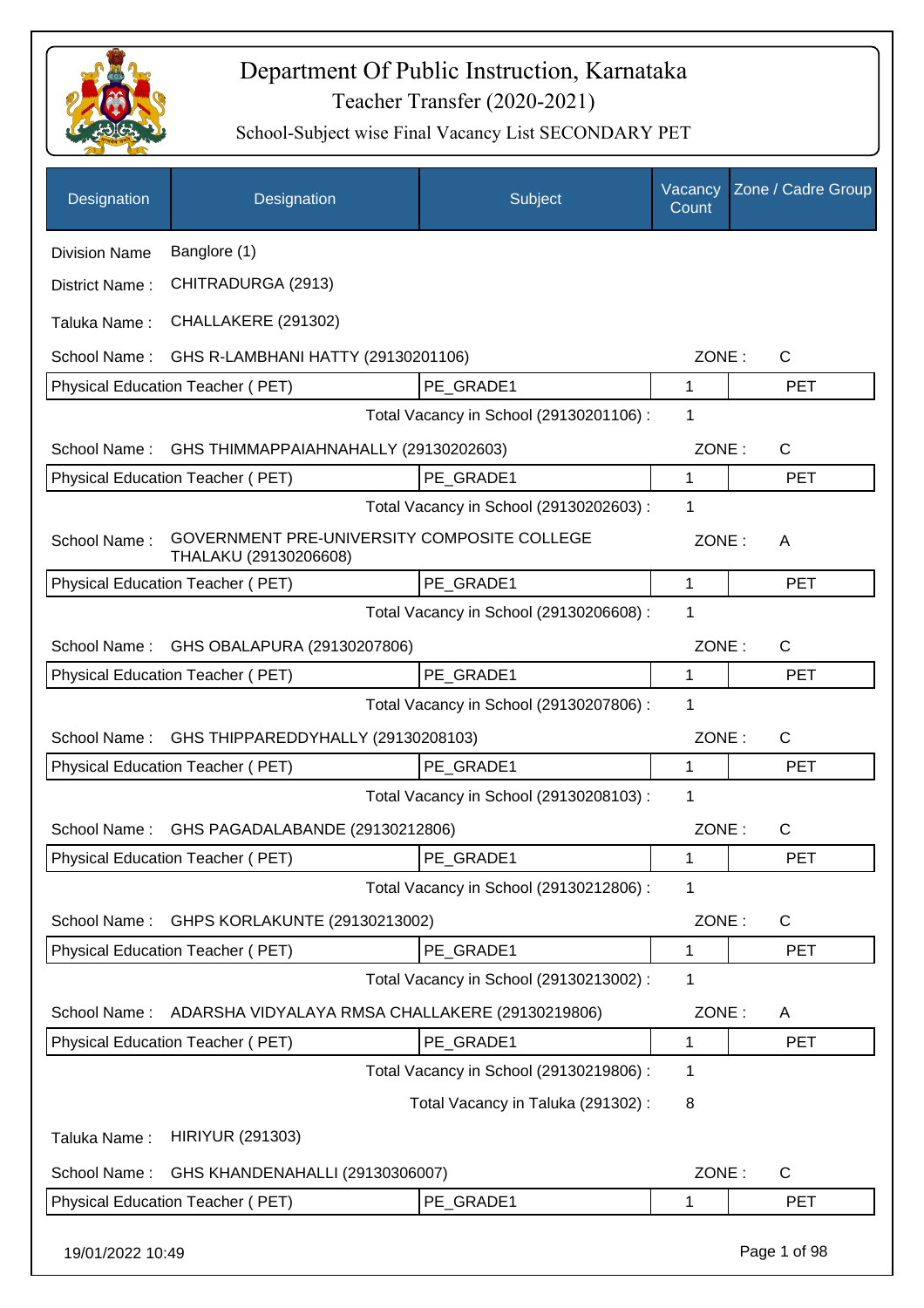

| Designation          | Designation                                                          | Subject                                 | Vacancy<br>Count | Zone / Cadre Group |
|----------------------|----------------------------------------------------------------------|-----------------------------------------|------------------|--------------------|
| <b>Division Name</b> | Banglore (1)                                                         |                                         |                  |                    |
| District Name:       | CHITRADURGA (2913)                                                   |                                         |                  |                    |
| Taluka Name:         | CHALLAKERE (291302)                                                  |                                         |                  |                    |
| School Name:         | GHS R-LAMBHANI HATTY (29130201106)                                   |                                         | ZONE:            | C                  |
|                      | Physical Education Teacher (PET)                                     | PE GRADE1                               | $\mathbf{1}$     | <b>PET</b>         |
|                      |                                                                      | Total Vacancy in School (29130201106) : | 1                |                    |
| School Name:         | GHS THIMMAPPAIAHNAHALLY (29130202603)                                |                                         | ZONE:            | C                  |
|                      | Physical Education Teacher (PET)                                     | PE_GRADE1                               | 1                | <b>PET</b>         |
|                      |                                                                      | Total Vacancy in School (29130202603) : | $\mathbf 1$      |                    |
| School Name:         | GOVERNMENT PRE-UNIVERSITY COMPOSITE COLLEGE<br>THALAKU (29130206608) |                                         | ZONE:            | A                  |
|                      | Physical Education Teacher (PET)                                     | PE_GRADE1                               | 1                | <b>PET</b>         |
|                      |                                                                      | Total Vacancy in School (29130206608) : | 1                |                    |
| School Name:         | GHS OBALAPURA (29130207806)                                          |                                         | ZONE:            | C                  |
|                      | Physical Education Teacher (PET)                                     | PE_GRADE1                               | 1                | <b>PET</b>         |
|                      |                                                                      | Total Vacancy in School (29130207806) : | 1                |                    |
| School Name:         | GHS THIPPAREDDYHALLY (29130208103)                                   |                                         | ZONE:            | C                  |
|                      | Physical Education Teacher (PET)                                     | PE GRADE1                               | 1                | <b>PET</b>         |
|                      |                                                                      | Total Vacancy in School (29130208103) : | 1                |                    |
| School Name:         | GHS PAGADALABANDE (29130212806)                                      |                                         | ZONE:            | C                  |
|                      | Physical Education Teacher (PET)                                     | PE_GRADE1                               | 1                | PET                |
|                      |                                                                      | Total Vacancy in School (29130212806) : | 1                |                    |
| School Name:         | GHPS KORLAKUNTE (29130213002)                                        |                                         | ZONE:            | C                  |
|                      | Physical Education Teacher (PET)                                     | PE GRADE1                               | 1                | <b>PET</b>         |
|                      |                                                                      | Total Vacancy in School (29130213002) : | 1                |                    |
| School Name:         | ADARSHA VIDYALAYA RMSA CHALLAKERE (29130219806)                      |                                         | ZONE:            | Α                  |
|                      | Physical Education Teacher (PET)                                     | PE_GRADE1                               | 1                | <b>PET</b>         |
|                      |                                                                      | Total Vacancy in School (29130219806) : | 1                |                    |
|                      |                                                                      | Total Vacancy in Taluka (291302):       | 8                |                    |
| Taluka Name:         | <b>HIRIYUR (291303)</b>                                              |                                         |                  |                    |
| School Name:         | GHS KHANDENAHALLI (29130306007)                                      |                                         | ZONE:            | C                  |
|                      | Physical Education Teacher (PET)                                     | PE_GRADE1                               | 1                | <b>PET</b>         |
| 19/01/2022 10:49     |                                                                      |                                         |                  | Page 1 of 98       |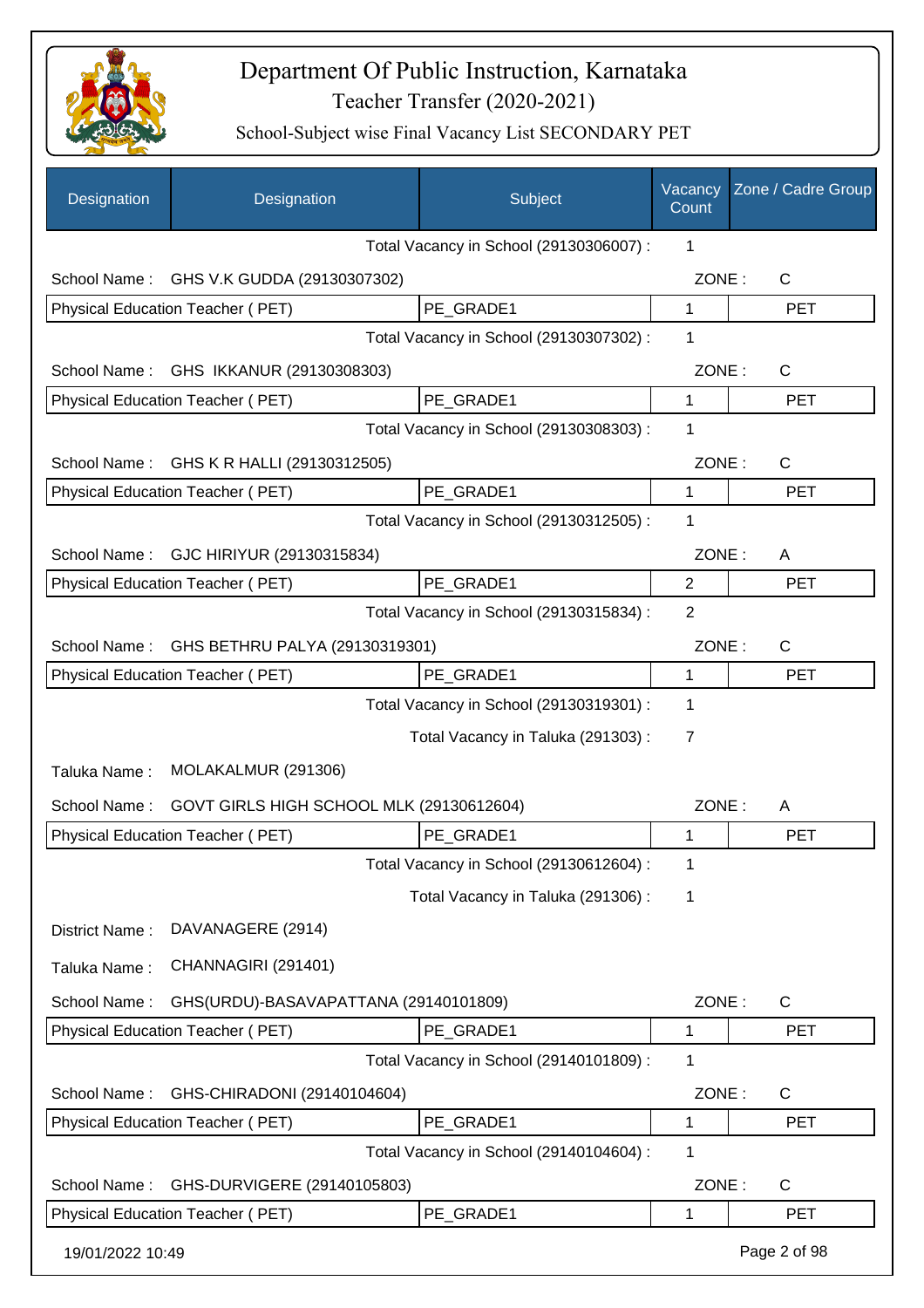

| Designation      | Designation                              | Subject                                 | Vacancy<br>Count | Zone / Cadre Group |
|------------------|------------------------------------------|-----------------------------------------|------------------|--------------------|
|                  |                                          | Total Vacancy in School (29130306007) : | 1                |                    |
|                  | School Name: GHS V.K GUDDA (29130307302) |                                         | ZONE:            | $\mathsf{C}$       |
|                  | Physical Education Teacher (PET)         | PE GRADE1                               | $\mathbf{1}$     | <b>PET</b>         |
|                  |                                          | Total Vacancy in School (29130307302) : | 1                |                    |
| School Name:     | GHS IKKANUR (29130308303)                |                                         | ZONE:            | C                  |
|                  | Physical Education Teacher (PET)         | PE GRADE1                               | $\mathbf 1$      | <b>PET</b>         |
|                  |                                          | Total Vacancy in School (29130308303) : | 1                |                    |
| School Name:     | GHS K R HALLI (29130312505)              |                                         | ZONE:            | $\mathsf{C}$       |
|                  | <b>Physical Education Teacher (PET)</b>  | PE_GRADE1                               | 1                | <b>PET</b>         |
|                  |                                          | Total Vacancy in School (29130312505) : | 1                |                    |
| School Name:     | GJC HIRIYUR (29130315834)                |                                         | ZONE:            | A                  |
|                  | Physical Education Teacher (PET)         | PE_GRADE1                               | $\overline{2}$   | <b>PET</b>         |
|                  |                                          | Total Vacancy in School (29130315834) : | 2                |                    |
| School Name:     | GHS BETHRU PALYA (29130319301)           |                                         | ZONE:            | $\mathsf{C}$       |
|                  | Physical Education Teacher (PET)         | PE GRADE1                               | 1                | <b>PET</b>         |
|                  |                                          | Total Vacancy in School (29130319301) : | 1                |                    |
|                  |                                          | Total Vacancy in Taluka (291303):       | 7                |                    |
| Taluka Name:     | MOLAKALMUR (291306)                      |                                         |                  |                    |
| School Name:     | GOVT GIRLS HIGH SCHOOL MLK (29130612604) |                                         | ZONE:            | A                  |
|                  | Physical Education Teacher (PET)         | PE GRADE1                               | 1                | <b>PET</b>         |
|                  |                                          | Total Vacancy in School (29130612604) : | 1                |                    |
|                  |                                          | Total Vacancy in Taluka (291306):       | 1                |                    |
| District Name:   | DAVANAGERE (2914)                        |                                         |                  |                    |
| Taluka Name:     | CHANNAGIRI (291401)                      |                                         |                  |                    |
| School Name:     | GHS(URDU)-BASAVAPATTANA (29140101809)    |                                         | ZONE:            | C                  |
|                  | Physical Education Teacher (PET)         | PE_GRADE1                               | 1                | <b>PET</b>         |
|                  |                                          | Total Vacancy in School (29140101809) : | 1                |                    |
| School Name:     | GHS-CHIRADONI (29140104604)              |                                         | ZONE:            | C                  |
|                  | Physical Education Teacher (PET)         | PE GRADE1                               | 1                | <b>PET</b>         |
|                  |                                          | Total Vacancy in School (29140104604) : | 1                |                    |
| School Name:     | GHS-DURVIGERE (29140105803)              |                                         | ZONE:            | C                  |
|                  | Physical Education Teacher (PET)         | PE GRADE1                               | 1                | <b>PET</b>         |
|                  |                                          |                                         |                  |                    |
| 19/01/2022 10:49 |                                          |                                         |                  | Page 2 of 98       |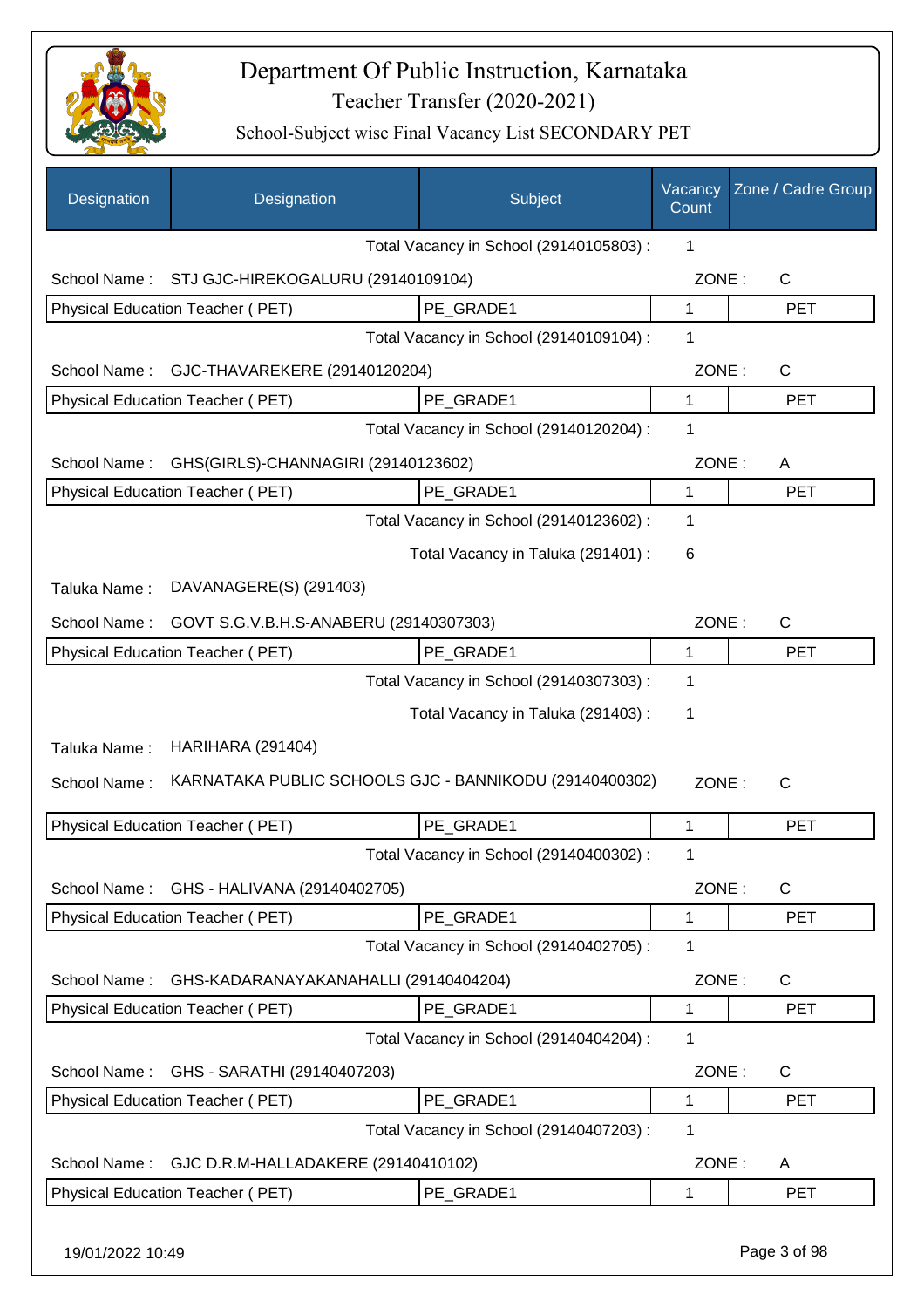

| Designation                                            | Designation                                            | Subject                                 | Vacancy<br>Count | Zone / Cadre Group |
|--------------------------------------------------------|--------------------------------------------------------|-----------------------------------------|------------------|--------------------|
|                                                        |                                                        | Total Vacancy in School (29140105803) : | 1                |                    |
| School Name:                                           | STJ GJC-HIREKOGALURU (29140109104)                     |                                         | ZONE:            | $\mathsf{C}$       |
|                                                        | Physical Education Teacher (PET)                       | PE GRADE1                               | $\mathbf{1}$     | <b>PET</b>         |
|                                                        |                                                        | Total Vacancy in School (29140109104) : | 1                |                    |
| School Name:                                           | GJC-THAVAREKERE (29140120204)                          |                                         | ZONE:            | $\mathsf{C}$       |
|                                                        | Physical Education Teacher (PET)                       | PE_GRADE1                               | 1                | <b>PET</b>         |
|                                                        |                                                        | Total Vacancy in School (29140120204) : | 1                |                    |
| School Name:                                           | GHS(GIRLS)-CHANNAGIRI (29140123602)                    |                                         | ZONE:            | A                  |
|                                                        | Physical Education Teacher (PET)                       | PE GRADE1                               | $\mathbf 1$      | <b>PET</b>         |
|                                                        |                                                        | Total Vacancy in School (29140123602) : | 1                |                    |
|                                                        |                                                        | Total Vacancy in Taluka (291401) :      | 6                |                    |
| Taluka Name:                                           | DAVANAGERE(S) (291403)                                 |                                         |                  |                    |
| School Name:<br>GOVT S.G.V.B.H.S-ANABERU (29140307303) |                                                        |                                         | ZONE:            | $\mathsf{C}$       |
|                                                        | Physical Education Teacher (PET)                       | PE_GRADE1                               | 1                | <b>PET</b>         |
|                                                        |                                                        | Total Vacancy in School (29140307303) : | 1                |                    |
|                                                        |                                                        | Total Vacancy in Taluka (291403) :      | 1                |                    |
| Taluka Name:                                           | <b>HARIHARA (291404)</b>                               |                                         |                  |                    |
| School Name:                                           | KARNATAKA PUBLIC SCHOOLS GJC - BANNIKODU (29140400302) |                                         | ZONE:            | $\mathsf{C}$       |
|                                                        | Physical Education Teacher (PET)                       | PE_GRADE1                               | 1                | <b>PET</b>         |
|                                                        |                                                        | Total Vacancy in School (29140400302) : | 1                |                    |
| School Name:                                           | GHS - HALIVANA (29140402705)                           |                                         | ZONE:            | C                  |
|                                                        | Physical Education Teacher (PET)                       | PE_GRADE1                               | 1                | <b>PET</b>         |
|                                                        |                                                        | Total Vacancy in School (29140402705) : | 1                |                    |
| School Name:                                           | GHS-KADARANAYAKANAHALLI (29140404204)                  |                                         | ZONE:            | C                  |
|                                                        | Physical Education Teacher (PET)                       | PE GRADE1                               | 1                | <b>PET</b>         |
|                                                        |                                                        | Total Vacancy in School (29140404204) : | 1                |                    |
| School Name:                                           | GHS - SARATHI (29140407203)                            |                                         | ZONE:            | $\mathsf{C}$       |
|                                                        | Physical Education Teacher (PET)                       | PE GRADE1                               | $\mathbf{1}$     | <b>PET</b>         |
|                                                        |                                                        | Total Vacancy in School (29140407203) : | 1                |                    |
| School Name:                                           | GJC D.R.M-HALLADAKERE (29140410102)                    |                                         | ZONE:            | A                  |
|                                                        | Physical Education Teacher (PET)                       | PE_GRADE1                               | 1                | <b>PET</b>         |
|                                                        |                                                        |                                         |                  |                    |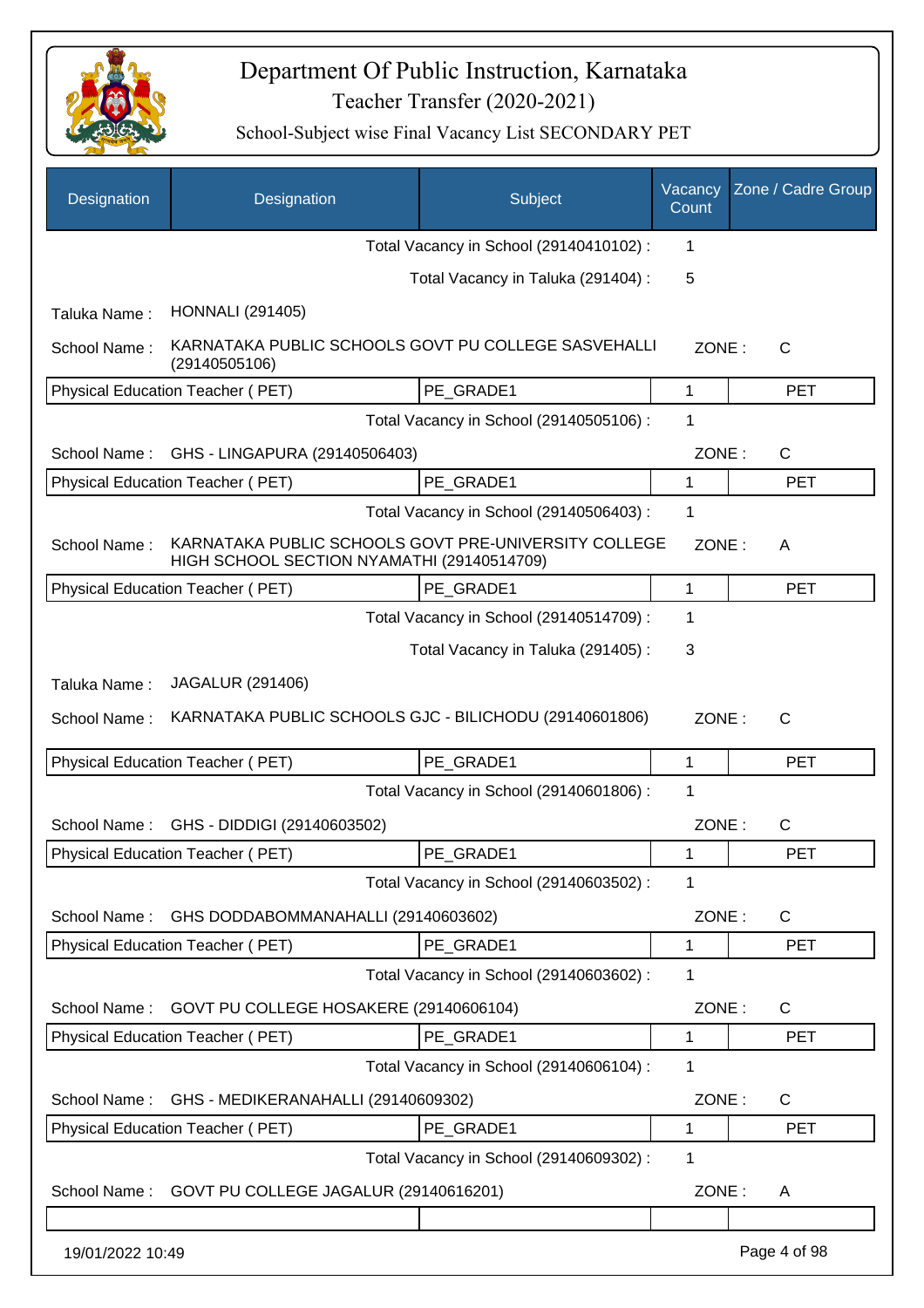

| Designation      | Designation                                                                                        | Subject                                 | Vacancy<br>Count | Zone / Cadre Group |
|------------------|----------------------------------------------------------------------------------------------------|-----------------------------------------|------------------|--------------------|
|                  |                                                                                                    | Total Vacancy in School (29140410102) : | 1                |                    |
|                  |                                                                                                    | Total Vacancy in Taluka (291404) :      | 5                |                    |
| Taluka Name:     | <b>HONNALI</b> (291405)                                                                            |                                         |                  |                    |
| School Name:     | KARNATAKA PUBLIC SCHOOLS GOVT PU COLLEGE SASVEHALLI<br>(29140505106)                               |                                         | ZONE:            | $\mathsf{C}$       |
|                  | Physical Education Teacher (PET)                                                                   | PE_GRADE1                               | 1                | <b>PET</b>         |
|                  |                                                                                                    | Total Vacancy in School (29140505106) : | 1                |                    |
| School Name:     | GHS - LINGAPURA (29140506403)                                                                      |                                         | ZONE:            | C                  |
|                  | Physical Education Teacher (PET)                                                                   | PE_GRADE1                               | 1                | <b>PET</b>         |
|                  |                                                                                                    | Total Vacancy in School (29140506403) : | 1                |                    |
| School Name:     | KARNATAKA PUBLIC SCHOOLS GOVT PRE-UNIVERSITY COLLEGE<br>HIGH SCHOOL SECTION NYAMATHI (29140514709) |                                         | ZONE:            | A                  |
|                  | Physical Education Teacher (PET)                                                                   | PE GRADE1                               | 1                | <b>PET</b>         |
|                  |                                                                                                    | Total Vacancy in School (29140514709) : | 1                |                    |
|                  |                                                                                                    | Total Vacancy in Taluka (291405):       | 3                |                    |
| Taluka Name:     | <b>JAGALUR (291406)</b>                                                                            |                                         |                  |                    |
| School Name:     | KARNATAKA PUBLIC SCHOOLS GJC - BILICHODU (29140601806)                                             |                                         | ZONE:            | $\mathsf{C}$       |
|                  | Physical Education Teacher (PET)                                                                   | PE_GRADE1                               | 1                | <b>PET</b>         |
|                  |                                                                                                    | Total Vacancy in School (29140601806) : | 1                |                    |
| School Name:     | GHS - DIDDIGI (29140603502)                                                                        |                                         | ZONE:            | C                  |
|                  | Physical Education Teacher (PET)                                                                   | PE_GRADE1                               | 1                | PET                |
|                  |                                                                                                    | Total Vacancy in School (29140603502) : | 1                |                    |
| School Name:     | GHS DODDABOMMANAHALLI (29140603602)                                                                |                                         | ZONE:            | C                  |
|                  | Physical Education Teacher (PET)                                                                   | PE_GRADE1                               | 1                | <b>PET</b>         |
|                  |                                                                                                    | Total Vacancy in School (29140603602) : | 1                |                    |
| School Name:     | GOVT PU COLLEGE HOSAKERE (29140606104)                                                             |                                         | ZONE:            | C                  |
|                  | Physical Education Teacher (PET)                                                                   | PE GRADE1                               | 1                | <b>PET</b>         |
|                  |                                                                                                    | Total Vacancy in School (29140606104) : | 1                |                    |
| School Name:     | GHS - MEDIKERANAHALLI (29140609302)                                                                |                                         | ZONE:            | C                  |
|                  | Physical Education Teacher (PET)                                                                   | PE GRADE1                               | 1                | <b>PET</b>         |
|                  |                                                                                                    | Total Vacancy in School (29140609302) : | 1                |                    |
| School Name:     | GOVT PU COLLEGE JAGALUR (29140616201)                                                              |                                         | ZONE:            | A                  |
|                  |                                                                                                    |                                         |                  |                    |
| 19/01/2022 10:49 |                                                                                                    |                                         |                  | Page 4 of 98       |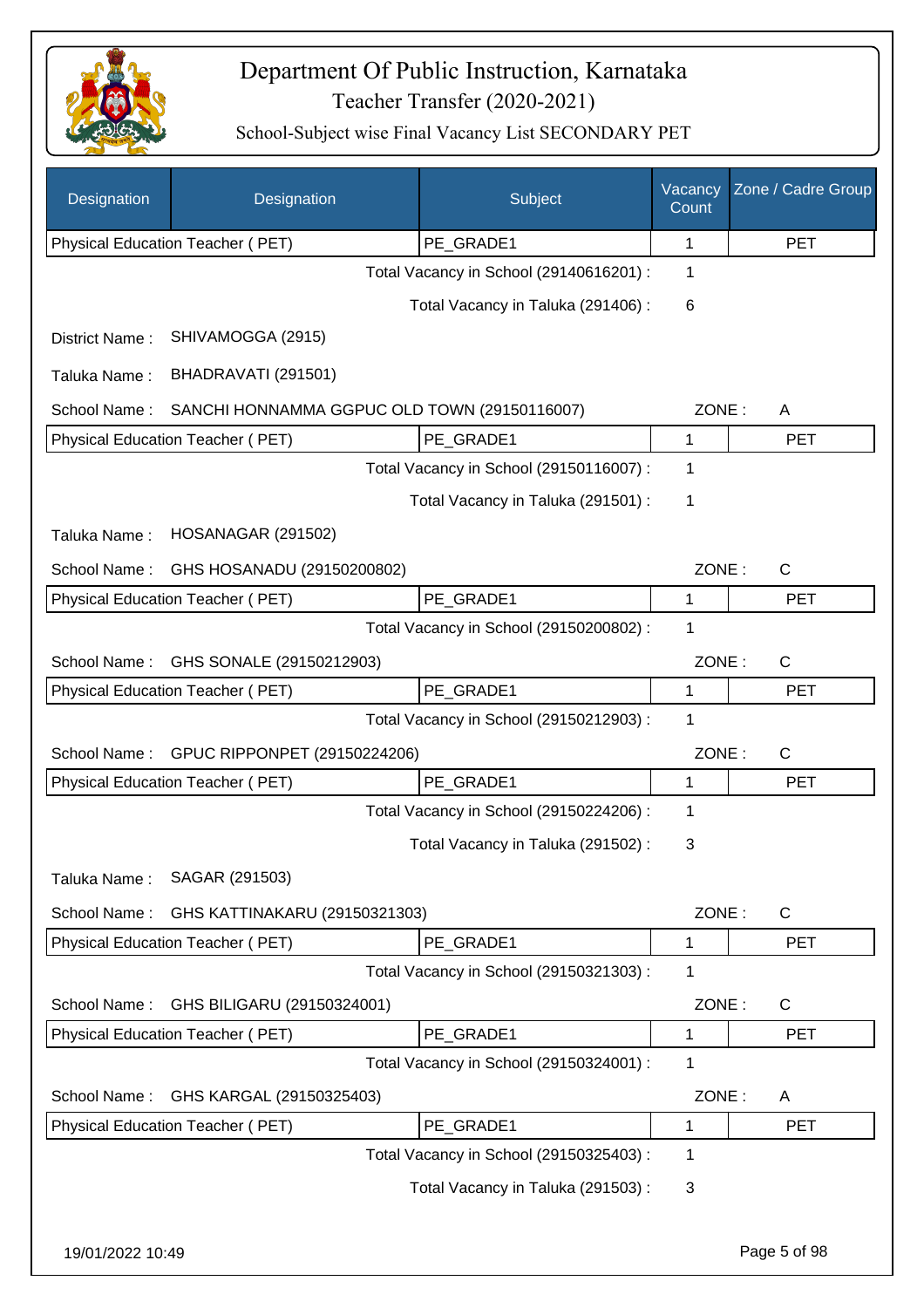

| Designation      | Designation                                  | Subject                                 | Vacancy<br>Count | Zone / Cadre Group |
|------------------|----------------------------------------------|-----------------------------------------|------------------|--------------------|
|                  | Physical Education Teacher (PET)             | PE_GRADE1                               | 1                | <b>PET</b>         |
|                  |                                              | Total Vacancy in School (29140616201) : | 1                |                    |
|                  |                                              | Total Vacancy in Taluka (291406) :      | 6                |                    |
| District Name:   | SHIVAMOGGA (2915)                            |                                         |                  |                    |
| Taluka Name:     | BHADRAVATI (291501)                          |                                         |                  |                    |
| School Name:     | SANCHI HONNAMMA GGPUC OLD TOWN (29150116007) |                                         | ZONE:            | Α                  |
|                  | Physical Education Teacher (PET)             | PE GRADE1                               | $\mathbf{1}$     | <b>PET</b>         |
|                  |                                              | Total Vacancy in School (29150116007) : | 1                |                    |
|                  |                                              | Total Vacancy in Taluka (291501) :      | 1                |                    |
| Taluka Name:     | HOSANAGAR (291502)                           |                                         |                  |                    |
| School Name:     | GHS HOSANADU (29150200802)                   |                                         | ZONE:            | $\mathsf{C}$       |
|                  | Physical Education Teacher (PET)             | PE_GRADE1                               | 1                | <b>PET</b>         |
|                  |                                              | Total Vacancy in School (29150200802) : | 1                |                    |
| School Name:     | GHS SONALE (29150212903)                     |                                         | ZONE:            | $\mathsf{C}$       |
|                  | Physical Education Teacher (PET)             | PE_GRADE1                               | 1                | <b>PET</b>         |
|                  |                                              | Total Vacancy in School (29150212903) : | 1                |                    |
| School Name:     | GPUC RIPPONPET (29150224206)                 |                                         | ZONE:            | $\mathsf{C}$       |
|                  | Physical Education Teacher (PET)             | PE_GRADE1                               | 1                | <b>PET</b>         |
|                  |                                              | Total Vacancy in School (29150224206) : | 1                |                    |
|                  |                                              | Total Vacancy in Taluka (291502):       | 3                |                    |
| Taluka Name:     | SAGAR (291503)                               |                                         |                  |                    |
| School Name:     | GHS KATTINAKARU (29150321303)                |                                         | ZONE:            | $\mathsf{C}$       |
|                  | Physical Education Teacher (PET)             | PE_GRADE1                               | $\mathbf 1$      | <b>PET</b>         |
|                  |                                              | Total Vacancy in School (29150321303) : | 1                |                    |
| School Name:     | GHS BILIGARU (29150324001)                   |                                         | ZONE:            | C                  |
|                  | Physical Education Teacher (PET)             | PE GRADE1                               | 1                | <b>PET</b>         |
|                  |                                              | Total Vacancy in School (29150324001) : | 1                |                    |
| School Name:     | GHS KARGAL (29150325403)                     |                                         | ZONE:            | A                  |
|                  | Physical Education Teacher (PET)             | PE_GRADE1                               | 1                | <b>PET</b>         |
|                  |                                              | Total Vacancy in School (29150325403) : | 1                |                    |
|                  |                                              | Total Vacancy in Taluka (291503):       | 3                |                    |
| 19/01/2022 10:49 |                                              |                                         |                  | Page 5 of 98       |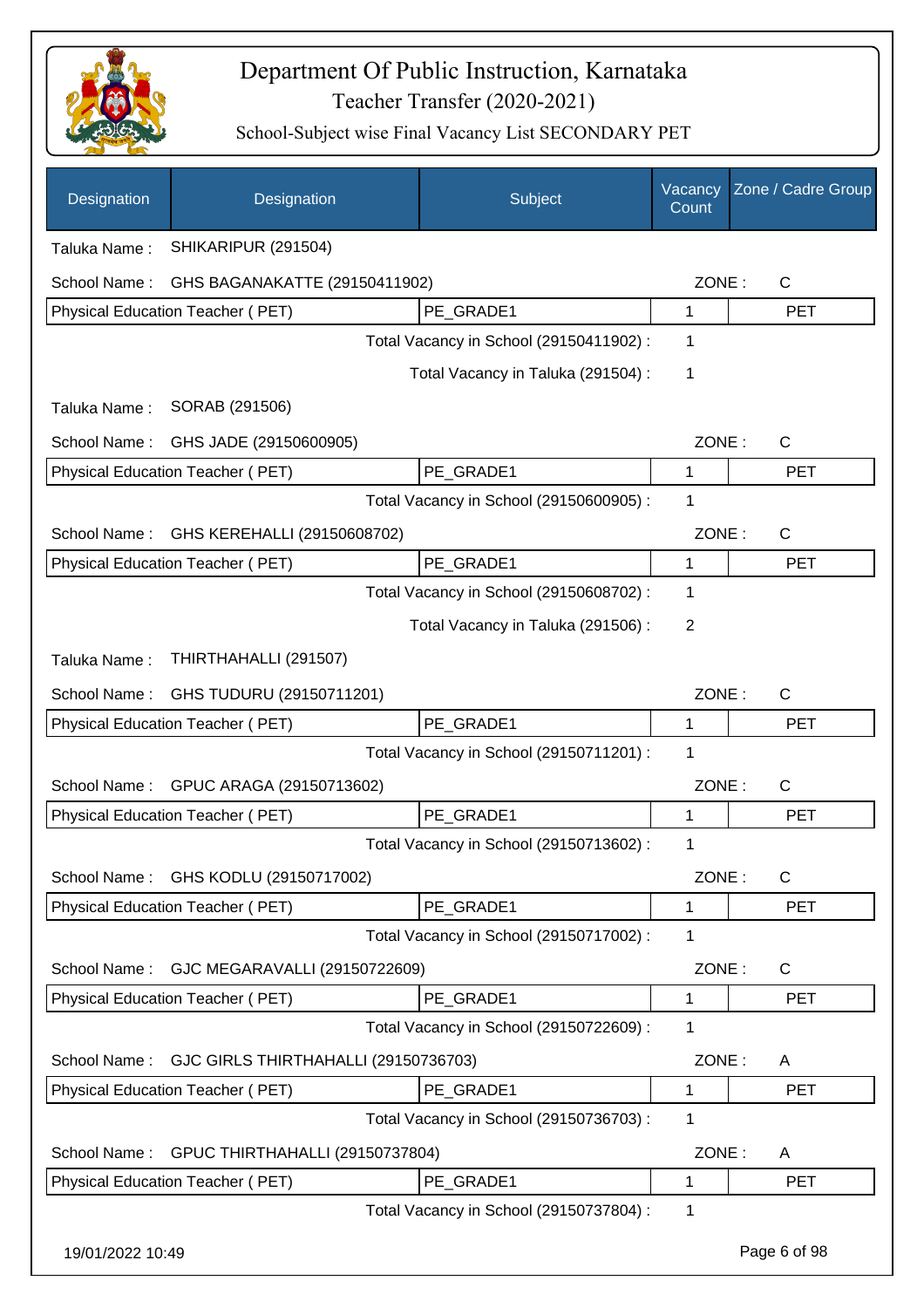

| Designation      | Designation                          | Subject                                 | Vacancy<br>Count | Zone / Cadre Group |
|------------------|--------------------------------------|-----------------------------------------|------------------|--------------------|
| Taluka Name:     | SHIKARIPUR (291504)                  |                                         |                  |                    |
| School Name:     | GHS BAGANAKATTE (29150411902)        |                                         | ZONE:            | C                  |
|                  | Physical Education Teacher (PET)     | PE GRADE1                               | 1                | <b>PET</b>         |
|                  |                                      | Total Vacancy in School (29150411902) : | 1                |                    |
|                  |                                      | Total Vacancy in Taluka (291504) :      | 1                |                    |
| Taluka Name:     | SORAB (291506)                       |                                         |                  |                    |
| School Name:     | GHS JADE (29150600905)               |                                         | ZONE:            | $\mathsf{C}$       |
|                  | Physical Education Teacher (PET)     | PE GRADE1                               | 1                | <b>PET</b>         |
|                  |                                      | Total Vacancy in School (29150600905) : | 1                |                    |
| School Name:     | GHS KEREHALLI (29150608702)          |                                         | ZONE:            | C                  |
|                  | Physical Education Teacher (PET)     | PE_GRADE1                               | 1                | <b>PET</b>         |
|                  |                                      | Total Vacancy in School (29150608702) : | 1                |                    |
|                  |                                      | Total Vacancy in Taluka (291506) :      | 2                |                    |
| Taluka Name:     | THIRTHAHALLI (291507)                |                                         |                  |                    |
| School Name:     | GHS TUDURU (29150711201)             |                                         | ZONE:            | $\mathsf{C}$       |
|                  | Physical Education Teacher (PET)     | PE_GRADE1                               | 1                | <b>PET</b>         |
|                  |                                      | Total Vacancy in School (29150711201) : | 1                |                    |
| School Name:     | GPUC ARAGA (29150713602)             |                                         | ZONE:            | C                  |
|                  | Physical Education Teacher (PET)     | PE_GRADE1                               | 1                | <b>PET</b>         |
|                  |                                      | Total Vacancy in School (29150713602) : | 1                |                    |
| School Name:     | GHS KODLU (29150717002)              |                                         | ZONE:            | C                  |
|                  | Physical Education Teacher (PET)     | PE_GRADE1                               | 1                | <b>PET</b>         |
|                  |                                      | Total Vacancy in School (29150717002) : | 1                |                    |
| School Name:     | GJC MEGARAVALLI (29150722609)        |                                         | ZONE:            | C                  |
|                  | Physical Education Teacher (PET)     | PE GRADE1                               | 1                | <b>PET</b>         |
|                  |                                      | Total Vacancy in School (29150722609) : | 1                |                    |
| School Name:     | GJC GIRLS THIRTHAHALLI (29150736703) |                                         | ZONE:            | A                  |
|                  | Physical Education Teacher (PET)     | PE GRADE1                               | 1                | <b>PET</b>         |
|                  |                                      | Total Vacancy in School (29150736703) : | 1                |                    |
| School Name:     | GPUC THIRTHAHALLI (29150737804)      |                                         | ZONE:            | A                  |
|                  | Physical Education Teacher (PET)     | PE_GRADE1                               | 1                | <b>PET</b>         |
|                  |                                      | Total Vacancy in School (29150737804) : | 1                |                    |
| 19/01/2022 10:49 |                                      |                                         |                  | Page 6 of 98       |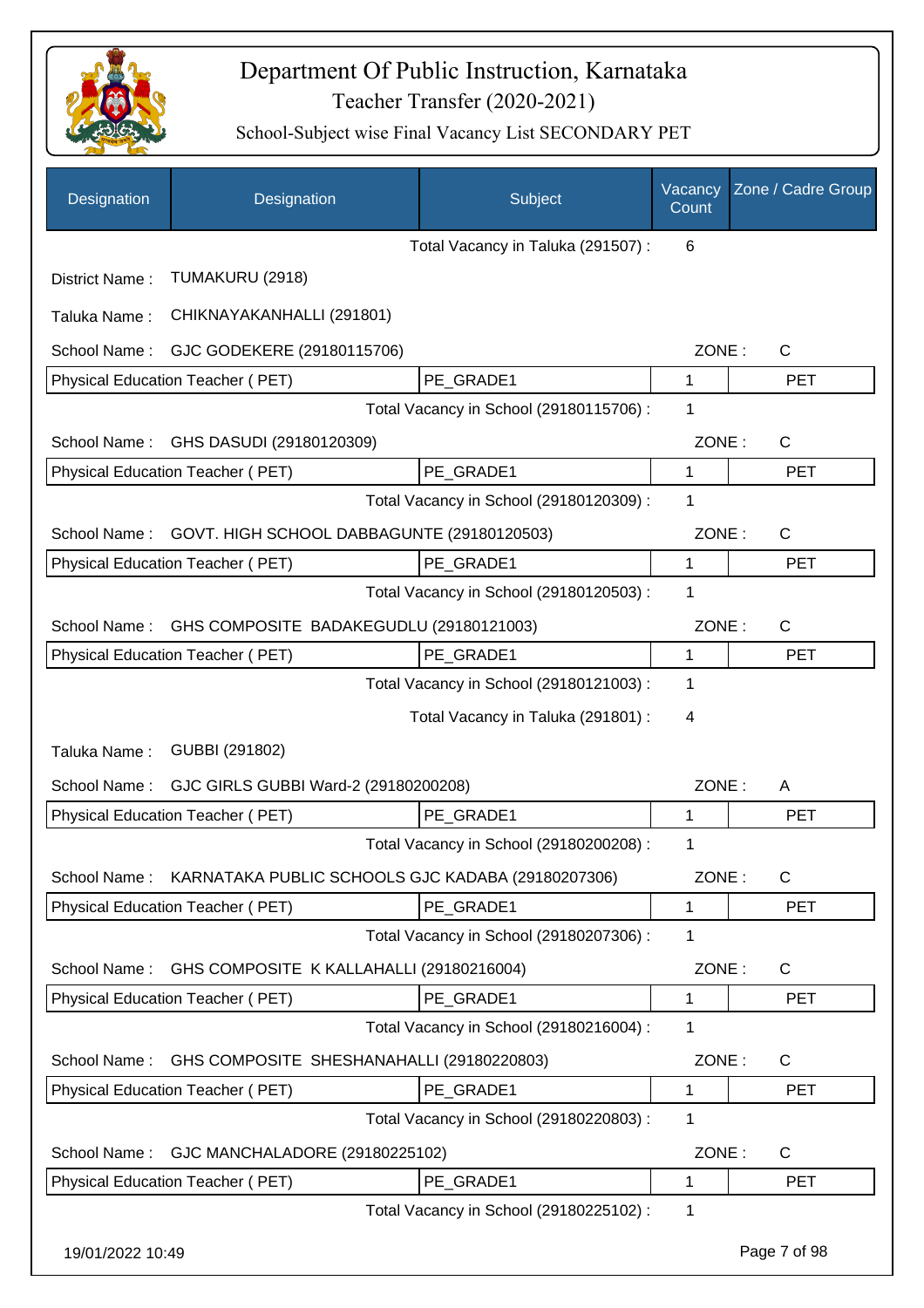

| Designation      | Designation                                                    | Subject                                 | Vacancy<br>Count | Zone / Cadre Group |
|------------------|----------------------------------------------------------------|-----------------------------------------|------------------|--------------------|
|                  |                                                                | Total Vacancy in Taluka (291507):       | 6                |                    |
| District Name:   | TUMAKURU (2918)                                                |                                         |                  |                    |
| Taluka Name:     | CHIKNAYAKANHALLI (291801)                                      |                                         |                  |                    |
| School Name:     | GJC GODEKERE (29180115706)                                     |                                         | ZONE:            | $\mathsf{C}$       |
|                  | Physical Education Teacher (PET)                               | PE_GRADE1                               | 1                | <b>PET</b>         |
|                  |                                                                | Total Vacancy in School (29180115706) : | 1                |                    |
| School Name:     | GHS DASUDI (29180120309)                                       |                                         | ZONE:            | $\mathsf{C}$       |
|                  | Physical Education Teacher (PET)                               | PE_GRADE1                               | 1                | <b>PET</b>         |
|                  |                                                                | Total Vacancy in School (29180120309) : | 1                |                    |
| School Name:     | GOVT. HIGH SCHOOL DABBAGUNTE (29180120503)                     |                                         | ZONE:            | $\mathsf{C}$       |
|                  | Physical Education Teacher (PET)                               | PE_GRADE1                               | 1                | <b>PET</b>         |
|                  |                                                                | Total Vacancy in School (29180120503) : | 1                |                    |
| School Name:     | GHS COMPOSITE BADAKEGUDLU (29180121003)                        |                                         | ZONE:            | C                  |
|                  | Physical Education Teacher (PET)                               | PE_GRADE1                               | 1                | <b>PET</b>         |
|                  |                                                                | Total Vacancy in School (29180121003) : | 1                |                    |
|                  |                                                                | Total Vacancy in Taluka (291801) :      | 4                |                    |
| Taluka Name:     | GUBBI (291802)                                                 |                                         |                  |                    |
| School Name:     | GJC GIRLS GUBBI Ward-2 (29180200208)                           |                                         | ZONE:            | A                  |
|                  | <b>Physical Education Teacher (PET)</b>                        | PE_GRADE1                               | 1                | <b>PET</b>         |
|                  |                                                                | Total Vacancy in School (29180200208) : | 1                |                    |
|                  | School Name: KARNATAKA PUBLIC SCHOOLS GJC KADABA (29180207306) |                                         | ZONE:            | C                  |
|                  | <b>Physical Education Teacher (PET)</b>                        | PE GRADE1                               | 1                | <b>PET</b>         |
|                  |                                                                | Total Vacancy in School (29180207306) : | 1                |                    |
| School Name:     | GHS COMPOSITE K KALLAHALLI (29180216004)                       |                                         | ZONE:            | $\mathsf{C}$       |
|                  | Physical Education Teacher (PET)                               | PE GRADE1                               | 1                | <b>PET</b>         |
|                  |                                                                | Total Vacancy in School (29180216004) : | 1                |                    |
| School Name:     | GHS COMPOSITE SHESHANAHALLI (29180220803)                      |                                         | ZONE:            | $\mathsf{C}$       |
|                  | Physical Education Teacher (PET)                               | PE_GRADE1                               | 1                | <b>PET</b>         |
|                  |                                                                | Total Vacancy in School (29180220803) : | 1                |                    |
| School Name:     | GJC MANCHALADORE (29180225102)                                 |                                         | ZONE:            | C                  |
|                  | Physical Education Teacher (PET)                               | PE_GRADE1                               | 1                | <b>PET</b>         |
|                  |                                                                | Total Vacancy in School (29180225102) : | 1                |                    |
| 19/01/2022 10:49 |                                                                |                                         |                  | Page 7 of 98       |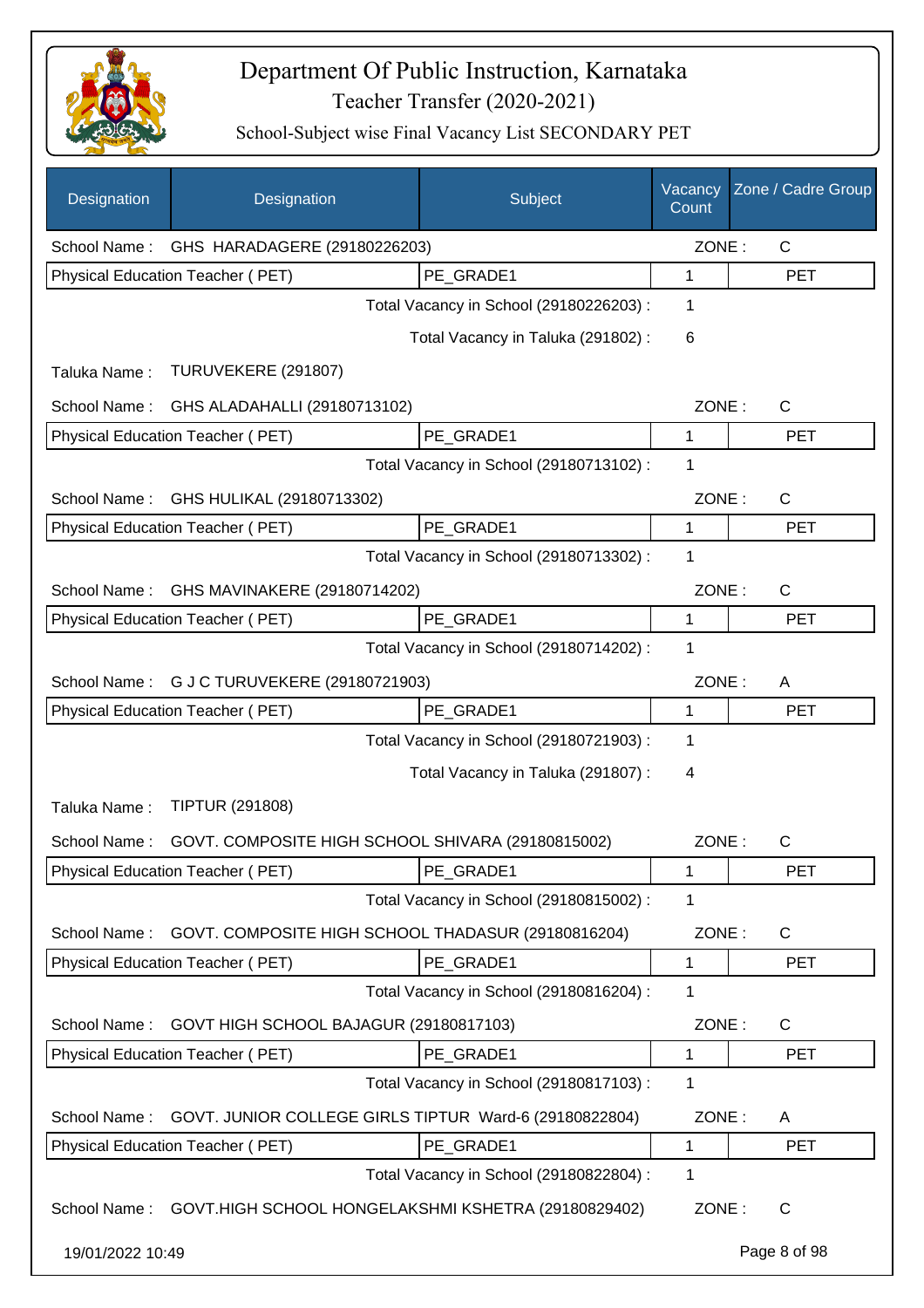

| Designation      | Designation                                                      | Subject                                 | Vacancy<br>Count | Zone / Cadre Group |
|------------------|------------------------------------------------------------------|-----------------------------------------|------------------|--------------------|
| School Name:     | GHS HARADAGERE (29180226203)                                     |                                         | ZONE:            | C                  |
|                  | Physical Education Teacher (PET)                                 | PE_GRADE1                               | 1                | <b>PET</b>         |
|                  |                                                                  | Total Vacancy in School (29180226203) : | 1                |                    |
|                  |                                                                  | Total Vacancy in Taluka (291802) :      | 6                |                    |
| Taluka Name:     | TURUVEKERE (291807)                                              |                                         |                  |                    |
| School Name:     | GHS ALADAHALLI (29180713102)                                     |                                         | ZONE:            | C                  |
|                  | Physical Education Teacher (PET)                                 | PE_GRADE1                               | 1                | <b>PET</b>         |
|                  |                                                                  | Total Vacancy in School (29180713102) : | 1                |                    |
| School Name:     | GHS HULIKAL (29180713302)                                        |                                         | ZONE:            | C                  |
|                  | Physical Education Teacher (PET)                                 | PE_GRADE1                               | 1                | <b>PET</b>         |
|                  |                                                                  | Total Vacancy in School (29180713302) : | 1                |                    |
| School Name:     | GHS MAVINAKERE (29180714202)                                     |                                         | ZONE:            | C                  |
|                  | Physical Education Teacher (PET)                                 | PE_GRADE1                               | 1                | <b>PET</b>         |
|                  |                                                                  | Total Vacancy in School (29180714202) : | 1                |                    |
| School Name:     | G J C TURUVEKERE (29180721903)                                   |                                         | ZONE:            | A                  |
|                  | Physical Education Teacher (PET)                                 | PE_GRADE1                               | 1                | <b>PET</b>         |
|                  |                                                                  | Total Vacancy in School (29180721903) : | 1                |                    |
|                  |                                                                  | Total Vacancy in Taluka (291807):       | 4                |                    |
| Taluka Name:     | <b>TIPTUR (291808)</b>                                           |                                         |                  |                    |
| School Name:     | GOVT. COMPOSITE HIGH SCHOOL SHIVARA (29180815002)                |                                         | ZONE:            | С                  |
|                  | Physical Education Teacher (PET)                                 | PE_GRADE1                               | 1                | <b>PET</b>         |
|                  |                                                                  | Total Vacancy in School (29180815002) : | 1                |                    |
| School Name:     | GOVT. COMPOSITE HIGH SCHOOL THADASUR (29180816204)               |                                         | ZONE:            | C                  |
|                  | Physical Education Teacher (PET)                                 | PE GRADE1                               | 1                | <b>PET</b>         |
|                  |                                                                  | Total Vacancy in School (29180816204) : | 1                |                    |
| School Name:     | GOVT HIGH SCHOOL BAJAGUR (29180817103)                           |                                         | ZONE:            | C                  |
|                  | Physical Education Teacher (PET)                                 | PE_GRADE1                               | 1                | <b>PET</b>         |
|                  |                                                                  | Total Vacancy in School (29180817103) : | 1                |                    |
| School Name:     | GOVT. JUNIOR COLLEGE GIRLS TIPTUR Ward-6 (29180822804)           |                                         | ZONE:            | A                  |
|                  | Physical Education Teacher (PET)                                 | PE_GRADE1                               | 1                | <b>PET</b>         |
|                  |                                                                  | Total Vacancy in School (29180822804) : | 1                |                    |
|                  | School Name: GOVT.HIGH SCHOOL HONGELAKSHMI KSHETRA (29180829402) |                                         | ZONE:            | C                  |
| 19/01/2022 10:49 |                                                                  |                                         |                  | Page 8 of 98       |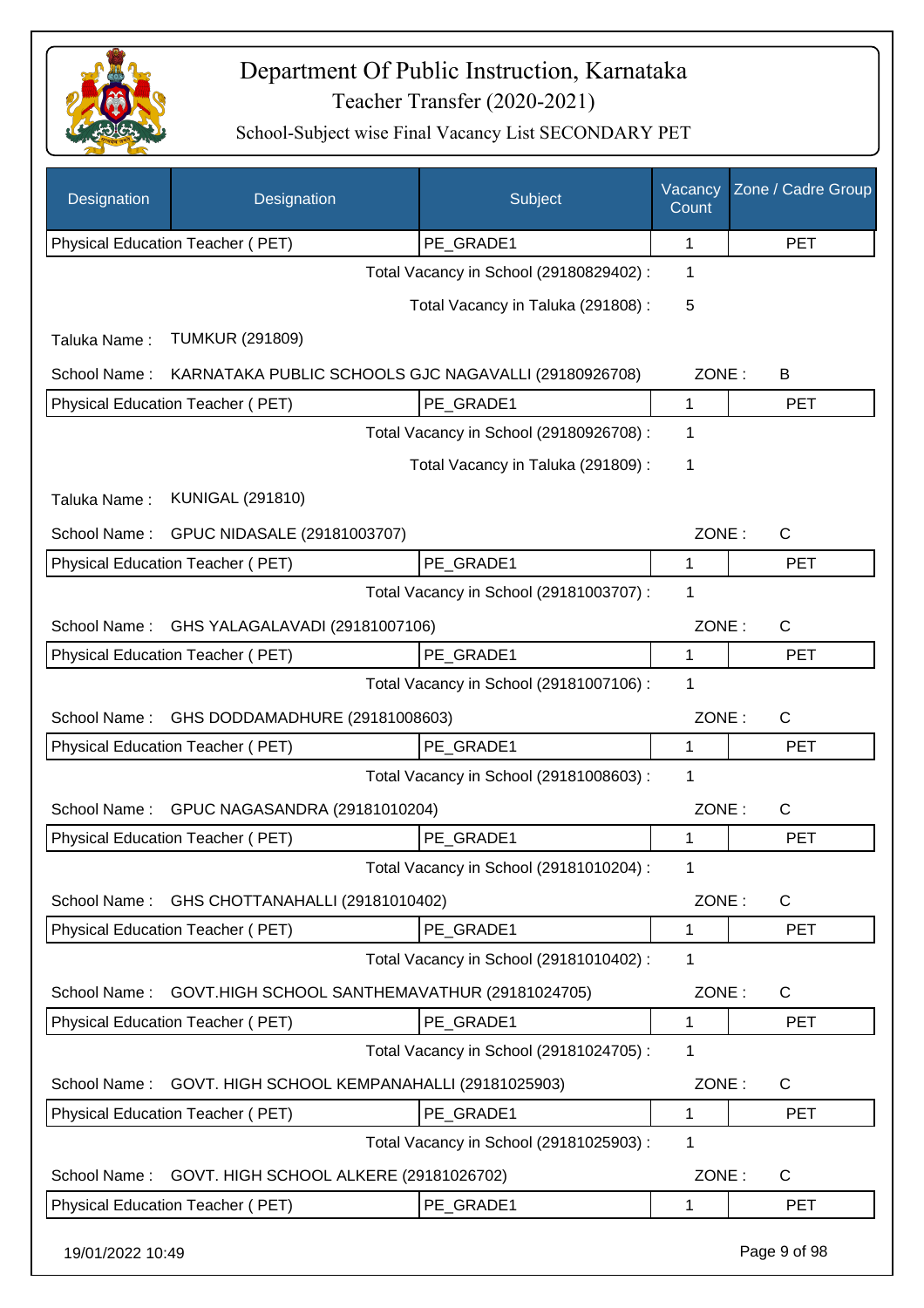

| Designation                                    | <b>Designation</b>                                   | Subject                                 | Vacancy<br>Count | Zone / Cadre Group |
|------------------------------------------------|------------------------------------------------------|-----------------------------------------|------------------|--------------------|
|                                                | Physical Education Teacher (PET)                     | PE_GRADE1                               | 1                | <b>PET</b>         |
|                                                |                                                      | Total Vacancy in School (29180829402) : | 1                |                    |
|                                                |                                                      | Total Vacancy in Taluka (291808) :      | 5                |                    |
| Taluka Name:                                   | <b>TUMKUR (291809)</b>                               |                                         |                  |                    |
| School Name:                                   | KARNATAKA PUBLIC SCHOOLS GJC NAGAVALLI (29180926708) |                                         | ZONE:            | B                  |
|                                                | Physical Education Teacher (PET)                     | PE_GRADE1                               | 1                | <b>PET</b>         |
|                                                |                                                      | Total Vacancy in School (29180926708) : | 1                |                    |
|                                                |                                                      | Total Vacancy in Taluka (291809):       | 1                |                    |
| Taluka Name:                                   | <b>KUNIGAL (291810)</b>                              |                                         |                  |                    |
| School Name:                                   | GPUC NIDASALE (29181003707)                          |                                         | ZONE:            | $\mathsf{C}$       |
|                                                | <b>Physical Education Teacher (PET)</b>              | PE_GRADE1                               | 1                | <b>PET</b>         |
|                                                |                                                      | Total Vacancy in School (29181003707) : | 1                |                    |
| GHS YALAGALAVADI (29181007106)<br>School Name: |                                                      |                                         | ZONE:            | $\mathsf{C}$       |
| Physical Education Teacher (PET)<br>PE_GRADE1  |                                                      |                                         | 1                | PET                |
|                                                |                                                      | Total Vacancy in School (29181007106) : | 1                |                    |
| GHS DODDAMADHURE (29181008603)<br>School Name: |                                                      |                                         | ZONE:            | $\mathsf{C}$       |
|                                                | Physical Education Teacher (PET)                     | PE_GRADE1                               | 1                | <b>PET</b>         |
|                                                |                                                      | Total Vacancy in School (29181008603) : | 1                |                    |
| School Name:                                   | GPUC NAGASANDRA (29181010204)                        |                                         | ZONE:            | C                  |
|                                                | Physical Education Teacher (PET)                     | PE GRADE1                               | 1                | <b>PET</b>         |
|                                                |                                                      | Total Vacancy in School (29181010204) : | 1                |                    |
| School Name:                                   | GHS CHOTTANAHALLI (29181010402)                      |                                         | ZONE:            | C                  |
|                                                | Physical Education Teacher (PET)                     | PE_GRADE1                               | 1                | <b>PET</b>         |
|                                                |                                                      | Total Vacancy in School (29181010402) : | 1                |                    |
| School Name:                                   | GOVT.HIGH SCHOOL SANTHEMAVATHUR (29181024705)        |                                         | ZONE:            | C                  |
|                                                | Physical Education Teacher (PET)                     | PE_GRADE1                               | 1                | <b>PET</b>         |
|                                                |                                                      | Total Vacancy in School (29181024705) : | 1                |                    |
| School Name:                                   | GOVT. HIGH SCHOOL KEMPANAHALLI (29181025903)         |                                         | ZONE:            | $\mathsf{C}$       |
|                                                | Physical Education Teacher (PET)                     | PE_GRADE1                               | 1                | <b>PET</b>         |
|                                                |                                                      | Total Vacancy in School (29181025903) : | 1                |                    |
| School Name:                                   | GOVT. HIGH SCHOOL ALKERE (29181026702)               |                                         | ZONE:            | $\mathsf{C}$       |
|                                                | Physical Education Teacher (PET)                     | PE_GRADE1                               | 1                | <b>PET</b>         |
| 19/01/2022 10:49                               |                                                      |                                         |                  | Page 9 of 98       |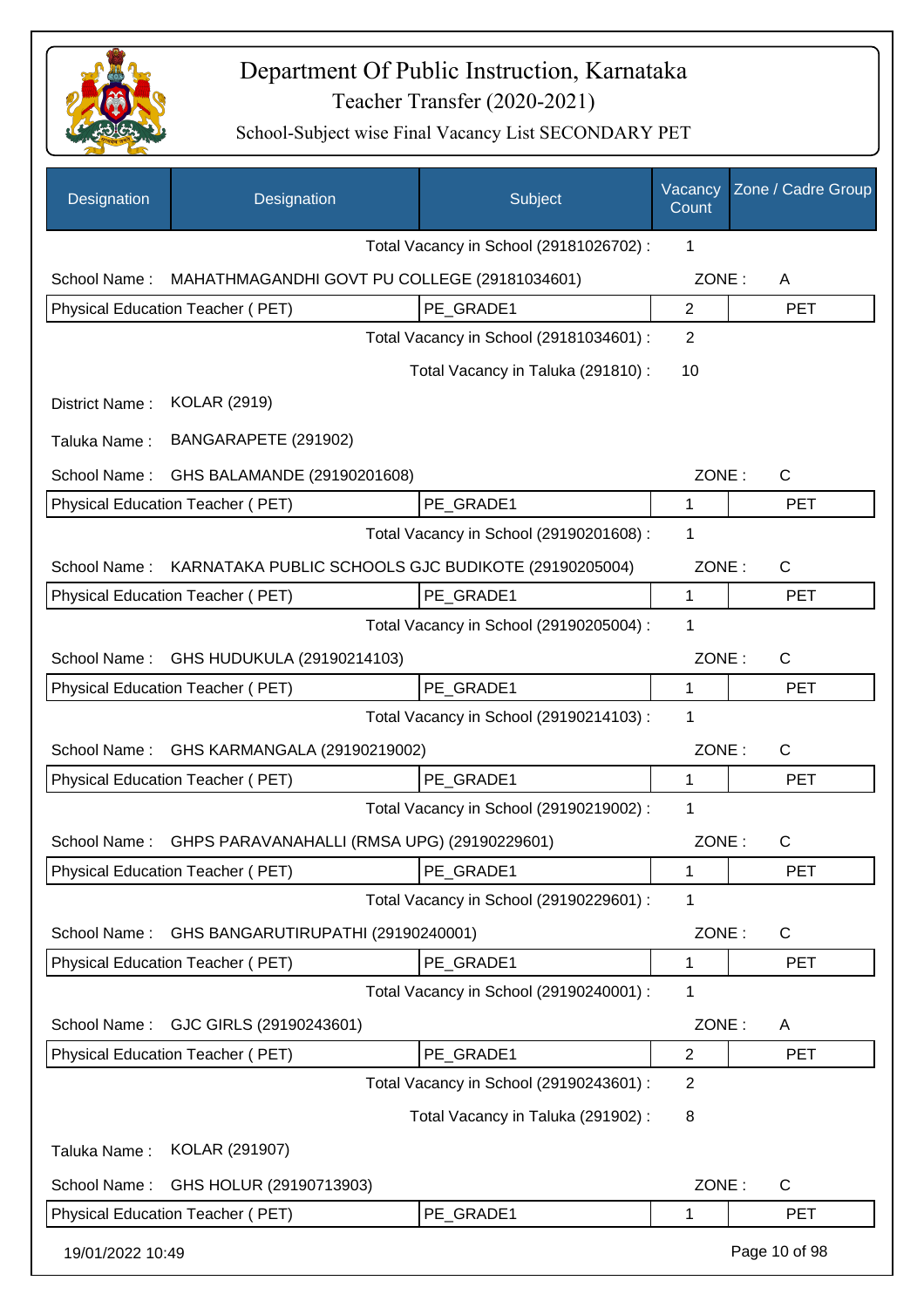

| Designation      | Designation                                         | Subject                                 | Vacancy<br>Count | Zone / Cadre Group |
|------------------|-----------------------------------------------------|-----------------------------------------|------------------|--------------------|
|                  |                                                     | Total Vacancy in School (29181026702) : | 1                |                    |
| School Name:     | MAHATHMAGANDHI GOVT PU COLLEGE (29181034601)        |                                         | ZONE:            | A                  |
|                  | Physical Education Teacher (PET)                    | PE GRADE1                               | $\overline{2}$   | <b>PET</b>         |
|                  |                                                     | Total Vacancy in School (29181034601) : | $\overline{2}$   |                    |
|                  |                                                     | Total Vacancy in Taluka (291810) :      | 10               |                    |
| District Name:   | <b>KOLAR (2919)</b>                                 |                                         |                  |                    |
| Taluka Name:     | BANGARAPETE (291902)                                |                                         |                  |                    |
| School Name:     | GHS BALAMANDE (29190201608)                         |                                         | ZONE:            | $\mathsf{C}$       |
|                  | Physical Education Teacher (PET)                    | PE GRADE1                               | 1                | <b>PET</b>         |
|                  |                                                     | Total Vacancy in School (29190201608) : | 1                |                    |
| School Name:     | KARNATAKA PUBLIC SCHOOLS GJC BUDIKOTE (29190205004) |                                         | ZONE:            | $\mathsf{C}$       |
|                  | Physical Education Teacher (PET)                    | PE_GRADE1                               | 1                | <b>PET</b>         |
|                  |                                                     | Total Vacancy in School (29190205004) : | 1                |                    |
| School Name:     | GHS HUDUKULA (29190214103)                          |                                         | ZONE:            | $\mathsf{C}$       |
|                  | Physical Education Teacher (PET)                    | PE GRADE1                               | 1                | <b>PET</b>         |
|                  |                                                     | Total Vacancy in School (29190214103) : | 1                |                    |
| School Name:     | GHS KARMANGALA (29190219002)                        |                                         | ZONE:            | $\mathsf{C}$       |
|                  | Physical Education Teacher (PET)                    | PE GRADE1                               | 1                | <b>PET</b>         |
|                  |                                                     | Total Vacancy in School (29190219002):  | 1                |                    |
| School Name:     | GHPS PARAVANAHALLI (RMSA UPG) (29190229601)         |                                         | ZONE:            | C                  |
|                  | Physical Education Teacher (PET)                    | PE GRADE1                               | 1                | <b>PET</b>         |
|                  |                                                     | Total Vacancy in School (29190229601) : | 1                |                    |
| School Name:     | GHS BANGARUTIRUPATHI (29190240001)                  |                                         | ZONE:            | $\mathsf{C}$       |
|                  | Physical Education Teacher (PET)                    | PE GRADE1                               | 1                | <b>PET</b>         |
|                  |                                                     | Total Vacancy in School (29190240001) : | 1                |                    |
| School Name:     | GJC GIRLS (29190243601)                             |                                         | ZONE:            | A                  |
|                  | Physical Education Teacher (PET)                    | PE GRADE1                               | $\overline{2}$   | <b>PET</b>         |
|                  |                                                     | Total Vacancy in School (29190243601) : | $\overline{2}$   |                    |
|                  |                                                     | Total Vacancy in Taluka (291902) :      | 8                |                    |
| Taluka Name:     | KOLAR (291907)                                      |                                         |                  |                    |
| School Name:     | GHS HOLUR (29190713903)                             |                                         | ZONE:            | $\mathsf{C}$       |
|                  | Physical Education Teacher (PET)                    | PE GRADE1                               | 1                | <b>PET</b>         |
| 19/01/2022 10:49 |                                                     |                                         |                  | Page 10 of 98      |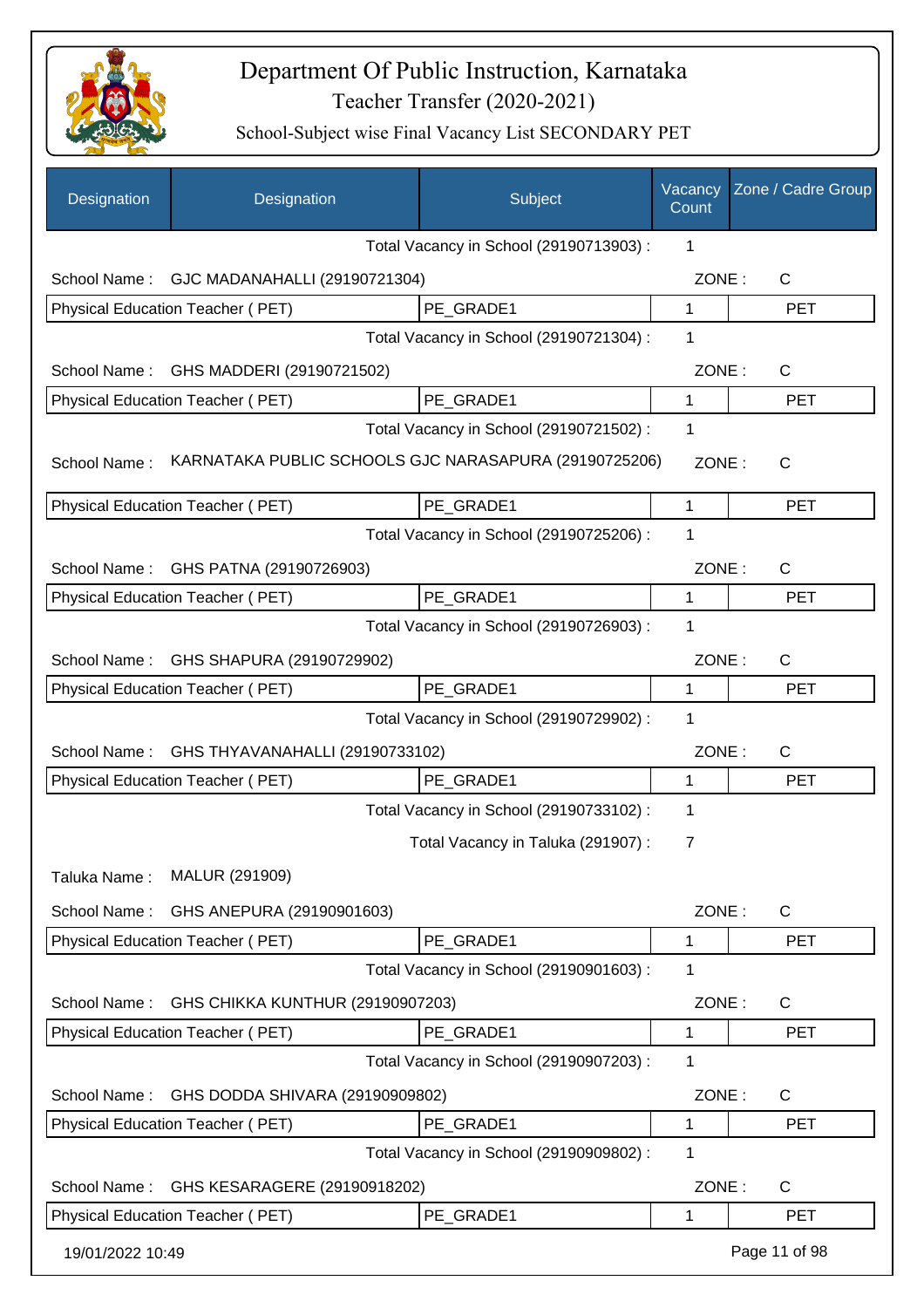

| Designation      | Designation                                           | Subject                                 | Vacancy<br>Count | Zone / Cadre Group |
|------------------|-------------------------------------------------------|-----------------------------------------|------------------|--------------------|
|                  |                                                       | Total Vacancy in School (29190713903) : | 1                |                    |
| School Name:     | GJC MADANAHALLI (29190721304)                         |                                         | ZONE:            | $\mathsf{C}$       |
|                  | Physical Education Teacher (PET)                      | PE GRADE1                               | $\mathbf{1}$     | <b>PET</b>         |
|                  |                                                       | Total Vacancy in School (29190721304) : | 1                |                    |
| School Name:     | GHS MADDERI (29190721502)                             |                                         | ZONE:            | C                  |
|                  | Physical Education Teacher (PET)                      | PE_GRADE1                               | 1                | <b>PET</b>         |
|                  |                                                       | Total Vacancy in School (29190721502) : | 1                |                    |
| School Name:     | KARNATAKA PUBLIC SCHOOLS GJC NARASAPURA (29190725206) |                                         | ZONE:            | $\mathsf{C}$       |
|                  | Physical Education Teacher (PET)                      | PE GRADE1                               | 1                | <b>PET</b>         |
|                  |                                                       | Total Vacancy in School (29190725206) : | 1                |                    |
| School Name:     | GHS PATNA (29190726903)                               |                                         | ZONE:            | $\mathsf{C}$       |
|                  | Physical Education Teacher (PET)                      | PE_GRADE1                               | 1                | <b>PET</b>         |
|                  |                                                       | Total Vacancy in School (29190726903) : | 1                |                    |
| School Name:     | GHS SHAPURA (29190729902)                             |                                         | ZONE:            | $\mathsf{C}$       |
|                  | Physical Education Teacher (PET)                      | PE_GRADE1                               | 1                | <b>PET</b>         |
|                  |                                                       | Total Vacancy in School (29190729902) : | 1                |                    |
| School Name:     | GHS THYAVANAHALLI (29190733102)                       |                                         | ZONE:            | C                  |
|                  | Physical Education Teacher (PET)                      | PE GRADE1                               | 1                | <b>PET</b>         |
|                  |                                                       | Total Vacancy in School (29190733102) : | 1                |                    |
|                  |                                                       | Total Vacancy in Taluka (291907) :      | 7                |                    |
| Taluka Name:     | MALUR (291909)                                        |                                         |                  |                    |
| School Name:     | GHS ANEPURA (29190901603)                             |                                         | ZONE:            | C                  |
|                  | Physical Education Teacher (PET)                      | PE_GRADE1                               | 1                | <b>PET</b>         |
|                  |                                                       | Total Vacancy in School (29190901603) : | 1                |                    |
| School Name:     | GHS CHIKKA KUNTHUR (29190907203)                      |                                         | ZONE:            | $\mathsf{C}$       |
|                  | Physical Education Teacher (PET)                      | PE_GRADE1                               | 1                | <b>PET</b>         |
|                  |                                                       | Total Vacancy in School (29190907203) : | 1                |                    |
| School Name:     | GHS DODDA SHIVARA (29190909802)                       |                                         | ZONE:            | $\mathsf C$        |
|                  | Physical Education Teacher (PET)                      | PE_GRADE1                               | 1                | <b>PET</b>         |
|                  |                                                       | Total Vacancy in School (29190909802) : | 1                |                    |
| School Name:     | GHS KESARAGERE (29190918202)                          |                                         | ZONE:            | C                  |
|                  | Physical Education Teacher (PET)                      | PE_GRADE1                               | 1                | <b>PET</b>         |
| 19/01/2022 10:49 |                                                       |                                         |                  | Page 11 of 98      |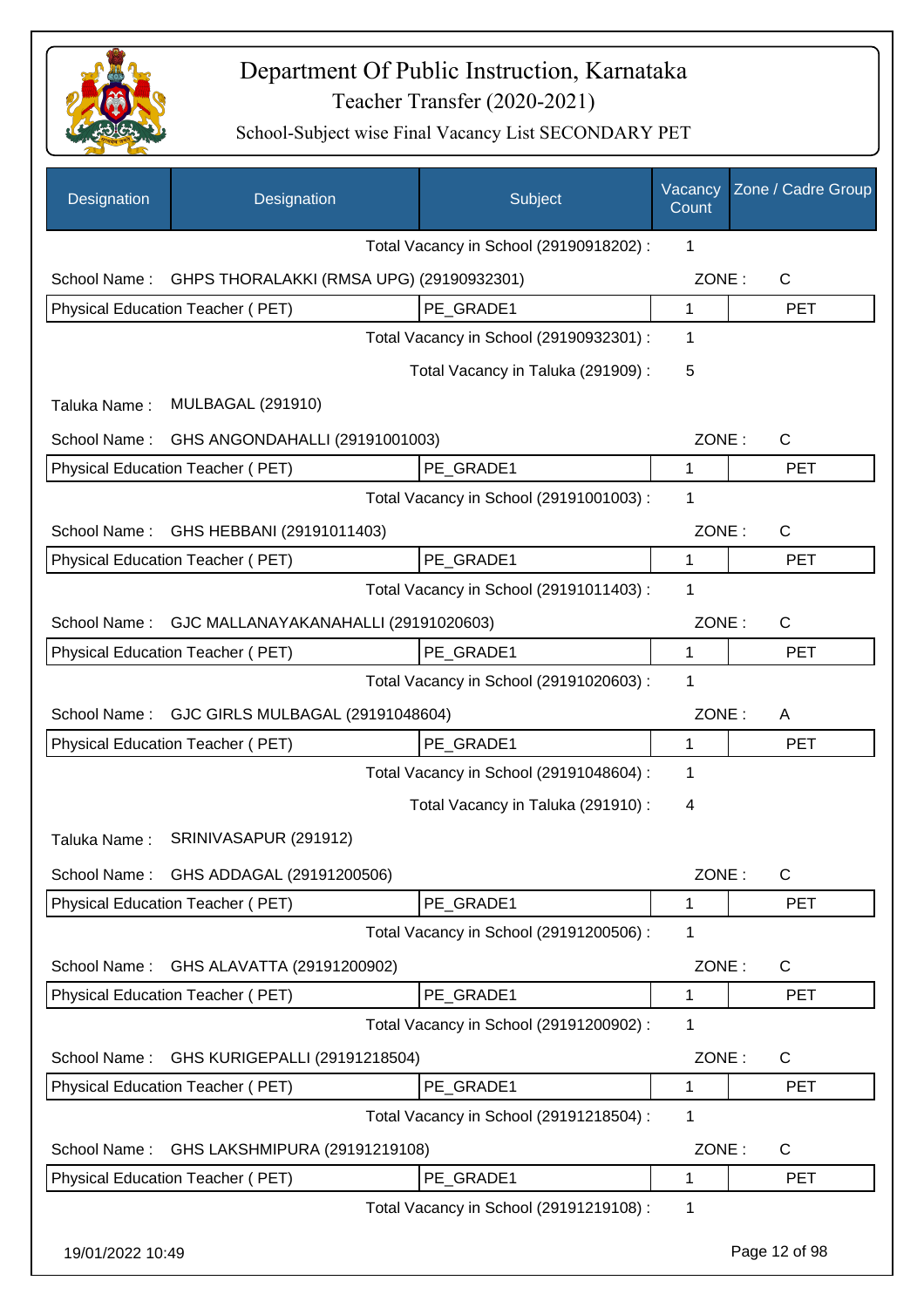

| Designation      | Designation                              | Subject                                 | Vacancy<br>Count | Zone / Cadre Group |
|------------------|------------------------------------------|-----------------------------------------|------------------|--------------------|
|                  |                                          | Total Vacancy in School (29190918202) : | 1                |                    |
| School Name:     | GHPS THORALAKKI (RMSA UPG) (29190932301) |                                         | ZONE:            | $\mathsf{C}$       |
|                  | Physical Education Teacher (PET)         | PE_GRADE1                               | 1                | <b>PET</b>         |
|                  |                                          | Total Vacancy in School (29190932301) : | 1                |                    |
|                  |                                          | Total Vacancy in Taluka (291909):       | 5                |                    |
| Taluka Name:     | <b>MULBAGAL (291910)</b>                 |                                         |                  |                    |
| School Name:     | GHS ANGONDAHALLI (29191001003)           |                                         | ZONE:            | $\mathsf{C}$       |
|                  | <b>Physical Education Teacher (PET)</b>  | PE_GRADE1                               | 1                | <b>PET</b>         |
|                  |                                          | Total Vacancy in School (29191001003) : | 1                |                    |
| School Name:     | GHS HEBBANI (29191011403)                |                                         | ZONE:            | $\mathsf{C}$       |
|                  | Physical Education Teacher (PET)         | PE GRADE1                               | 1                | <b>PET</b>         |
|                  |                                          | Total Vacancy in School (29191011403) : | 1                |                    |
| School Name:     | GJC MALLANAYAKANAHALLI (29191020603)     |                                         | ZONE:            | C                  |
|                  | Physical Education Teacher (PET)         | PE GRADE1                               | $\mathbf{1}$     | <b>PET</b>         |
|                  |                                          | Total Vacancy in School (29191020603) : | 1                |                    |
| School Name:     | GJC GIRLS MULBAGAL (29191048604)         |                                         | ZONE:            | A                  |
|                  | Physical Education Teacher (PET)         | PE_GRADE1                               | 1                | <b>PET</b>         |
|                  |                                          | Total Vacancy in School (29191048604) : | 1                |                    |
|                  |                                          | Total Vacancy in Taluka (291910):       | $\overline{4}$   |                    |
| Taluka Name:     | SRINIVASAPUR (291912)                    |                                         |                  |                    |
| School Name:     | GHS ADDAGAL (29191200506)                |                                         | ZONE:            | С                  |
|                  | Physical Education Teacher (PET)         | PE GRADE1                               | 1                | <b>PET</b>         |
|                  |                                          | Total Vacancy in School (29191200506) : | 1                |                    |
| School Name:     | GHS ALAVATTA (29191200902)               |                                         | ZONE:            | C                  |
|                  | Physical Education Teacher (PET)         | PE_GRADE1                               | 1                | <b>PET</b>         |
|                  |                                          | Total Vacancy in School (29191200902) : | 1                |                    |
| School Name:     | GHS KURIGEPALLI (29191218504)            |                                         | ZONE:            | C                  |
|                  | Physical Education Teacher (PET)         | PE_GRADE1                               | 1                | <b>PET</b>         |
|                  |                                          | Total Vacancy in School (29191218504) : | 1                |                    |
| School Name:     | GHS LAKSHMIPURA (29191219108)            |                                         | ZONE:            | C                  |
|                  | Physical Education Teacher (PET)         | PE GRADE1                               | 1                | <b>PET</b>         |
|                  |                                          | Total Vacancy in School (29191219108) : | 1                |                    |
| 19/01/2022 10:49 |                                          |                                         |                  | Page 12 of 98      |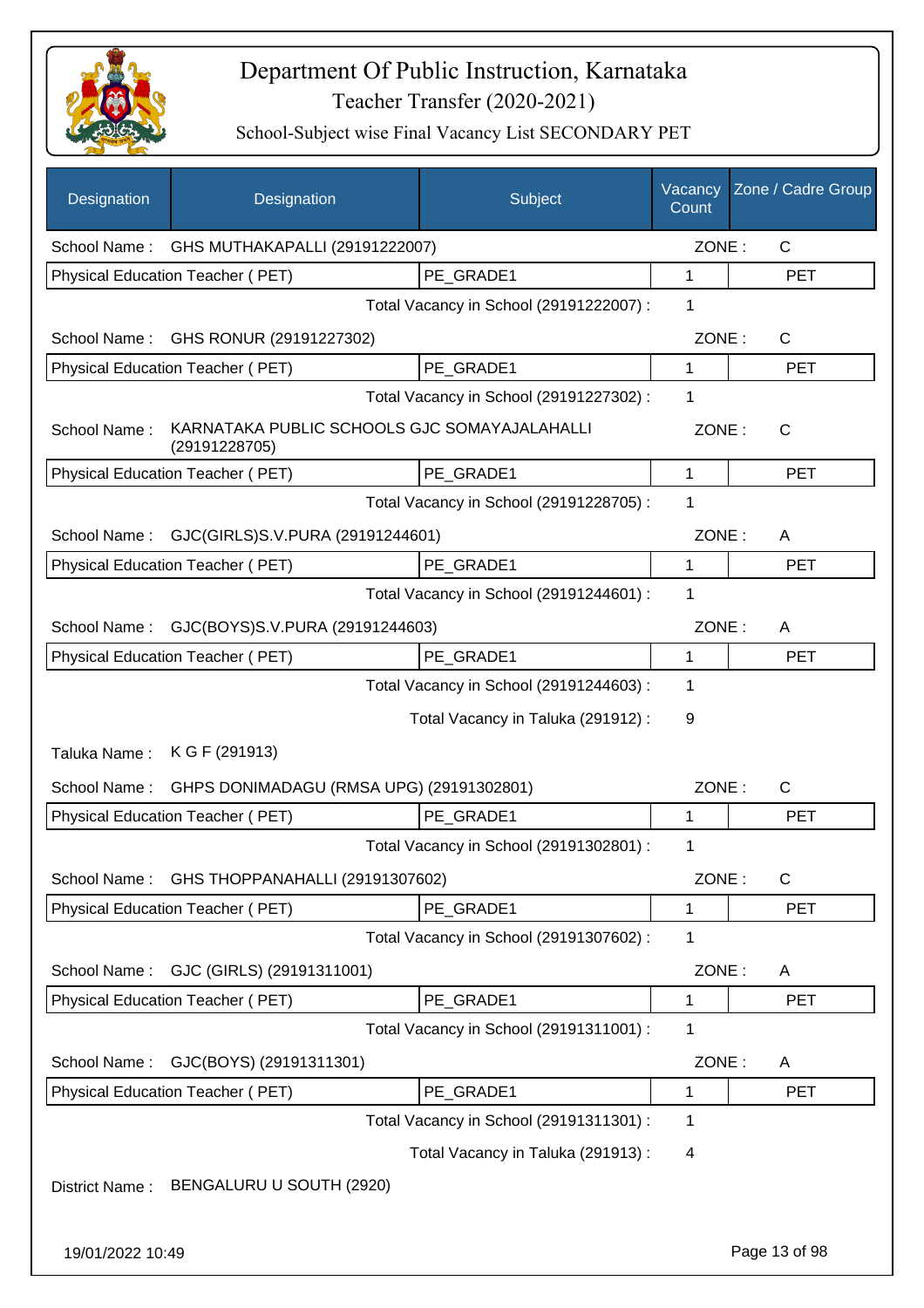

| Designation      | Designation                                                   | Subject                                 | Vacancy<br>Count | Zone / Cadre Group |
|------------------|---------------------------------------------------------------|-----------------------------------------|------------------|--------------------|
| School Name:     | GHS MUTHAKAPALLI (29191222007)                                |                                         | ZONE:            | $\mathsf{C}$       |
|                  | Physical Education Teacher (PET)                              | PE GRADE1                               | 1                | <b>PET</b>         |
|                  |                                                               | Total Vacancy in School (29191222007) : | 1                |                    |
| School Name:     | GHS RONUR (29191227302)                                       |                                         | ZONE:            | $\mathsf{C}$       |
|                  | Physical Education Teacher (PET)                              | PE GRADE1                               | 1                | <b>PET</b>         |
|                  |                                                               | Total Vacancy in School (29191227302) : | 1                |                    |
| School Name:     | KARNATAKA PUBLIC SCHOOLS GJC SOMAYAJALAHALLI<br>(29191228705) |                                         | ZONE:            | $\mathsf{C}$       |
|                  | Physical Education Teacher (PET)                              | PE GRADE1                               | 1                | <b>PET</b>         |
|                  |                                                               | Total Vacancy in School (29191228705) : | 1                |                    |
| School Name:     | GJC(GIRLS)S.V.PURA (29191244601)                              |                                         | ZONE:            | A                  |
|                  | Physical Education Teacher (PET)                              | PE_GRADE1                               | 1                | <b>PET</b>         |
|                  |                                                               | Total Vacancy in School (29191244601) : | 1                |                    |
| School Name:     | GJC(BOYS)S.V.PURA (29191244603)                               |                                         | ZONE:            | A                  |
|                  | Physical Education Teacher (PET)                              | PE_GRADE1                               | 1                | <b>PET</b>         |
|                  |                                                               | Total Vacancy in School (29191244603) : | 1                |                    |
|                  |                                                               | Total Vacancy in Taluka (291912) :      | 9                |                    |
| Taluka Name:     | K G F (291913)                                                |                                         |                  |                    |
| School Name:     | GHPS DONIMADAGU (RMSA UPG) (29191302801)                      |                                         | ZONE:            | $\mathsf{C}$       |
|                  | Physical Education Teacher (PET)                              | PE_GRADE1                               | 1                | <b>PET</b>         |
|                  |                                                               | Total Vacancy in School (29191302801) : | 1                |                    |
| School Name:     | GHS THOPPANAHALLI (29191307602)                               |                                         | ZONE:            | $\mathsf{C}$       |
|                  | Physical Education Teacher (PET)                              | PE_GRADE1                               | 1                | <b>PET</b>         |
|                  |                                                               | Total Vacancy in School (29191307602) : | 1                |                    |
| School Name:     | GJC (GIRLS) (29191311001)                                     |                                         | ZONE:            | A                  |
|                  | <b>Physical Education Teacher (PET)</b>                       | PE GRADE1                               | 1                | <b>PET</b>         |
|                  |                                                               | Total Vacancy in School (29191311001) : | 1                |                    |
| School Name:     | GJC(BOYS) (29191311301)                                       |                                         | ZONE:            | A                  |
|                  | Physical Education Teacher (PET)                              | PE_GRADE1                               | 1                | <b>PET</b>         |
|                  |                                                               | Total Vacancy in School (29191311301) : | 1                |                    |
|                  |                                                               | Total Vacancy in Taluka (291913) :      | 4                |                    |
| District Name:   | BENGALURU U SOUTH (2920)                                      |                                         |                  |                    |
| 19/01/2022 10:49 |                                                               |                                         |                  | Page 13 of 98      |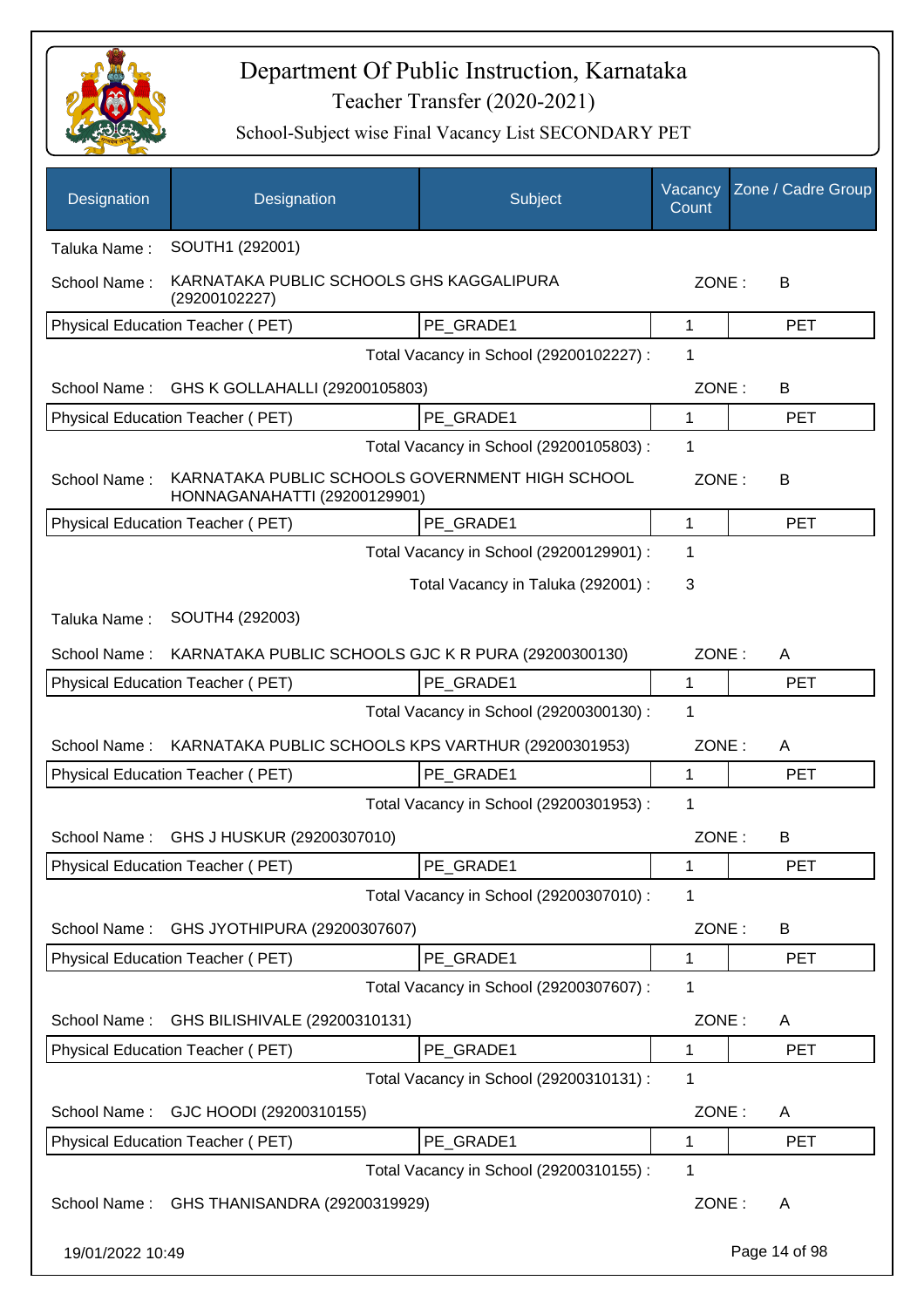

| Designation      | Designation                                                                     | Subject                                 | Vacancy<br>Count | Zone / Cadre Group |
|------------------|---------------------------------------------------------------------------------|-----------------------------------------|------------------|--------------------|
| Taluka Name:     | SOUTH1 (292001)                                                                 |                                         |                  |                    |
| School Name:     | KARNATAKA PUBLIC SCHOOLS GHS KAGGALIPURA<br>(29200102227)                       |                                         | ZONE:            | B                  |
|                  | Physical Education Teacher (PET)                                                | PE GRADE1                               | 1                | <b>PET</b>         |
|                  |                                                                                 | Total Vacancy in School (29200102227) : | 1                |                    |
| School Name:     | GHS K GOLLAHALLI (29200105803)                                                  |                                         | ZONE:            | B                  |
|                  | Physical Education Teacher (PET)                                                | PE_GRADE1                               | 1                | <b>PET</b>         |
|                  |                                                                                 | Total Vacancy in School (29200105803) : | 1                |                    |
| School Name:     | KARNATAKA PUBLIC SCHOOLS GOVERNMENT HIGH SCHOOL<br>HONNAGANAHATTI (29200129901) |                                         | ZONE:            | В                  |
|                  | Physical Education Teacher (PET)                                                | PE_GRADE1                               | $\mathbf{1}$     | <b>PET</b>         |
|                  |                                                                                 | Total Vacancy in School (29200129901) : | 1                |                    |
|                  |                                                                                 | Total Vacancy in Taluka (292001) :      | 3                |                    |
| Taluka Name:     | SOUTH4 (292003)                                                                 |                                         |                  |                    |
| School Name:     | KARNATAKA PUBLIC SCHOOLS GJC K R PURA (29200300130)                             |                                         | ZONE:            | A                  |
|                  | Physical Education Teacher (PET)                                                | PE GRADE1                               | 1                | <b>PET</b>         |
|                  |                                                                                 | Total Vacancy in School (29200300130) : | 1                |                    |
| School Name:     | KARNATAKA PUBLIC SCHOOLS KPS VARTHUR (29200301953)                              |                                         | ZONE:            | A                  |
|                  | Physical Education Teacher (PET)                                                | PE_GRADE1                               | 1                | <b>PET</b>         |
|                  |                                                                                 | Total Vacancy in School (29200301953) : | 1                |                    |
| School Name:     | GHS J HUSKUR (29200307010)                                                      |                                         | ZONE:            | В                  |
|                  | Physical Education Teacher (PET)                                                | PE_GRADE1                               | 1                | PET                |
|                  |                                                                                 | Total Vacancy in School (29200307010) : | 1                |                    |
| School Name:     | GHS JYOTHIPURA (29200307607)                                                    |                                         | ZONE:            | B                  |
|                  | Physical Education Teacher (PET)                                                | PE_GRADE1                               | 1                | <b>PET</b>         |
|                  |                                                                                 | Total Vacancy in School (29200307607) : | 1                |                    |
| School Name:     | GHS BILISHIVALE (29200310131)                                                   |                                         | ZONE:            | A                  |
|                  | Physical Education Teacher (PET)                                                | PE_GRADE1                               | 1                | <b>PET</b>         |
|                  |                                                                                 | Total Vacancy in School (29200310131) : | 1                |                    |
| School Name:     | GJC HOODI (29200310155)                                                         |                                         | ZONE:            | A                  |
|                  | Physical Education Teacher (PET)                                                | PE GRADE1                               | 1                | <b>PET</b>         |
|                  |                                                                                 | Total Vacancy in School (29200310155) : | 1                |                    |
| School Name:     | GHS THANISANDRA (29200319929)                                                   |                                         | ZONE:            | A                  |
| 19/01/2022 10:49 |                                                                                 |                                         |                  | Page 14 of 98      |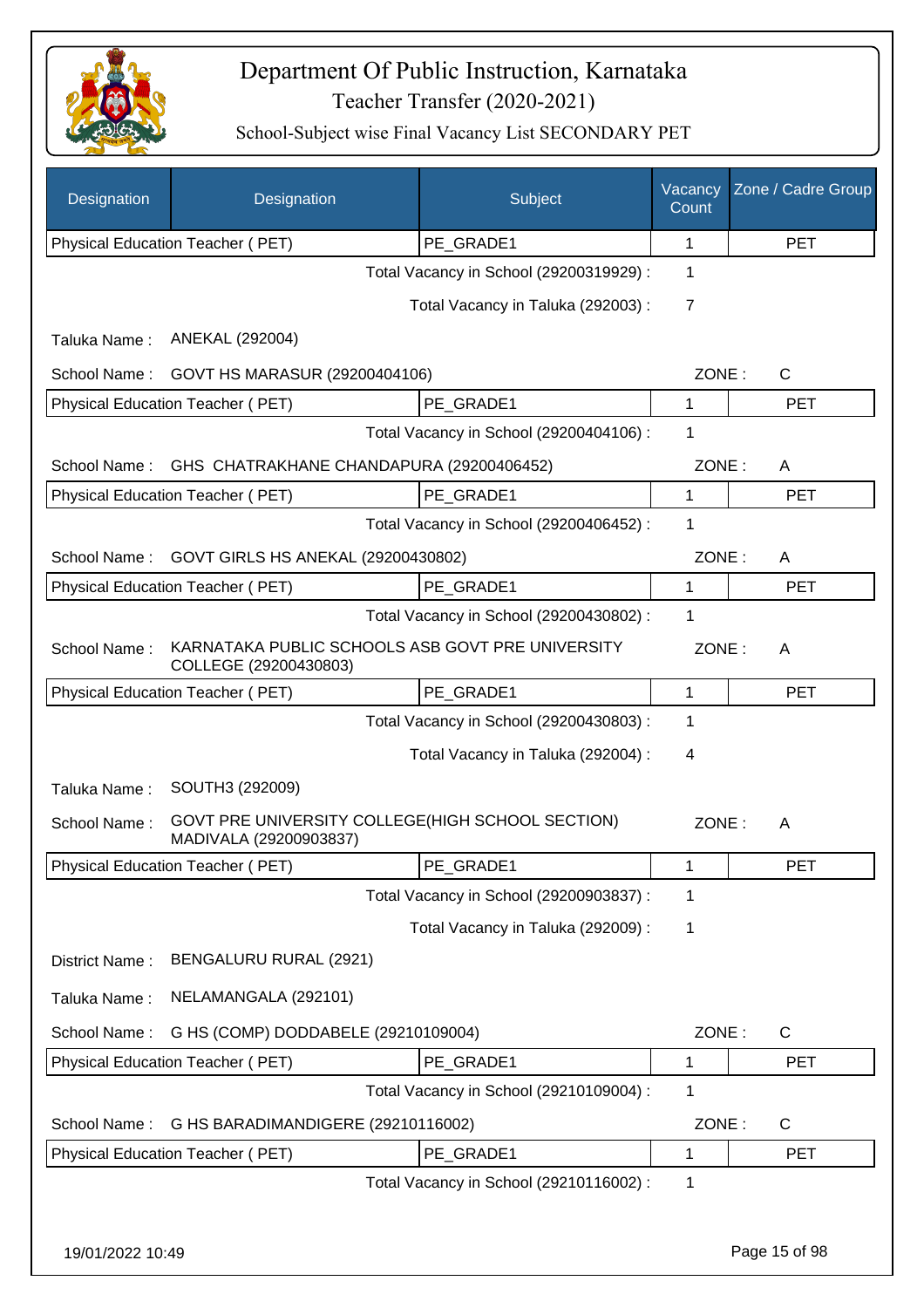

| Designation      | Designation                                                                | Subject                                 | Vacancy<br>Count | Zone / Cadre Group |
|------------------|----------------------------------------------------------------------------|-----------------------------------------|------------------|--------------------|
|                  | Physical Education Teacher (PET)                                           | PE GRADE1                               | 1                | <b>PET</b>         |
|                  |                                                                            | Total Vacancy in School (29200319929) : | 1                |                    |
|                  |                                                                            | Total Vacancy in Taluka (292003) :      | 7                |                    |
| Taluka Name:     | ANEKAL (292004)                                                            |                                         |                  |                    |
| School Name:     | GOVT HS MARASUR (29200404106)                                              |                                         | ZONE:            | $\mathsf{C}$       |
|                  | Physical Education Teacher (PET)                                           | PE_GRADE1                               | $\mathbf{1}$     | <b>PET</b>         |
|                  |                                                                            | Total Vacancy in School (29200404106) : | 1                |                    |
| School Name:     | GHS CHATRAKHANE CHANDAPURA (29200406452)                                   |                                         | ZONE:            | A                  |
|                  | Physical Education Teacher (PET)                                           | PE GRADE1                               | 1                | <b>PET</b>         |
|                  |                                                                            | Total Vacancy in School (29200406452) : | 1                |                    |
| School Name:     | GOVT GIRLS HS ANEKAL (29200430802)                                         |                                         | ZONE:            | A                  |
|                  | Physical Education Teacher (PET)                                           | PE_GRADE1                               | 1                | <b>PET</b>         |
|                  |                                                                            | Total Vacancy in School (29200430802) : | 1                |                    |
| School Name:     | KARNATAKA PUBLIC SCHOOLS ASB GOVT PRE UNIVERSITY<br>COLLEGE (29200430803)  |                                         | ZONE:            | A                  |
|                  | Physical Education Teacher (PET)                                           | PE_GRADE1                               | 1                | <b>PET</b>         |
|                  |                                                                            | Total Vacancy in School (29200430803) : | 1                |                    |
|                  |                                                                            | Total Vacancy in Taluka (292004) :      | $\overline{4}$   |                    |
| Taluka Name:     | SOUTH3 (292009)                                                            |                                         |                  |                    |
| School Name:     | GOVT PRE UNIVERSITY COLLEGE(HIGH SCHOOL SECTION)<br>MADIVALA (29200903837) |                                         | ZONE:            | A                  |
|                  | Physical Education Teacher (PET)                                           | PE_GRADE1                               | 1                | <b>PET</b>         |
|                  |                                                                            | Total Vacancy in School (29200903837) : | 1                |                    |
|                  |                                                                            | Total Vacancy in Taluka (292009) :      | 1                |                    |
| District Name:   | BENGALURU RURAL (2921)                                                     |                                         |                  |                    |
| Taluka Name:     | NELAMANGALA (292101)                                                       |                                         |                  |                    |
| School Name:     | G HS (COMP) DODDABELE (29210109004)                                        |                                         | ZONE:            | $\mathsf{C}$       |
|                  | <b>Physical Education Teacher (PET)</b>                                    | PE_GRADE1                               | 1                | <b>PET</b>         |
|                  |                                                                            | Total Vacancy in School (29210109004) : | 1                |                    |
| School Name:     | G HS BARADIMANDIGERE (29210116002)                                         |                                         | ZONE:            | $\mathsf{C}$       |
|                  | Physical Education Teacher (PET)                                           | PE_GRADE1                               | 1                | <b>PET</b>         |
|                  |                                                                            | Total Vacancy in School (29210116002):  | 1                |                    |
|                  |                                                                            |                                         |                  |                    |
| 19/01/2022 10:49 |                                                                            |                                         |                  | Page 15 of 98      |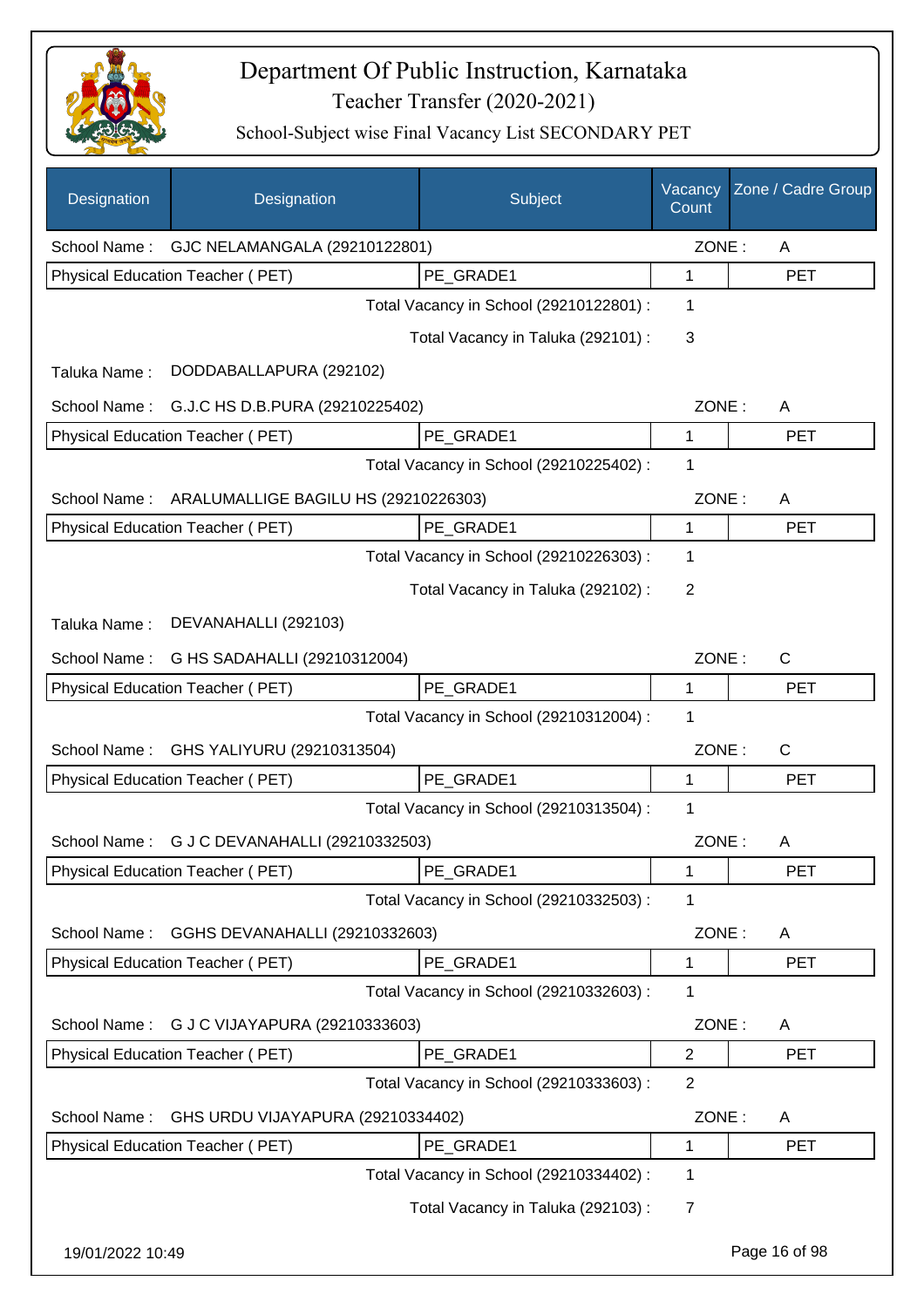

| Designation      | Designation                             | Subject                                 | Vacancy<br>Count | Zone / Cadre Group |
|------------------|-----------------------------------------|-----------------------------------------|------------------|--------------------|
| School Name:     | GJC NELAMANGALA (29210122801)           |                                         | ZONE:            | A                  |
|                  | Physical Education Teacher (PET)        | PE_GRADE1                               | 1                | <b>PET</b>         |
|                  |                                         | Total Vacancy in School (29210122801) : | 1                |                    |
|                  |                                         | Total Vacancy in Taluka (292101) :      | 3                |                    |
| Taluka Name:     | DODDABALLAPURA (292102)                 |                                         |                  |                    |
| School Name:     | G.J.C HS D.B.PURA (29210225402)         |                                         | ZONE:            | A                  |
|                  | Physical Education Teacher (PET)        | PE_GRADE1                               | 1                | <b>PET</b>         |
|                  |                                         | Total Vacancy in School (29210225402) : | 1                |                    |
| School Name:     | ARALUMALLIGE BAGILU HS (29210226303)    |                                         | ZONE:            | A                  |
|                  | Physical Education Teacher (PET)        | PE_GRADE1                               | 1                | <b>PET</b>         |
|                  |                                         | Total Vacancy in School (29210226303) : | 1                |                    |
|                  |                                         | Total Vacancy in Taluka (292102):       | 2                |                    |
| Taluka Name:     | DEVANAHALLI (292103)                    |                                         |                  |                    |
| School Name:     | G HS SADAHALLI (29210312004)            |                                         | ZONE:            | $\mathsf{C}$       |
|                  | Physical Education Teacher (PET)        | PE_GRADE1                               | 1                | <b>PET</b>         |
|                  |                                         | Total Vacancy in School (29210312004) : | 1                |                    |
| School Name:     | GHS YALIYURU (29210313504)              |                                         | ZONE:            | $\mathsf{C}$       |
|                  | <b>Physical Education Teacher (PET)</b> | PE_GRADE1                               | 1                | <b>PET</b>         |
|                  |                                         | Total Vacancy in School (29210313504) : | 1                |                    |
| School Name:     | G J C DEVANAHALLI (29210332503)         |                                         | ZONE:            | A                  |
|                  | <b>Physical Education Teacher (PET)</b> | PE_GRADE1                               | 1                | <b>PET</b>         |
|                  |                                         | Total Vacancy in School (29210332503) : | 1                |                    |
| School Name:     | GGHS DEVANAHALLI (29210332603)          |                                         | ZONE:            | A                  |
|                  | Physical Education Teacher (PET)        | PE_GRADE1                               | 1                | <b>PET</b>         |
|                  |                                         | Total Vacancy in School (29210332603) : | 1                |                    |
| School Name:     | G J C VIJAYAPURA (29210333603)          |                                         | ZONE:            | A                  |
|                  | Physical Education Teacher (PET)        | PE_GRADE1                               | $\overline{2}$   | <b>PET</b>         |
|                  |                                         | Total Vacancy in School (29210333603) : | $\overline{2}$   |                    |
| School Name:     | GHS URDU VIJAYAPURA (29210334402)       |                                         | ZONE:            | A                  |
|                  | Physical Education Teacher (PET)        | PE_GRADE1                               | 1                | <b>PET</b>         |
|                  |                                         | Total Vacancy in School (29210334402) : | 1                |                    |
|                  |                                         | Total Vacancy in Taluka (292103):       | $\overline{7}$   |                    |
| 19/01/2022 10:49 |                                         |                                         |                  | Page 16 of 98      |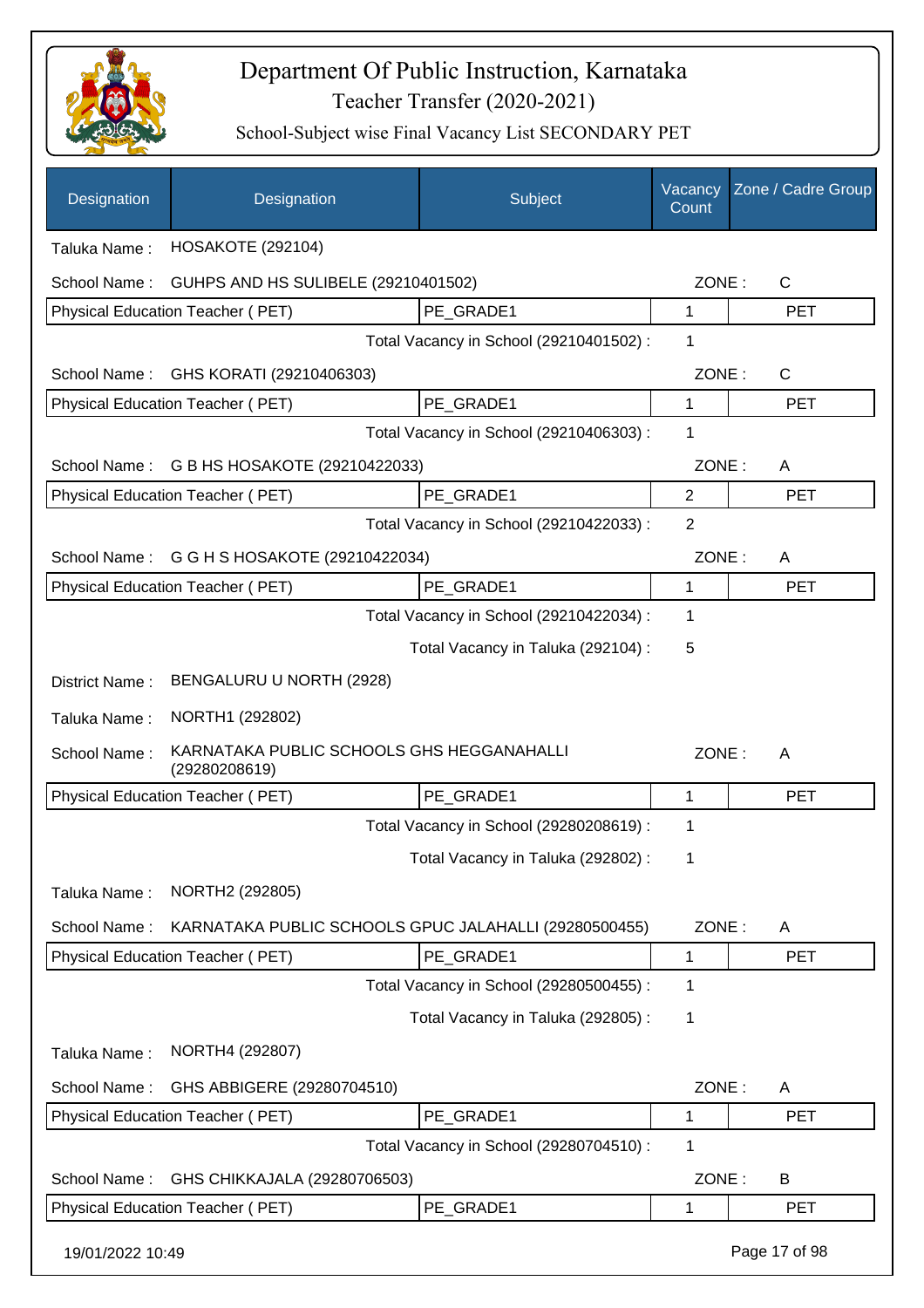

| Designation      | Designation                                                | Subject                                 | Vacancy<br>Count | Zone / Cadre Group |
|------------------|------------------------------------------------------------|-----------------------------------------|------------------|--------------------|
| Taluka Name:     | <b>HOSAKOTE (292104)</b>                                   |                                         |                  |                    |
| School Name:     | GUHPS AND HS SULIBELE (29210401502)                        |                                         | ZONE:            | $\mathsf{C}$       |
|                  | Physical Education Teacher (PET)                           | PE GRADE1                               | 1                | <b>PET</b>         |
|                  |                                                            | Total Vacancy in School (29210401502) : | 1                |                    |
| School Name:     | GHS KORATI (29210406303)                                   |                                         | ZONE:            | $\mathsf{C}$       |
|                  | Physical Education Teacher (PET)                           | PE_GRADE1                               | 1                | <b>PET</b>         |
|                  |                                                            | Total Vacancy in School (29210406303) : | 1                |                    |
| School Name:     | G B HS HOSAKOTE (29210422033)                              |                                         | ZONE:            | A                  |
|                  | Physical Education Teacher (PET)                           | PE GRADE1                               | $\overline{2}$   | <b>PET</b>         |
|                  |                                                            | Total Vacancy in School (29210422033) : | $\overline{2}$   |                    |
| School Name:     | G G H S HOSAKOTE (29210422034)                             |                                         | ZONE:            | A                  |
|                  | Physical Education Teacher (PET)                           | PE GRADE1                               | 1                | <b>PET</b>         |
|                  |                                                            | Total Vacancy in School (29210422034) : | 1                |                    |
|                  |                                                            | Total Vacancy in Taluka (292104) :      | 5                |                    |
| District Name:   | BENGALURU U NORTH (2928)                                   |                                         |                  |                    |
| Taluka Name:     | NORTH1 (292802)                                            |                                         |                  |                    |
| School Name:     | KARNATAKA PUBLIC SCHOOLS GHS HEGGANAHALLI<br>(29280208619) |                                         | ZONE:            | A                  |
|                  | Physical Education Teacher (PET)                           | PE_GRADE1                               | 1                | <b>PET</b>         |
|                  |                                                            | Total Vacancy in School (29280208619) : | 1                |                    |
|                  |                                                            | Total Vacancy in Taluka (292802) :      | 1                |                    |
| Taluka Name:     | NORTH2 (292805)                                            |                                         |                  |                    |
| School Name:     | KARNATAKA PUBLIC SCHOOLS GPUC JALAHALLI (29280500455)      |                                         | ZONE:            | A                  |
|                  | Physical Education Teacher (PET)                           | PE_GRADE1                               | 1                | <b>PET</b>         |
|                  |                                                            | Total Vacancy in School (29280500455) : | 1                |                    |
|                  |                                                            | Total Vacancy in Taluka (292805) :      | 1                |                    |
| Taluka Name:     | NORTH4 (292807)                                            |                                         |                  |                    |
| School Name:     | GHS ABBIGERE (29280704510)                                 |                                         | ZONE:            | A                  |
|                  | Physical Education Teacher (PET)                           | PE_GRADE1                               | 1                | <b>PET</b>         |
|                  |                                                            | Total Vacancy in School (29280704510) : | 1                |                    |
| School Name:     | GHS CHIKKAJALA (29280706503)                               |                                         | ZONE:            | B                  |
|                  | Physical Education Teacher (PET)                           | PE_GRADE1                               | 1                | PET                |
| 19/01/2022 10:49 |                                                            |                                         |                  | Page 17 of 98      |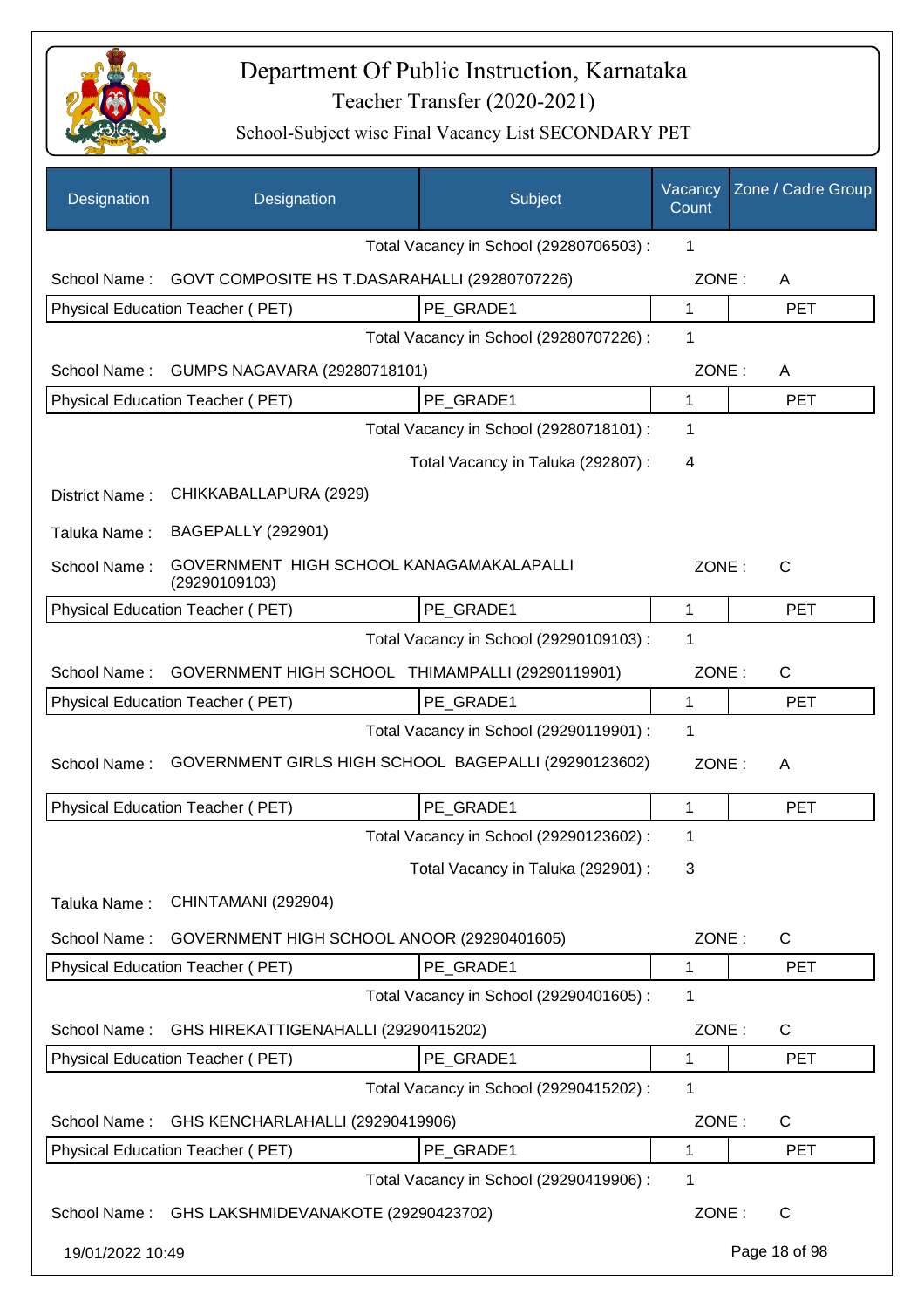

| Designation      | Designation                                               | Subject                                 | Vacancy<br>Count | Zone / Cadre Group |
|------------------|-----------------------------------------------------------|-----------------------------------------|------------------|--------------------|
|                  |                                                           | Total Vacancy in School (29280706503) : | 1                |                    |
| School Name:     | GOVT COMPOSITE HS T.DASARAHALLI (29280707226)             |                                         | ZONE:            | A                  |
|                  | Physical Education Teacher (PET)                          | PE GRADE1                               | 1                | <b>PET</b>         |
|                  |                                                           | Total Vacancy in School (29280707226) : | 1                |                    |
| School Name:     | GUMPS NAGAVARA (29280718101)                              |                                         | ZONE:            | A                  |
|                  | Physical Education Teacher (PET)                          | PE_GRADE1                               | 1                | <b>PET</b>         |
|                  |                                                           | Total Vacancy in School (29280718101) : | 1                |                    |
|                  |                                                           | Total Vacancy in Taluka (292807) :      | 4                |                    |
| District Name:   | CHIKKABALLAPURA (2929)                                    |                                         |                  |                    |
| Taluka Name:     | <b>BAGEPALLY (292901)</b>                                 |                                         |                  |                    |
| School Name:     | GOVERNMENT HIGH SCHOOL KANAGAMAKALAPALLI<br>(29290109103) |                                         | ZONE:            | C                  |
|                  | <b>Physical Education Teacher (PET)</b>                   | PE GRADE1                               | 1                | <b>PET</b>         |
|                  |                                                           | Total Vacancy in School (29290109103) : | 1                |                    |
| School Name:     | GOVERNMENT HIGH SCHOOL THIMAMPALLI (29290119901)          |                                         | ZONE:            | $\mathsf{C}$       |
|                  | Physical Education Teacher (PET)                          | PE GRADE1                               | 1                | <b>PET</b>         |
|                  |                                                           | Total Vacancy in School (29290119901) : | 1                |                    |
| School Name:     | GOVERNMENT GIRLS HIGH SCHOOL BAGEPALLI (29290123602)      |                                         | ZONE:            | A                  |
|                  | Physical Education Teacher (PET)                          | PE GRADE1                               | 1                | <b>PET</b>         |
|                  |                                                           | Total Vacancy in School (29290123602) : | 1                |                    |
|                  |                                                           | Total Vacancy in Taluka (292901) :      | 3                |                    |
| Taluka Name:     | CHINTAMANI (292904)                                       |                                         |                  |                    |
| School Name:     | GOVERNMENT HIGH SCHOOL ANOOR (29290401605)                |                                         | ZONE:            | C                  |
|                  | Physical Education Teacher (PET)                          | PE_GRADE1                               | 1                | <b>PET</b>         |
|                  |                                                           | Total Vacancy in School (29290401605) : | 1                |                    |
| School Name:     | GHS HIREKATTIGENAHALLI (29290415202)                      |                                         | ZONE:            | C                  |
|                  | Physical Education Teacher (PET)                          | PE_GRADE1                               | 1                | <b>PET</b>         |
|                  |                                                           | Total Vacancy in School (29290415202) : | 1                |                    |
| School Name:     | GHS KENCHARLAHALLI (29290419906)                          |                                         | ZONE:            | C                  |
|                  | Physical Education Teacher (PET)                          | PE_GRADE1                               | 1                | <b>PET</b>         |
|                  |                                                           | Total Vacancy in School (29290419906) : | 1                |                    |
| School Name:     | GHS LAKSHMIDEVANAKOTE (29290423702)                       |                                         | ZONE:            | $\mathsf{C}$       |
| 19/01/2022 10:49 |                                                           |                                         |                  | Page 18 of 98      |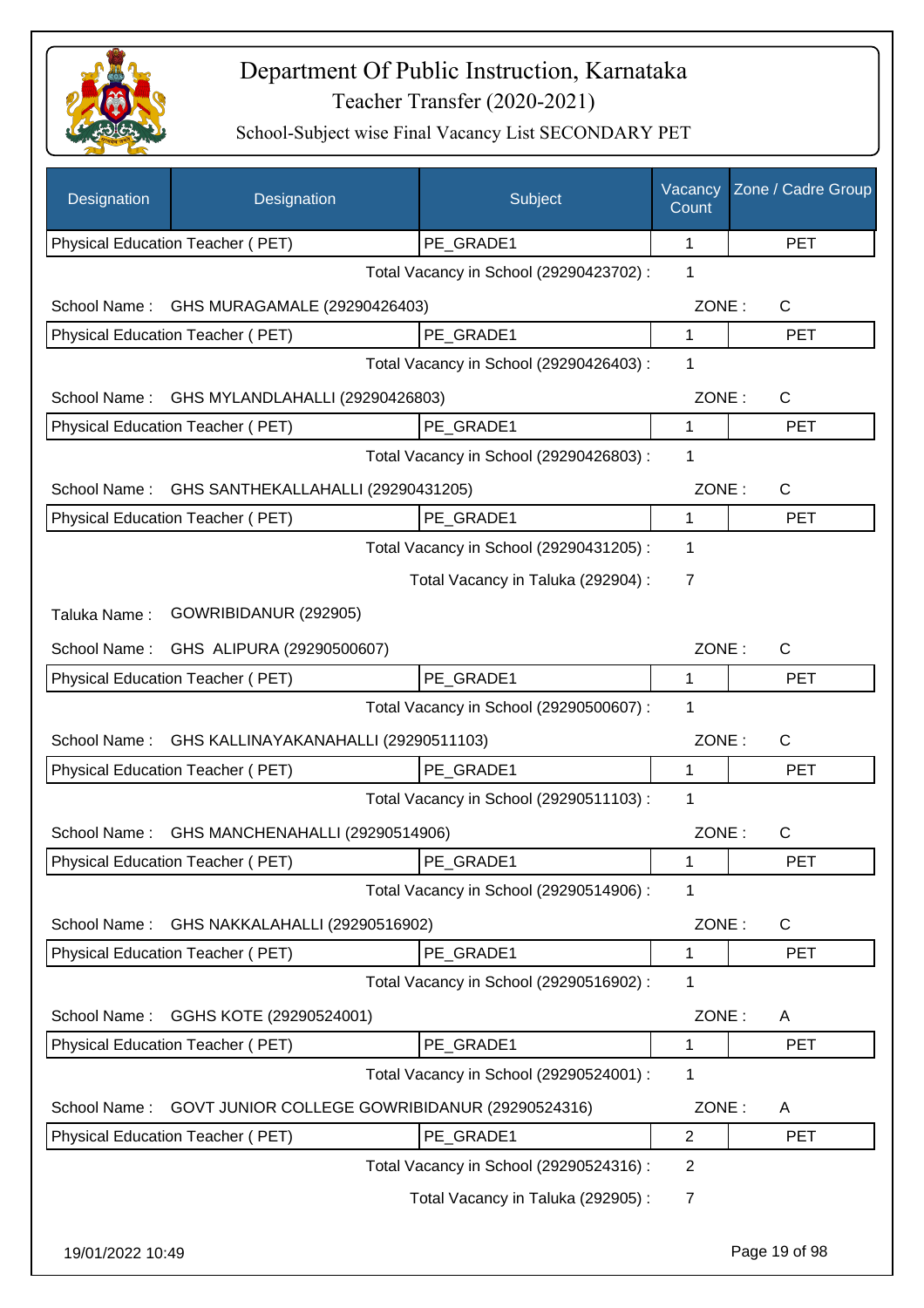

| Designation      | Designation                                    | Subject                                 | Vacancy<br>Count | Zone / Cadre Group |
|------------------|------------------------------------------------|-----------------------------------------|------------------|--------------------|
|                  | Physical Education Teacher (PET)               | PE_GRADE1                               | 1                | <b>PET</b>         |
|                  |                                                | Total Vacancy in School (29290423702) : | 1                |                    |
| School Name:     | GHS MURAGAMALE (29290426403)                   |                                         | ZONE:            | C                  |
|                  | Physical Education Teacher (PET)               | PE GRADE1                               | 1                | <b>PET</b>         |
|                  |                                                | Total Vacancy in School (29290426403) : | 1                |                    |
| School Name:     | GHS MYLANDLAHALLI (29290426803)                |                                         | ZONE:            | C                  |
|                  | Physical Education Teacher (PET)               | PE GRADE1                               | 1                | <b>PET</b>         |
|                  |                                                | Total Vacancy in School (29290426803) : | 1                |                    |
| School Name:     | GHS SANTHEKALLAHALLI (29290431205)             |                                         | ZONE:            | C                  |
|                  | Physical Education Teacher (PET)               | PE GRADE1                               | 1                | <b>PET</b>         |
|                  |                                                | Total Vacancy in School (29290431205) : | 1                |                    |
|                  |                                                | Total Vacancy in Taluka (292904) :      | 7                |                    |
| Taluka Name:     | GOWRIBIDANUR (292905)                          |                                         |                  |                    |
|                  |                                                |                                         |                  |                    |
| School Name:     | GHS ALIPURA (29290500607)                      |                                         | ZONE:            | C                  |
|                  | Physical Education Teacher (PET)               | PE_GRADE1                               | 1<br>1           | <b>PET</b>         |
|                  |                                                | Total Vacancy in School (29290500607) : |                  |                    |
| School Name:     | GHS KALLINAYAKANAHALLI (29290511103)           |                                         | ZONE:            | C                  |
|                  | Physical Education Teacher (PET)               | PE_GRADE1                               | 1                | <b>PET</b>         |
|                  |                                                | Total Vacancy in School (29290511103) : | 1                |                    |
| School Name:     | GHS MANCHENAHALLI (29290514906)                |                                         | ZONE:            | C                  |
|                  | <b>Physical Education Teacher (PET)</b>        | PE_GRADE1                               | 1                | <b>PET</b>         |
|                  |                                                | Total Vacancy in School (29290514906) : | 1                |                    |
| School Name:     | GHS NAKKALAHALLI (29290516902)                 |                                         | ZONE:            | C                  |
|                  | Physical Education Teacher (PET)               | PE_GRADE1                               | 1                | <b>PET</b>         |
|                  |                                                | Total Vacancy in School (29290516902) : | 1                |                    |
| School Name:     | GGHS KOTE (29290524001)                        |                                         | ZONE:            | A                  |
|                  | Physical Education Teacher (PET)               | PE_GRADE1                               | 1                | <b>PET</b>         |
|                  |                                                | Total Vacancy in School (29290524001) : | 1                |                    |
| School Name:     | GOVT JUNIOR COLLEGE GOWRIBIDANUR (29290524316) |                                         | ZONE:            | A                  |
|                  | Physical Education Teacher (PET)               | PE_GRADE1                               | $\overline{2}$   | <b>PET</b>         |
|                  |                                                | Total Vacancy in School (29290524316) : | $\overline{2}$   |                    |
|                  |                                                | Total Vacancy in Taluka (292905):       | 7                |                    |
| 19/01/2022 10:49 |                                                |                                         |                  | Page 19 of 98      |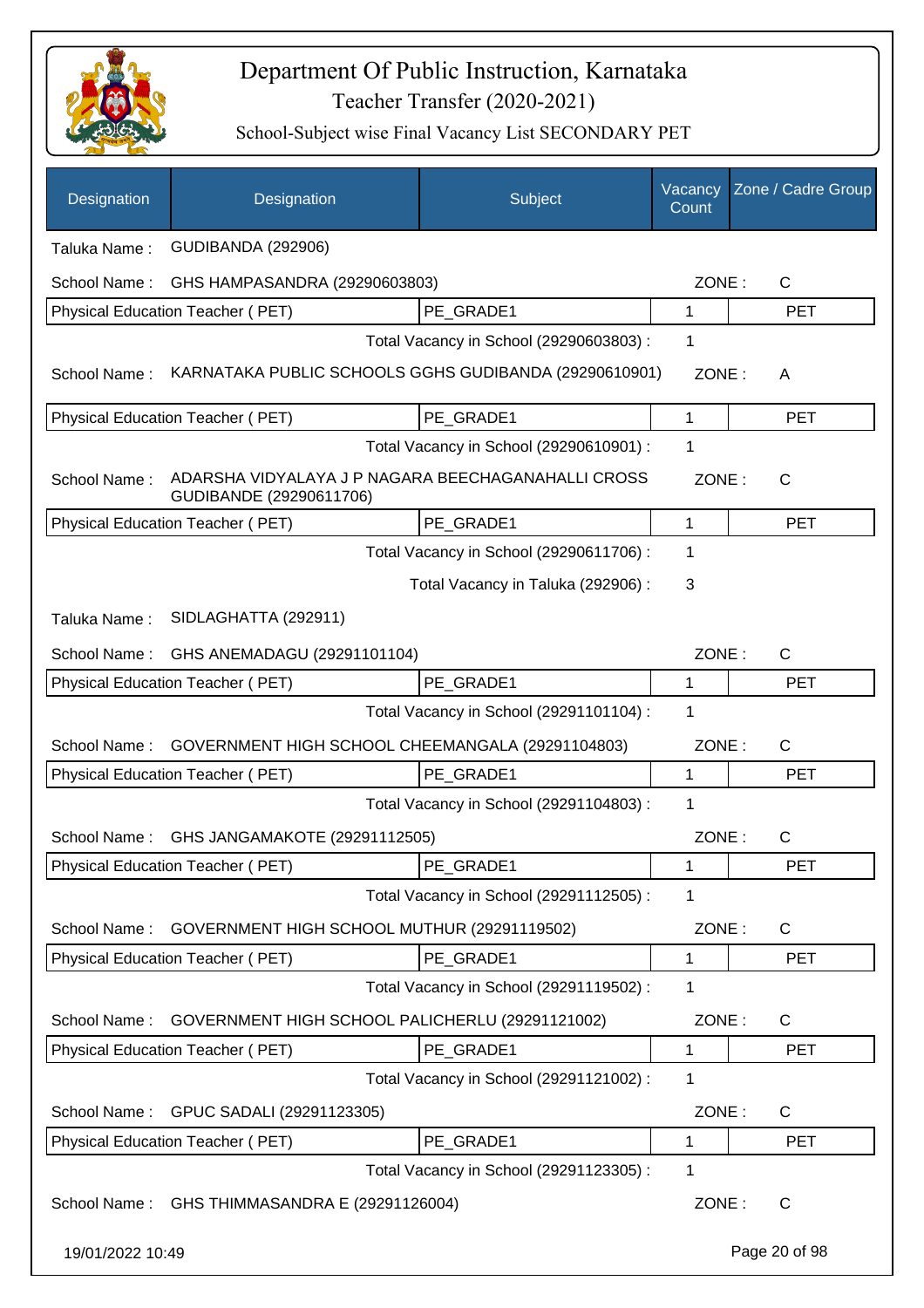

| Designation      | Designation                                                                   | Subject                                 | Vacancy<br>Count | Zone / Cadre Group |
|------------------|-------------------------------------------------------------------------------|-----------------------------------------|------------------|--------------------|
| Taluka Name:     | <b>GUDIBANDA (292906)</b>                                                     |                                         |                  |                    |
| School Name:     | GHS HAMPASANDRA (29290603803)                                                 |                                         | ZONE:            | $\mathsf{C}$       |
|                  | Physical Education Teacher (PET)                                              | PE_GRADE1                               | 1                | <b>PET</b>         |
|                  |                                                                               | Total Vacancy in School (29290603803) : | 1                |                    |
| School Name:     | KARNATAKA PUBLIC SCHOOLS GGHS GUDIBANDA (29290610901)                         |                                         | ZONE:            | A                  |
|                  | Physical Education Teacher (PET)                                              | PE_GRADE1                               | 1                | <b>PET</b>         |
|                  |                                                                               | Total Vacancy in School (29290610901) : | 1                |                    |
| School Name:     | ADARSHA VIDYALAYA J P NAGARA BEECHAGANAHALLI CROSS<br>GUDIBANDE (29290611706) |                                         | ZONE:            | $\mathsf{C}$       |
|                  | Physical Education Teacher (PET)                                              | PE GRADE1                               | 1                | <b>PET</b>         |
|                  |                                                                               | Total Vacancy in School (29290611706) : | 1                |                    |
|                  |                                                                               | Total Vacancy in Taluka (292906):       | 3                |                    |
| Taluka Name:     | SIDLAGHATTA (292911)                                                          |                                         |                  |                    |
| School Name:     | GHS ANEMADAGU (29291101104)                                                   |                                         | ZONE:            | $\mathsf{C}$       |
|                  | Physical Education Teacher (PET)                                              | PE GRADE1                               | 1                | <b>PET</b>         |
|                  |                                                                               | Total Vacancy in School (29291101104) : | 1                |                    |
| School Name:     | GOVERNMENT HIGH SCHOOL CHEEMANGALA (29291104803)                              |                                         | ZONE:            | $\mathsf{C}$       |
|                  | Physical Education Teacher (PET)                                              | PE GRADE1                               | 1                | <b>PET</b>         |
|                  |                                                                               | Total Vacancy in School (29291104803) : | 1                |                    |
| School Name:     | GHS JANGAMAKOTE (29291112505)                                                 |                                         | ZONE:            | $\mathsf{C}$       |
|                  | Physical Education Teacher (PET)                                              | PE_GRADE1                               | 1                | <b>PET</b>         |
|                  |                                                                               | Total Vacancy in School (29291112505) : | 1                |                    |
| School Name:     | GOVERNMENT HIGH SCHOOL MUTHUR (29291119502)                                   |                                         | ZONE:            | C                  |
|                  | Physical Education Teacher (PET)                                              | PE GRADE1                               | 1                | <b>PET</b>         |
|                  |                                                                               | Total Vacancy in School (29291119502) : | 1                |                    |
| School Name:     | GOVERNMENT HIGH SCHOOL PALICHERLU (29291121002)                               |                                         | ZONE:            | C                  |
|                  | Physical Education Teacher (PET)                                              | PE_GRADE1                               | 1                | <b>PET</b>         |
|                  |                                                                               | Total Vacancy in School (29291121002) : | 1                |                    |
| School Name:     | GPUC SADALI (29291123305)                                                     |                                         | ZONE:            | C                  |
|                  | Physical Education Teacher (PET)                                              | PE_GRADE1                               | 1                | <b>PET</b>         |
|                  |                                                                               | Total Vacancy in School (29291123305) : | 1                |                    |
| School Name:     | GHS THIMMASANDRA E (29291126004)                                              |                                         | ZONE:            | C                  |
| 19/01/2022 10:49 |                                                                               |                                         |                  | Page 20 of 98      |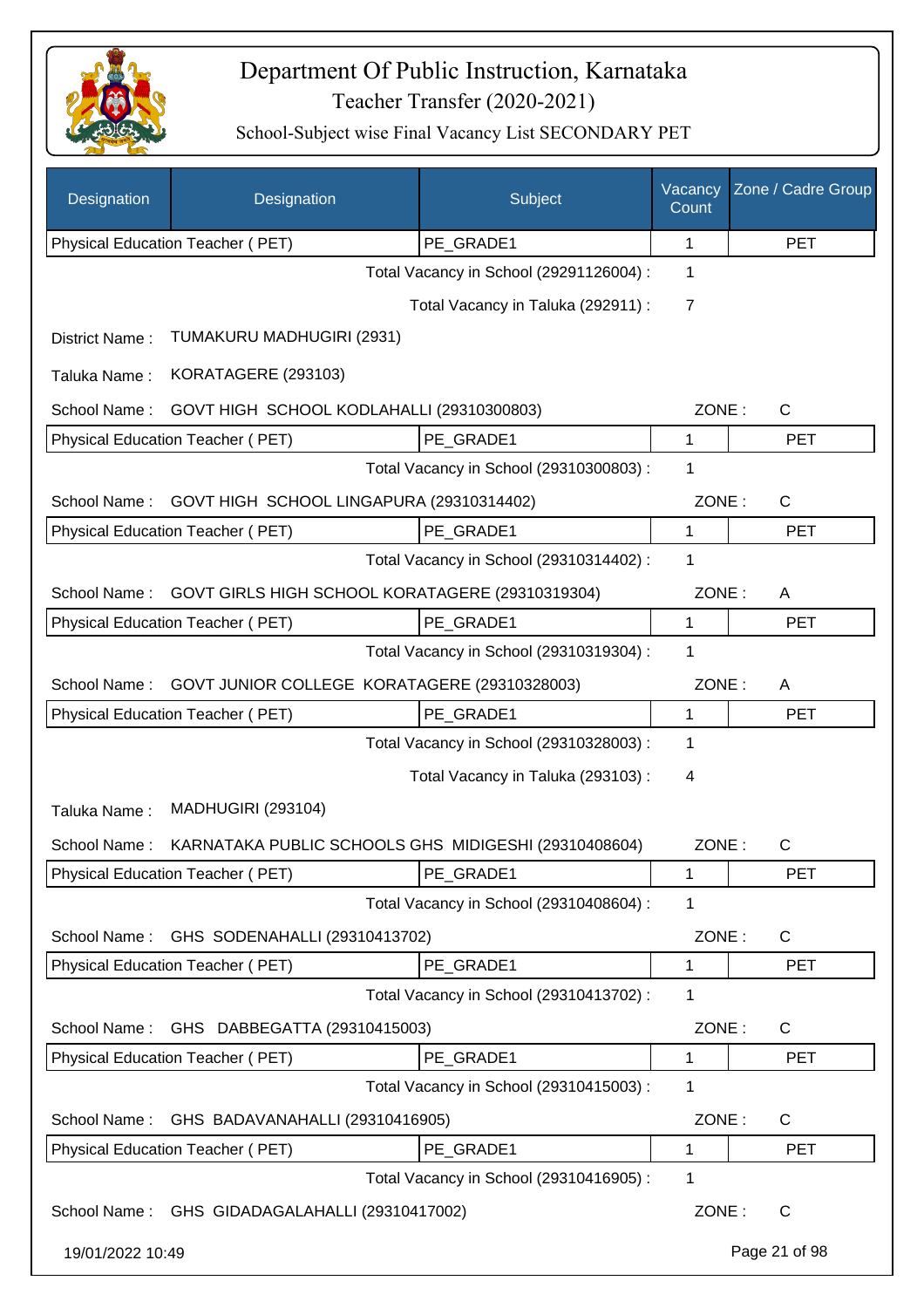

| Designation      | Designation                                          | Subject                                 | Vacancy<br>Count | Zone / Cadre Group |
|------------------|------------------------------------------------------|-----------------------------------------|------------------|--------------------|
|                  | Physical Education Teacher (PET)                     | PE_GRADE1                               | 1                | <b>PET</b>         |
|                  |                                                      | Total Vacancy in School (29291126004) : | 1                |                    |
|                  |                                                      | Total Vacancy in Taluka (292911) :      | $\overline{7}$   |                    |
| District Name:   | TUMAKURU MADHUGIRI (2931)                            |                                         |                  |                    |
| Taluka Name:     | KORATAGERE (293103)                                  |                                         |                  |                    |
| School Name:     | GOVT HIGH SCHOOL KODLAHALLI (29310300803)            |                                         | ZONE:            | $\mathsf{C}$       |
|                  | Physical Education Teacher (PET)                     | PE GRADE1                               | $\mathbf 1$      | <b>PET</b>         |
|                  |                                                      | Total Vacancy in School (29310300803) : | 1                |                    |
| School Name:     | GOVT HIGH SCHOOL LINGAPURA (29310314402)             |                                         | ZONE:            | $\mathsf{C}$       |
|                  | Physical Education Teacher (PET)                     | PE_GRADE1                               | 1                | <b>PET</b>         |
|                  |                                                      | Total Vacancy in School (29310314402) : | 1                |                    |
| School Name:     | GOVT GIRLS HIGH SCHOOL KORATAGERE (29310319304)      |                                         | ZONE:            | A                  |
|                  | Physical Education Teacher (PET)                     | PE_GRADE1                               | 1                | <b>PET</b>         |
|                  |                                                      | Total Vacancy in School (29310319304) : | 1                |                    |
| School Name:     | GOVT JUNIOR COLLEGE KORATAGERE (29310328003)         |                                         | ZONE:            | A                  |
|                  | Physical Education Teacher (PET)                     | PE_GRADE1                               | 1                | <b>PET</b>         |
|                  |                                                      | Total Vacancy in School (29310328003) : | 1                |                    |
|                  |                                                      | Total Vacancy in Taluka (293103):       | 4                |                    |
| Taluka Name:     | <b>MADHUGIRI (293104)</b>                            |                                         |                  |                    |
| School Name:     | KARNATAKA PUBLIC SCHOOLS GHS MIDIGESHI (29310408604) |                                         | ZONE:            | C                  |
|                  | Physical Education Teacher (PET)                     | PE GRADE1                               | 1                | PET                |
|                  |                                                      | Total Vacancy in School (29310408604) : | 1                |                    |
| School Name:     | GHS SODENAHALLI (29310413702)                        |                                         | ZONE:            | C                  |
|                  | <b>Physical Education Teacher (PET)</b>              | PE_GRADE1                               | 1                | <b>PET</b>         |
|                  |                                                      | Total Vacancy in School (29310413702) : | 1                |                    |
| School Name:     | GHS DABBEGATTA (29310415003)                         |                                         | ZONE:            | $\mathsf{C}$       |
|                  | Physical Education Teacher (PET)                     | PE_GRADE1                               | 1                | <b>PET</b>         |
|                  |                                                      | Total Vacancy in School (29310415003) : | 1                |                    |
| School Name:     | GHS BADAVANAHALLI (29310416905)                      |                                         | ZONE:            | $\mathsf{C}$       |
|                  | Physical Education Teacher (PET)                     | PE_GRADE1                               | 1                | <b>PET</b>         |
|                  |                                                      | Total Vacancy in School (29310416905) : | 1                |                    |
|                  | School Name: GHS GIDADAGALAHALLI (29310417002)       |                                         | ZONE:            | $\mathsf{C}$       |
| 19/01/2022 10:49 |                                                      |                                         |                  | Page 21 of 98      |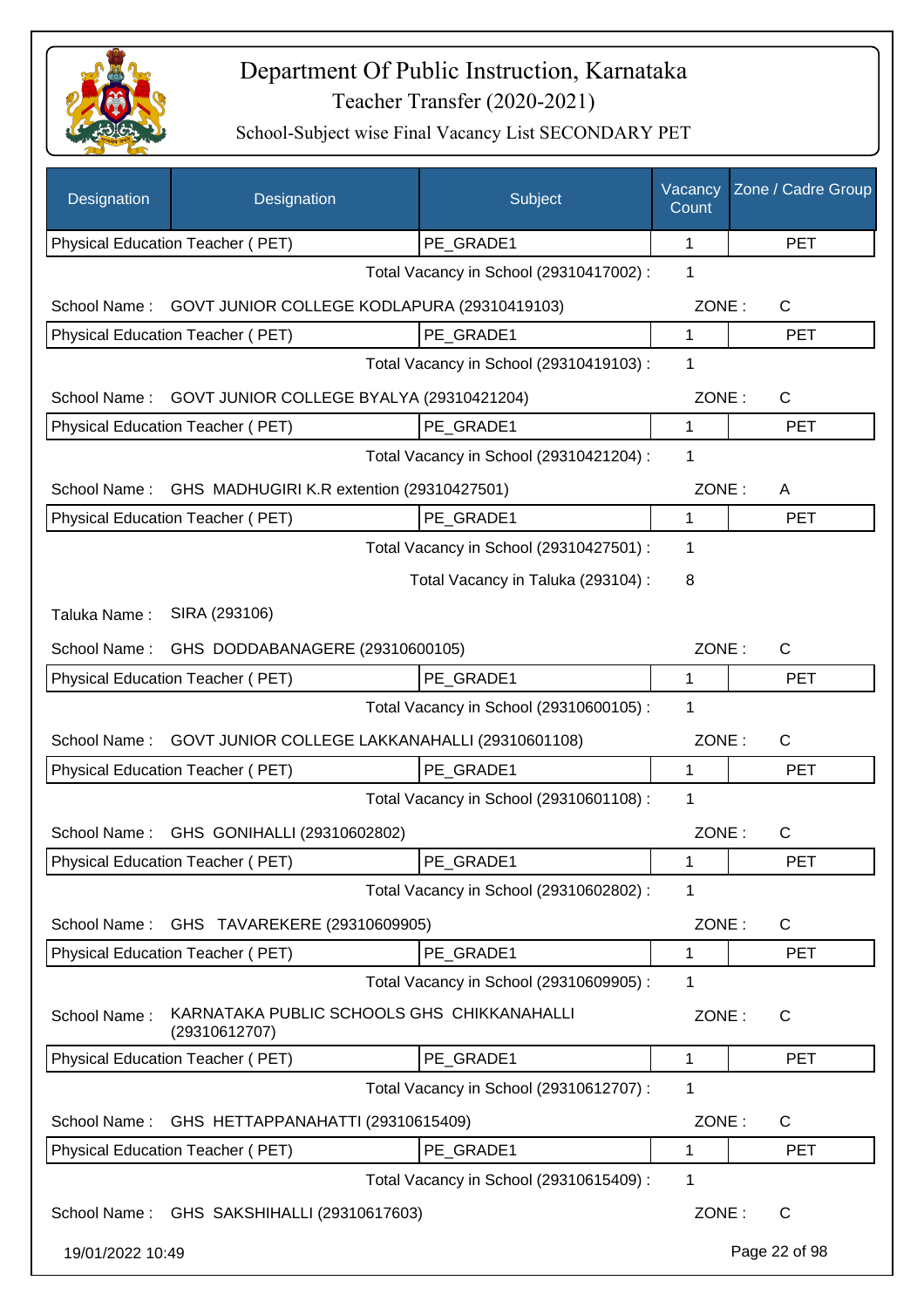

| Designation                                       | Designation                                                 | Subject                                 | Vacancy<br>Count | Zone / Cadre Group |
|---------------------------------------------------|-------------------------------------------------------------|-----------------------------------------|------------------|--------------------|
|                                                   | Physical Education Teacher (PET)                            | PE_GRADE1                               | 1                | <b>PET</b>         |
|                                                   |                                                             | Total Vacancy in School (29310417002) : | 1                |                    |
| School Name:                                      | GOVT JUNIOR COLLEGE KODLAPURA (29310419103)                 |                                         | ZONE:            | C                  |
|                                                   | <b>Physical Education Teacher (PET)</b>                     | PE_GRADE1                               | 1                | <b>PET</b>         |
|                                                   |                                                             | Total Vacancy in School (29310419103) : | 1                |                    |
| School Name:                                      | GOVT JUNIOR COLLEGE BYALYA (29310421204)                    |                                         | ZONE:            | C                  |
|                                                   | Physical Education Teacher (PET)                            | PE_GRADE1                               | 1                | <b>PET</b>         |
|                                                   | Total Vacancy in School (29310421204) :                     | 1                                       |                  |                    |
| School Name:                                      | GHS MADHUGIRI K.R extention (29310427501)                   |                                         | ZONE:            | A                  |
|                                                   | Physical Education Teacher (PET)                            | PE GRADE1                               | 1                | <b>PET</b>         |
|                                                   |                                                             | Total Vacancy in School (29310427501) : | 1                |                    |
|                                                   |                                                             | Total Vacancy in Taluka (293104) :      | 8                |                    |
| Taluka Name:                                      | SIRA (293106)                                               |                                         |                  |                    |
| School Name:                                      | GHS DODDABANAGERE (29310600105)                             |                                         | ZONE:            | C                  |
|                                                   | Physical Education Teacher (PET)                            | PE_GRADE1                               | 1                | <b>PET</b>         |
|                                                   |                                                             | Total Vacancy in School (29310600105) : | 1                |                    |
| School Name:                                      | GOVT JUNIOR COLLEGE LAKKANAHALLI (29310601108)              |                                         | ZONE:            | $\mathsf{C}$       |
|                                                   | Physical Education Teacher (PET)                            | PE GRADE1                               | 1                | <b>PET</b>         |
|                                                   |                                                             | Total Vacancy in School (29310601108) : | 1                |                    |
|                                                   | School Name: GHS GONIHALLI (29310602802)                    |                                         | ZONE:            | $\mathsf C$        |
|                                                   | Physical Education Teacher (PET)                            | PE_GRADE1                               | 1                | <b>PET</b>         |
|                                                   |                                                             | Total Vacancy in School (29310602802) : | 1                |                    |
| School Name:                                      | GHS TAVAREKERE (29310609905)                                |                                         | ZONE:            | C                  |
|                                                   | <b>Physical Education Teacher (PET)</b>                     | PE_GRADE1                               | 1                | <b>PET</b>         |
|                                                   |                                                             | Total Vacancy in School (29310609905) : | 1                |                    |
| School Name:                                      | KARNATAKA PUBLIC SCHOOLS GHS CHIKKANAHALLI<br>(29310612707) |                                         | ZONE:            | C                  |
|                                                   | Physical Education Teacher (PET)                            | PE_GRADE1                               | 1                | <b>PET</b>         |
|                                                   |                                                             | Total Vacancy in School (29310612707) : | 1                |                    |
| School Name:<br>GHS HETTAPPANAHATTI (29310615409) |                                                             |                                         | ZONE:            | C                  |
|                                                   | Physical Education Teacher (PET)                            | PE_GRADE1                               | 1                | <b>PET</b>         |
|                                                   |                                                             | Total Vacancy in School (29310615409) : | 1                |                    |
|                                                   | School Name: GHS SAKSHIHALLI (29310617603)                  |                                         | ZONE:            | C                  |
| 19/01/2022 10:49                                  |                                                             |                                         |                  | Page 22 of 98      |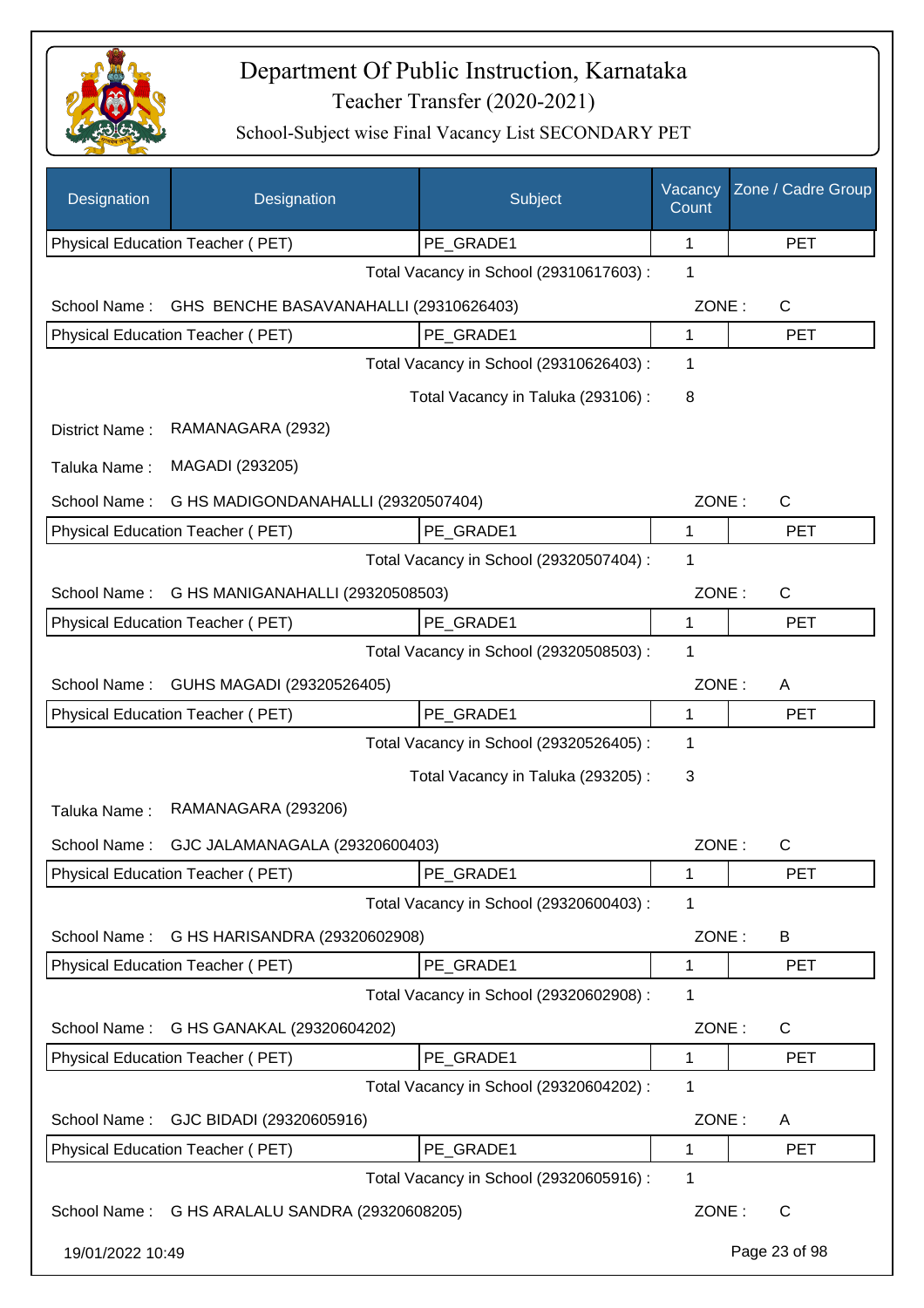

| Designation      | Designation                                    | Subject                                 | Vacancy<br>Count | Zone / Cadre Group |
|------------------|------------------------------------------------|-----------------------------------------|------------------|--------------------|
|                  | Physical Education Teacher (PET)               | PE_GRADE1                               | 1                | <b>PET</b>         |
|                  |                                                | Total Vacancy in School (29310617603) : | 1                |                    |
| School Name:     | GHS BENCHE BASAVANAHALLI (29310626403)         |                                         | ZONE:            | C                  |
|                  | Physical Education Teacher (PET)               | PE_GRADE1                               | 1                | <b>PET</b>         |
|                  |                                                | Total Vacancy in School (29310626403) : | 1                |                    |
|                  |                                                | Total Vacancy in Taluka (293106):       | 8                |                    |
| District Name:   | RAMANAGARA (2932)                              |                                         |                  |                    |
| Taluka Name:     | MAGADI (293205)                                |                                         |                  |                    |
| School Name:     | G HS MADIGONDANAHALLI (29320507404)            |                                         | ZONE:            | C                  |
|                  | <b>Physical Education Teacher (PET)</b>        | PE_GRADE1                               | 1                | <b>PET</b>         |
|                  |                                                | Total Vacancy in School (29320507404) : | 1                |                    |
| School Name:     | G HS MANIGANAHALLI (29320508503)               |                                         | ZONE:            | $\mathsf C$        |
|                  | Physical Education Teacher (PET)               | PE_GRADE1                               | 1                | <b>PET</b>         |
|                  |                                                | Total Vacancy in School (29320508503) : | 1                |                    |
| School Name:     | GUHS MAGADI (29320526405)                      |                                         | ZONE:            | A                  |
|                  | Physical Education Teacher (PET)               | PE_GRADE1                               | 1                | <b>PET</b>         |
|                  |                                                | Total Vacancy in School (29320526405) : | 1                |                    |
|                  |                                                | Total Vacancy in Taluka (293205):       | 3                |                    |
| Taluka Name:     | RAMANAGARA (293206)                            |                                         |                  |                    |
| School Name:     | GJC JALAMANAGALA (29320600403)                 |                                         | ZONE:            | С                  |
|                  | Physical Education Teacher (PET)               | PE_GRADE1                               | 1                | <b>PET</b>         |
|                  |                                                | Total Vacancy in School (29320600403) : | 1                |                    |
| School Name:     | G HS HARISANDRA (29320602908)                  |                                         | ZONE:            | B                  |
|                  | Physical Education Teacher (PET)               | PE_GRADE1                               | 1                | <b>PET</b>         |
|                  |                                                | Total Vacancy in School (29320602908) : | 1                |                    |
| School Name:     | G HS GANAKAL (29320604202)                     |                                         | ZONE:            | $\mathsf{C}$       |
|                  | <b>Physical Education Teacher (PET)</b>        | PE GRADE1                               | 1                | <b>PET</b>         |
|                  |                                                | Total Vacancy in School (29320604202) : | 1                |                    |
| School Name:     | GJC BIDADI (29320605916)                       |                                         | ZONE:            | A                  |
|                  | Physical Education Teacher (PET)               | PE_GRADE1                               | 1                | <b>PET</b>         |
|                  |                                                | Total Vacancy in School (29320605916) : | 1                |                    |
|                  | School Name: G HS ARALALU SANDRA (29320608205) |                                         | ZONE:            | $\mathsf{C}$       |
| 19/01/2022 10:49 |                                                |                                         |                  | Page 23 of 98      |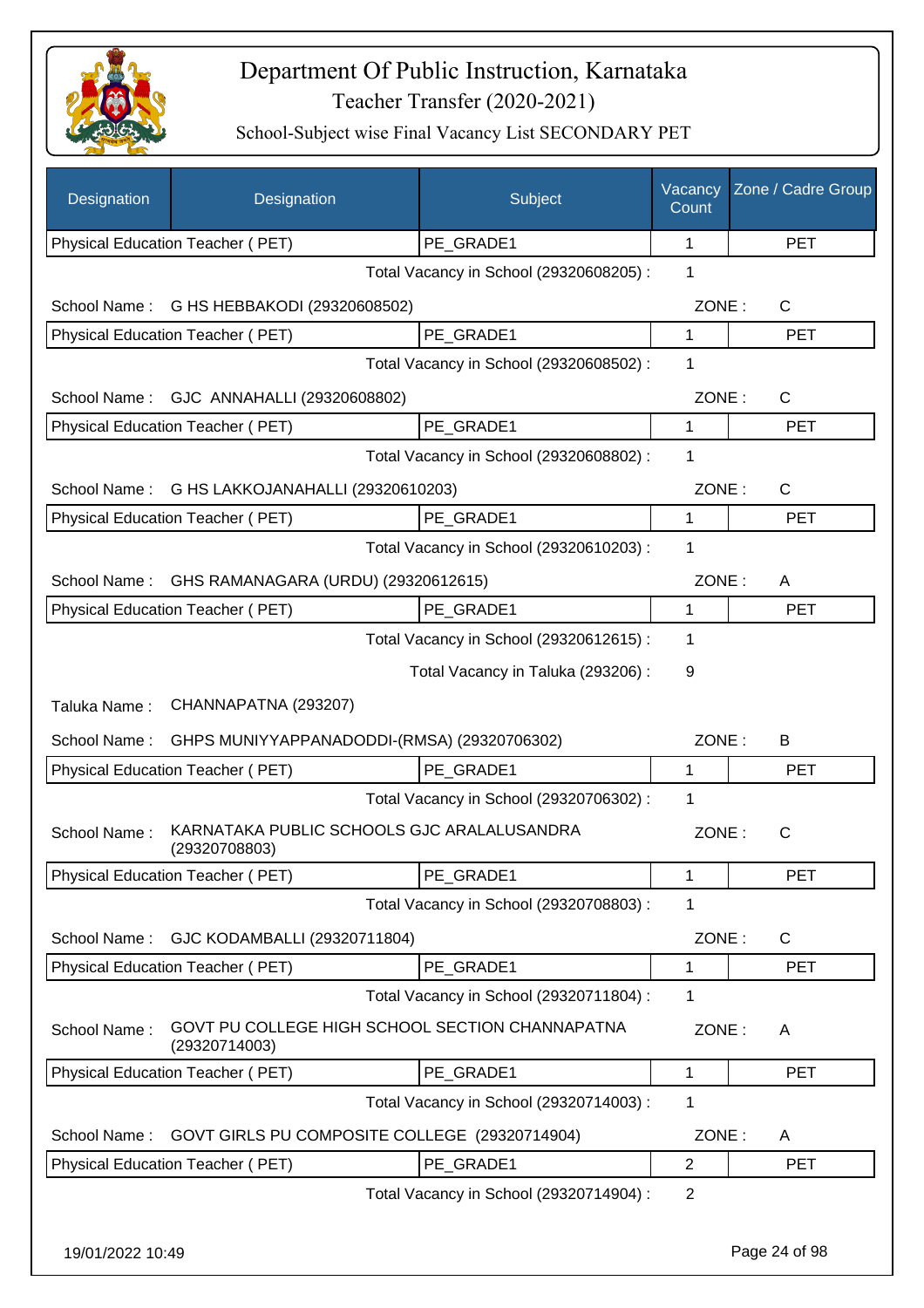

| Designation      | Designation                                                      | Subject                                 | Vacancy<br>Count | Zone / Cadre Group |
|------------------|------------------------------------------------------------------|-----------------------------------------|------------------|--------------------|
|                  | Physical Education Teacher (PET)                                 | PE GRADE1                               | 1                | <b>PET</b>         |
|                  |                                                                  | Total Vacancy in School (29320608205) : | 1                |                    |
| School Name:     | G HS HEBBAKODI (29320608502)                                     |                                         | ZONE:            | $\mathsf{C}$       |
|                  | Physical Education Teacher (PET)                                 | PE GRADE1                               | 1                | <b>PET</b>         |
|                  |                                                                  | Total Vacancy in School (29320608502) : | 1                |                    |
| School Name:     | GJC ANNAHALLI (29320608802)                                      |                                         | ZONE:            | $\mathsf{C}$       |
|                  | Physical Education Teacher (PET)                                 | PE GRADE1                               | 1                | <b>PET</b>         |
|                  |                                                                  | Total Vacancy in School (29320608802) : | 1                |                    |
| School Name:     | G HS LAKKOJANAHALLI (29320610203)                                |                                         | ZONE:            | $\mathsf{C}$       |
|                  | Physical Education Teacher (PET)                                 | PE GRADE1                               | $\mathbf{1}$     | <b>PET</b>         |
|                  |                                                                  | Total Vacancy in School (29320610203) : | 1                |                    |
| School Name:     | GHS RAMANAGARA (URDU) (29320612615)                              |                                         | ZONE:            | A                  |
|                  | <b>Physical Education Teacher (PET)</b>                          | PE GRADE1                               | $\mathbf{1}$     | <b>PET</b>         |
|                  |                                                                  | Total Vacancy in School (29320612615) : | 1                |                    |
|                  |                                                                  | Total Vacancy in Taluka (293206):       | 9                |                    |
| Taluka Name:     | CHANNAPATNA (293207)                                             |                                         |                  |                    |
| School Name:     | GHPS MUNIYYAPPANADODDI-(RMSA) (29320706302)                      |                                         | ZONE:            | B                  |
|                  | Physical Education Teacher (PET)                                 | PE GRADE1                               | 1                | <b>PET</b>         |
|                  |                                                                  | Total Vacancy in School (29320706302) : | 1                |                    |
| School Name:     | KARNATAKA PUBLIC SCHOOLS GJC ARALALUSANDRA<br>(29320708803)      |                                         | ZONE:            | $\mathsf{C}$       |
|                  | Physical Education Teacher (PET)                                 | PE_GRADE1                               | 1                | <b>PET</b>         |
|                  |                                                                  | Total Vacancy in School (29320708803) : | 1                |                    |
| School Name:     | GJC KODAMBALLI (29320711804)                                     |                                         | ZONE:            | C                  |
|                  | Physical Education Teacher (PET)                                 | PE_GRADE1                               | 1                | <b>PET</b>         |
|                  |                                                                  | Total Vacancy in School (29320711804) : | $\mathbf 1$      |                    |
| School Name:     | GOVT PU COLLEGE HIGH SCHOOL SECTION CHANNAPATNA<br>(29320714003) |                                         | ZONE:            | A                  |
|                  | Physical Education Teacher (PET)                                 | PE GRADE1                               | $\mathbf{1}$     | <b>PET</b>         |
|                  |                                                                  | Total Vacancy in School (29320714003) : | 1                |                    |
| School Name:     | GOVT GIRLS PU COMPOSITE COLLEGE (29320714904)                    |                                         | ZONE:            | A                  |
|                  | Physical Education Teacher (PET)                                 | PE_GRADE1                               | $\overline{2}$   | <b>PET</b>         |
|                  |                                                                  | Total Vacancy in School (29320714904) : | $\overline{2}$   |                    |
| 19/01/2022 10:49 |                                                                  |                                         |                  | Page 24 of 98      |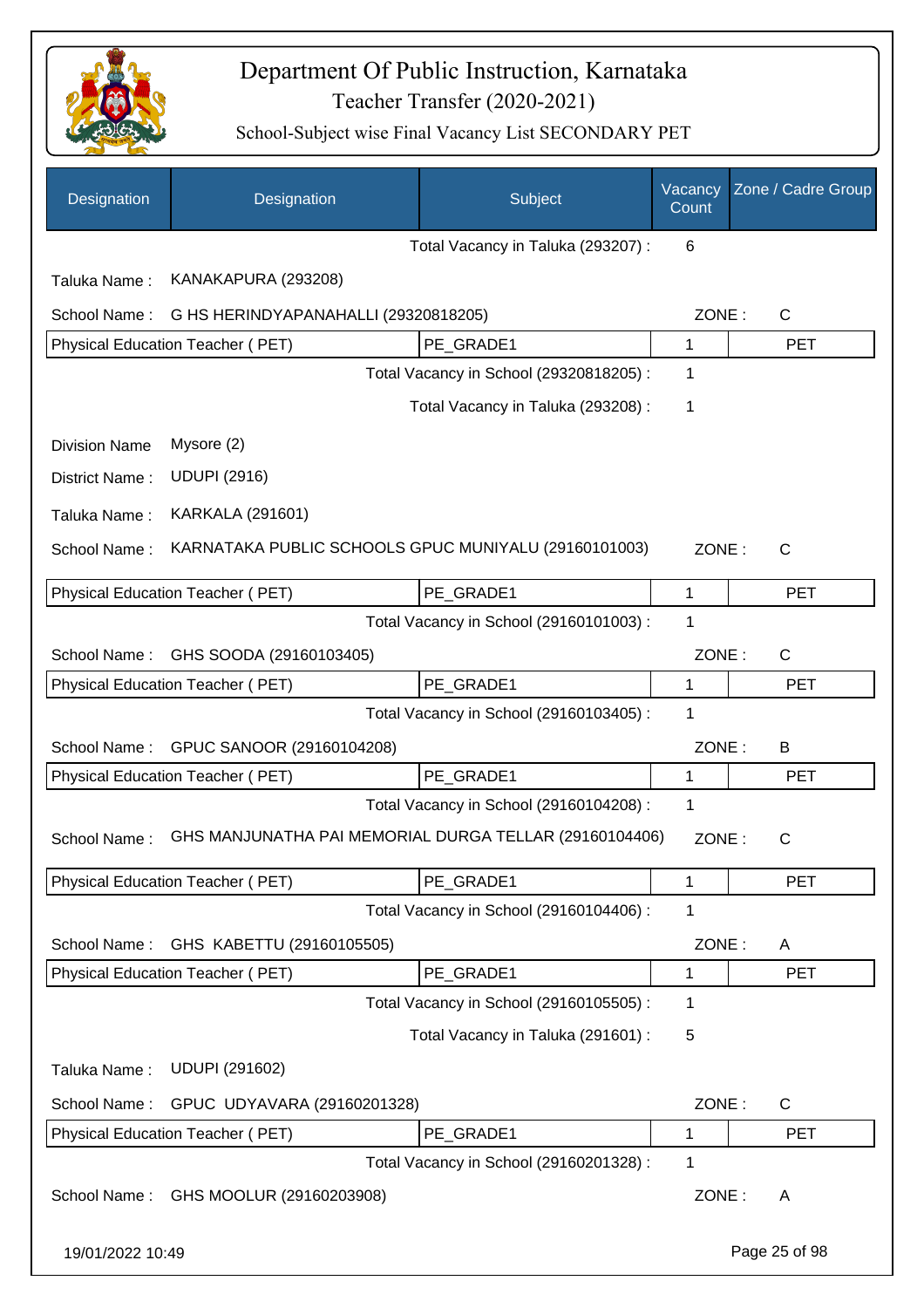

| Designation          | Designation                                            | Subject                                 | Vacancy<br>Count | Zone / Cadre Group |
|----------------------|--------------------------------------------------------|-----------------------------------------|------------------|--------------------|
|                      |                                                        | Total Vacancy in Taluka (293207) :      | 6                |                    |
| Taluka Name:         | KANAKAPURA (293208)                                    |                                         |                  |                    |
| School Name:         | G HS HERINDYAPANAHALLI (29320818205)                   |                                         | ZONE:            | $\mathsf{C}$       |
|                      | Physical Education Teacher (PET)                       | PE GRADE1                               | 1                | <b>PET</b>         |
|                      |                                                        | Total Vacancy in School (29320818205) : | 1                |                    |
|                      |                                                        | Total Vacancy in Taluka (293208) :      | 1                |                    |
| <b>Division Name</b> | Mysore (2)                                             |                                         |                  |                    |
| District Name:       | <b>UDUPI (2916)</b>                                    |                                         |                  |                    |
| Taluka Name:         | <b>KARKALA (291601)</b>                                |                                         |                  |                    |
| School Name:         | KARNATAKA PUBLIC SCHOOLS GPUC MUNIYALU (29160101003)   |                                         | ZONE:            | $\mathsf{C}$       |
|                      | Physical Education Teacher (PET)                       | PE GRADE1                               | 1                | <b>PET</b>         |
|                      |                                                        | Total Vacancy in School (29160101003) : | 1                |                    |
| School Name:         | GHS SOODA (29160103405)                                |                                         | ZONE:            | $\mathsf{C}$       |
|                      | Physical Education Teacher (PET)                       | PE_GRADE1                               | 1                | <b>PET</b>         |
|                      |                                                        | Total Vacancy in School (29160103405) : | 1                |                    |
| School Name:         | GPUC SANOOR (29160104208)                              |                                         | ZONE:            | B                  |
|                      | <b>Physical Education Teacher (PET)</b>                | PE GRADE1                               | 1                | <b>PET</b>         |
|                      |                                                        | Total Vacancy in School (29160104208) : | 1                |                    |
| School Name:         | GHS MANJUNATHA PAI MEMORIAL DURGA TELLAR (29160104406) |                                         | ZONE:            | C                  |
|                      | <b>Physical Education Teacher (PET)</b>                | PE_GRADE1                               | 1                | <b>PET</b>         |
|                      |                                                        | Total Vacancy in School (29160104406) : | 1                |                    |
| School Name:         | GHS KABETTU (29160105505)                              |                                         | ZONE:            | A                  |
|                      | Physical Education Teacher (PET)                       | PE_GRADE1                               | 1                | <b>PET</b>         |
|                      |                                                        | Total Vacancy in School (29160105505) : | 1                |                    |
|                      |                                                        | Total Vacancy in Taluka (291601) :      | 5                |                    |
| Taluka Name:         | <b>UDUPI (291602)</b>                                  |                                         |                  |                    |
| School Name:         | GPUC UDYAVARA (29160201328)                            |                                         | ZONE:            | $\mathsf{C}$       |
|                      | <b>Physical Education Teacher (PET)</b>                | PE_GRADE1                               | 1                | <b>PET</b>         |
|                      |                                                        | Total Vacancy in School (29160201328) : | 1                |                    |
| School Name:         | GHS MOOLUR (29160203908)                               |                                         | ZONE:            | A                  |
| 19/01/2022 10:49     |                                                        |                                         |                  | Page 25 of 98      |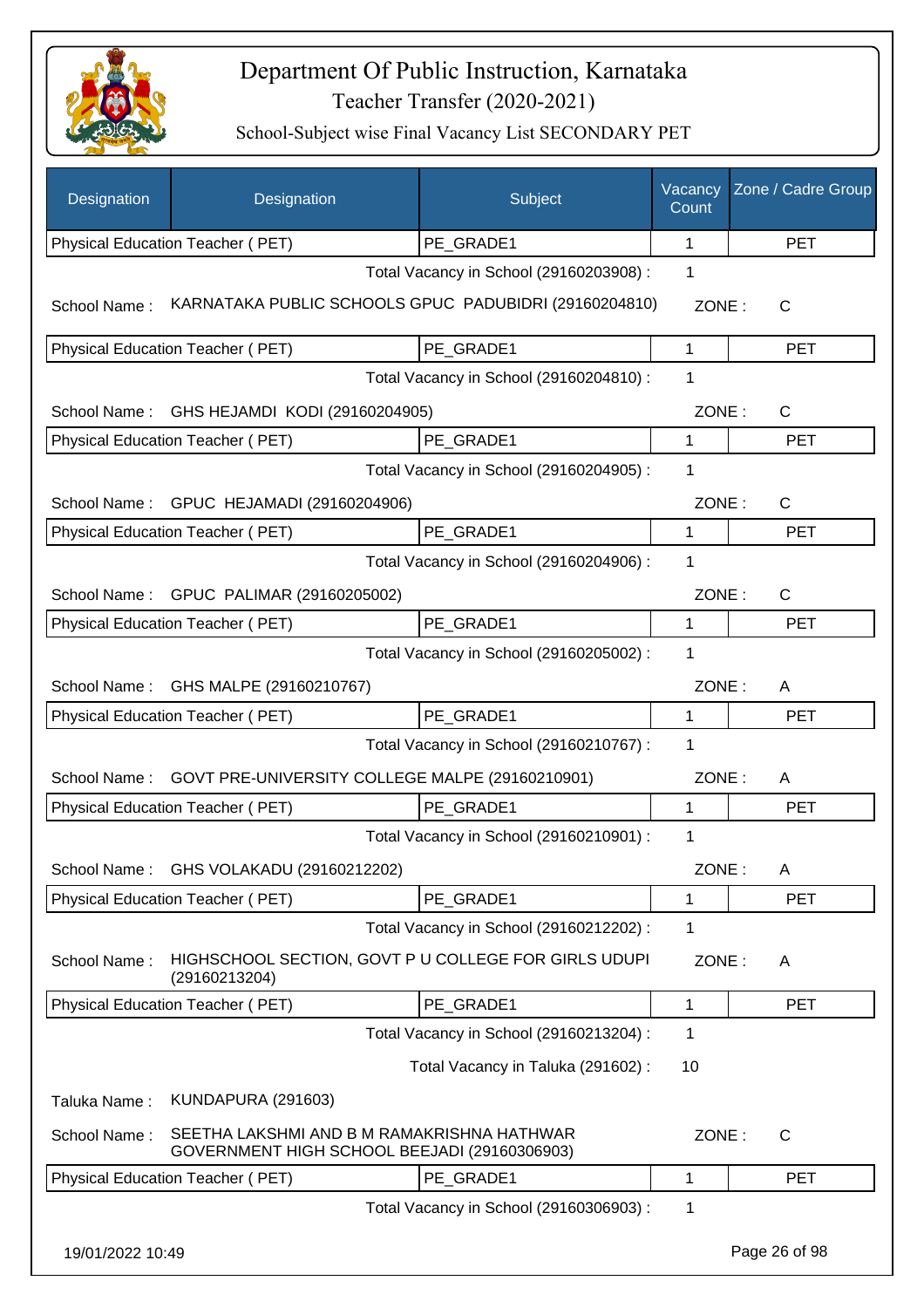

| Designation      | Designation                                                                                | Subject                                 | Vacancy<br>Count | Zone / Cadre Group |
|------------------|--------------------------------------------------------------------------------------------|-----------------------------------------|------------------|--------------------|
|                  | Physical Education Teacher (PET)                                                           | PE GRADE1                               | 1                | <b>PET</b>         |
|                  |                                                                                            | Total Vacancy in School (29160203908) : | 1                |                    |
| School Name:     | KARNATAKA PUBLIC SCHOOLS GPUC PADUBIDRI (29160204810)                                      |                                         | ZONE:            | C                  |
|                  | Physical Education Teacher (PET)                                                           | PE GRADE1                               | 1                | <b>PET</b>         |
|                  |                                                                                            | Total Vacancy in School (29160204810) : | 1                |                    |
|                  | School Name: GHS HEJAMDI KODI (29160204905)                                                |                                         | ZONE:            | C                  |
|                  | Physical Education Teacher (PET)                                                           | PE_GRADE1                               | 1                | <b>PET</b>         |
|                  |                                                                                            | Total Vacancy in School (29160204905) : | 1                |                    |
|                  | School Name: GPUC HEJAMADI (29160204906)                                                   |                                         | ZONE:            | C                  |
|                  | Physical Education Teacher (PET)                                                           | PE GRADE1                               | $\mathbf{1}$     | <b>PET</b>         |
|                  |                                                                                            | Total Vacancy in School (29160204906) : | 1                |                    |
|                  | School Name: GPUC PALIMAR (29160205002)                                                    |                                         | ZONE:            | $\mathsf{C}$       |
|                  | Physical Education Teacher (PET)                                                           | PE_GRADE1                               | 1                | <b>PET</b>         |
|                  |                                                                                            | Total Vacancy in School (29160205002) : | 1                |                    |
|                  | School Name: GHS MALPE (29160210767)                                                       |                                         | ZONE:            | A                  |
|                  | Physical Education Teacher (PET)                                                           | PE_GRADE1                               | 1                | <b>PET</b>         |
|                  |                                                                                            | Total Vacancy in School (29160210767) : | 1                |                    |
| School Name:     | GOVT PRE-UNIVERSITY COLLEGE MALPE (29160210901)                                            |                                         | ZONE:            | A                  |
|                  | Physical Education Teacher (PET)                                                           | PE GRADE1                               | 1                | <b>PET</b>         |
|                  |                                                                                            | Total Vacancy in School (29160210901) : | 1                |                    |
| School Name:     | GHS VOLAKADU (29160212202)                                                                 |                                         | ZONE:            | A                  |
|                  | Physical Education Teacher (PET)                                                           | PE GRADE1                               | 1                | <b>PET</b>         |
|                  |                                                                                            | Total Vacancy in School (29160212202) : | 1                |                    |
| School Name:     | HIGHSCHOOL SECTION, GOVT P U COLLEGE FOR GIRLS UDUPI<br>(29160213204)                      |                                         | ZONE:            | A                  |
|                  | Physical Education Teacher (PET)                                                           | PE_GRADE1                               | 1                | <b>PET</b>         |
|                  |                                                                                            | Total Vacancy in School (29160213204) : | 1                |                    |
|                  |                                                                                            | Total Vacancy in Taluka (291602) :      | 10               |                    |
| Taluka Name:     | <b>KUNDAPURA (291603)</b>                                                                  |                                         |                  |                    |
| School Name:     | SEETHA LAKSHMI AND B M RAMAKRISHNA HATHWAR<br>GOVERNMENT HIGH SCHOOL BEEJADI (29160306903) |                                         | ZONE:            | C                  |
|                  | Physical Education Teacher (PET)                                                           | PE_GRADE1                               | 1                | <b>PET</b>         |
|                  |                                                                                            | Total Vacancy in School (29160306903) : | 1                |                    |
| 19/01/2022 10:49 |                                                                                            |                                         |                  | Page 26 of 98      |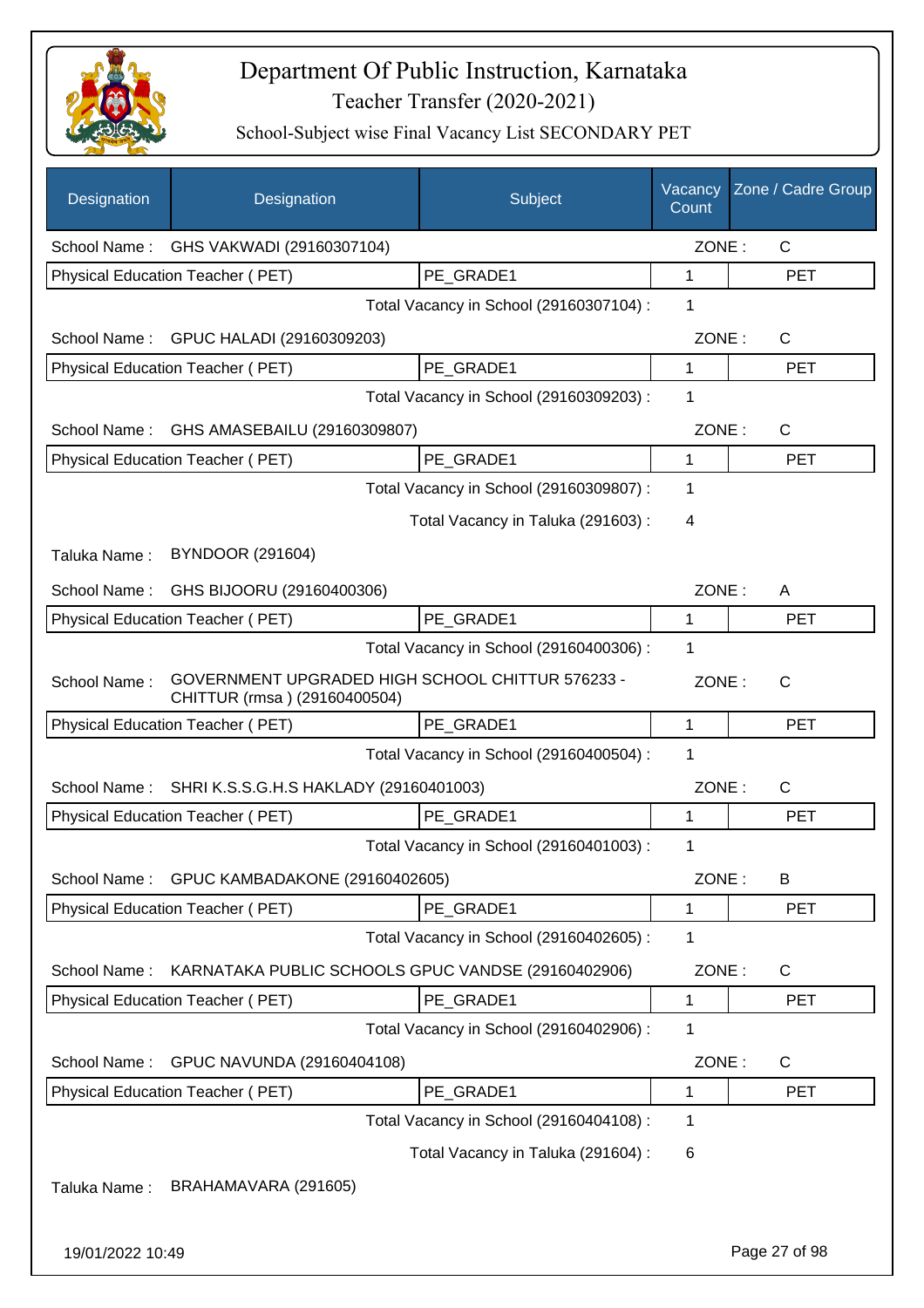

| Designation      | Designation                                                                      | Subject                                 | Vacancy<br>Count | Zone / Cadre Group |
|------------------|----------------------------------------------------------------------------------|-----------------------------------------|------------------|--------------------|
| School Name:     | GHS VAKWADI (29160307104)                                                        |                                         | ZONE:            | $\mathsf{C}$       |
|                  | Physical Education Teacher (PET)                                                 | PE GRADE1                               | 1                | <b>PET</b>         |
|                  |                                                                                  | Total Vacancy in School (29160307104) : | 1                |                    |
|                  | School Name: GPUC HALADI (29160309203)                                           |                                         | ZONE:            | $\mathsf{C}$       |
|                  | Physical Education Teacher (PET)                                                 | PE GRADE1                               | 1                | <b>PET</b>         |
|                  |                                                                                  | Total Vacancy in School (29160309203) : | 1                |                    |
| School Name:     | GHS AMASEBAILU (29160309807)                                                     |                                         | ZONE:            | $\mathsf{C}$       |
|                  | Physical Education Teacher (PET)                                                 | PE_GRADE1                               | 1                | <b>PET</b>         |
|                  |                                                                                  | Total Vacancy in School (29160309807) : | 1                |                    |
|                  |                                                                                  | Total Vacancy in Taluka (291603):       | 4                |                    |
| Taluka Name:     | <b>BYNDOOR (291604)</b>                                                          |                                         |                  |                    |
| School Name:     | GHS BIJOORU (29160400306)                                                        |                                         | ZONE:            | A                  |
|                  | Physical Education Teacher (PET)                                                 | PE_GRADE1                               | 1                | <b>PET</b>         |
|                  |                                                                                  | Total Vacancy in School (29160400306) : | 1                |                    |
| School Name:     | GOVERNMENT UPGRADED HIGH SCHOOL CHITTUR 576233 -<br>CHITTUR (rmsa) (29160400504) |                                         | ZONE:            | $\mathsf{C}$       |
|                  | Physical Education Teacher (PET)                                                 | PE_GRADE1                               | 1                | <b>PET</b>         |
|                  |                                                                                  | Total Vacancy in School (29160400504) : | 1                |                    |
| School Name:     | SHRI K.S.S.G.H.S HAKLADY (29160401003)                                           |                                         | ZONE:            | C                  |
|                  | Physical Education Teacher (PET)                                                 | PE GRADE1                               | 1                | <b>PET</b>         |
|                  |                                                                                  | Total Vacancy in School (29160401003) : | 1                |                    |
| School Name:     | GPUC KAMBADAKONE (29160402605)                                                   |                                         | ZONE:            | В                  |
|                  | Physical Education Teacher (PET)                                                 | PE GRADE1                               | 1                | <b>PET</b>         |
|                  |                                                                                  | Total Vacancy in School (29160402605) : | 1                |                    |
| School Name:     | KARNATAKA PUBLIC SCHOOLS GPUC VANDSE (29160402906)                               |                                         | ZONE:            | C                  |
|                  | Physical Education Teacher (PET)                                                 | PE_GRADE1                               | 1                | <b>PET</b>         |
|                  |                                                                                  | Total Vacancy in School (29160402906) : | 1                |                    |
| School Name:     | GPUC NAVUNDA (29160404108)                                                       |                                         | ZONE:            | C                  |
|                  | Physical Education Teacher (PET)                                                 | PE_GRADE1                               | 1                | <b>PET</b>         |
|                  |                                                                                  | Total Vacancy in School (29160404108) : | 1                |                    |
|                  |                                                                                  | Total Vacancy in Taluka (291604) :      | 6                |                    |
| Taluka Name:     | BRAHAMAVARA (291605)                                                             |                                         |                  |                    |
| 19/01/2022 10:49 |                                                                                  |                                         |                  | Page 27 of 98      |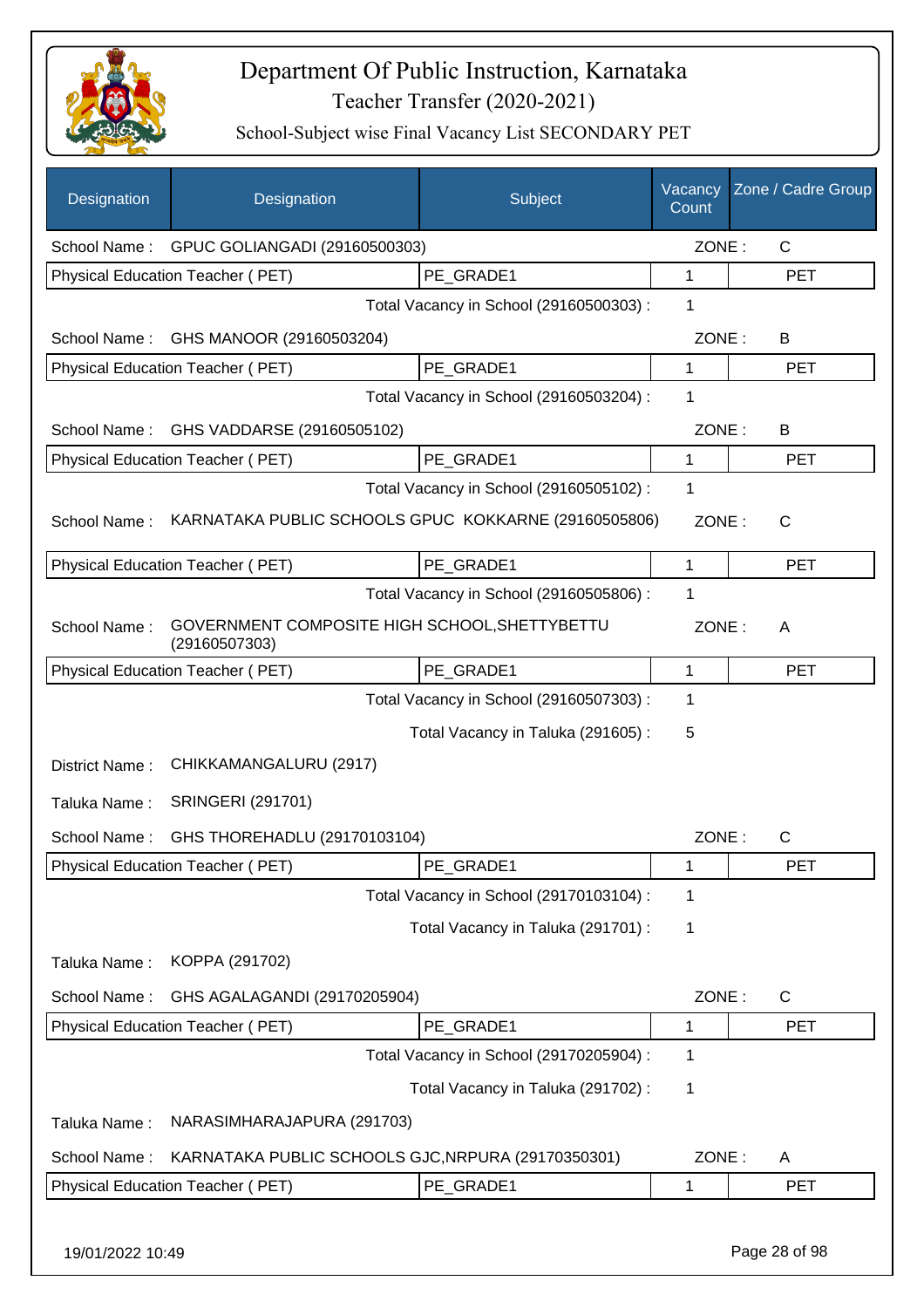

| Designation      | Designation                                                    | Subject                                 | Vacancy<br>Count | Zone / Cadre Group |
|------------------|----------------------------------------------------------------|-----------------------------------------|------------------|--------------------|
| School Name:     | GPUC GOLIANGADI (29160500303)                                  |                                         | ZONE:            | $\mathsf{C}$       |
|                  | Physical Education Teacher (PET)                               | PE GRADE1                               | $\mathbf{1}$     | <b>PET</b>         |
|                  |                                                                | Total Vacancy in School (29160500303):  | 1                |                    |
| School Name:     | GHS MANOOR (29160503204)                                       |                                         | ZONE:            | B                  |
|                  | Physical Education Teacher (PET)                               | PE GRADE1                               | 1                | <b>PET</b>         |
|                  |                                                                | Total Vacancy in School (29160503204) : | 1                |                    |
| School Name:     | GHS VADDARSE (29160505102)                                     |                                         | ZONE:            | B                  |
|                  | Physical Education Teacher (PET)                               | PE_GRADE1                               | 1                | <b>PET</b>         |
|                  |                                                                | Total Vacancy in School (29160505102) : | 1                |                    |
| School Name:     | KARNATAKA PUBLIC SCHOOLS GPUC KOKKARNE (29160505806)           |                                         | ZONE:            | $\mathsf{C}$       |
|                  | Physical Education Teacher (PET)                               | PE GRADE1                               | $\mathbf{1}$     | <b>PET</b>         |
|                  |                                                                | Total Vacancy in School (29160505806) : | 1                |                    |
| School Name:     | GOVERNMENT COMPOSITE HIGH SCHOOL, SHETTYBETTU<br>(29160507303) |                                         | ZONE:            | A                  |
|                  | Physical Education Teacher (PET)                               | PE_GRADE1                               | 1                | <b>PET</b>         |
|                  |                                                                | Total Vacancy in School (29160507303) : | $\mathbf 1$      |                    |
|                  |                                                                | Total Vacancy in Taluka (291605):       | 5                |                    |
| District Name:   | CHIKKAMANGALURU (2917)                                         |                                         |                  |                    |
| Taluka Name:     | <b>SRINGERI (291701)</b>                                       |                                         |                  |                    |
| School Name:     | GHS THOREHADLU (29170103104)                                   |                                         | ZONE:            | $\mathsf{C}$       |
|                  | Physical Education Teacher (PET)                               | PE GRADE1                               | 1                | PET                |
|                  |                                                                | Total Vacancy in School (29170103104) : | $\mathbf 1$      |                    |
|                  |                                                                | Total Vacancy in Taluka (291701) :      | 1                |                    |
| Taluka Name:     | KOPPA (291702)                                                 |                                         |                  |                    |
| School Name:     | GHS AGALAGANDI (29170205904)                                   |                                         | ZONE:            | C                  |
|                  | Physical Education Teacher (PET)                               | PE GRADE1                               | 1                | PET                |
|                  |                                                                | Total Vacancy in School (29170205904) : | 1                |                    |
|                  |                                                                | Total Vacancy in Taluka (291702) :      | 1                |                    |
| Taluka Name:     | NARASIMHARAJAPURA (291703)                                     |                                         |                  |                    |
| School Name:     | KARNATAKA PUBLIC SCHOOLS GJC, NRPURA (29170350301)             |                                         | ZONE:            | A                  |
|                  | Physical Education Teacher (PET)                               | PE_GRADE1                               | 1                | <b>PET</b>         |
| 19/01/2022 10:49 |                                                                |                                         |                  | Page 28 of 98      |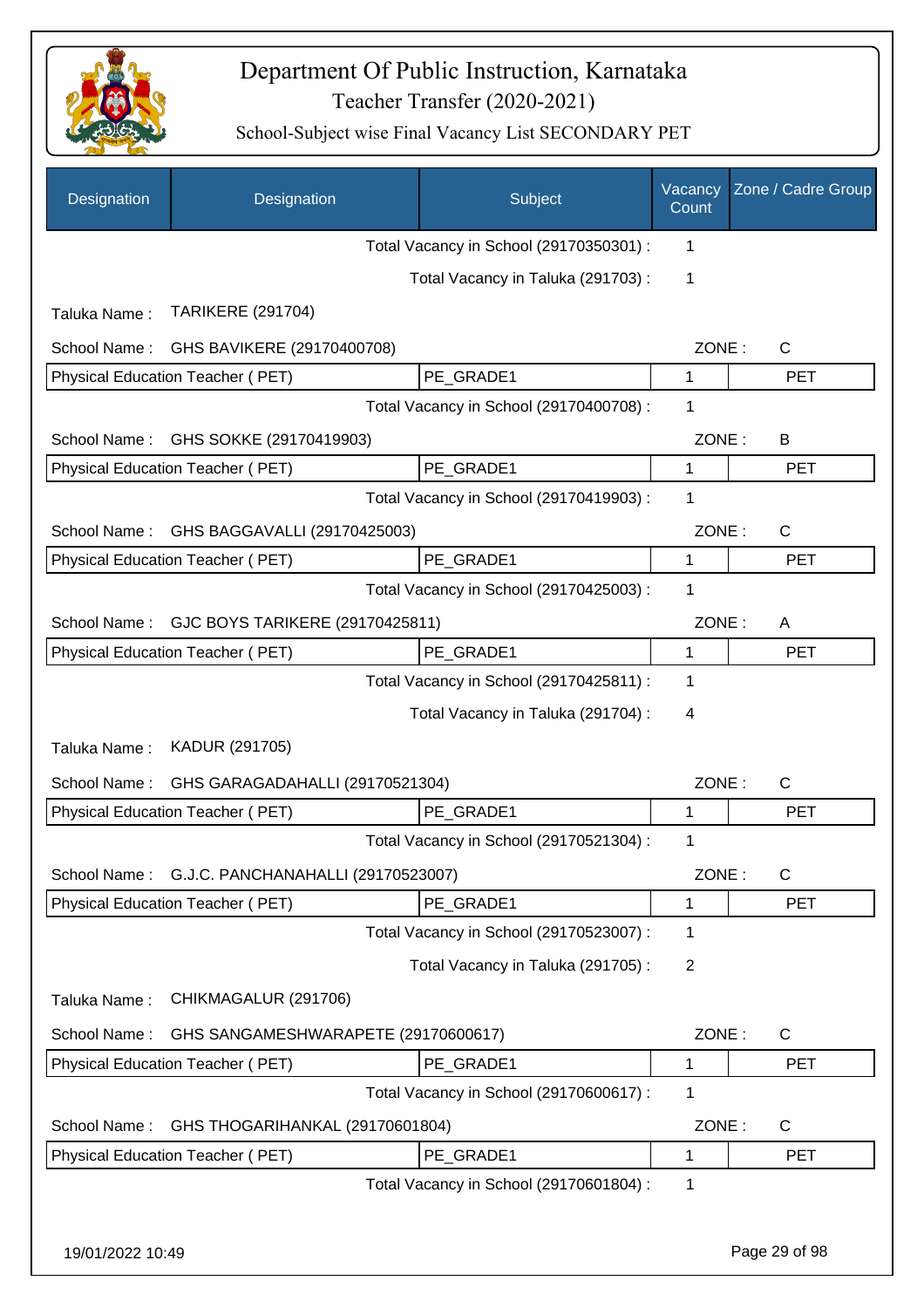

| Designation                                     | Designation                         |  | Subject                                 | Vacancy<br>Count | Zone / Cadre Group |
|-------------------------------------------------|-------------------------------------|--|-----------------------------------------|------------------|--------------------|
|                                                 |                                     |  | Total Vacancy in School (29170350301) : | 1                |                    |
|                                                 |                                     |  | Total Vacancy in Taluka (291703):       | 1                |                    |
| Taluka Name:                                    | <b>TARIKERE (291704)</b>            |  |                                         |                  |                    |
| School Name:                                    | GHS BAVIKERE (29170400708)          |  |                                         | ZONE:            | $\mathsf{C}$       |
|                                                 | Physical Education Teacher (PET)    |  | PE_GRADE1                               | 1                | <b>PET</b>         |
|                                                 |                                     |  | Total Vacancy in School (29170400708) : | 1                |                    |
| School Name:                                    | GHS SOKKE (29170419903)             |  |                                         | ZONE:            | B                  |
|                                                 | Physical Education Teacher (PET)    |  | PE_GRADE1                               | 1                | <b>PET</b>         |
|                                                 |                                     |  | Total Vacancy in School (29170419903) : | 1                |                    |
| GHS BAGGAVALLI (29170425003)<br>School Name:    |                                     |  | ZONE:                                   | $\mathsf{C}$     |                    |
|                                                 | Physical Education Teacher (PET)    |  | PE GRADE1                               | 1                | <b>PET</b>         |
|                                                 |                                     |  | Total Vacancy in School (29170425003) : | 1                |                    |
| GJC BOYS TARIKERE (29170425811)<br>School Name: |                                     |  | ZONE:                                   | A                |                    |
|                                                 | Physical Education Teacher (PET)    |  | PE_GRADE1                               | 1                | <b>PET</b>         |
|                                                 |                                     |  | Total Vacancy in School (29170425811) : | 1                |                    |
|                                                 |                                     |  | Total Vacancy in Taluka (291704) :      | 4                |                    |
| Taluka Name:                                    | KADUR (291705)                      |  |                                         |                  |                    |
| School Name:                                    | GHS GARAGADAHALLI (29170521304)     |  |                                         | ZONE:            | $\mathsf{C}$       |
|                                                 | Physical Education Teacher (PET)    |  | PE GRADE1                               | 1                | <b>PET</b>         |
|                                                 |                                     |  | Total Vacancy in School (29170521304) : | 1                |                    |
| School Name:                                    | G.J.C. PANCHANAHALLI (29170523007)  |  |                                         | ZONE:            | $\mathsf{C}$       |
|                                                 | Physical Education Teacher (PET)    |  | PE_GRADE1                               | 1                | <b>PET</b>         |
|                                                 |                                     |  | Total Vacancy in School (29170523007) : | 1                |                    |
|                                                 |                                     |  | Total Vacancy in Taluka (291705) :      | $\overline{2}$   |                    |
| Taluka Name:                                    | CHIKMAGALUR (291706)                |  |                                         |                  |                    |
| School Name:                                    | GHS SANGAMESHWARAPETE (29170600617) |  |                                         | ZONE:            | $\mathsf{C}$       |
|                                                 | Physical Education Teacher (PET)    |  | PE_GRADE1                               | 1                | <b>PET</b>         |
|                                                 |                                     |  | Total Vacancy in School (29170600617) : | 1                |                    |
| School Name:                                    | GHS THOGARIHANKAL (29170601804)     |  |                                         | ZONE:            | $\mathsf{C}$       |
|                                                 | Physical Education Teacher (PET)    |  | PE_GRADE1                               | 1                | <b>PET</b>         |
|                                                 |                                     |  | Total Vacancy in School (29170601804) : | 1                |                    |
|                                                 |                                     |  |                                         |                  |                    |
| 19/01/2022 10:49                                |                                     |  |                                         |                  | Page 29 of 98      |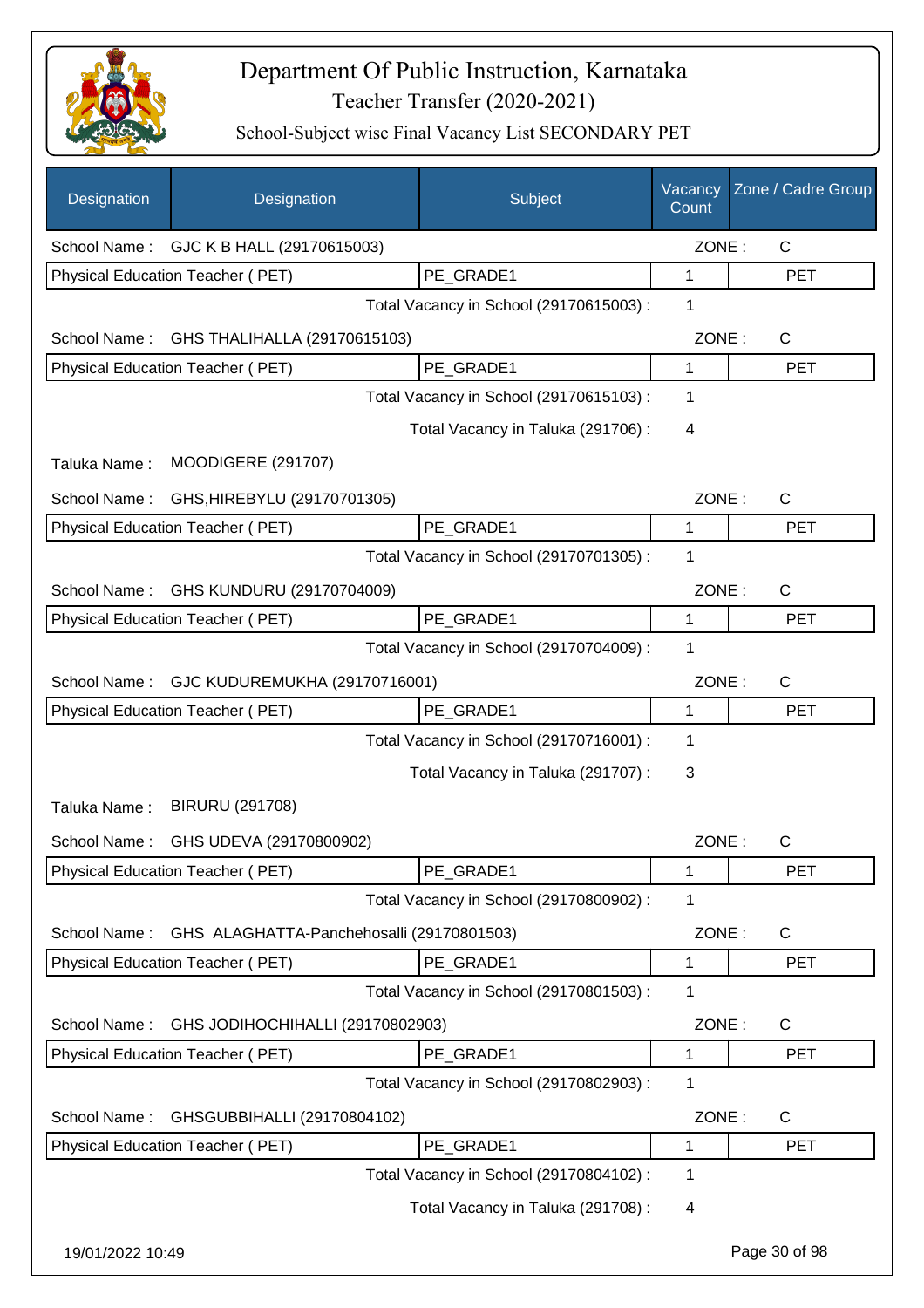

| Designation      | Designation                               | Subject                                 | Vacancy<br>Count | Zone / Cadre Group |
|------------------|-------------------------------------------|-----------------------------------------|------------------|--------------------|
| School Name:     | GJC K B HALL (29170615003)                |                                         | ZONE:            | C                  |
|                  | Physical Education Teacher (PET)          | PE_GRADE1                               | 1                | <b>PET</b>         |
|                  |                                           | Total Vacancy in School (29170615003) : | 1                |                    |
| School Name:     | GHS THALIHALLA (29170615103)              |                                         | ZONE:            | C                  |
|                  | Physical Education Teacher (PET)          | PE_GRADE1                               | 1                | <b>PET</b>         |
|                  |                                           | Total Vacancy in School (29170615103) : | 1                |                    |
|                  |                                           | Total Vacancy in Taluka (291706):       | 4                |                    |
| Taluka Name:     | <b>MOODIGERE (291707)</b>                 |                                         |                  |                    |
| School Name:     | GHS, HIREBYLU (29170701305)               |                                         | ZONE:            | C                  |
|                  | Physical Education Teacher (PET)          | PE_GRADE1                               | 1                | <b>PET</b>         |
|                  |                                           | Total Vacancy in School (29170701305) : | 1                |                    |
| School Name:     | GHS KUNDURU (29170704009)                 |                                         | ZONE:            | C                  |
|                  | Physical Education Teacher (PET)          | PE_GRADE1                               | 1                | <b>PET</b>         |
|                  |                                           | Total Vacancy in School (29170704009) : | 1                |                    |
| School Name:     | GJC KUDUREMUKHA (29170716001)             |                                         | ZONE:            | C                  |
|                  | Physical Education Teacher (PET)          | PE_GRADE1                               | 1                | <b>PET</b>         |
|                  |                                           | Total Vacancy in School (29170716001) : | 1                |                    |
|                  |                                           | Total Vacancy in Taluka (291707) :      | 3                |                    |
| Taluka Name:     | <b>BIRURU (291708)</b>                    |                                         |                  |                    |
| School Name:     | GHS UDEVA (29170800902)                   |                                         | ZONE:            | C                  |
|                  | Physical Education Teacher (PET)          | PE_GRADE1                               | 1                | <b>PET</b>         |
|                  |                                           | Total Vacancy in School (29170800902) : | 1                |                    |
| School Name:     | GHS ALAGHATTA-Panchehosalli (29170801503) |                                         | ZONE:            | C                  |
|                  | Physical Education Teacher (PET)          | PE GRADE1                               | 1                | <b>PET</b>         |
|                  |                                           | Total Vacancy in School (29170801503) : | 1                |                    |
| School Name:     | GHS JODIHOCHIHALLI (29170802903)          |                                         | ZONE:            | $\mathsf{C}$       |
|                  | Physical Education Teacher (PET)          | PE GRADE1                               | 1                | <b>PET</b>         |
|                  |                                           | Total Vacancy in School (29170802903) : | 1                |                    |
| School Name:     | GHSGUBBIHALLI (29170804102)               |                                         | ZONE:            | C                  |
|                  | Physical Education Teacher (PET)          | PE_GRADE1                               | 1                | <b>PET</b>         |
|                  |                                           | Total Vacancy in School (29170804102) : | 1                |                    |
|                  |                                           | Total Vacancy in Taluka (291708) :      | 4                |                    |
| 19/01/2022 10:49 |                                           |                                         |                  | Page 30 of 98      |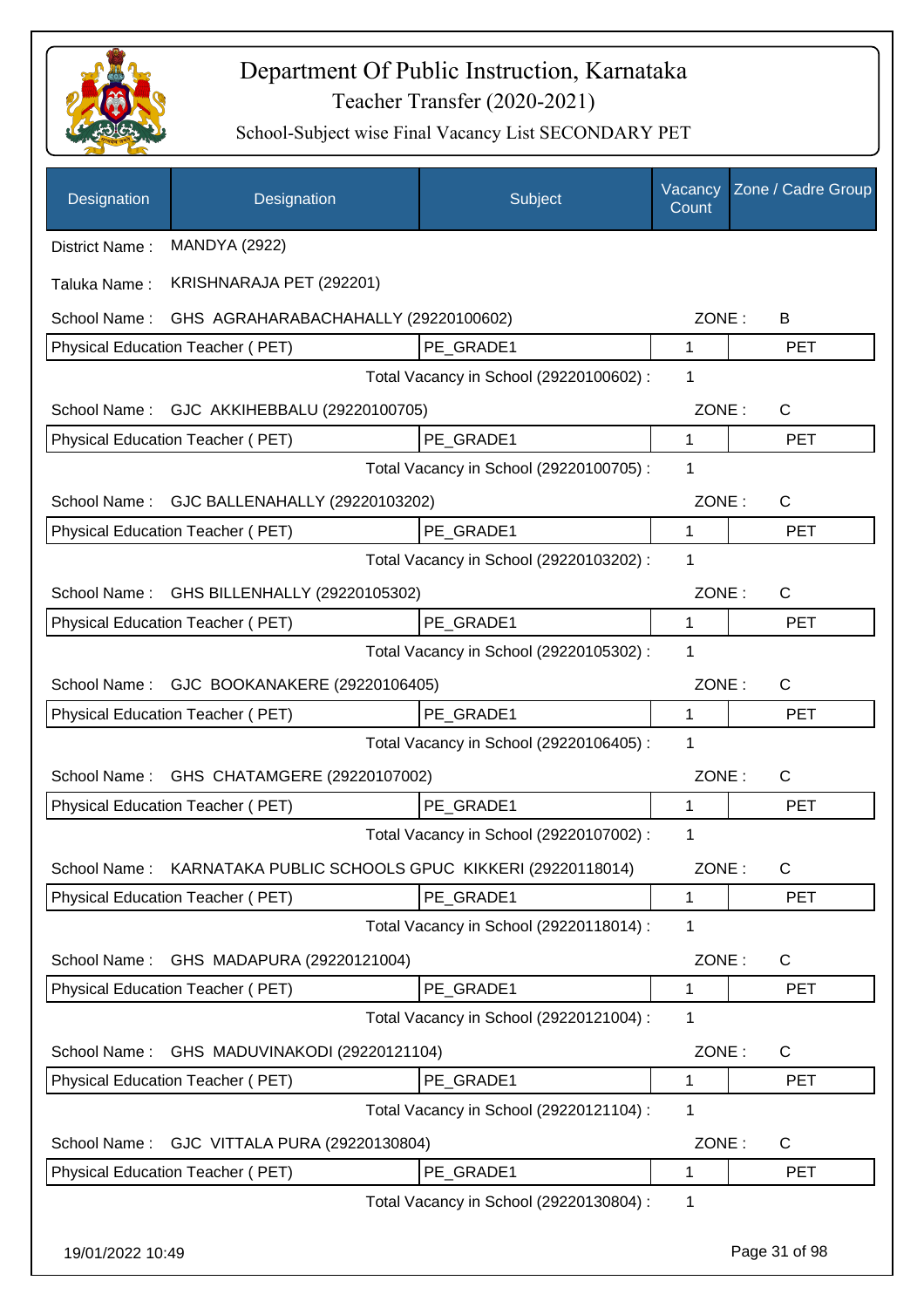

| Designation      | Designation                                                      | Subject                                 | Vacancy<br>Count | Zone / Cadre Group |
|------------------|------------------------------------------------------------------|-----------------------------------------|------------------|--------------------|
| District Name:   | <b>MANDYA (2922)</b>                                             |                                         |                  |                    |
| Taluka Name:     | KRISHNARAJA PET (292201)                                         |                                         |                  |                    |
| School Name:     | GHS AGRAHARABACHAHALLY (29220100602)                             |                                         | ZONE:            | B                  |
|                  | Physical Education Teacher (PET)                                 | PE GRADE1                               | $\mathbf{1}$     | <b>PET</b>         |
|                  |                                                                  | Total Vacancy in School (29220100602) : | 1                |                    |
| School Name:     | GJC AKKIHEBBALU (29220100705)                                    |                                         | ZONE:            | C                  |
|                  | Physical Education Teacher (PET)                                 | PE GRADE1                               | $\mathbf{1}$     | <b>PET</b>         |
|                  |                                                                  | Total Vacancy in School (29220100705) : | 1                |                    |
|                  | School Name: GJC BALLENAHALLY (29220103202)                      |                                         | ZONE:            | $\mathsf{C}$       |
|                  | Physical Education Teacher (PET)                                 | PE_GRADE1                               | 1                | <b>PET</b>         |
|                  |                                                                  | Total Vacancy in School (29220103202) : | 1                |                    |
| School Name:     | GHS BILLENHALLY (29220105302)                                    |                                         | ZONE:            | $\mathsf{C}$       |
|                  | Physical Education Teacher (PET)                                 | PE_GRADE1                               | 1                | <b>PET</b>         |
|                  |                                                                  | Total Vacancy in School (29220105302) : | 1                |                    |
| School Name:     | GJC BOOKANAKERE (29220106405)                                    |                                         | ZONE:            | $\mathsf{C}$       |
|                  | Physical Education Teacher (PET)                                 | PE GRADE1                               | 1                | <b>PET</b>         |
|                  |                                                                  | Total Vacancy in School (29220106405) : | 1                |                    |
|                  | School Name: GHS CHATAMGERE (29220107002)                        |                                         | ZONE:            | C                  |
|                  | Physical Education Teacher (PET)                                 | PE_GRADE1                               | 1                | <b>PET</b>         |
|                  |                                                                  | Total Vacancy in School (29220107002) : | 1                |                    |
|                  | School Name: KARNATAKA PUBLIC SCHOOLS GPUC KIKKERI (29220118014) |                                         | ZONE:            | C                  |
|                  | Physical Education Teacher (PET)                                 | PE_GRADE1                               | 1                | <b>PET</b>         |
|                  |                                                                  | Total Vacancy in School (29220118014) : | 1                |                    |
| School Name:     | GHS MADAPURA (29220121004)                                       |                                         | ZONE:            | C                  |
|                  | <b>Physical Education Teacher (PET)</b>                          | PE_GRADE1                               | 1                | <b>PET</b>         |
|                  |                                                                  | Total Vacancy in School (29220121004) : | 1                |                    |
| School Name:     | GHS MADUVINAKODI (29220121104)                                   |                                         | ZONE:            | C                  |
|                  | Physical Education Teacher (PET)                                 | PE_GRADE1                               | 1                | <b>PET</b>         |
|                  |                                                                  | Total Vacancy in School (29220121104) : | 1                |                    |
| School Name:     | GJC VITTALA PURA (29220130804)                                   |                                         | ZONE:            | C                  |
|                  | Physical Education Teacher (PET)                                 | PE_GRADE1                               | 1                | <b>PET</b>         |
|                  |                                                                  | Total Vacancy in School (29220130804) : | 1                |                    |
| 19/01/2022 10:49 |                                                                  |                                         |                  | Page 31 of 98      |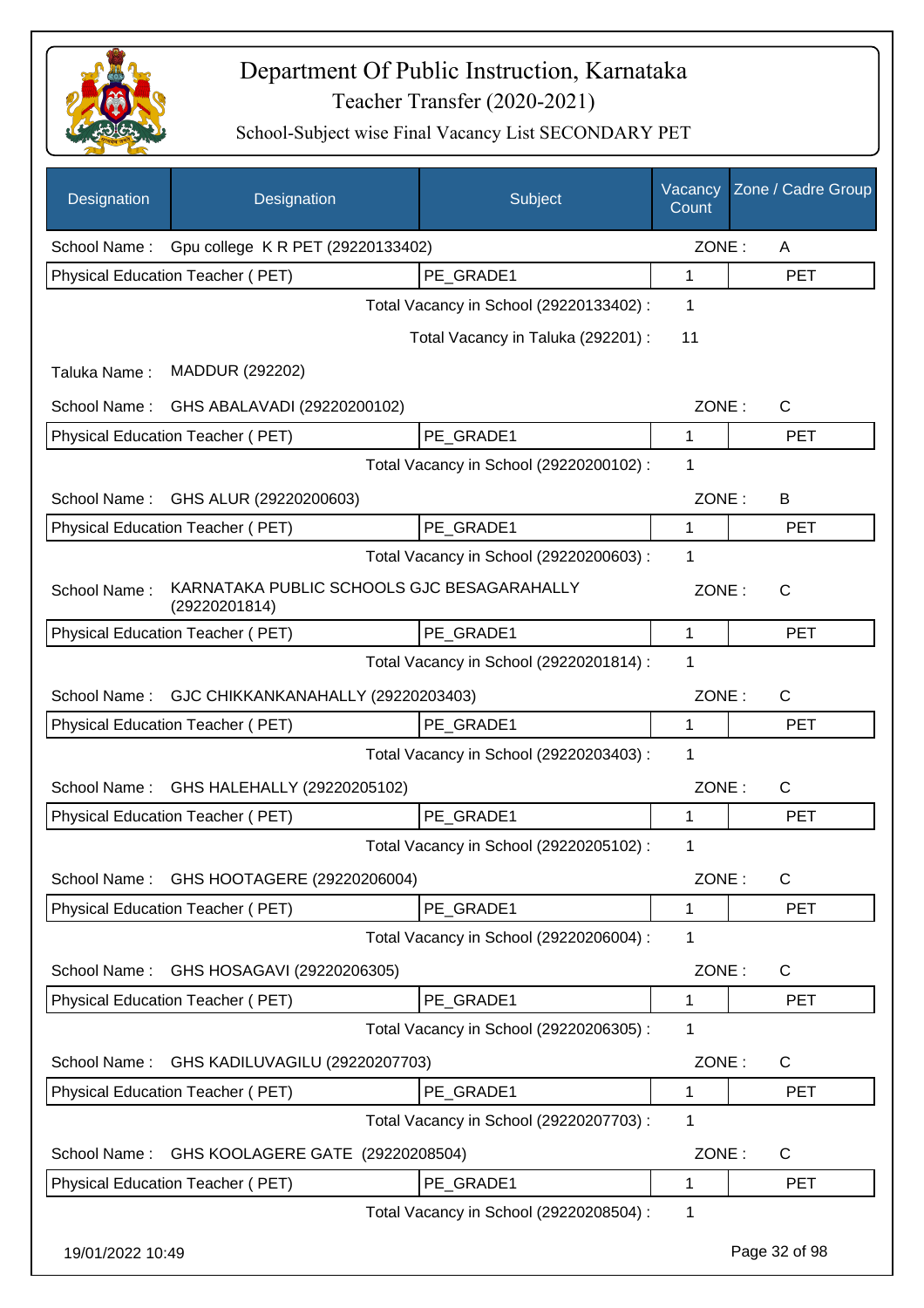

| Designation      | Designation                                                 | Subject                                 | Vacancy<br>Count | Zone / Cadre Group |
|------------------|-------------------------------------------------------------|-----------------------------------------|------------------|--------------------|
| School Name:     | Gpu college K R PET (29220133402)                           |                                         | ZONE:            | A                  |
|                  | Physical Education Teacher (PET)                            | PE GRADE1                               | 1                | <b>PET</b>         |
|                  |                                                             | Total Vacancy in School (29220133402) : | 1                |                    |
|                  |                                                             | Total Vacancy in Taluka (292201) :      | 11               |                    |
| Taluka Name:     | MADDUR (292202)                                             |                                         |                  |                    |
| School Name:     | GHS ABALAVADI (29220200102)                                 |                                         | ZONE:            | C                  |
|                  | Physical Education Teacher (PET)                            | PE_GRADE1                               | 1                | <b>PET</b>         |
|                  |                                                             | Total Vacancy in School (29220200102) : | 1                |                    |
| School Name:     | GHS ALUR (29220200603)                                      |                                         | ZONE:            | B                  |
|                  | Physical Education Teacher (PET)                            | PE_GRADE1                               | 1                | <b>PET</b>         |
|                  |                                                             | Total Vacancy in School (29220200603) : | 1                |                    |
| School Name:     | KARNATAKA PUBLIC SCHOOLS GJC BESAGARAHALLY<br>(29220201814) |                                         | ZONE:            | $\mathsf{C}$       |
|                  | Physical Education Teacher (PET)                            | PE_GRADE1                               | 1                | <b>PET</b>         |
|                  |                                                             | Total Vacancy in School (29220201814) : | 1                |                    |
| School Name:     | GJC CHIKKANKANAHALLY (29220203403)                          |                                         | ZONE:            | C                  |
|                  | Physical Education Teacher (PET)                            | PE_GRADE1                               | 1                | <b>PET</b>         |
|                  |                                                             | Total Vacancy in School (29220203403) : | 1                |                    |
| School Name:     | GHS HALEHALLY (29220205102)                                 |                                         | ZONE:            | C                  |
|                  | Physical Education Teacher (PET)                            | PE_GRADE1                               | 1                | <b>PET</b>         |
|                  |                                                             | Total Vacancy in School (29220205102) : | 1                |                    |
| School Name:     | GHS HOOTAGERE (29220206004)                                 |                                         | ZONE:            | C                  |
|                  | Physical Education Teacher (PET)                            | PE_GRADE1                               | 1                | <b>PET</b>         |
|                  |                                                             | Total Vacancy in School (29220206004) : | 1                |                    |
| School Name:     | GHS HOSAGAVI (29220206305)                                  |                                         | ZONE:            | $\mathsf{C}$       |
|                  | Physical Education Teacher (PET)                            | PE GRADE1                               | 1                | <b>PET</b>         |
|                  |                                                             | Total Vacancy in School (29220206305) : | 1                |                    |
| School Name:     | GHS KADILUVAGILU (29220207703)                              |                                         | ZONE:            | C                  |
|                  | Physical Education Teacher (PET)                            | PE_GRADE1                               | 1                | <b>PET</b>         |
|                  |                                                             | Total Vacancy in School (29220207703) : | 1                |                    |
| School Name:     | GHS KOOLAGERE GATE (29220208504)                            |                                         | ZONE:            | C                  |
|                  | Physical Education Teacher (PET)                            | PE_GRADE1                               | 1                | <b>PET</b>         |
|                  |                                                             | Total Vacancy in School (29220208504) : | 1                |                    |
| 19/01/2022 10:49 |                                                             |                                         |                  | Page 32 of 98      |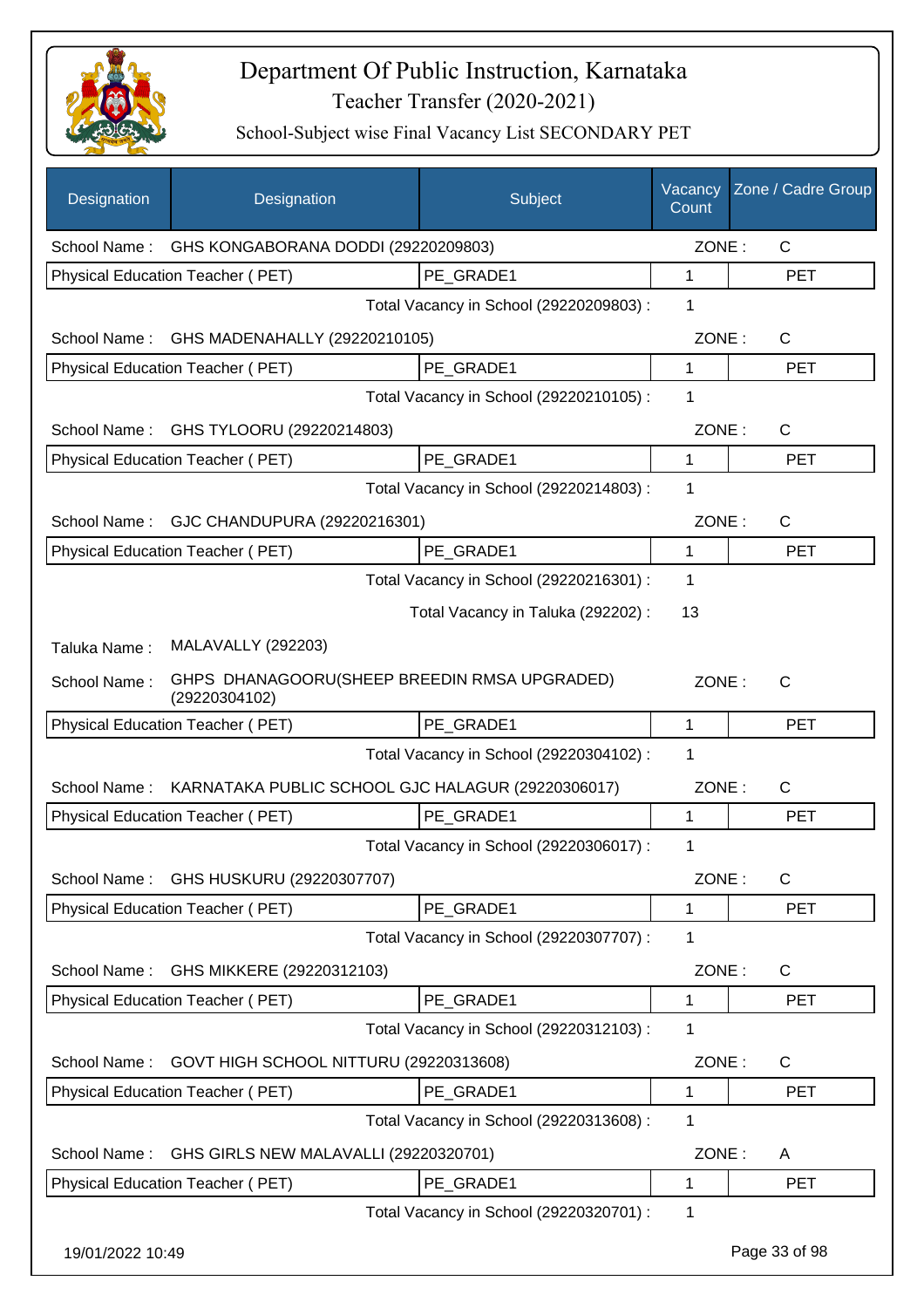

| Designation      | Designation                                                   | Subject                                 | Vacancy<br>Count | Zone / Cadre Group |
|------------------|---------------------------------------------------------------|-----------------------------------------|------------------|--------------------|
|                  | School Name: GHS KONGABORANA DODDI (29220209803)              |                                         | ZONE:            | $\mathsf{C}$       |
|                  | Physical Education Teacher (PET)                              | PE GRADE1                               | $\mathbf{1}$     | <b>PET</b>         |
|                  |                                                               | Total Vacancy in School (29220209803) : | 1                |                    |
| School Name:     | GHS MADENAHALLY (29220210105)                                 |                                         | ZONE:            | $\mathsf{C}$       |
|                  | Physical Education Teacher (PET)                              | PE GRADE1                               | 1                | <b>PET</b>         |
|                  |                                                               | Total Vacancy in School (29220210105) : | 1                |                    |
| School Name:     | GHS TYLOORU (29220214803)                                     |                                         | ZONE:            | C                  |
|                  | Physical Education Teacher (PET)                              | PE_GRADE1                               | 1                | <b>PET</b>         |
|                  |                                                               | Total Vacancy in School (29220214803) : | 1                |                    |
|                  | School Name: GJC CHANDUPURA (29220216301)                     |                                         | ZONE:            | $\mathsf{C}$       |
|                  | Physical Education Teacher (PET)                              | PE_GRADE1                               | 1                | <b>PET</b>         |
|                  |                                                               | Total Vacancy in School (29220216301) : | 1                |                    |
|                  |                                                               | Total Vacancy in Taluka (292202) :      | 13               |                    |
| Taluka Name:     | <b>MALAVALLY (292203)</b>                                     |                                         |                  |                    |
| School Name:     | GHPS DHANAGOORU(SHEEP BREEDIN RMSA UPGRADED)<br>(29220304102) |                                         | ZONE:            | C                  |
|                  | Physical Education Teacher (PET)                              | PE GRADE1                               | 1                | <b>PET</b>         |
|                  |                                                               | Total Vacancy in School (29220304102) : | 1                |                    |
| School Name:     | KARNATAKA PUBLIC SCHOOL GJC HALAGUR (29220306017)             |                                         | ZONE:            | C                  |
|                  | Physical Education Teacher (PET)                              | PE GRADE1                               | $\mathbf{1}$     | <b>PET</b>         |
|                  |                                                               | Total Vacancy in School (29220306017) : | 1                |                    |
| School Name:     | GHS HUSKURU (29220307707)                                     |                                         | ZONE:            | C                  |
|                  | Physical Education Teacher (PET)                              | PE GRADE1                               | 1                | <b>PET</b>         |
|                  |                                                               | Total Vacancy in School (29220307707) : | 1                |                    |
| School Name:     | GHS MIKKERE (29220312103)                                     |                                         | ZONE:            | C                  |
|                  | Physical Education Teacher (PET)                              | PE GRADE1                               | 1                | <b>PET</b>         |
|                  |                                                               | Total Vacancy in School (29220312103) : | 1                |                    |
| School Name:     | GOVT HIGH SCHOOL NITTURU (29220313608)                        |                                         | ZONE:            | C                  |
|                  | Physical Education Teacher (PET)                              | PE_GRADE1                               | 1                | <b>PET</b>         |
|                  |                                                               | Total Vacancy in School (29220313608) : | 1                |                    |
| School Name:     | GHS GIRLS NEW MALAVALLI (29220320701)                         |                                         | ZONE:            | A                  |
|                  | Physical Education Teacher (PET)                              | PE_GRADE1                               | 1                | <b>PET</b>         |
|                  |                                                               | Total Vacancy in School (29220320701) : | 1                |                    |
| 19/01/2022 10:49 |                                                               |                                         |                  | Page 33 of 98      |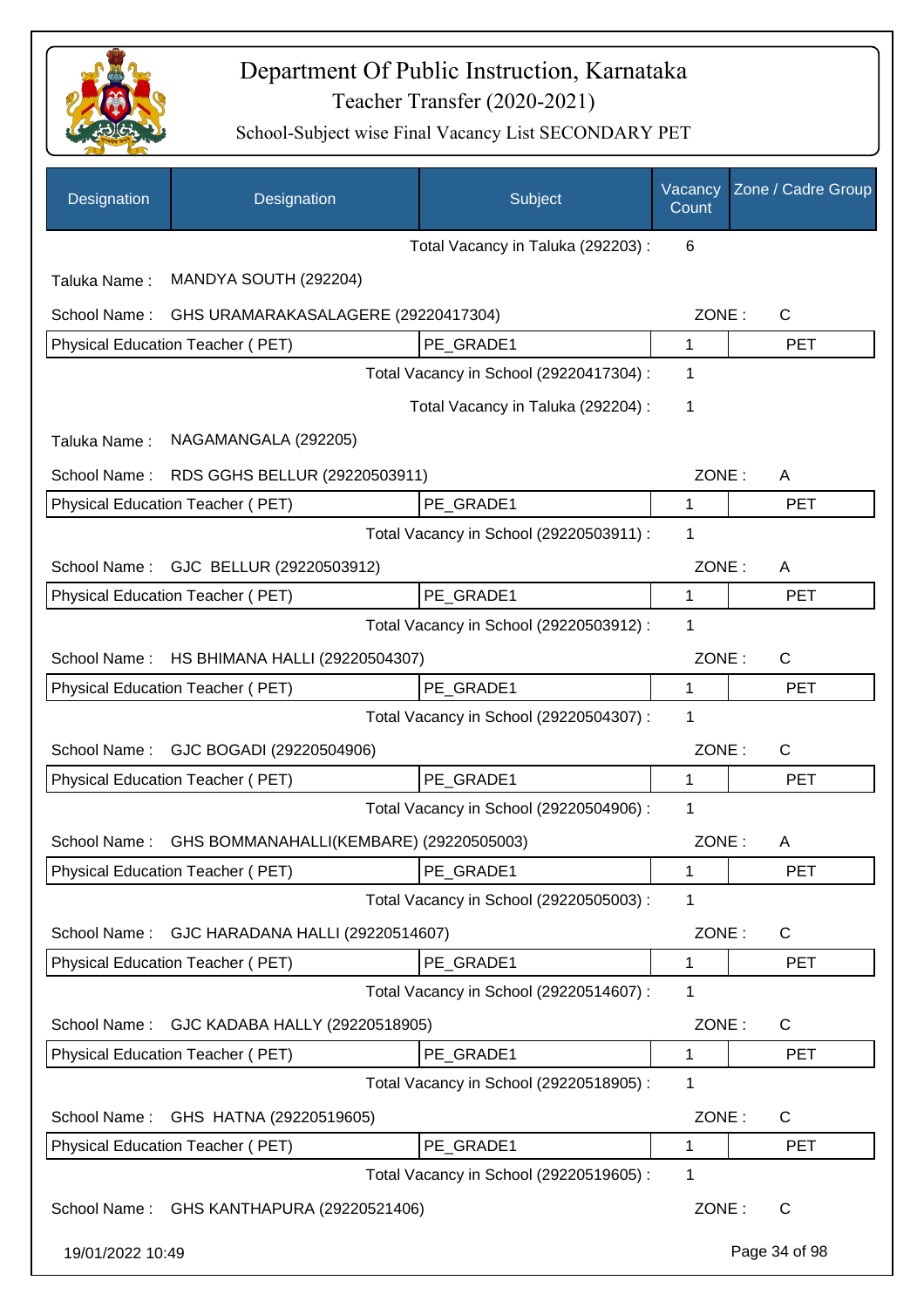

| Designation      | Designation                               | Subject                                 | Vacancy<br>Count | Zone / Cadre Group |
|------------------|-------------------------------------------|-----------------------------------------|------------------|--------------------|
|                  |                                           | Total Vacancy in Taluka (292203) :      | 6                |                    |
| Taluka Name:     | MANDYA SOUTH (292204)                     |                                         |                  |                    |
| School Name:     | GHS URAMARAKASALAGERE (29220417304)       |                                         | ZONE:            | C                  |
|                  | Physical Education Teacher (PET)          | PE_GRADE1                               | 1                | <b>PET</b>         |
|                  |                                           | Total Vacancy in School (29220417304) : | 1                |                    |
|                  |                                           | Total Vacancy in Taluka (292204) :      | 1                |                    |
| Taluka Name:     | NAGAMANGALA (292205)                      |                                         |                  |                    |
| School Name:     | RDS GGHS BELLUR (29220503911)             |                                         | ZONE:            | A                  |
|                  | <b>Physical Education Teacher (PET)</b>   | PE_GRADE1                               | 1                | <b>PET</b>         |
|                  |                                           | Total Vacancy in School (29220503911) : | 1                |                    |
| School Name:     | GJC BELLUR (29220503912)                  |                                         | ZONE:            | A                  |
|                  | Physical Education Teacher (PET)          | PE_GRADE1                               | 1                | <b>PET</b>         |
|                  |                                           | Total Vacancy in School (29220503912) : | 1                |                    |
| School Name:     | HS BHIMANA HALLI (29220504307)            |                                         | ZONE:            | C                  |
|                  | Physical Education Teacher (PET)          | PE GRADE1                               | 1                | <b>PET</b>         |
|                  |                                           | Total Vacancy in School (29220504307) : | 1                |                    |
| School Name:     | GJC BOGADI (29220504906)                  |                                         | ZONE:            | C                  |
|                  | Physical Education Teacher (PET)          | PE_GRADE1                               | 1                | <b>PET</b>         |
|                  |                                           | Total Vacancy in School (29220504906) : | 1                |                    |
| School Name:     | GHS BOMMANAHALLI(KEMBARE) (29220505003)   |                                         | ZONE:            | Α                  |
|                  | Physical Education Teacher (PET)          | PE_GRADE1                               | 1                | PET                |
|                  |                                           | Total Vacancy in School (29220505003) : | 1                |                    |
| School Name:     | GJC HARADANA HALLI (29220514607)          |                                         | ZONE:            | C                  |
|                  | Physical Education Teacher (PET)          | PE GRADE1                               | 1                | <b>PET</b>         |
|                  |                                           | Total Vacancy in School (29220514607) : | 1                |                    |
| School Name:     | GJC KADABA HALLY (29220518905)            |                                         | ZONE:            | C                  |
|                  | Physical Education Teacher (PET)          | PE_GRADE1                               | 1                | PET                |
|                  |                                           | Total Vacancy in School (29220518905) : | 1                |                    |
| School Name:     | GHS HATNA (29220519605)                   |                                         | ZONE:            | $\mathsf{C}$       |
|                  | Physical Education Teacher (PET)          | PE_GRADE1                               | 1                | <b>PET</b>         |
|                  |                                           | Total Vacancy in School (29220519605) : | 1                |                    |
|                  | School Name: GHS KANTHAPURA (29220521406) |                                         | ZONE:            | $\mathsf{C}$       |
| 19/01/2022 10:49 |                                           |                                         |                  | Page 34 of 98      |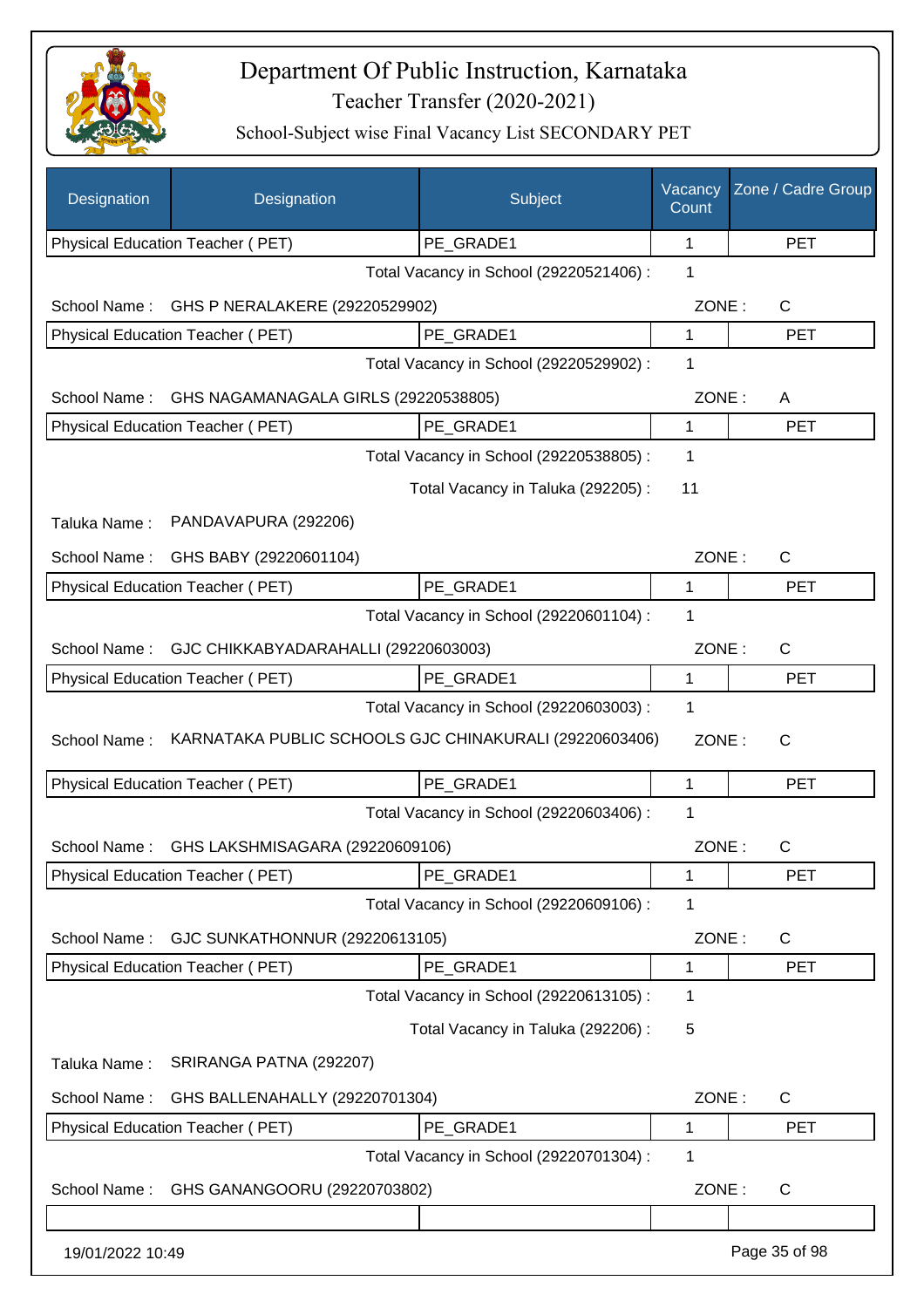

| Designation      | Designation                                            | Subject                                 | Vacancy<br>Count | Zone / Cadre Group |
|------------------|--------------------------------------------------------|-----------------------------------------|------------------|--------------------|
|                  | Physical Education Teacher (PET)                       | PE_GRADE1                               | 1                | <b>PET</b>         |
|                  |                                                        | Total Vacancy in School (29220521406) : | 1                |                    |
| School Name:     | GHS P NERALAKERE (29220529902)                         |                                         | ZONE:            | $\mathsf{C}$       |
|                  | Physical Education Teacher (PET)                       | PE GRADE1                               | 1                | <b>PET</b>         |
|                  |                                                        | Total Vacancy in School (29220529902) : | 1                |                    |
| School Name:     | GHS NAGAMANAGALA GIRLS (29220538805)                   |                                         | ZONE:            | A                  |
|                  | Physical Education Teacher (PET)                       | PE GRADE1                               | 1                | <b>PET</b>         |
|                  |                                                        | Total Vacancy in School (29220538805) : | 1                |                    |
|                  |                                                        | Total Vacancy in Taluka (292205) :      | 11               |                    |
| Taluka Name:     | PANDAVAPURA (292206)                                   |                                         |                  |                    |
| School Name:     | GHS BABY (29220601104)                                 |                                         | ZONE:            | C                  |
|                  | <b>Physical Education Teacher (PET)</b>                | PE_GRADE1                               | 1                | <b>PET</b>         |
|                  |                                                        | Total Vacancy in School (29220601104) : | 1                |                    |
| School Name:     | GJC CHIKKABYADARAHALLI (29220603003)                   |                                         | ZONE:            | $\mathsf{C}$       |
|                  | Physical Education Teacher (PET)                       | PE_GRADE1                               | 1                | <b>PET</b>         |
|                  |                                                        | Total Vacancy in School (29220603003) : | 1                |                    |
| School Name:     | KARNATAKA PUBLIC SCHOOLS GJC CHINAKURALI (29220603406) |                                         | ZONE:            | $\mathsf{C}$       |
|                  | Physical Education Teacher (PET)                       | PE GRADE1                               | 1                | <b>PET</b>         |
|                  |                                                        | Total Vacancy in School (29220603406) : | 1                |                    |
| School Name:     | GHS LAKSHMISAGARA (29220609106)                        |                                         | ZONE:            | C                  |
|                  | <b>Physical Education Teacher (PET)</b>                | PE_GRADE1                               | 1                | <b>PET</b>         |
|                  |                                                        | Total Vacancy in School (29220609106) : | 1                |                    |
| School Name:     | GJC SUNKATHONNUR (29220613105)                         |                                         | ZONE:            | C                  |
|                  | Physical Education Teacher (PET)                       | PE_GRADE1                               | 1                | <b>PET</b>         |
|                  |                                                        | Total Vacancy in School (29220613105) : | 1                |                    |
|                  |                                                        | Total Vacancy in Taluka (292206) :      | 5                |                    |
| Taluka Name:     | SRIRANGA PATNA (292207)                                |                                         |                  |                    |
| School Name:     | GHS BALLENAHALLY (29220701304)                         |                                         | ZONE:            | C                  |
|                  | Physical Education Teacher (PET)                       | PE_GRADE1                               | 1                | <b>PET</b>         |
|                  |                                                        | Total Vacancy in School (29220701304) : | 1                |                    |
| School Name:     | GHS GANANGOORU (29220703802)                           |                                         | ZONE:            | C                  |
|                  |                                                        |                                         |                  |                    |
| 19/01/2022 10:49 |                                                        |                                         |                  | Page 35 of 98      |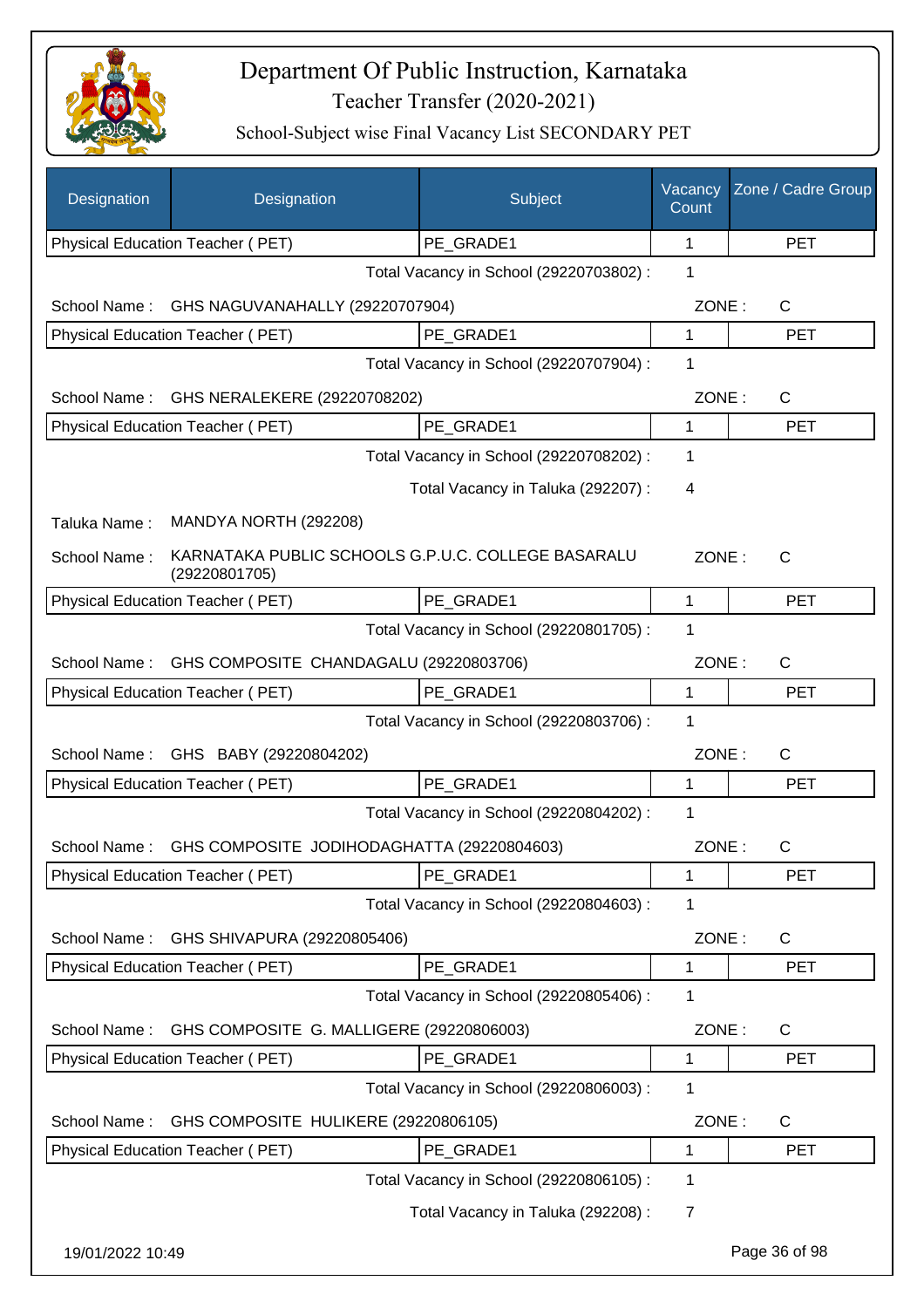

| Designation      | Designation                                                         | Subject                                 | Vacancy<br>Count | Zone / Cadre Group |
|------------------|---------------------------------------------------------------------|-----------------------------------------|------------------|--------------------|
|                  | Physical Education Teacher (PET)                                    | PE_GRADE1                               | 1                | <b>PET</b>         |
|                  |                                                                     | Total Vacancy in School (29220703802) : | 1                |                    |
| School Name:     | GHS NAGUVANAHALLY (29220707904)                                     |                                         | ZONE:            | $\mathsf{C}$       |
|                  | Physical Education Teacher (PET)                                    | PE GRADE1                               | 1                | <b>PET</b>         |
|                  |                                                                     | Total Vacancy in School (29220707904) : | 1                |                    |
| School Name:     | GHS NERALEKERE (29220708202)                                        |                                         | ZONE:            | $\mathsf{C}$       |
|                  | Physical Education Teacher (PET)                                    | PE GRADE1                               | 1                | <b>PET</b>         |
|                  | Total Vacancy in School (29220708202) :                             |                                         |                  |                    |
|                  |                                                                     | Total Vacancy in Taluka (292207) :      | 4                |                    |
| Taluka Name:     | MANDYA NORTH (292208)                                               |                                         |                  |                    |
| School Name:     | KARNATAKA PUBLIC SCHOOLS G.P.U.C. COLLEGE BASARALU<br>(29220801705) |                                         | ZONE:            | $\mathsf{C}$       |
|                  | <b>Physical Education Teacher (PET)</b>                             | PE GRADE1                               | 1                | <b>PET</b>         |
|                  |                                                                     | Total Vacancy in School (29220801705) : | 1                |                    |
| School Name:     | GHS COMPOSITE CHANDAGALU (29220803706)                              |                                         | ZONE:            | $\mathsf{C}$       |
|                  | Physical Education Teacher (PET)                                    | PE GRADE1                               | 1                | <b>PET</b>         |
|                  |                                                                     | Total Vacancy in School (29220803706) : | 1                |                    |
| School Name:     | GHS BABY (29220804202)                                              |                                         | ZONE:            | C                  |
|                  | Physical Education Teacher (PET)                                    | PE_GRADE1                               | 1                | <b>PET</b>         |
|                  |                                                                     | Total Vacancy in School (29220804202) : | 1                |                    |
| School Name:     | GHS COMPOSITE JODIHODAGHATTA (29220804603)                          |                                         | ZONE:            | С                  |
|                  | Physical Education Teacher (PET)                                    | PE_GRADE1                               | 1                | PET                |
|                  |                                                                     | Total Vacancy in School (29220804603) : | 1                |                    |
| School Name:     | GHS SHIVAPURA (29220805406)                                         |                                         | ZONE:            | C                  |
|                  | Physical Education Teacher (PET)                                    | PE_GRADE1                               | 1                | <b>PET</b>         |
|                  |                                                                     | Total Vacancy in School (29220805406) : | 1                |                    |
| School Name:     | GHS COMPOSITE G. MALLIGERE (29220806003)                            |                                         | ZONE:            | C                  |
|                  | Physical Education Teacher (PET)                                    | PE_GRADE1                               | 1                | <b>PET</b>         |
|                  |                                                                     | Total Vacancy in School (29220806003) : | 1                |                    |
| School Name:     | GHS COMPOSITE HULIKERE (29220806105)                                |                                         | ZONE:            | C                  |
|                  | Physical Education Teacher (PET)                                    | PE_GRADE1                               | 1                | <b>PET</b>         |
|                  |                                                                     | Total Vacancy in School (29220806105) : | 1                |                    |
|                  |                                                                     | Total Vacancy in Taluka (292208) :      | 7                |                    |
| 19/01/2022 10:49 |                                                                     |                                         |                  | Page 36 of 98      |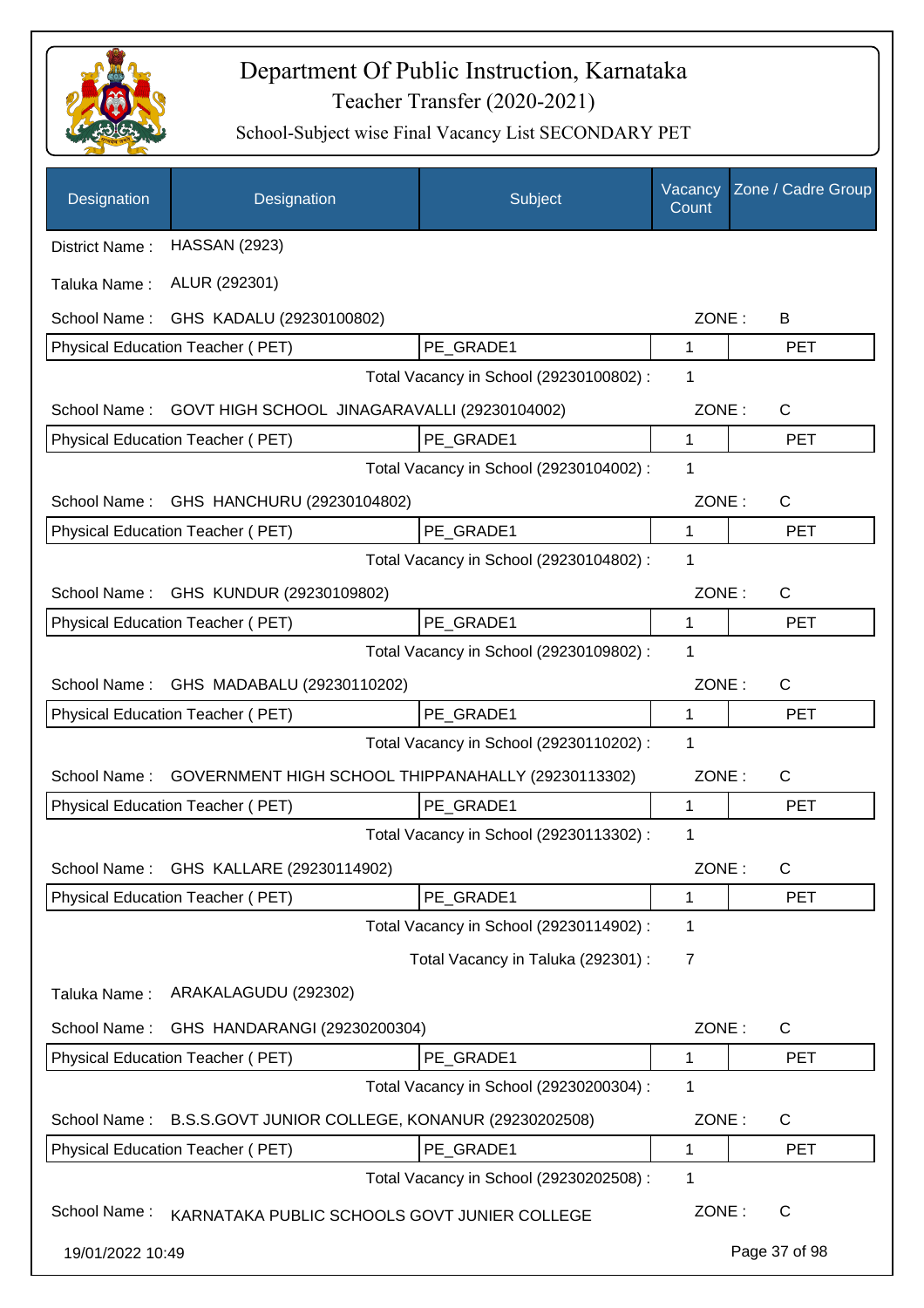

| Designation                      | Designation                                        | Subject                                 | Vacancy<br>Count | Zone / Cadre Group |
|----------------------------------|----------------------------------------------------|-----------------------------------------|------------------|--------------------|
| District Name:                   | <b>HASSAN (2923)</b>                               |                                         |                  |                    |
| Taluka Name:                     | ALUR (292301)                                      |                                         |                  |                    |
| School Name:                     | GHS KADALU (29230100802)                           |                                         | ZONE:            | В                  |
| Physical Education Teacher (PET) |                                                    | PE GRADE1                               | 1                | <b>PET</b>         |
|                                  |                                                    | Total Vacancy in School (29230100802) : | 1                |                    |
| School Name:                     | GOVT HIGH SCHOOL JINAGARAVALLI (29230104002)       |                                         | ZONE:            | C                  |
| Physical Education Teacher (PET) |                                                    | PE GRADE1                               | 1                | <b>PET</b>         |
|                                  |                                                    | Total Vacancy in School (29230104002) : | 1                |                    |
|                                  | School Name: GHS HANCHURU (29230104802)            |                                         | ZONE:            | C                  |
| Physical Education Teacher (PET) |                                                    | PE GRADE1                               | 1                | <b>PET</b>         |
|                                  |                                                    | Total Vacancy in School (29230104802) : | 1                |                    |
|                                  | School Name: GHS KUNDUR (29230109802)              |                                         | ZONE:            | $\mathsf{C}$       |
| Physical Education Teacher (PET) |                                                    | PE GRADE1                               | 1                | <b>PET</b>         |
|                                  |                                                    | Total Vacancy in School (29230109802) : | 1                |                    |
| School Name:                     | GHS MADABALU (29230110202)                         |                                         | ZONE:            | C                  |
| Physical Education Teacher (PET) |                                                    | PE GRADE1                               | 1                | <b>PET</b>         |
|                                  |                                                    | Total Vacancy in School (29230110202) : | 1                |                    |
| School Name:                     | GOVERNMENT HIGH SCHOOL THIPPANAHALLY (29230113302) |                                         | ZONE:            | C                  |
| Physical Education Teacher (PET) |                                                    | PE GRADE1                               | 1                | <b>PET</b>         |
|                                  |                                                    | Total Vacancy in School (29230113302) : | 1                |                    |
| School Name:                     | GHS KALLARE (29230114902)                          |                                         | ZONE:            | C                  |
| Physical Education Teacher (PET) |                                                    | PE_GRADE1                               | 1                | <b>PET</b>         |
|                                  |                                                    | Total Vacancy in School (29230114902) : | 1                |                    |
|                                  |                                                    | Total Vacancy in Taluka (292301) :      | 7                |                    |
| Taluka Name:                     | ARAKALAGUDU (292302)                               |                                         |                  |                    |
| School Name:                     | GHS HANDARANGI (29230200304)                       |                                         | ZONE:            | C                  |
| Physical Education Teacher (PET) |                                                    | PE_GRADE1                               | 1                | <b>PET</b>         |
|                                  |                                                    | Total Vacancy in School (29230200304) : | 1                |                    |
| School Name:                     | B.S.S.GOVT JUNIOR COLLEGE, KONANUR (29230202508)   |                                         | ZONE:            | C                  |
| Physical Education Teacher (PET) |                                                    | PE_GRADE1                               | 1                | <b>PET</b>         |
|                                  |                                                    | Total Vacancy in School (29230202508) : | 1                |                    |
| School Name:                     | KARNATAKA PUBLIC SCHOOLS GOVT JUNIER COLLEGE       |                                         | ZONE:            | C                  |
| 19/01/2022 10:49                 |                                                    |                                         |                  | Page 37 of 98      |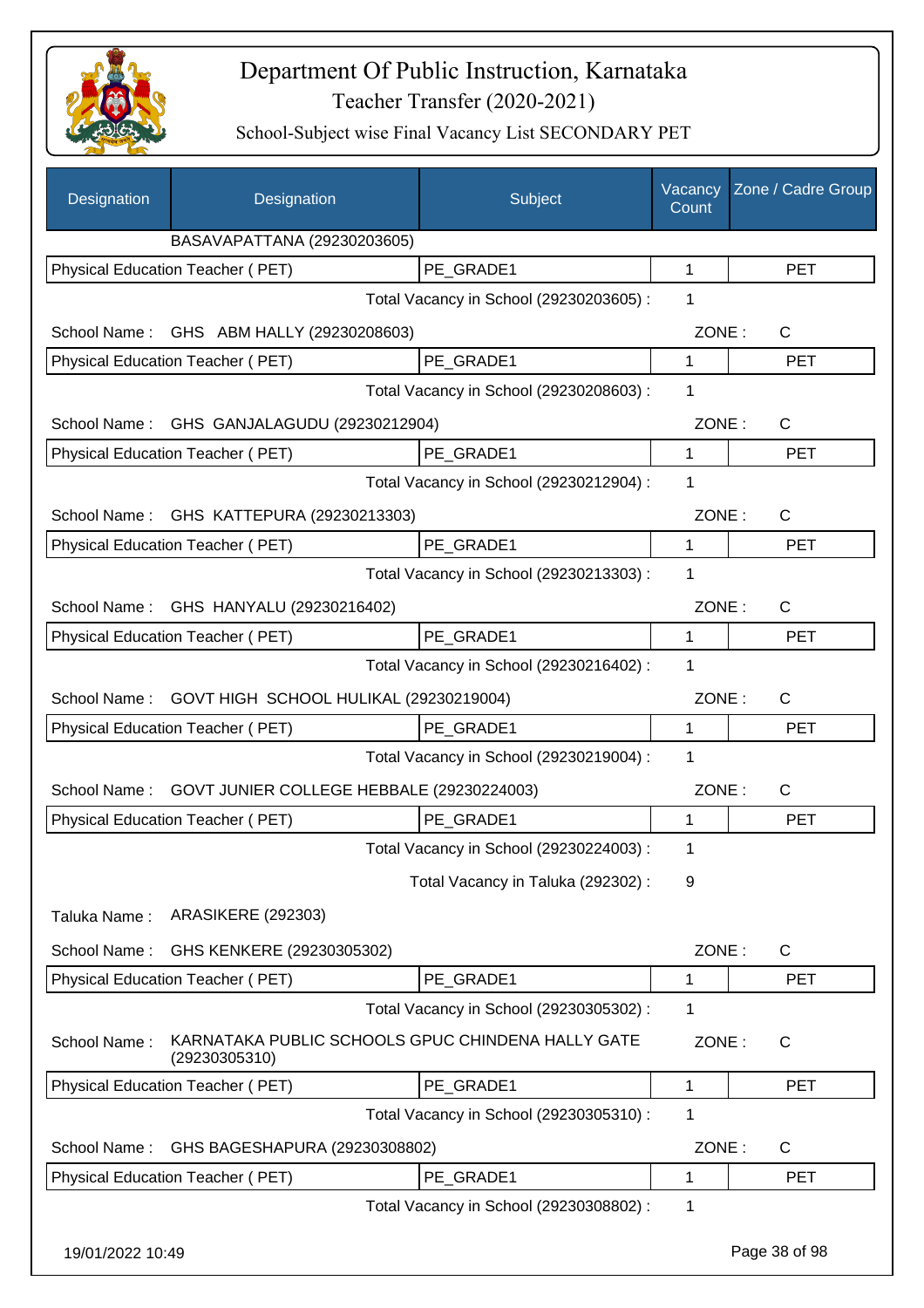

| Designation      | Designation                                                        | Subject                                 | Vacancy<br>Count | Zone / Cadre Group |
|------------------|--------------------------------------------------------------------|-----------------------------------------|------------------|--------------------|
|                  | BASAVAPATTANA (29230203605)                                        |                                         |                  |                    |
|                  | Physical Education Teacher (PET)                                   | PE_GRADE1                               | 1                | <b>PET</b>         |
|                  |                                                                    | Total Vacancy in School (29230203605) : | 1                |                    |
|                  | School Name: GHS ABM HALLY (29230208603)                           |                                         | ZONE:            | C                  |
|                  | Physical Education Teacher (PET)                                   | PE_GRADE1                               | 1                | <b>PET</b>         |
|                  |                                                                    | Total Vacancy in School (29230208603) : | $\mathbf 1$      |                    |
|                  | School Name: GHS GANJALAGUDU (29230212904)                         |                                         | ZONE:            | C                  |
|                  | Physical Education Teacher (PET)                                   | PE_GRADE1                               | 1                | <b>PET</b>         |
|                  |                                                                    | Total Vacancy in School (29230212904) : | 1                |                    |
|                  | School Name: GHS KATTEPURA (29230213303)                           |                                         | ZONE:            | $\mathsf{C}$       |
|                  | Physical Education Teacher (PET)                                   | PE_GRADE1                               | 1                | <b>PET</b>         |
|                  |                                                                    | Total Vacancy in School (29230213303) : | 1                |                    |
|                  | School Name: GHS HANYALU (29230216402)                             |                                         | ZONE:            | C                  |
|                  | Physical Education Teacher (PET)                                   | PE GRADE1                               | $\mathbf 1$      | <b>PET</b>         |
|                  |                                                                    | Total Vacancy in School (29230216402) : | 1                |                    |
| School Name:     | GOVT HIGH SCHOOL HULIKAL (29230219004)                             |                                         | ZONE:            | C                  |
|                  | Physical Education Teacher (PET)                                   | PE GRADE1                               | 1                | <b>PET</b>         |
|                  |                                                                    | Total Vacancy in School (29230219004) : | 1                |                    |
| School Name:     | GOVT JUNIER COLLEGE HEBBALE (29230224003)                          |                                         | ZONE:            | C                  |
|                  | <b>Physical Education Teacher (PET)</b>                            | PE_GRADE1                               | 1                | <b>PET</b>         |
|                  |                                                                    | Total Vacancy in School (29230224003) : | 1                |                    |
|                  |                                                                    | Total Vacancy in Taluka (292302) :      | 9                |                    |
| Taluka Name:     | <b>ARASIKERE (292303)</b>                                          |                                         |                  |                    |
| School Name:     | GHS KENKERE (29230305302)                                          |                                         | ZONE:            | C                  |
|                  | Physical Education Teacher (PET)                                   | PE_GRADE1                               | 1                | <b>PET</b>         |
|                  |                                                                    | Total Vacancy in School (29230305302) : | 1                |                    |
| School Name:     | KARNATAKA PUBLIC SCHOOLS GPUC CHINDENA HALLY GATE<br>(29230305310) |                                         | ZONE:            | C                  |
|                  | Physical Education Teacher (PET)                                   | PE GRADE1                               | 1                | <b>PET</b>         |
|                  |                                                                    | Total Vacancy in School (29230305310) : | 1                |                    |
| School Name:     | GHS BAGESHAPURA (29230308802)                                      |                                         | ZONE:            | C                  |
|                  | Physical Education Teacher (PET)                                   | PE_GRADE1                               | 1                | <b>PET</b>         |
|                  |                                                                    | Total Vacancy in School (29230308802) : | 1                |                    |
| 19/01/2022 10:49 |                                                                    |                                         |                  | Page 38 of 98      |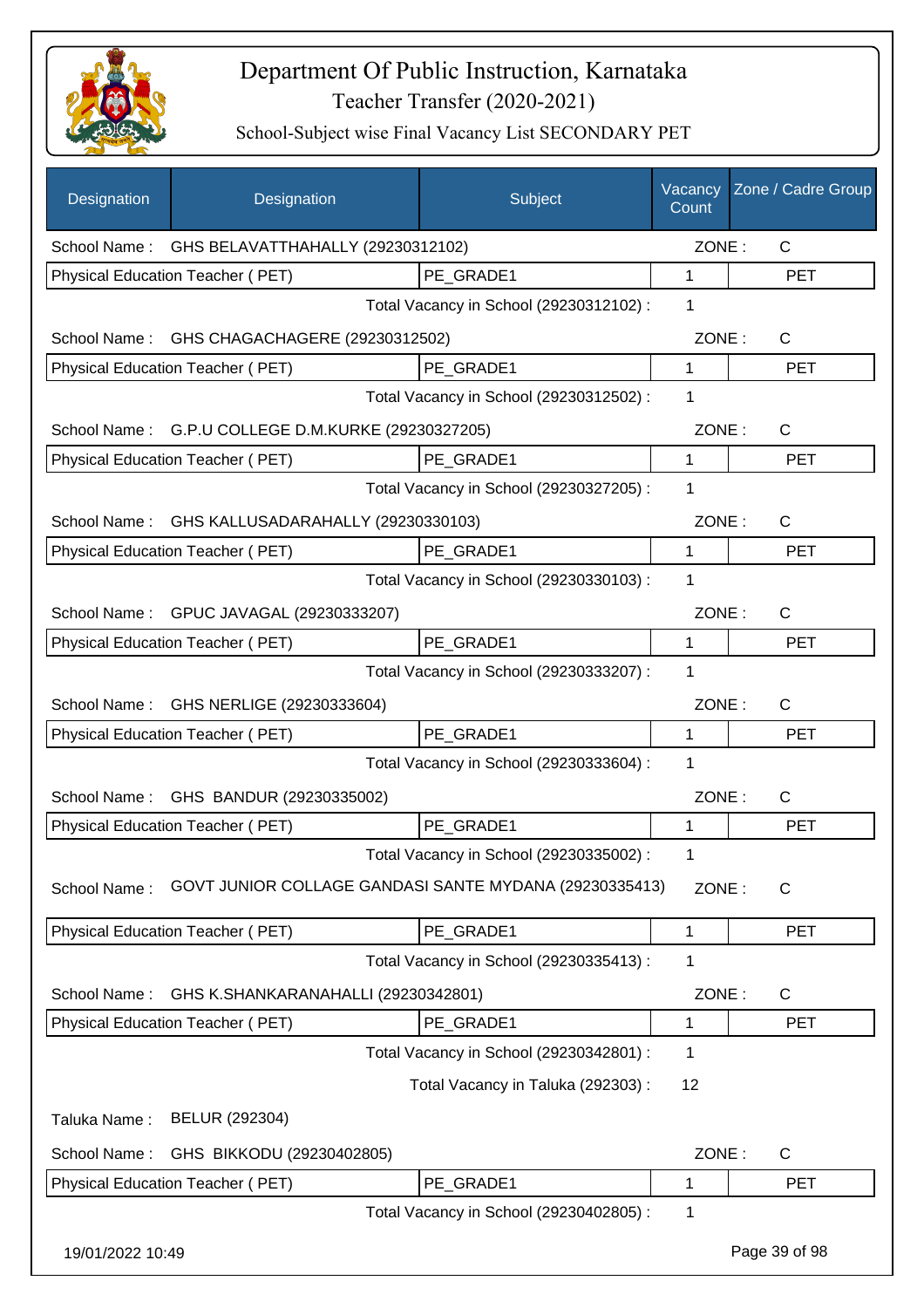

| Designation      | Designation                                            | Subject                                 | Vacancy<br>Count | Zone / Cadre Group |
|------------------|--------------------------------------------------------|-----------------------------------------|------------------|--------------------|
|                  | School Name: GHS BELAVATTHAHALLY (29230312102)         |                                         | ZONE:            | C                  |
|                  | Physical Education Teacher (PET)                       | PE GRADE1                               | 1                | <b>PET</b>         |
|                  |                                                        | Total Vacancy in School (29230312102) : | 1                |                    |
| School Name:     | GHS CHAGACHAGERE (29230312502)                         |                                         | ZONE:            | $\mathsf{C}$       |
|                  | Physical Education Teacher (PET)                       | PE GRADE1                               | $\mathbf{1}$     | <b>PET</b>         |
|                  |                                                        | Total Vacancy in School (29230312502) : | 1                |                    |
|                  | School Name: G.P.U COLLEGE D.M.KURKE (29230327205)     |                                         | ZONE:            | $\mathsf{C}$       |
|                  | Physical Education Teacher (PET)                       | PE GRADE1                               | 1                | <b>PET</b>         |
|                  |                                                        | Total Vacancy in School (29230327205) : | 1                |                    |
| School Name:     | GHS KALLUSADARAHALLY (29230330103)                     |                                         | ZONE:            | C                  |
|                  | <b>Physical Education Teacher (PET)</b>                | PE GRADE1                               | $\mathbf{1}$     | <b>PET</b>         |
|                  |                                                        | Total Vacancy in School (29230330103) : | 1                |                    |
|                  | School Name: GPUC JAVAGAL (29230333207)                |                                         | ZONE:            | $\mathsf{C}$       |
|                  | Physical Education Teacher (PET)                       | PE_GRADE1                               | 1                | <b>PET</b>         |
|                  |                                                        | Total Vacancy in School (29230333207) : | 1                |                    |
| School Name:     | GHS NERLIGE (29230333604)                              |                                         | ZONE:            | $\mathsf{C}$       |
|                  | Physical Education Teacher (PET)                       | PE_GRADE1                               | 1                | <b>PET</b>         |
|                  |                                                        | Total Vacancy in School (29230333604) : | 1                |                    |
|                  | School Name: GHS BANDUR (29230335002)                  |                                         | ZONE:            | $\mathsf{C}$       |
|                  | Physical Education Teacher (PET)                       | PE_GRADE1                               | 1                | <b>PET</b>         |
|                  |                                                        | Total Vacancy in School (29230335002) : | 1                |                    |
| School Name:     | GOVT JUNIOR COLLAGE GANDASI SANTE MYDANA (29230335413) |                                         | ZONE:            | $\mathsf{C}$       |
|                  | Physical Education Teacher (PET)                       | PE_GRADE1                               | 1                | <b>PET</b>         |
|                  |                                                        | Total Vacancy in School (29230335413) : | 1                |                    |
| School Name:     | GHS K.SHANKARANAHALLI (29230342801)                    |                                         | ZONE:            | C                  |
|                  | Physical Education Teacher (PET)                       | PE_GRADE1                               | 1                | <b>PET</b>         |
|                  |                                                        | Total Vacancy in School (29230342801) : | 1                |                    |
|                  |                                                        | Total Vacancy in Taluka (292303) :      | 12               |                    |
| Taluka Name:     | BELUR (292304)                                         |                                         |                  |                    |
| School Name:     | GHS BIKKODU (29230402805)                              |                                         | ZONE:            | C                  |
|                  | Physical Education Teacher (PET)                       | PE_GRADE1                               | 1                | <b>PET</b>         |
|                  |                                                        | Total Vacancy in School (29230402805) : | 1                |                    |
| 19/01/2022 10:49 |                                                        |                                         |                  | Page 39 of 98      |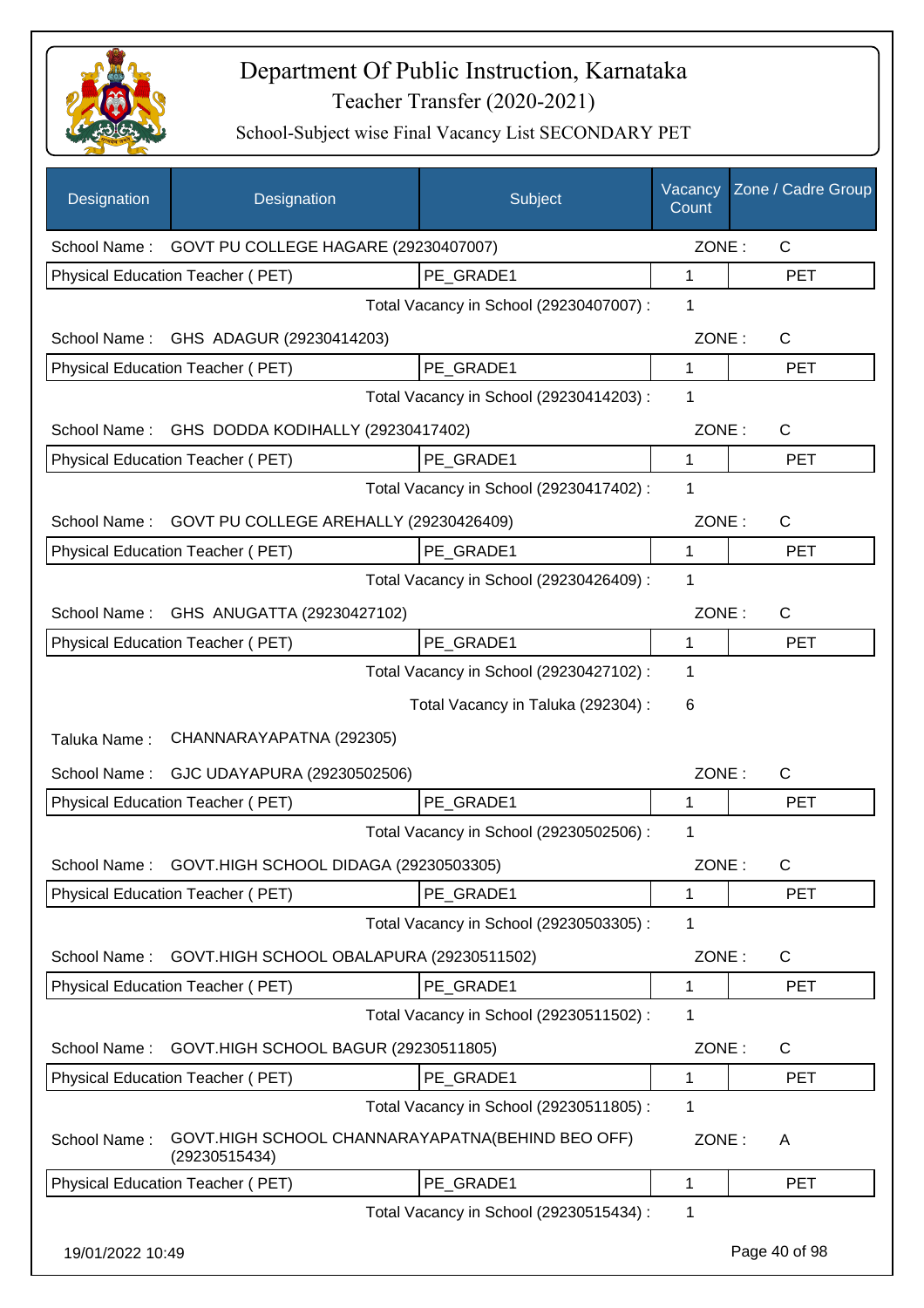

| Designation      | Designation                                                       | Subject                                 | Vacancy<br>Count | Zone / Cadre Group |
|------------------|-------------------------------------------------------------------|-----------------------------------------|------------------|--------------------|
|                  | School Name: GOVT PU COLLEGE HAGARE (29230407007)                 |                                         | ZONE:            | $\mathsf{C}$       |
|                  | <b>Physical Education Teacher (PET)</b>                           | PE GRADE1                               | 1                | <b>PET</b>         |
|                  |                                                                   | Total Vacancy in School (29230407007) : | 1                |                    |
|                  | School Name: GHS ADAGUR (29230414203)                             |                                         | ZONE:            | $\mathsf{C}$       |
|                  | Physical Education Teacher (PET)                                  | PE GRADE1                               | 1                | <b>PET</b>         |
|                  |                                                                   | Total Vacancy in School (29230414203) : | 1                |                    |
| School Name:     | GHS DODDA KODIHALLY (29230417402)                                 |                                         | ZONE:            | $\mathsf{C}$       |
|                  | Physical Education Teacher (PET)                                  | PE GRADE1                               | $\mathbf{1}$     | <b>PET</b>         |
|                  |                                                                   | Total Vacancy in School (29230417402) : | 1                |                    |
| School Name:     | GOVT PU COLLEGE AREHALLY (29230426409)                            |                                         | ZONE:            | C                  |
|                  | <b>Physical Education Teacher (PET)</b>                           | PE GRADE1                               | $\mathbf 1$      | <b>PET</b>         |
|                  |                                                                   | Total Vacancy in School (29230426409) : | 1                |                    |
|                  | School Name: GHS ANUGATTA (29230427102)                           |                                         | ZONE:            | C                  |
|                  | Physical Education Teacher (PET)                                  | PE_GRADE1                               | $\mathbf 1$      | <b>PET</b>         |
|                  |                                                                   | Total Vacancy in School (29230427102) : | 1                |                    |
|                  |                                                                   | Total Vacancy in Taluka (292304) :      | 6                |                    |
| Taluka Name:     | CHANNARAYAPATNA (292305)                                          |                                         |                  |                    |
| School Name:     | GJC UDAYAPURA (29230502506)                                       |                                         | ZONE:            | C                  |
|                  | Physical Education Teacher (PET)                                  | PE_GRADE1                               | 1                | <b>PET</b>         |
|                  |                                                                   | Total Vacancy in School (29230502506) : | 1                |                    |
|                  | School Name: GOVT.HIGH SCHOOL DIDAGA (29230503305)                |                                         | ZONE:            | $\mathsf C$        |
|                  | Physical Education Teacher (PET)                                  | PE GRADE1                               | 1                | PET                |
|                  |                                                                   | Total Vacancy in School (29230503305) : | 1                |                    |
| School Name:     | GOVT.HIGH SCHOOL OBALAPURA (29230511502)                          |                                         | ZONE:            | C                  |
|                  | Physical Education Teacher (PET)                                  | PE GRADE1                               | 1                | <b>PET</b>         |
|                  |                                                                   | Total Vacancy in School (29230511502) : | 1                |                    |
| School Name:     | GOVT.HIGH SCHOOL BAGUR (29230511805)                              |                                         | ZONE:            | C                  |
|                  | Physical Education Teacher (PET)                                  | PE_GRADE1                               | 1                | <b>PET</b>         |
|                  |                                                                   | Total Vacancy in School (29230511805) : | 1                |                    |
| School Name:     | GOVT.HIGH SCHOOL CHANNARAYAPATNA(BEHIND BEO OFF)<br>(29230515434) |                                         | ZONE:            | A                  |
|                  | Physical Education Teacher (PET)                                  | PE_GRADE1                               | 1                | <b>PET</b>         |
|                  |                                                                   | Total Vacancy in School (29230515434) : | 1                |                    |
| 19/01/2022 10:49 |                                                                   |                                         |                  | Page 40 of 98      |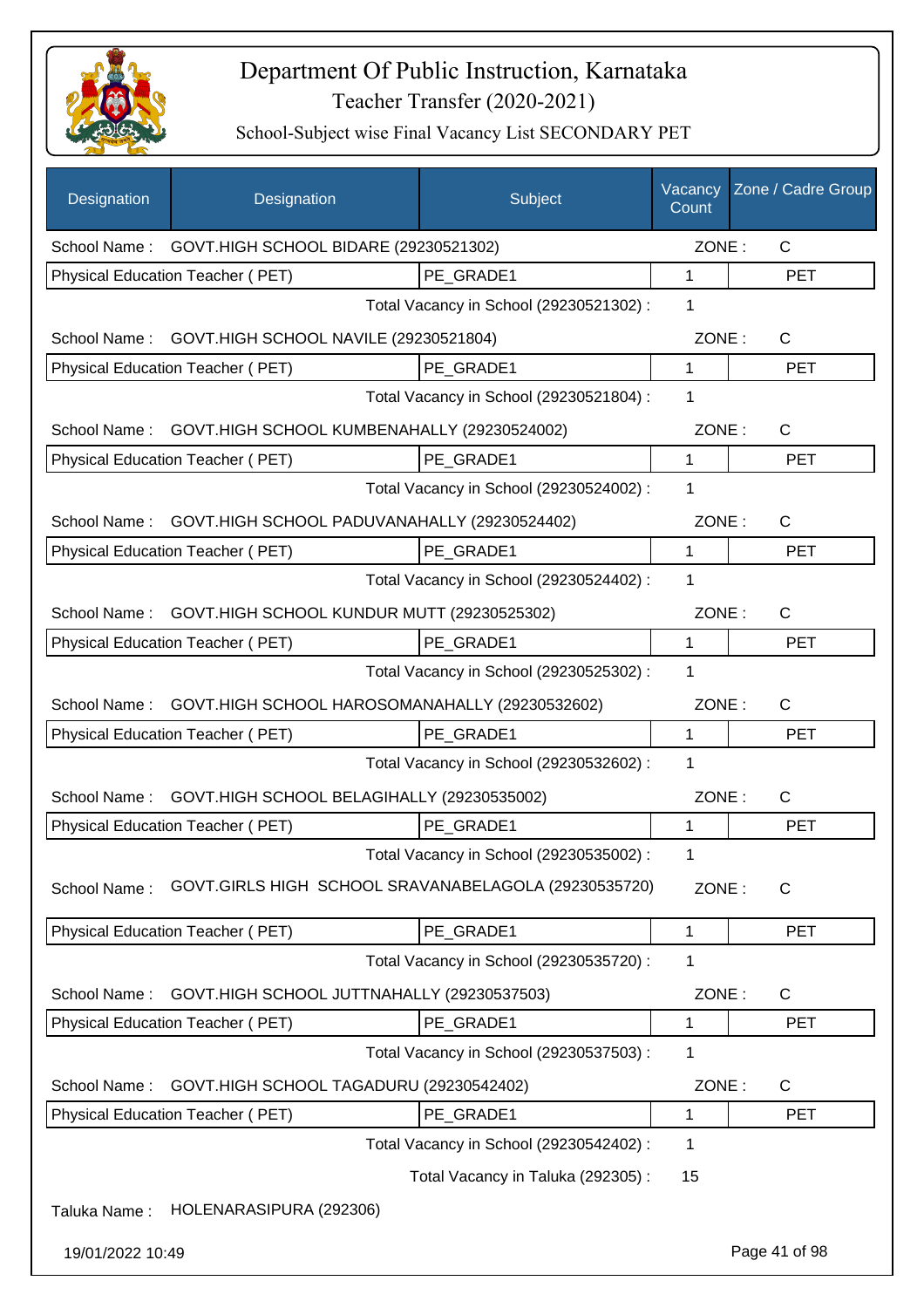

| Designation      | Designation                                              | Subject                                 | Vacancy<br>Count | Zone / Cadre Group |
|------------------|----------------------------------------------------------|-----------------------------------------|------------------|--------------------|
|                  | School Name: GOVT.HIGH SCHOOL BIDARE (29230521302)       |                                         | ZONE:            | $\mathsf{C}$       |
|                  | Physical Education Teacher (PET)                         | PE GRADE1                               | 1                | <b>PET</b>         |
|                  |                                                          | Total Vacancy in School (29230521302) : | 1                |                    |
| School Name:     | GOVT.HIGH SCHOOL NAVILE (29230521804)                    |                                         | ZONE:            | $\mathsf{C}$       |
|                  | Physical Education Teacher (PET)                         | PE GRADE1                               | $\mathbf{1}$     | <b>PET</b>         |
|                  |                                                          | Total Vacancy in School (29230521804) : | 1                |                    |
|                  | School Name: GOVT.HIGH SCHOOL KUMBENAHALLY (29230524002) |                                         | ZONE:            | C                  |
|                  | Physical Education Teacher (PET)                         | PE GRADE1                               | $\mathbf{1}$     | <b>PET</b>         |
|                  |                                                          | Total Vacancy in School (29230524002) : | 1                |                    |
| School Name:     | GOVT.HIGH SCHOOL PADUVANAHALLY (29230524402)             |                                         | ZONE:            | $\mathsf{C}$       |
|                  | Physical Education Teacher (PET)                         | PE GRADE1                               | $\mathbf{1}$     | <b>PET</b>         |
|                  |                                                          | Total Vacancy in School (29230524402) : | 1                |                    |
|                  | School Name: GOVT.HIGH SCHOOL KUNDUR MUTT (29230525302)  |                                         | ZONE:            | $\mathsf{C}$       |
|                  | Physical Education Teacher (PET)                         | PE_GRADE1                               | 1                | <b>PET</b>         |
|                  |                                                          | Total Vacancy in School (29230525302) : | 1                |                    |
| School Name:     | GOVT.HIGH SCHOOL HAROSOMANAHALLY (29230532602)           |                                         | ZONE:            | $\mathsf{C}$       |
|                  | Physical Education Teacher (PET)                         | PE_GRADE1                               | $\mathbf{1}$     | <b>PET</b>         |
|                  |                                                          | Total Vacancy in School (29230532602) : | 1                |                    |
| School Name:     | GOVT.HIGH SCHOOL BELAGIHALLY (29230535002)               |                                         | ZONE:            | $\mathsf{C}$       |
|                  | Physical Education Teacher (PET)                         | PE_GRADE1                               | 1                | <b>PET</b>         |
|                  |                                                          | Total Vacancy in School (29230535002) : | 1                |                    |
| School Name:     | GOVT.GIRLS HIGH SCHOOL SRAVANABELAGOLA (29230535720)     |                                         | ZONE:            | C                  |
|                  | Physical Education Teacher (PET)                         | PE_GRADE1                               | 1                | <b>PET</b>         |
|                  |                                                          | Total Vacancy in School (29230535720) : | 1                |                    |
| School Name:     | GOVT.HIGH SCHOOL JUTTNAHALLY (29230537503)               |                                         | ZONE:            | C                  |
|                  | Physical Education Teacher (PET)                         | PE GRADE1                               | 1                | <b>PET</b>         |
|                  |                                                          | Total Vacancy in School (29230537503) : | 1                |                    |
| School Name:     | GOVT.HIGH SCHOOL TAGADURU (29230542402)                  |                                         | ZONE:            | $\mathsf{C}$       |
|                  | Physical Education Teacher (PET)                         | PE_GRADE1                               | 1                | <b>PET</b>         |
|                  |                                                          | Total Vacancy in School (29230542402) : | 1                |                    |
|                  |                                                          | Total Vacancy in Taluka (292305):       | 15               |                    |
| Taluka Name:     | HOLENARASIPURA (292306)                                  |                                         |                  |                    |
| 19/01/2022 10:49 |                                                          |                                         |                  | Page 41 of 98      |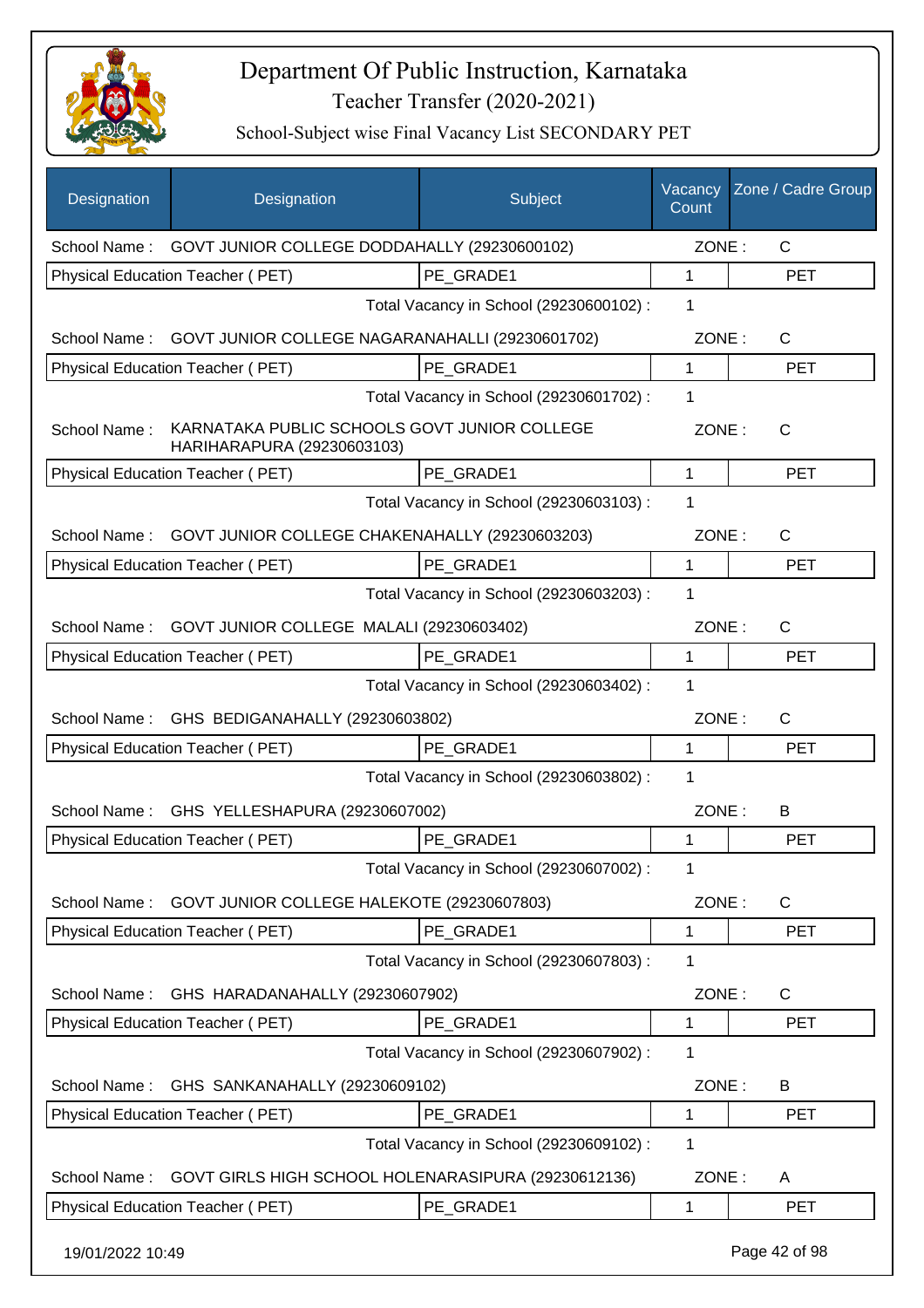

| Designation                                  | Designation                                                                | Subject                                 | Vacancy<br>Count | Zone / Cadre Group |
|----------------------------------------------|----------------------------------------------------------------------------|-----------------------------------------|------------------|--------------------|
|                                              | School Name: GOVT JUNIOR COLLEGE DODDAHALLY (29230600102)                  |                                         | ZONE:            | $\mathsf{C}$       |
|                                              | Physical Education Teacher (PET)                                           | PE GRADE1                               | $\mathbf{1}$     | <b>PET</b>         |
|                                              |                                                                            | Total Vacancy in School (29230600102) : | 1                |                    |
|                                              | School Name: GOVT JUNIOR COLLEGE NAGARANAHALLI (29230601702)               |                                         | ZONE:            | $\mathsf{C}$       |
|                                              | Physical Education Teacher (PET)                                           | PE GRADE1                               | $\mathbf{1}$     | <b>PET</b>         |
|                                              |                                                                            | Total Vacancy in School (29230601702) : | 1                |                    |
| School Name:                                 | KARNATAKA PUBLIC SCHOOLS GOVT JUNIOR COLLEGE<br>HARIHARAPURA (29230603103) |                                         | ZONE:            | C                  |
|                                              | <b>Physical Education Teacher (PET)</b>                                    | PE GRADE1                               | 1                | <b>PET</b>         |
|                                              |                                                                            | Total Vacancy in School (29230603103) : | 1                |                    |
| School Name:                                 | GOVT JUNIOR COLLEGE CHAKENAHALLY (29230603203)                             |                                         | ZONE:            | C                  |
|                                              | Physical Education Teacher (PET)                                           | PE GRADE1                               | 1                | <b>PET</b>         |
|                                              |                                                                            | Total Vacancy in School (29230603203) : | 1                |                    |
| School Name:                                 | GOVT JUNIOR COLLEGE MALALI (29230603402)                                   |                                         | ZONE:            | C                  |
|                                              | Physical Education Teacher (PET)                                           | PE GRADE1                               | 1                | PET                |
| Total Vacancy in School (29230603402) :<br>1 |                                                                            |                                         |                  |                    |
|                                              | School Name: GHS BEDIGANAHALLY (29230603802)                               |                                         | ZONE:            | C                  |
|                                              | Physical Education Teacher (PET)                                           | PE GRADE1                               | 1                | <b>PET</b>         |
|                                              |                                                                            | Total Vacancy in School (29230603802) : | 1                |                    |
| School Name:                                 | GHS YELLESHAPURA (29230607002)                                             |                                         | ZONE:            | B                  |
|                                              | Physical Education Teacher (PET)                                           | PE GRADE1                               | 1                | <b>PET</b>         |
|                                              |                                                                            | Total Vacancy in School (29230607002) : | 1                |                    |
| School Name:                                 | GOVT JUNIOR COLLEGE HALEKOTE (29230607803)                                 |                                         | ZONE:            | C                  |
|                                              | Physical Education Teacher (PET)                                           | PE GRADE1                               | 1                | <b>PET</b>         |
|                                              |                                                                            | Total Vacancy in School (29230607803) : | 1                |                    |
| School Name:                                 | GHS HARADANAHALLY (29230607902)                                            |                                         | ZONE:            | C                  |
|                                              | Physical Education Teacher (PET)                                           | PE_GRADE1                               | 1                | <b>PET</b>         |
|                                              |                                                                            | Total Vacancy in School (29230607902) : | 1                |                    |
| School Name:                                 | GHS SANKANAHALLY (29230609102)                                             |                                         | ZONE:            | B                  |
|                                              | Physical Education Teacher (PET)                                           | PE_GRADE1                               | 1                | <b>PET</b>         |
|                                              |                                                                            | Total Vacancy in School (29230609102) : | 1                |                    |
| School Name:                                 | GOVT GIRLS HIGH SCHOOL HOLENARASIPURA (29230612136)                        |                                         | ZONE:            | A                  |
|                                              | Physical Education Teacher (PET)                                           | PE_GRADE1                               | 1                | <b>PET</b>         |
| 19/01/2022 10:49                             |                                                                            |                                         |                  | Page 42 of 98      |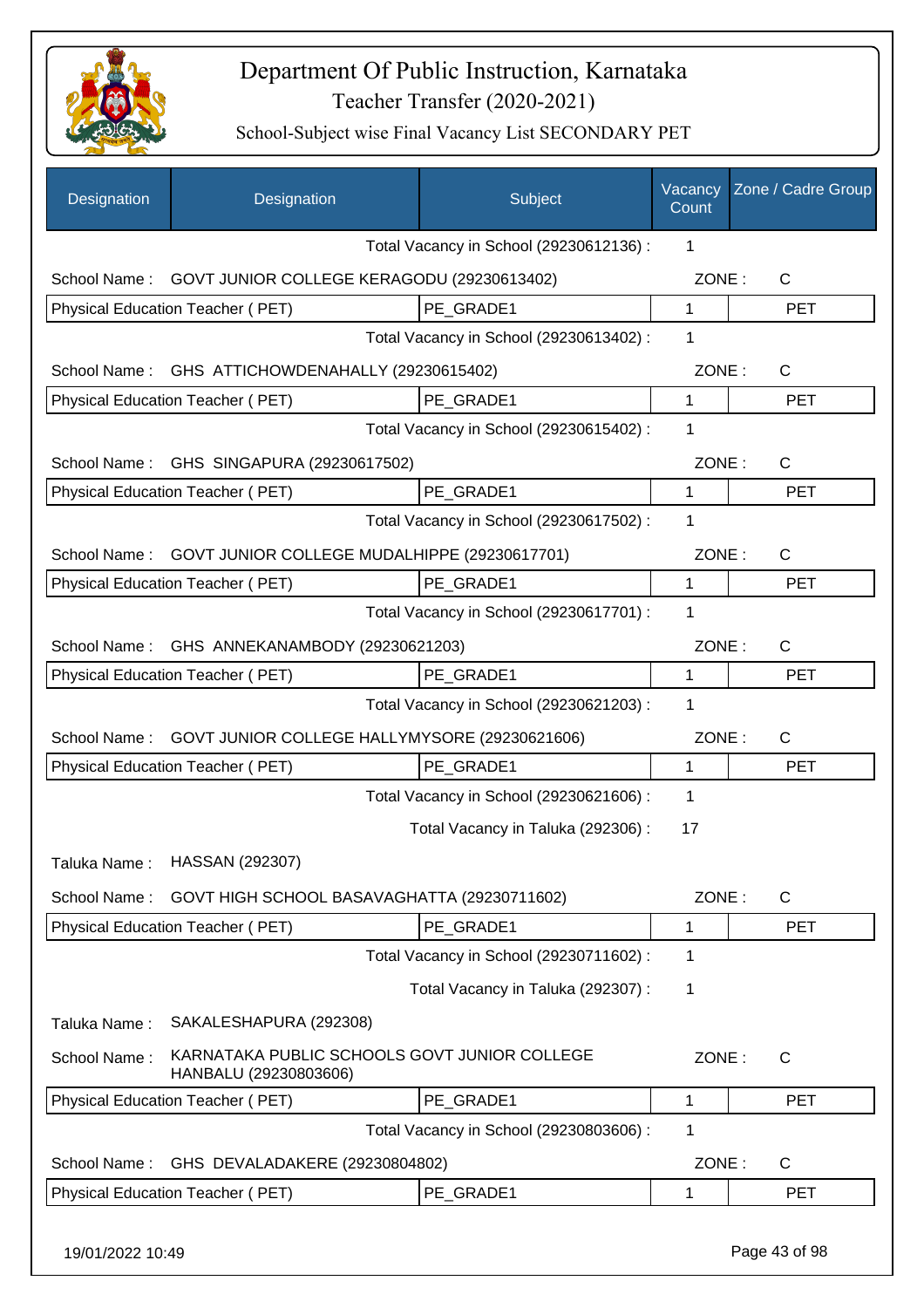

| Designation      | Designation                                                           | Subject                                 | Vacancy<br>Count | Zone / Cadre Group |
|------------------|-----------------------------------------------------------------------|-----------------------------------------|------------------|--------------------|
|                  |                                                                       | Total Vacancy in School (29230612136) : | 1                |                    |
| School Name:     | GOVT JUNIOR COLLEGE KERAGODU (29230613402)                            |                                         | ZONE:            | $\mathsf{C}$       |
|                  | Physical Education Teacher (PET)                                      | PE GRADE1                               | $\mathbf{1}$     | <b>PET</b>         |
|                  |                                                                       | Total Vacancy in School (29230613402) : | 1                |                    |
| School Name:     | GHS ATTICHOWDENAHALLY (29230615402)                                   |                                         | ZONE:            | $\mathsf{C}$       |
|                  | Physical Education Teacher (PET)                                      | PE_GRADE1                               | $\mathbf{1}$     | <b>PET</b>         |
|                  |                                                                       | Total Vacancy in School (29230615402) : | 1                |                    |
| School Name:     | GHS SINGAPURA (29230617502)                                           |                                         | ZONE:            | $\mathsf{C}$       |
|                  | Physical Education Teacher (PET)                                      | PE_GRADE1                               | 1                | <b>PET</b>         |
|                  |                                                                       | Total Vacancy in School (29230617502) : | 1                |                    |
| School Name:     | GOVT JUNIOR COLLEGE MUDALHIPPE (29230617701)                          |                                         | ZONE:            | $\mathsf{C}$       |
|                  | Physical Education Teacher (PET)                                      | PE GRADE1                               | $\mathbf 1$      | <b>PET</b>         |
|                  |                                                                       | Total Vacancy in School (29230617701) : | 1                |                    |
| School Name:     | GHS ANNEKANAMBODY (29230621203)                                       |                                         | ZONE:            | $\mathsf{C}$       |
|                  | Physical Education Teacher (PET)                                      | PE_GRADE1                               | $\mathbf 1$      | <b>PET</b>         |
|                  |                                                                       | Total Vacancy in School (29230621203) : | 1                |                    |
| School Name:     | GOVT JUNIOR COLLEGE HALLYMYSORE (29230621606)                         |                                         | ZONE:            | $\mathsf{C}$       |
|                  | Physical Education Teacher (PET)                                      | PE GRADE1                               | 1                | <b>PET</b>         |
|                  |                                                                       | Total Vacancy in School (29230621606) : | $\mathbf{1}$     |                    |
|                  |                                                                       | Total Vacancy in Taluka (292306) :      | 17               |                    |
| Taluka Name :    | HASSAN (292307)                                                       |                                         |                  |                    |
| School Name:     | GOVT HIGH SCHOOL BASAVAGHATTA (29230711602)                           |                                         | ZONE:            | $\mathsf{C}$       |
|                  | Physical Education Teacher (PET)                                      | PE_GRADE1                               | 1                | <b>PET</b>         |
|                  |                                                                       | Total Vacancy in School (29230711602) : | 1                |                    |
|                  |                                                                       | Total Vacancy in Taluka (292307) :      | 1                |                    |
| Taluka Name:     | SAKALESHAPURA (292308)                                                |                                         |                  |                    |
| School Name:     | KARNATAKA PUBLIC SCHOOLS GOVT JUNIOR COLLEGE<br>HANBALU (29230803606) |                                         | ZONE:            | $\mathsf{C}$       |
|                  | Physical Education Teacher (PET)                                      | PE GRADE1                               | 1                | <b>PET</b>         |
|                  |                                                                       | Total Vacancy in School (29230803606) : | 1                |                    |
| School Name:     | GHS DEVALADAKERE (29230804802)                                        |                                         | ZONE:            | C                  |
|                  | Physical Education Teacher (PET)                                      | PE_GRADE1                               | 1                | <b>PET</b>         |
| 19/01/2022 10:49 |                                                                       |                                         |                  | Page 43 of 98      |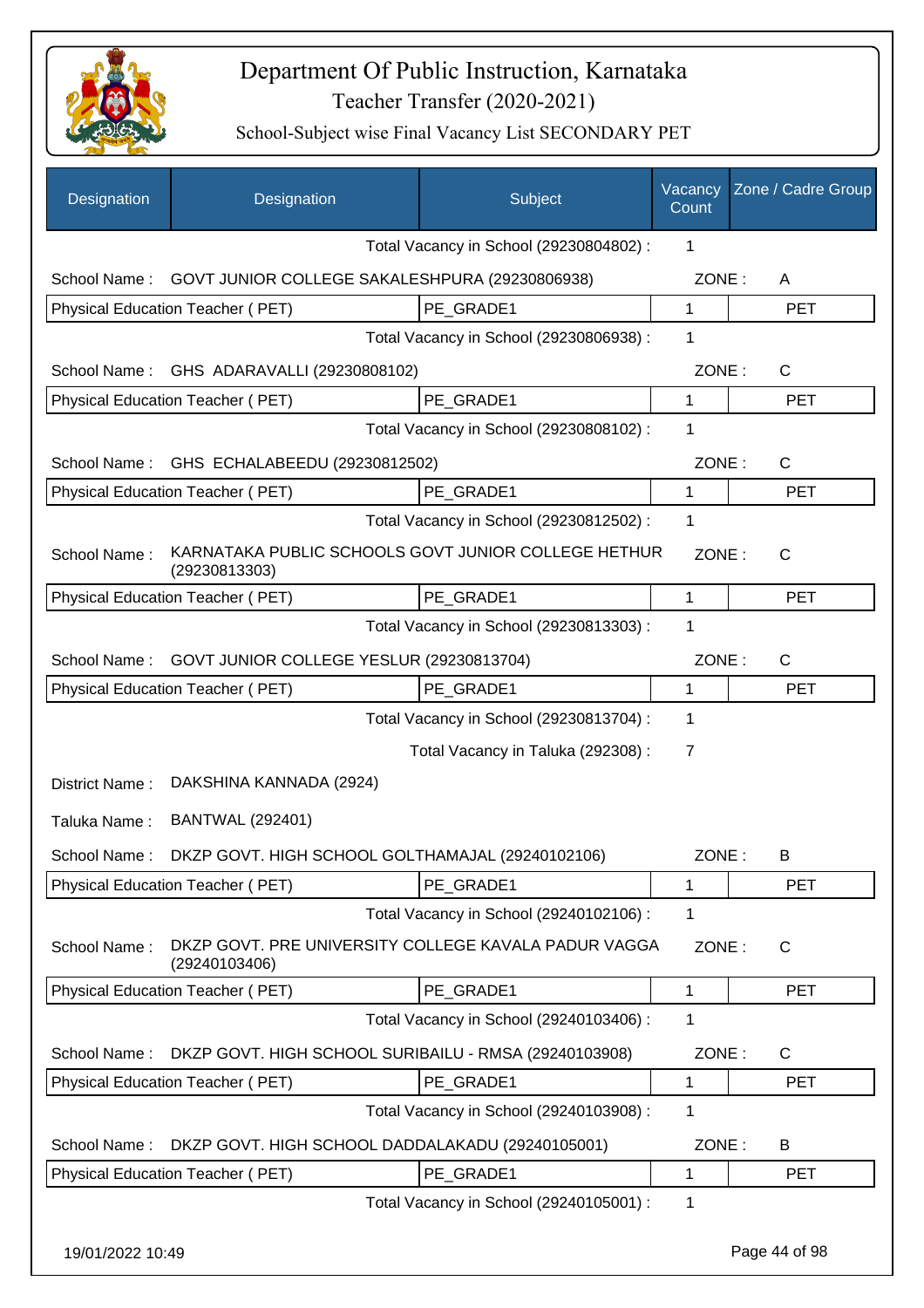

| Designation      | Designation                                                           | Subject                                 | Vacancy<br>Count | Zone / Cadre Group |
|------------------|-----------------------------------------------------------------------|-----------------------------------------|------------------|--------------------|
|                  |                                                                       | Total Vacancy in School (29230804802) : | 1                |                    |
| School Name:     | GOVT JUNIOR COLLEGE SAKALESHPURA (29230806938)                        |                                         | ZONE:            | A                  |
|                  | Physical Education Teacher (PET)                                      | PE GRADE1                               | $\mathbf 1$      | <b>PET</b>         |
|                  |                                                                       | Total Vacancy in School (29230806938) : | 1                |                    |
| School Name:     | GHS ADARAVALLI (29230808102)                                          |                                         | ZONE:            | C                  |
|                  | Physical Education Teacher (PET)                                      | PE_GRADE1                               | $\mathbf 1$      | <b>PET</b>         |
|                  |                                                                       | Total Vacancy in School (29230808102) : | 1                |                    |
| School Name:     | GHS ECHALABEEDU (29230812502)                                         |                                         | ZONE:            | C                  |
|                  | Physical Education Teacher (PET)                                      | PE GRADE1                               | 1                | <b>PET</b>         |
|                  |                                                                       | Total Vacancy in School (29230812502) : | $\mathbf 1$      |                    |
| School Name:     | KARNATAKA PUBLIC SCHOOLS GOVT JUNIOR COLLEGE HETHUR<br>(29230813303)  |                                         | ZONE:            | $\mathsf{C}$       |
|                  | Physical Education Teacher (PET)                                      | PE GRADE1                               | $\mathbf{1}$     | <b>PET</b>         |
|                  |                                                                       | Total Vacancy in School (29230813303) : | 1                |                    |
| School Name:     | GOVT JUNIOR COLLEGE YESLUR (29230813704)                              |                                         | ZONE:            | C                  |
|                  | Physical Education Teacher (PET)                                      | PE_GRADE1                               | 1                | <b>PET</b>         |
|                  |                                                                       | Total Vacancy in School (29230813704) : | 1                |                    |
|                  |                                                                       | Total Vacancy in Taluka (292308) :      | 7                |                    |
| District Name:   | DAKSHINA KANNADA (2924)                                               |                                         |                  |                    |
| Taluka Name:     | <b>BANTWAL (292401)</b>                                               |                                         |                  |                    |
|                  | School Name: DKZP GOVT. HIGH SCHOOL GOLTHAMAJAL (29240102106)         |                                         | ZONE:            | в                  |
|                  | Physical Education Teacher (PET)                                      | PE GRADE1                               | 1                | <b>PET</b>         |
|                  |                                                                       | Total Vacancy in School (29240102106) : | $\mathbf 1$      |                    |
| School Name:     | DKZP GOVT. PRE UNIVERSITY COLLEGE KAVALA PADUR VAGGA<br>(29240103406) |                                         | ZONE:            | C                  |
|                  | Physical Education Teacher (PET)                                      | PE GRADE1                               | 1                | <b>PET</b>         |
|                  |                                                                       | Total Vacancy in School (29240103406) : | 1                |                    |
| School Name:     | DKZP GOVT. HIGH SCHOOL SURIBAILU - RMSA (29240103908)                 |                                         | ZONE:            | C                  |
|                  | Physical Education Teacher (PET)                                      | PE_GRADE1                               | $\mathbf{1}$     | <b>PET</b>         |
|                  |                                                                       | Total Vacancy in School (29240103908) : | 1                |                    |
| School Name:     | DKZP GOVT. HIGH SCHOOL DADDALAKADU (29240105001)                      |                                         | ZONE:            | B                  |
|                  | Physical Education Teacher (PET)                                      | PE_GRADE1                               | 1                | <b>PET</b>         |
|                  |                                                                       | Total Vacancy in School (29240105001) : | $\mathbf 1$      |                    |
| 19/01/2022 10:49 |                                                                       |                                         |                  | Page 44 of 98      |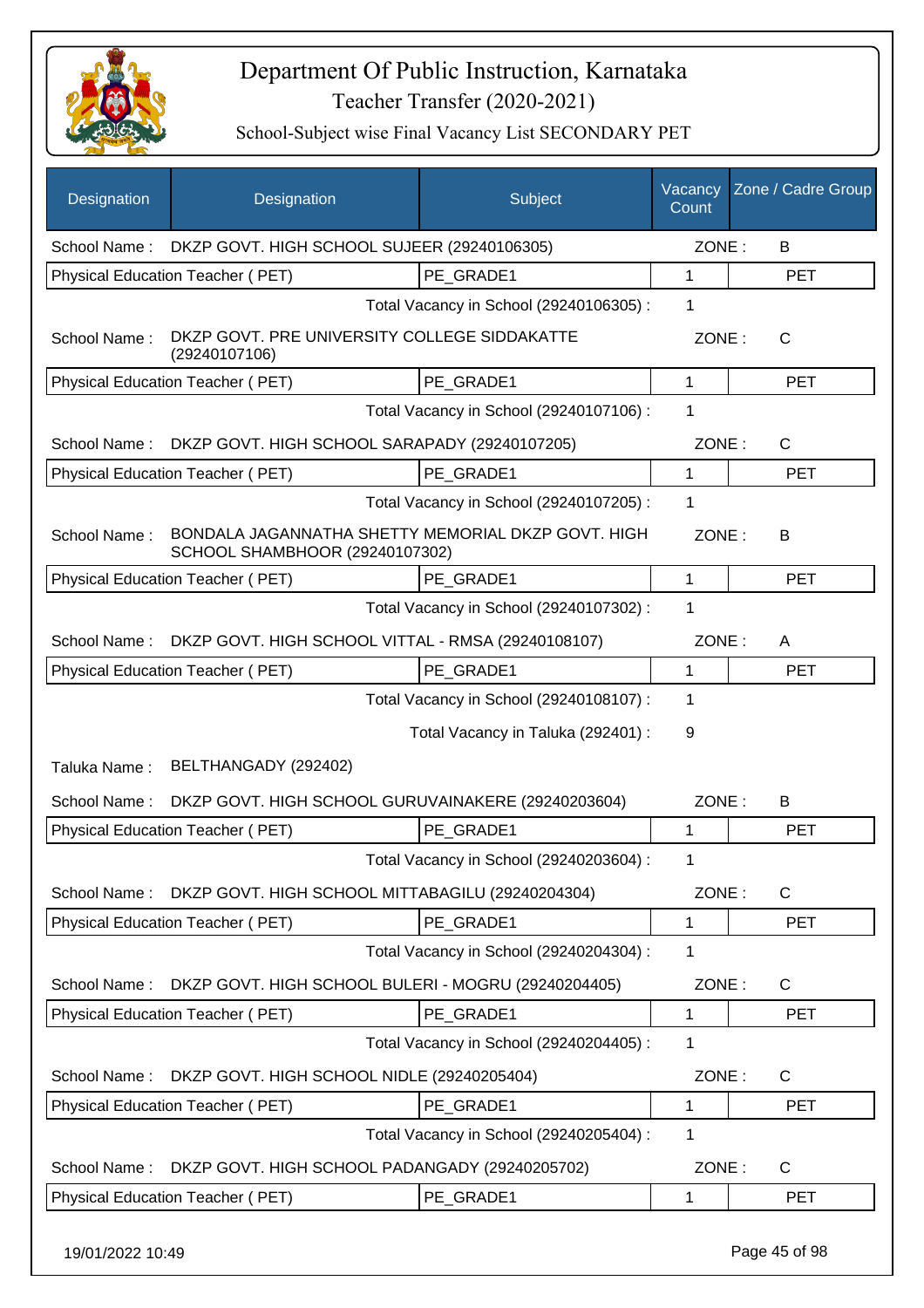

| School Name: DKZP GOVT. HIGH SCHOOL SUJEER (29240106305)<br>ZONE:<br>B<br>Physical Education Teacher (PET)<br>PE_GRADE1<br>1<br><b>PET</b><br>Total Vacancy in School (29240106305) :<br>1<br>DKZP GOVT. PRE UNIVERSITY COLLEGE SIDDAKATTE<br>School Name:<br>ZONE:<br>$\mathsf{C}$<br>(29240107106)<br><b>Physical Education Teacher (PET)</b><br>PE_GRADE1<br>$\mathbf 1$<br><b>PET</b><br>1<br>Total Vacancy in School (29240107106) :<br>DKZP GOVT. HIGH SCHOOL SARAPADY (29240107205)<br>ZONE:<br>$\mathsf{C}$<br>School Name:<br>PE GRADE1<br>Physical Education Teacher (PET)<br><b>PET</b><br>1<br>Total Vacancy in School (29240107205) :<br>1<br>BONDALA JAGANNATHA SHETTY MEMORIAL DKZP GOVT. HIGH<br>School Name:<br>ZONE:<br>B<br>SCHOOL SHAMBHOOR (29240107302)<br>Physical Education Teacher (PET)<br>$\mathbf{1}$<br>PE_GRADE1<br><b>PET</b><br>$\mathbf 1$<br>Total Vacancy in School (29240107302) :<br>DKZP GOVT. HIGH SCHOOL VITTAL - RMSA (29240108107)<br>ZONE:<br>School Name:<br>A<br>PE_GRADE1<br>Physical Education Teacher (PET)<br>$\mathbf{1}$<br><b>PET</b><br>Total Vacancy in School (29240108107) :<br>1<br>Total Vacancy in Taluka (292401) :<br>9<br>BELTHANGADY (292402)<br>Taluka Name:<br>School Name:<br>DKZP GOVT. HIGH SCHOOL GURUVAINAKERE (29240203604)<br>ZONE:<br>B<br>Physical Education Teacher (PET)<br>PE_GRADE1<br>$\mathbf{1}$<br><b>PET</b><br>Total Vacancy in School (29240203604) :<br>DKZP GOVT. HIGH SCHOOL MITTABAGILU (29240204304)<br>ZONE:<br>$\mathsf{C}$<br>School Name:<br>Physical Education Teacher (PET)<br>PE_GRADE1<br>1<br><b>PET</b><br>Total Vacancy in School (29240204304) :<br>1<br>DKZP GOVT. HIGH SCHOOL BULERI - MOGRU (29240204405)<br>ZONE:<br>C<br>School Name:<br><b>Physical Education Teacher (PET)</b><br>PE GRADE1<br><b>PET</b><br>1<br>Total Vacancy in School (29240204405) :<br>1<br>DKZP GOVT. HIGH SCHOOL NIDLE (29240205404)<br>ZONE:<br>C<br>School Name:<br>Physical Education Teacher (PET)<br>PE_GRADE1<br>1<br><b>PET</b><br>Total Vacancy in School (29240205404) :<br>1<br>ZONE:<br>$\mathsf{C}$<br>School Name:<br>DKZP GOVT. HIGH SCHOOL PADANGADY (29240205702)<br>PE_GRADE1<br>Physical Education Teacher (PET)<br>1<br><b>PET</b> | Designation | Designation | Subject | Vacancy<br>Count | Zone / Cadre Group |
|--------------------------------------------------------------------------------------------------------------------------------------------------------------------------------------------------------------------------------------------------------------------------------------------------------------------------------------------------------------------------------------------------------------------------------------------------------------------------------------------------------------------------------------------------------------------------------------------------------------------------------------------------------------------------------------------------------------------------------------------------------------------------------------------------------------------------------------------------------------------------------------------------------------------------------------------------------------------------------------------------------------------------------------------------------------------------------------------------------------------------------------------------------------------------------------------------------------------------------------------------------------------------------------------------------------------------------------------------------------------------------------------------------------------------------------------------------------------------------------------------------------------------------------------------------------------------------------------------------------------------------------------------------------------------------------------------------------------------------------------------------------------------------------------------------------------------------------------------------------------------------------------------------------------------------------------------------------------------------------------------------------------------------------------------------------------------------------------------------------------------------------------------------------------------------------------------------------------------------------------|-------------|-------------|---------|------------------|--------------------|
|                                                                                                                                                                                                                                                                                                                                                                                                                                                                                                                                                                                                                                                                                                                                                                                                                                                                                                                                                                                                                                                                                                                                                                                                                                                                                                                                                                                                                                                                                                                                                                                                                                                                                                                                                                                                                                                                                                                                                                                                                                                                                                                                                                                                                                            |             |             |         |                  |                    |
|                                                                                                                                                                                                                                                                                                                                                                                                                                                                                                                                                                                                                                                                                                                                                                                                                                                                                                                                                                                                                                                                                                                                                                                                                                                                                                                                                                                                                                                                                                                                                                                                                                                                                                                                                                                                                                                                                                                                                                                                                                                                                                                                                                                                                                            |             |             |         |                  |                    |
|                                                                                                                                                                                                                                                                                                                                                                                                                                                                                                                                                                                                                                                                                                                                                                                                                                                                                                                                                                                                                                                                                                                                                                                                                                                                                                                                                                                                                                                                                                                                                                                                                                                                                                                                                                                                                                                                                                                                                                                                                                                                                                                                                                                                                                            |             |             |         |                  |                    |
|                                                                                                                                                                                                                                                                                                                                                                                                                                                                                                                                                                                                                                                                                                                                                                                                                                                                                                                                                                                                                                                                                                                                                                                                                                                                                                                                                                                                                                                                                                                                                                                                                                                                                                                                                                                                                                                                                                                                                                                                                                                                                                                                                                                                                                            |             |             |         |                  |                    |
|                                                                                                                                                                                                                                                                                                                                                                                                                                                                                                                                                                                                                                                                                                                                                                                                                                                                                                                                                                                                                                                                                                                                                                                                                                                                                                                                                                                                                                                                                                                                                                                                                                                                                                                                                                                                                                                                                                                                                                                                                                                                                                                                                                                                                                            |             |             |         |                  |                    |
|                                                                                                                                                                                                                                                                                                                                                                                                                                                                                                                                                                                                                                                                                                                                                                                                                                                                                                                                                                                                                                                                                                                                                                                                                                                                                                                                                                                                                                                                                                                                                                                                                                                                                                                                                                                                                                                                                                                                                                                                                                                                                                                                                                                                                                            |             |             |         |                  |                    |
|                                                                                                                                                                                                                                                                                                                                                                                                                                                                                                                                                                                                                                                                                                                                                                                                                                                                                                                                                                                                                                                                                                                                                                                                                                                                                                                                                                                                                                                                                                                                                                                                                                                                                                                                                                                                                                                                                                                                                                                                                                                                                                                                                                                                                                            |             |             |         |                  |                    |
|                                                                                                                                                                                                                                                                                                                                                                                                                                                                                                                                                                                                                                                                                                                                                                                                                                                                                                                                                                                                                                                                                                                                                                                                                                                                                                                                                                                                                                                                                                                                                                                                                                                                                                                                                                                                                                                                                                                                                                                                                                                                                                                                                                                                                                            |             |             |         |                  |                    |
|                                                                                                                                                                                                                                                                                                                                                                                                                                                                                                                                                                                                                                                                                                                                                                                                                                                                                                                                                                                                                                                                                                                                                                                                                                                                                                                                                                                                                                                                                                                                                                                                                                                                                                                                                                                                                                                                                                                                                                                                                                                                                                                                                                                                                                            |             |             |         |                  |                    |
|                                                                                                                                                                                                                                                                                                                                                                                                                                                                                                                                                                                                                                                                                                                                                                                                                                                                                                                                                                                                                                                                                                                                                                                                                                                                                                                                                                                                                                                                                                                                                                                                                                                                                                                                                                                                                                                                                                                                                                                                                                                                                                                                                                                                                                            |             |             |         |                  |                    |
|                                                                                                                                                                                                                                                                                                                                                                                                                                                                                                                                                                                                                                                                                                                                                                                                                                                                                                                                                                                                                                                                                                                                                                                                                                                                                                                                                                                                                                                                                                                                                                                                                                                                                                                                                                                                                                                                                                                                                                                                                                                                                                                                                                                                                                            |             |             |         |                  |                    |
|                                                                                                                                                                                                                                                                                                                                                                                                                                                                                                                                                                                                                                                                                                                                                                                                                                                                                                                                                                                                                                                                                                                                                                                                                                                                                                                                                                                                                                                                                                                                                                                                                                                                                                                                                                                                                                                                                                                                                                                                                                                                                                                                                                                                                                            |             |             |         |                  |                    |
|                                                                                                                                                                                                                                                                                                                                                                                                                                                                                                                                                                                                                                                                                                                                                                                                                                                                                                                                                                                                                                                                                                                                                                                                                                                                                                                                                                                                                                                                                                                                                                                                                                                                                                                                                                                                                                                                                                                                                                                                                                                                                                                                                                                                                                            |             |             |         |                  |                    |
|                                                                                                                                                                                                                                                                                                                                                                                                                                                                                                                                                                                                                                                                                                                                                                                                                                                                                                                                                                                                                                                                                                                                                                                                                                                                                                                                                                                                                                                                                                                                                                                                                                                                                                                                                                                                                                                                                                                                                                                                                                                                                                                                                                                                                                            |             |             |         |                  |                    |
|                                                                                                                                                                                                                                                                                                                                                                                                                                                                                                                                                                                                                                                                                                                                                                                                                                                                                                                                                                                                                                                                                                                                                                                                                                                                                                                                                                                                                                                                                                                                                                                                                                                                                                                                                                                                                                                                                                                                                                                                                                                                                                                                                                                                                                            |             |             |         |                  |                    |
|                                                                                                                                                                                                                                                                                                                                                                                                                                                                                                                                                                                                                                                                                                                                                                                                                                                                                                                                                                                                                                                                                                                                                                                                                                                                                                                                                                                                                                                                                                                                                                                                                                                                                                                                                                                                                                                                                                                                                                                                                                                                                                                                                                                                                                            |             |             |         |                  |                    |
|                                                                                                                                                                                                                                                                                                                                                                                                                                                                                                                                                                                                                                                                                                                                                                                                                                                                                                                                                                                                                                                                                                                                                                                                                                                                                                                                                                                                                                                                                                                                                                                                                                                                                                                                                                                                                                                                                                                                                                                                                                                                                                                                                                                                                                            |             |             |         |                  |                    |
|                                                                                                                                                                                                                                                                                                                                                                                                                                                                                                                                                                                                                                                                                                                                                                                                                                                                                                                                                                                                                                                                                                                                                                                                                                                                                                                                                                                                                                                                                                                                                                                                                                                                                                                                                                                                                                                                                                                                                                                                                                                                                                                                                                                                                                            |             |             |         |                  |                    |
|                                                                                                                                                                                                                                                                                                                                                                                                                                                                                                                                                                                                                                                                                                                                                                                                                                                                                                                                                                                                                                                                                                                                                                                                                                                                                                                                                                                                                                                                                                                                                                                                                                                                                                                                                                                                                                                                                                                                                                                                                                                                                                                                                                                                                                            |             |             |         |                  |                    |
|                                                                                                                                                                                                                                                                                                                                                                                                                                                                                                                                                                                                                                                                                                                                                                                                                                                                                                                                                                                                                                                                                                                                                                                                                                                                                                                                                                                                                                                                                                                                                                                                                                                                                                                                                                                                                                                                                                                                                                                                                                                                                                                                                                                                                                            |             |             |         |                  |                    |
|                                                                                                                                                                                                                                                                                                                                                                                                                                                                                                                                                                                                                                                                                                                                                                                                                                                                                                                                                                                                                                                                                                                                                                                                                                                                                                                                                                                                                                                                                                                                                                                                                                                                                                                                                                                                                                                                                                                                                                                                                                                                                                                                                                                                                                            |             |             |         |                  |                    |
|                                                                                                                                                                                                                                                                                                                                                                                                                                                                                                                                                                                                                                                                                                                                                                                                                                                                                                                                                                                                                                                                                                                                                                                                                                                                                                                                                                                                                                                                                                                                                                                                                                                                                                                                                                                                                                                                                                                                                                                                                                                                                                                                                                                                                                            |             |             |         |                  |                    |
|                                                                                                                                                                                                                                                                                                                                                                                                                                                                                                                                                                                                                                                                                                                                                                                                                                                                                                                                                                                                                                                                                                                                                                                                                                                                                                                                                                                                                                                                                                                                                                                                                                                                                                                                                                                                                                                                                                                                                                                                                                                                                                                                                                                                                                            |             |             |         |                  |                    |
|                                                                                                                                                                                                                                                                                                                                                                                                                                                                                                                                                                                                                                                                                                                                                                                                                                                                                                                                                                                                                                                                                                                                                                                                                                                                                                                                                                                                                                                                                                                                                                                                                                                                                                                                                                                                                                                                                                                                                                                                                                                                                                                                                                                                                                            |             |             |         |                  |                    |
|                                                                                                                                                                                                                                                                                                                                                                                                                                                                                                                                                                                                                                                                                                                                                                                                                                                                                                                                                                                                                                                                                                                                                                                                                                                                                                                                                                                                                                                                                                                                                                                                                                                                                                                                                                                                                                                                                                                                                                                                                                                                                                                                                                                                                                            |             |             |         |                  |                    |
|                                                                                                                                                                                                                                                                                                                                                                                                                                                                                                                                                                                                                                                                                                                                                                                                                                                                                                                                                                                                                                                                                                                                                                                                                                                                                                                                                                                                                                                                                                                                                                                                                                                                                                                                                                                                                                                                                                                                                                                                                                                                                                                                                                                                                                            |             |             |         |                  |                    |
|                                                                                                                                                                                                                                                                                                                                                                                                                                                                                                                                                                                                                                                                                                                                                                                                                                                                                                                                                                                                                                                                                                                                                                                                                                                                                                                                                                                                                                                                                                                                                                                                                                                                                                                                                                                                                                                                                                                                                                                                                                                                                                                                                                                                                                            |             |             |         |                  |                    |
|                                                                                                                                                                                                                                                                                                                                                                                                                                                                                                                                                                                                                                                                                                                                                                                                                                                                                                                                                                                                                                                                                                                                                                                                                                                                                                                                                                                                                                                                                                                                                                                                                                                                                                                                                                                                                                                                                                                                                                                                                                                                                                                                                                                                                                            |             |             |         |                  |                    |
|                                                                                                                                                                                                                                                                                                                                                                                                                                                                                                                                                                                                                                                                                                                                                                                                                                                                                                                                                                                                                                                                                                                                                                                                                                                                                                                                                                                                                                                                                                                                                                                                                                                                                                                                                                                                                                                                                                                                                                                                                                                                                                                                                                                                                                            |             |             |         |                  |                    |
|                                                                                                                                                                                                                                                                                                                                                                                                                                                                                                                                                                                                                                                                                                                                                                                                                                                                                                                                                                                                                                                                                                                                                                                                                                                                                                                                                                                                                                                                                                                                                                                                                                                                                                                                                                                                                                                                                                                                                                                                                                                                                                                                                                                                                                            |             |             |         |                  |                    |
|                                                                                                                                                                                                                                                                                                                                                                                                                                                                                                                                                                                                                                                                                                                                                                                                                                                                                                                                                                                                                                                                                                                                                                                                                                                                                                                                                                                                                                                                                                                                                                                                                                                                                                                                                                                                                                                                                                                                                                                                                                                                                                                                                                                                                                            |             |             |         |                  |                    |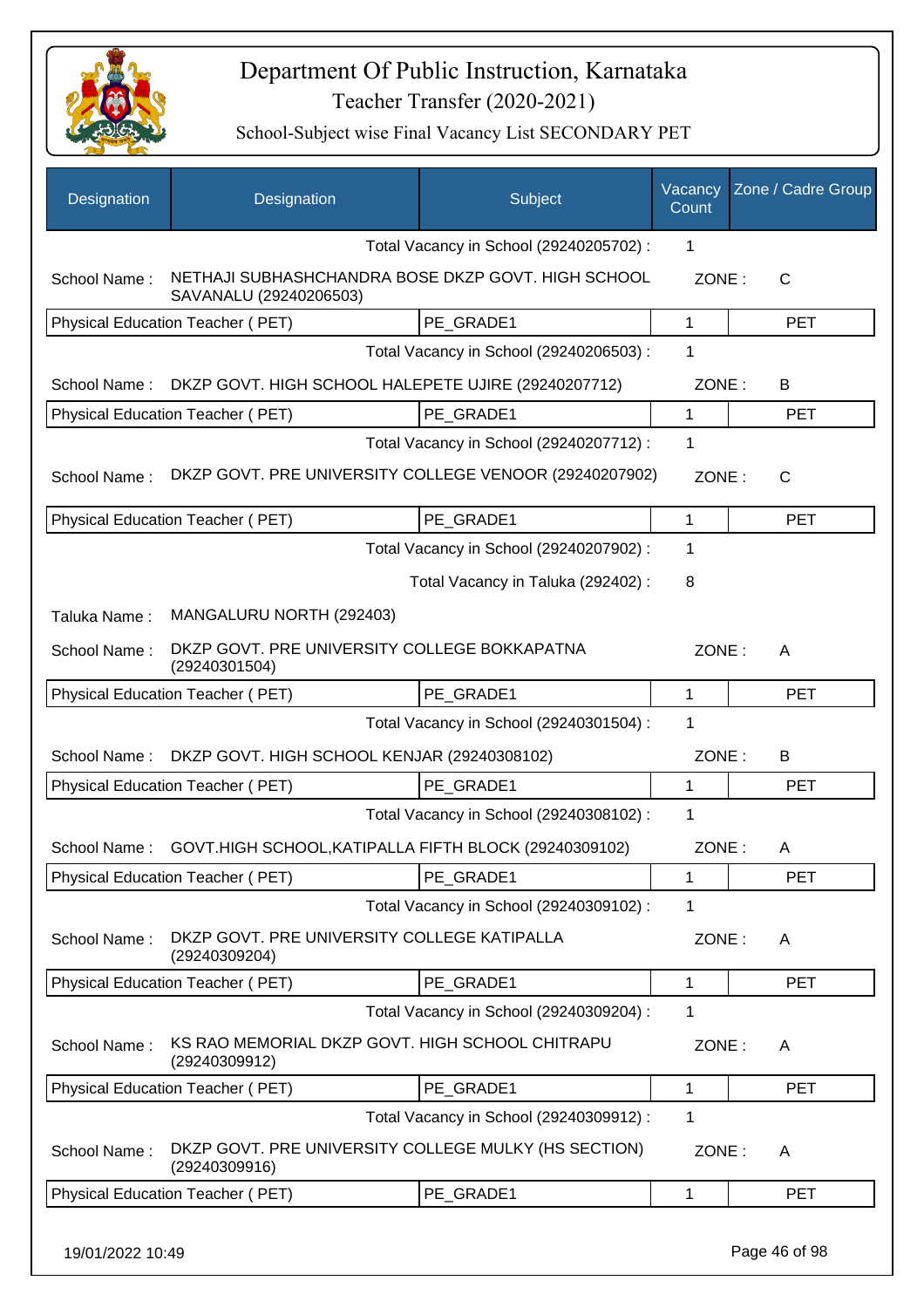

| Designation  | Designation                                                                  | Subject                                 | Vacancy<br>Count | Zone / Cadre Group |
|--------------|------------------------------------------------------------------------------|-----------------------------------------|------------------|--------------------|
|              |                                                                              | Total Vacancy in School (29240205702) : | 1                |                    |
| School Name: | NETHAJI SUBHASHCHANDRA BOSE DKZP GOVT. HIGH SCHOOL<br>SAVANALU (29240206503) |                                         | ZONE:            | $\mathsf{C}$       |
|              | Physical Education Teacher (PET)                                             | PE GRADE1                               | $\mathbf{1}$     | <b>PET</b>         |
|              |                                                                              | Total Vacancy in School (29240206503) : | 1                |                    |
| School Name: | DKZP GOVT. HIGH SCHOOL HALEPETE UJIRE (29240207712)                          |                                         | ZONE:            | B                  |
|              | Physical Education Teacher (PET)                                             | PE GRADE1                               | 1                | <b>PET</b>         |
|              |                                                                              | Total Vacancy in School (29240207712) : | $\mathbf 1$      |                    |
| School Name: | DKZP GOVT. PRE UNIVERSITY COLLEGE VENOOR (29240207902)                       |                                         | ZONE:            | $\mathsf{C}$       |
|              | Physical Education Teacher (PET)                                             | PE GRADE1                               | 1                | <b>PET</b>         |
|              |                                                                              | Total Vacancy in School (29240207902) : | 1                |                    |
|              |                                                                              | Total Vacancy in Taluka (292402) :      | 8                |                    |
| Taluka Name: | MANGALURU NORTH (292403)                                                     |                                         |                  |                    |
| School Name: | DKZP GOVT. PRE UNIVERSITY COLLEGE BOKKAPATNA<br>(29240301504)                |                                         | ZONE:            | A                  |
|              | Physical Education Teacher (PET)                                             | PE GRADE1                               | 1                | <b>PET</b>         |
|              |                                                                              | Total Vacancy in School (29240301504) : | $\mathbf 1$      |                    |
| School Name: | DKZP GOVT. HIGH SCHOOL KENJAR (29240308102)                                  |                                         | ZONE:            | B                  |
|              | Physical Education Teacher (PET)                                             | PE GRADE1                               | 1                | <b>PET</b>         |
|              |                                                                              | Total Vacancy in School (29240308102) : | $\mathbf 1$      |                    |
| School Name: | GOVT.HIGH SCHOOL, KATIPALLA FIFTH BLOCK (29240309102)                        |                                         | ZONE:            | A                  |
|              | Physical Education Teacher (PET)                                             | PE GRADE1                               | 1                | <b>PET</b>         |
|              |                                                                              | Total Vacancy in School (29240309102) : | 1                |                    |
| School Name: | DKZP GOVT. PRE UNIVERSITY COLLEGE KATIPALLA<br>(29240309204)                 |                                         | ZONE:            | A                  |
|              | Physical Education Teacher (PET)                                             | PE_GRADE1                               | 1                | <b>PET</b>         |
|              |                                                                              | Total Vacancy in School (29240309204) : | $\mathbf 1$      |                    |
| School Name: | KS RAO MEMORIAL DKZP GOVT. HIGH SCHOOL CHITRAPU<br>(29240309912)             |                                         | ZONE:            | A                  |
|              | Physical Education Teacher (PET)                                             | PE_GRADE1                               | 1                | <b>PET</b>         |
|              |                                                                              | Total Vacancy in School (29240309912) : | $\mathbf 1$      |                    |
| School Name: | DKZP GOVT. PRE UNIVERSITY COLLEGE MULKY (HS SECTION)<br>(29240309916)        |                                         | ZONE:            | A                  |
|              | Physical Education Teacher (PET)                                             | PE GRADE1                               | 1                | <b>PET</b>         |
|              |                                                                              |                                         |                  |                    |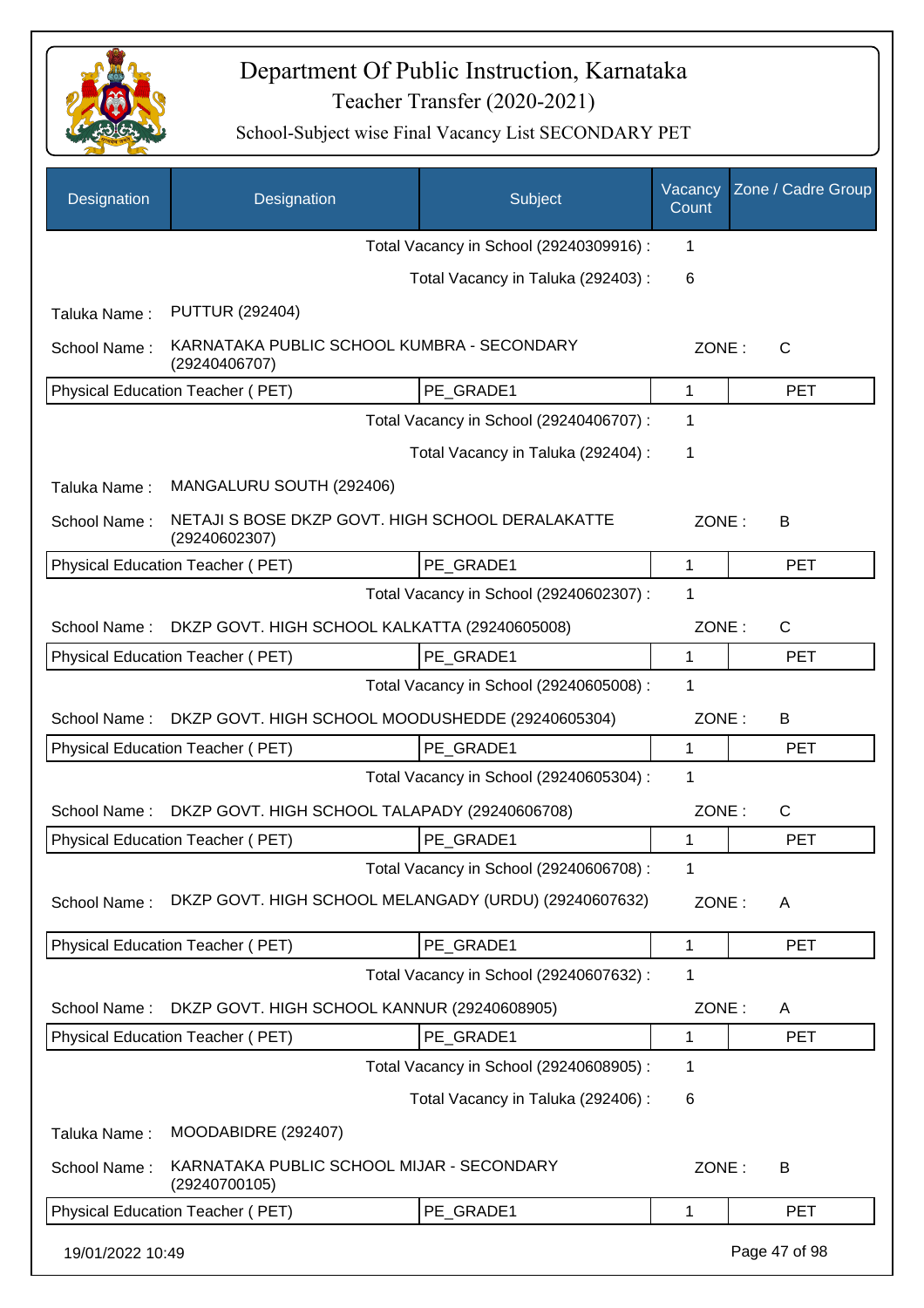

| Designation      | Designation                                                       | Subject                                 | Vacancy<br>Count | Zone / Cadre Group |
|------------------|-------------------------------------------------------------------|-----------------------------------------|------------------|--------------------|
|                  |                                                                   | Total Vacancy in School (29240309916) : | 1                |                    |
|                  |                                                                   | Total Vacancy in Taluka (292403) :      | 6                |                    |
| Taluka Name:     | <b>PUTTUR (292404)</b>                                            |                                         |                  |                    |
| School Name:     | KARNATAKA PUBLIC SCHOOL KUMBRA - SECONDARY<br>(29240406707)       |                                         |                  | ZONE:<br>C         |
|                  | Physical Education Teacher (PET)                                  | PE GRADE1                               | 1                | <b>PET</b>         |
|                  |                                                                   | Total Vacancy in School (29240406707) : | 1                |                    |
|                  |                                                                   | Total Vacancy in Taluka (292404) :      | 1                |                    |
| Taluka Name:     | MANGALURU SOUTH (292406)                                          |                                         |                  |                    |
| School Name:     | NETAJI S BOSE DKZP GOVT. HIGH SCHOOL DERALAKATTE<br>(29240602307) |                                         | ZONE:            | В                  |
|                  | Physical Education Teacher (PET)                                  | PE_GRADE1                               | 1                | <b>PET</b>         |
|                  |                                                                   | Total Vacancy in School (29240602307) : | 1                |                    |
| School Name:     | DKZP GOVT. HIGH SCHOOL KALKATTA (29240605008)                     |                                         | ZONE:            | $\mathsf{C}$       |
|                  | PE GRADE1<br>Physical Education Teacher (PET)                     |                                         |                  | <b>PET</b>         |
|                  |                                                                   | Total Vacancy in School (29240605008) : | 1                |                    |
| School Name:     | DKZP GOVT. HIGH SCHOOL MOODUSHEDDE (29240605304)                  |                                         | ZONE:            | B                  |
|                  | Physical Education Teacher (PET)                                  | PE GRADE1                               | 1                | <b>PET</b>         |
|                  |                                                                   | Total Vacancy in School (29240605304) : | 1                |                    |
| School Name:     | DKZP GOVT. HIGH SCHOOL TALAPADY (29240606708)                     |                                         | ZONE:            | $\mathsf{C}$       |
|                  | Physical Education Teacher (PET)                                  | PE_GRADE1                               | 1                | <b>PET</b>         |
|                  |                                                                   | Total Vacancy in School (29240606708) : | 1                |                    |
| School Name:     | DKZP GOVT. HIGH SCHOOL MELANGADY (URDU) (29240607632)             |                                         | ZONE:            | A                  |
|                  | Physical Education Teacher (PET)                                  | PE GRADE1                               | 1                | <b>PET</b>         |
|                  |                                                                   | Total Vacancy in School (29240607632) : | 1                |                    |
| School Name:     | DKZP GOVT. HIGH SCHOOL KANNUR (29240608905)                       |                                         | ZONE:            | A                  |
|                  | Physical Education Teacher (PET)                                  | PE GRADE1                               | 1                | <b>PET</b>         |
|                  |                                                                   | Total Vacancy in School (29240608905) : | 1                |                    |
|                  |                                                                   | Total Vacancy in Taluka (292406):       | 6                |                    |
| Taluka Name:     | MOODABIDRE (292407)                                               |                                         |                  |                    |
| School Name:     | KARNATAKA PUBLIC SCHOOL MIJAR - SECONDARY<br>(29240700105)        |                                         | ZONE:            | B                  |
|                  | Physical Education Teacher (PET)                                  | PE_GRADE1                               | 1                | <b>PET</b>         |
| 19/01/2022 10:49 |                                                                   |                                         |                  | Page 47 of 98      |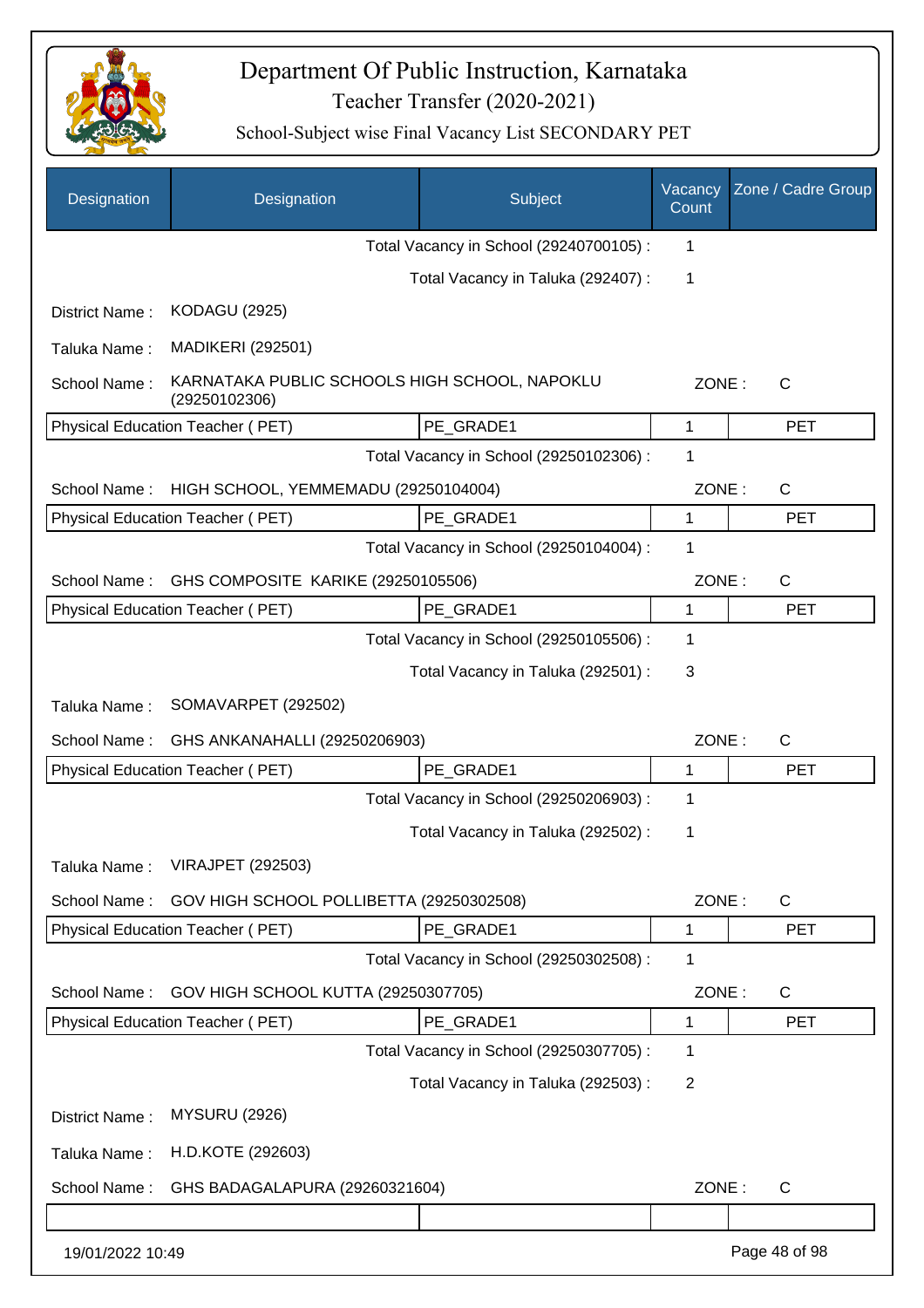

| Designation      | Designation                                                    | Subject                                 | Vacancy<br>Count | Zone / Cadre Group |
|------------------|----------------------------------------------------------------|-----------------------------------------|------------------|--------------------|
|                  |                                                                | Total Vacancy in School (29240700105) : | 1                |                    |
|                  |                                                                | Total Vacancy in Taluka (292407) :      | 1                |                    |
| District Name:   | <b>KODAGU (2925)</b>                                           |                                         |                  |                    |
| Taluka Name:     | <b>MADIKERI (292501)</b>                                       |                                         |                  |                    |
| School Name:     | KARNATAKA PUBLIC SCHOOLS HIGH SCHOOL, NAPOKLU<br>(29250102306) |                                         | ZONE:            | $\mathsf{C}$       |
|                  | Physical Education Teacher (PET)                               | PE_GRADE1                               | 1                | <b>PET</b>         |
|                  |                                                                | Total Vacancy in School (29250102306) : | 1                |                    |
| School Name:     | HIGH SCHOOL, YEMMEMADU (29250104004)                           |                                         | ZONE:            | C                  |
|                  | Physical Education Teacher (PET)                               | PE GRADE1                               | 1                | <b>PET</b>         |
|                  |                                                                | Total Vacancy in School (29250104004) : | 1                |                    |
| School Name:     | GHS COMPOSITE KARIKE (29250105506)                             |                                         | ZONE:            | $\mathsf{C}$       |
|                  | Physical Education Teacher (PET)                               | PE_GRADE1                               | 1                | <b>PET</b>         |
|                  |                                                                | Total Vacancy in School (29250105506) : | 1                |                    |
|                  |                                                                | Total Vacancy in Taluka (292501) :      | 3                |                    |
| Taluka Name:     | SOMAVARPET (292502)                                            |                                         |                  |                    |
| School Name:     | GHS ANKANAHALLI (29250206903)                                  |                                         | ZONE:            | $\mathsf{C}$       |
|                  | Physical Education Teacher (PET)                               | PE GRADE1                               | 1                | <b>PET</b>         |
|                  |                                                                | Total Vacancy in School (29250206903) : | 1                |                    |
|                  |                                                                | Total Vacancy in Taluka (292502) :      | 1                |                    |
| Taluka Name:     | <b>VIRAJPET (292503)</b>                                       |                                         |                  |                    |
| School Name:     | GOV HIGH SCHOOL POLLIBETTA (29250302508)                       |                                         | ZONE:            | $\mathsf C$        |
|                  | Physical Education Teacher (PET)                               | PE_GRADE1                               | 1                | <b>PET</b>         |
|                  |                                                                | Total Vacancy in School (29250302508) : | 1                |                    |
| School Name:     | GOV HIGH SCHOOL KUTTA (29250307705)                            |                                         | ZONE:            | C                  |
|                  | Physical Education Teacher (PET)                               | PE_GRADE1                               | 1                | <b>PET</b>         |
|                  |                                                                | Total Vacancy in School (29250307705) : | 1                |                    |
|                  |                                                                | Total Vacancy in Taluka (292503) :      | $\overline{2}$   |                    |
| District Name:   | <b>MYSURU (2926)</b>                                           |                                         |                  |                    |
| Taluka Name:     | H.D.KOTE (292603)                                              |                                         |                  |                    |
| School Name:     | GHS BADAGALAPURA (29260321604)                                 |                                         | ZONE:            | C                  |
|                  |                                                                |                                         |                  |                    |
| 19/01/2022 10:49 |                                                                |                                         |                  | Page 48 of 98      |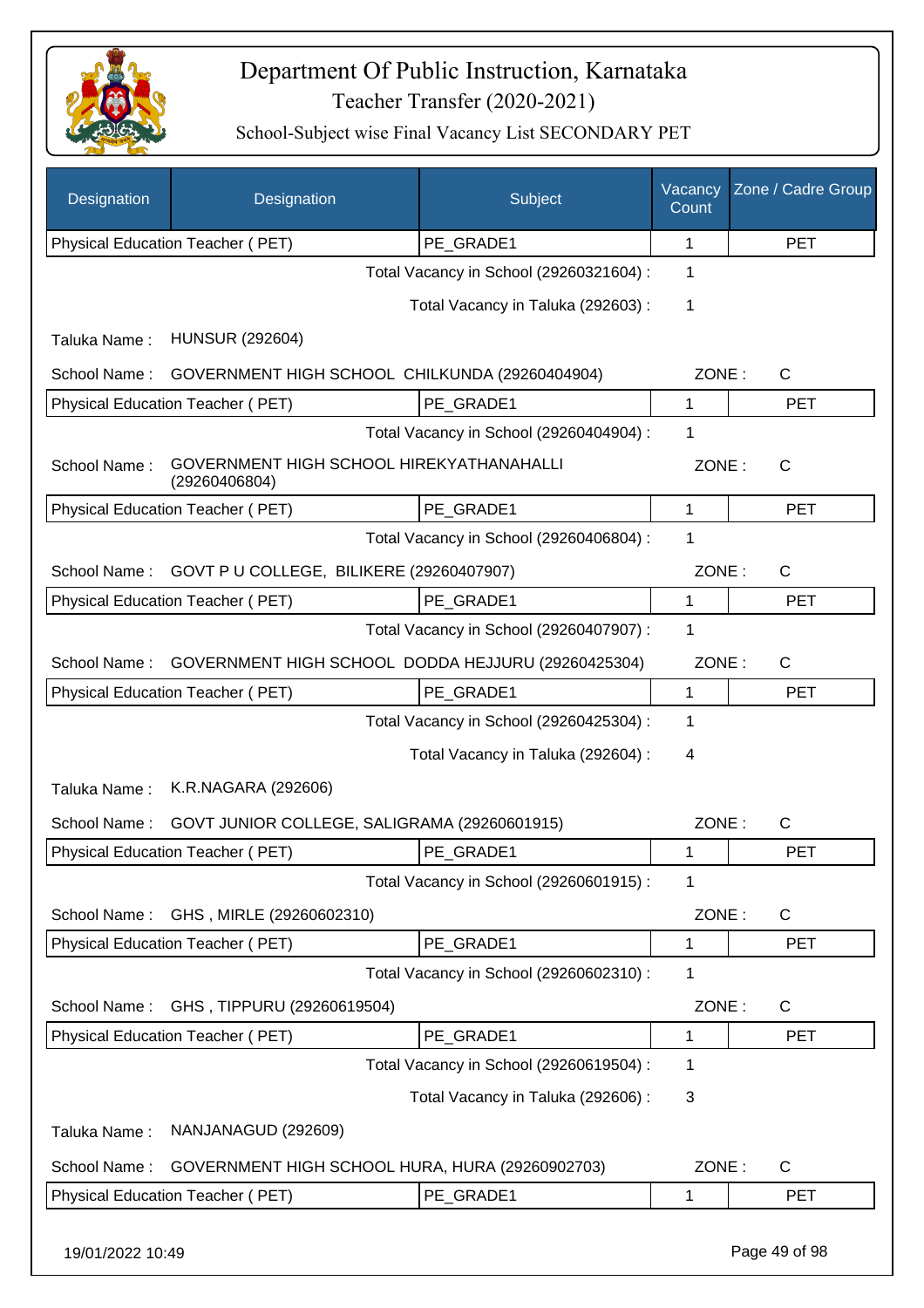

| Designation      | Designation                                               | Subject                                 | Vacancy<br>Count | Zone / Cadre Group |
|------------------|-----------------------------------------------------------|-----------------------------------------|------------------|--------------------|
|                  | Physical Education Teacher (PET)                          | PE_GRADE1                               | 1                | <b>PET</b>         |
|                  |                                                           | Total Vacancy in School (29260321604) : | 1                |                    |
|                  |                                                           | Total Vacancy in Taluka (292603) :      | 1                |                    |
| Taluka Name:     | <b>HUNSUR (292604)</b>                                    |                                         |                  |                    |
| School Name:     | GOVERNMENT HIGH SCHOOL CHILKUNDA (29260404904)            |                                         | ZONE:            | $\mathsf{C}$       |
|                  | Physical Education Teacher (PET)                          | PE_GRADE1                               | 1                | <b>PET</b>         |
|                  |                                                           | Total Vacancy in School (29260404904) : | 1                |                    |
| School Name:     | GOVERNMENT HIGH SCHOOL HIREKYATHANAHALLI<br>(29260406804) |                                         | ZONE:            | $\mathsf{C}$       |
|                  | Physical Education Teacher (PET)                          | PE GRADE1                               | 1                | <b>PET</b>         |
|                  |                                                           | Total Vacancy in School (29260406804) : | 1                |                    |
| School Name:     | GOVT P U COLLEGE, BILIKERE (29260407907)                  |                                         | ZONE:            | $\mathsf{C}$       |
|                  | Physical Education Teacher (PET)                          | PE GRADE1                               | 1                | <b>PET</b>         |
|                  |                                                           | Total Vacancy in School (29260407907) : | 1                |                    |
| School Name:     | GOVERNMENT HIGH SCHOOL DODDA HEJJURU (29260425304)        |                                         | ZONE:            | C                  |
|                  | Physical Education Teacher (PET)                          | PE_GRADE1                               | 1                | <b>PET</b>         |
|                  |                                                           | Total Vacancy in School (29260425304) : | 1                |                    |
|                  |                                                           | Total Vacancy in Taluka (292604) :      | 4                |                    |
| Taluka Name:     | K.R.NAGARA (292606)                                       |                                         |                  |                    |
| School Name:     | GOVT JUNIOR COLLEGE, SALIGRAMA (29260601915)              |                                         | ZONE:            | $\mathsf{C}$       |
|                  | Physical Education Teacher (PET)                          | PE GRADE1                               | 1                | <b>PET</b>         |
|                  |                                                           | Total Vacancy in School (29260601915) : | 1                |                    |
| School Name:     | GHS, MIRLE (29260602310)                                  |                                         | ZONE:            | C                  |
|                  | Physical Education Teacher (PET)                          | PE_GRADE1                               | $\mathbf{1}$     | <b>PET</b>         |
|                  |                                                           | Total Vacancy in School (29260602310) : | 1                |                    |
| School Name:     | GHS, TIPPURU (29260619504)                                |                                         | ZONE:            | C                  |
|                  | Physical Education Teacher (PET)                          | PE_GRADE1                               | 1                | <b>PET</b>         |
|                  |                                                           | Total Vacancy in School (29260619504) : | 1                |                    |
|                  |                                                           | Total Vacancy in Taluka (292606) :      | 3                |                    |
| Taluka Name:     | NANJANAGUD (292609)                                       |                                         |                  |                    |
| School Name:     | GOVERNMENT HIGH SCHOOL HURA, HURA (29260902703)           |                                         | ZONE:            | C                  |
|                  | Physical Education Teacher (PET)                          | PE_GRADE1                               | 1                | PET                |
| 19/01/2022 10:49 |                                                           |                                         |                  | Page 49 of 98      |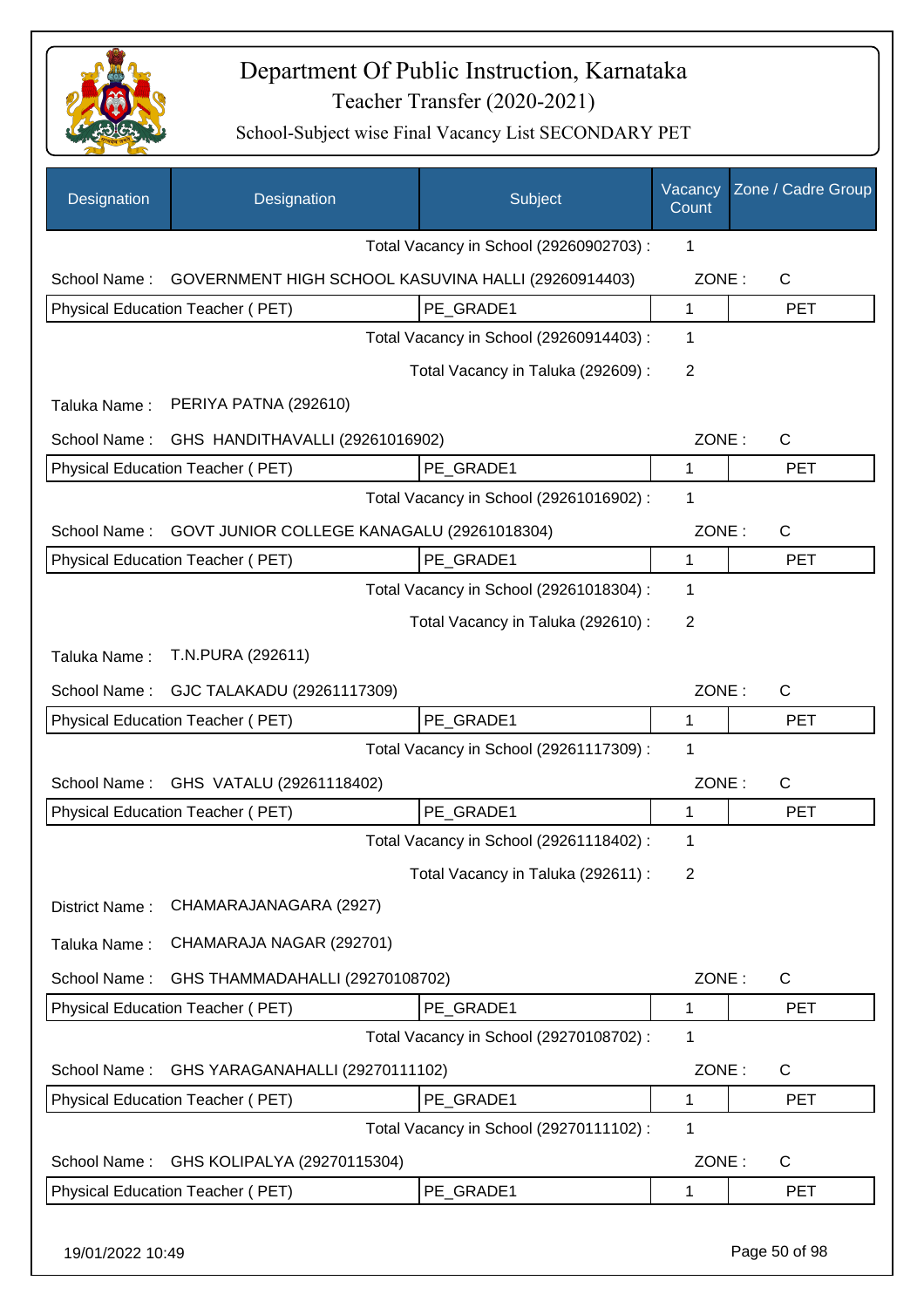

| Designation      | Designation                                         | Subject                                 | Vacancy<br>Count | Zone / Cadre Group |
|------------------|-----------------------------------------------------|-----------------------------------------|------------------|--------------------|
|                  |                                                     | Total Vacancy in School (29260902703) : | 1                |                    |
| School Name:     | GOVERNMENT HIGH SCHOOL KASUVINA HALLI (29260914403) |                                         | ZONE:            | $\mathsf{C}$       |
|                  | Physical Education Teacher (PET)                    | PE_GRADE1                               | $\mathbf{1}$     | <b>PET</b>         |
|                  |                                                     | Total Vacancy in School (29260914403) : | 1                |                    |
|                  |                                                     | Total Vacancy in Taluka (292609) :      | 2                |                    |
| Taluka Name:     | PERIYA PATNA (292610)                               |                                         |                  |                    |
| School Name:     | GHS HANDITHAVALLI (29261016902)                     |                                         | ZONE:            | C                  |
|                  | Physical Education Teacher (PET)                    | PE GRADE1                               | 1                | <b>PET</b>         |
|                  |                                                     | Total Vacancy in School (29261016902) : | 1                |                    |
| School Name:     | GOVT JUNIOR COLLEGE KANAGALU (29261018304)          |                                         | ZONE:            | $\mathsf{C}$       |
|                  | Physical Education Teacher (PET)                    | PE GRADE1                               | 1                | <b>PET</b>         |
|                  |                                                     | Total Vacancy in School (29261018304) : | 1                |                    |
|                  |                                                     | Total Vacancy in Taluka (292610) :      | 2                |                    |
| Taluka Name:     | T.N.PURA (292611)                                   |                                         |                  |                    |
| School Name:     | GJC TALAKADU (29261117309)                          |                                         | ZONE:            | C                  |
|                  | Physical Education Teacher (PET)                    | PE GRADE1                               | $\mathbf{1}$     | <b>PET</b>         |
|                  |                                                     | Total Vacancy in School (29261117309) : | 1                |                    |
| School Name:     | GHS VATALU (29261118402)                            |                                         | ZONE:            | $\mathsf{C}$       |
|                  | Physical Education Teacher (PET)                    | PE_GRADE1                               | $\mathbf{1}$     | <b>PET</b>         |
|                  |                                                     | Total Vacancy in School (29261118402) : | 1                |                    |
|                  |                                                     | Total Vacancy in Taluka (292611) :      | 2                |                    |
| District Name:   | CHAMARAJANAGARA (2927)                              |                                         |                  |                    |
| Taluka Name:     | CHAMARAJA NAGAR (292701)                            |                                         |                  |                    |
| School Name:     | GHS THAMMADAHALLI (29270108702)                     |                                         | ZONE:            | $\mathsf{C}$       |
|                  | Physical Education Teacher (PET)                    | PE_GRADE1                               | 1                | <b>PET</b>         |
|                  |                                                     | Total Vacancy in School (29270108702) : | 1                |                    |
| School Name:     | GHS YARAGANAHALLI (29270111102)                     |                                         | ZONE:            | C                  |
|                  | Physical Education Teacher (PET)                    | PE_GRADE1                               | $\mathbf 1$      | <b>PET</b>         |
|                  |                                                     | Total Vacancy in School (29270111102) : | 1                |                    |
| School Name:     | GHS KOLIPALYA (29270115304)                         |                                         | ZONE:            | C                  |
|                  | Physical Education Teacher (PET)                    | PE_GRADE1                               | 1                | <b>PET</b>         |
| 19/01/2022 10:49 |                                                     |                                         |                  | Page 50 of 98      |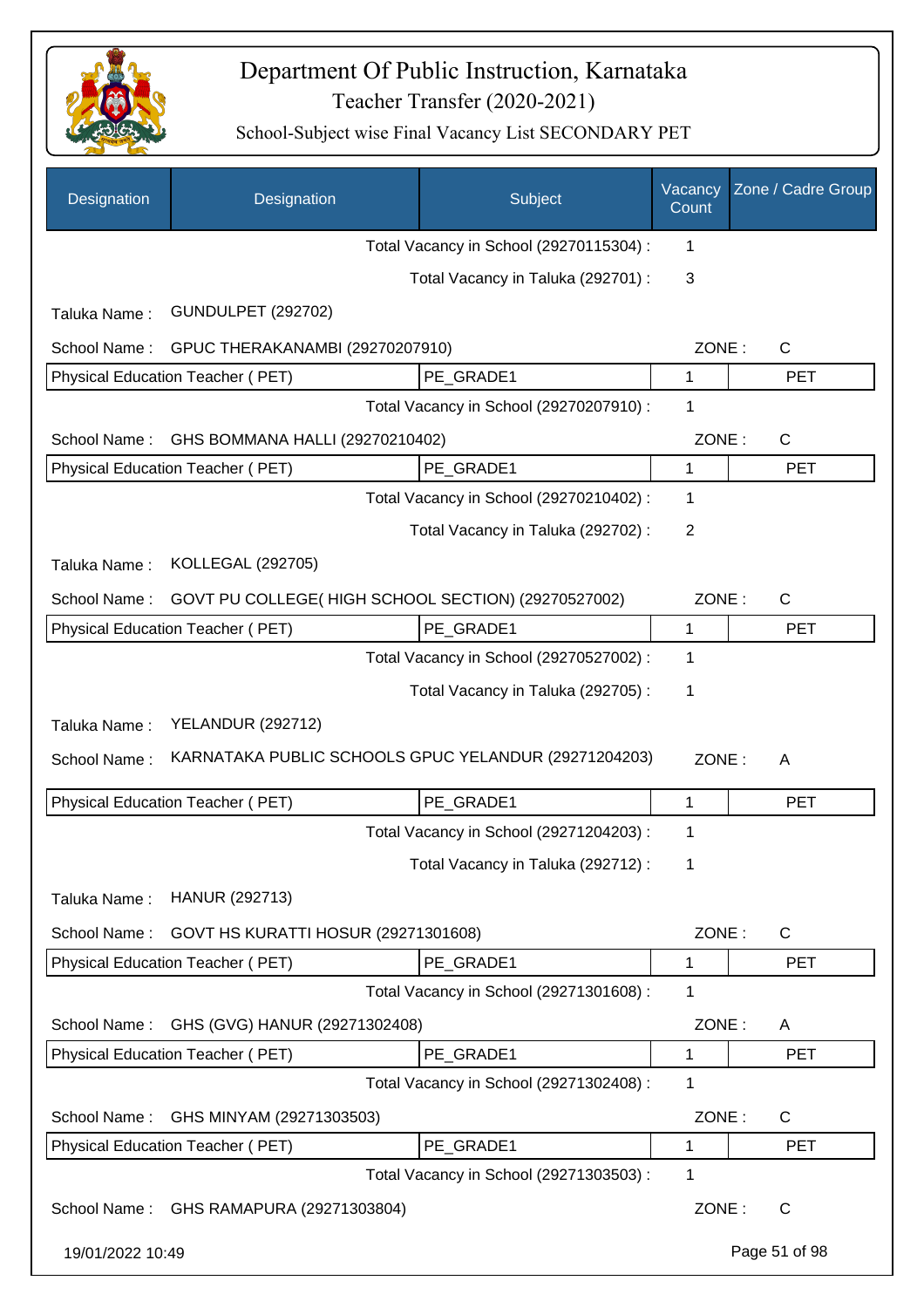

| Designation      | Designation                                          | Subject                                 | Vacancy<br>Count | Zone / Cadre Group |
|------------------|------------------------------------------------------|-----------------------------------------|------------------|--------------------|
|                  |                                                      | Total Vacancy in School (29270115304) : | 1                |                    |
|                  |                                                      | Total Vacancy in Taluka (292701) :      | 3                |                    |
| Taluka Name:     | <b>GUNDULPET (292702)</b>                            |                                         |                  |                    |
| School Name:     | GPUC THERAKANAMBI (29270207910)                      |                                         | ZONE:            | $\mathsf{C}$       |
|                  | Physical Education Teacher (PET)                     | PE_GRADE1                               | 1                | <b>PET</b>         |
|                  |                                                      | Total Vacancy in School (29270207910) : | 1                |                    |
| School Name:     | GHS BOMMANA HALLI (29270210402)                      |                                         | ZONE:            | $\mathsf{C}$       |
|                  | Physical Education Teacher (PET)                     | PE_GRADE1                               | 1                | <b>PET</b>         |
|                  |                                                      | Total Vacancy in School (29270210402) : | 1                |                    |
|                  |                                                      | Total Vacancy in Taluka (292702) :      | 2                |                    |
| Taluka Name:     | KOLLEGAL (292705)                                    |                                         |                  |                    |
| School Name:     | GOVT PU COLLEGE(HIGH SCHOOL SECTION) (29270527002)   |                                         | ZONE:            | C                  |
|                  | Physical Education Teacher (PET)                     | PE_GRADE1                               | 1                | <b>PET</b>         |
|                  |                                                      | Total Vacancy in School (29270527002) : | 1                |                    |
|                  |                                                      | Total Vacancy in Taluka (292705) :      | 1                |                    |
| Taluka Name:     | <b>YELANDUR (292712)</b>                             |                                         |                  |                    |
| School Name:     | KARNATAKA PUBLIC SCHOOLS GPUC YELANDUR (29271204203) |                                         | ZONE:            | A                  |
|                  | Physical Education Teacher (PET)                     | PE_GRADE1                               | 1                | <b>PET</b>         |
|                  |                                                      | Total Vacancy in School (29271204203) : | 1                |                    |
|                  |                                                      | Total Vacancy in Taluka (292712) :      | 1                |                    |
| Taluka Name:     | HANUR (292713)                                       |                                         |                  |                    |
| School Name:     | GOVT HS KURATTI HOSUR (29271301608)                  |                                         | ZONE:            | $\mathsf{C}$       |
|                  | Physical Education Teacher (PET)                     | PE_GRADE1                               | 1                | <b>PET</b>         |
|                  |                                                      | Total Vacancy in School (29271301608) : | 1                |                    |
| School Name:     | GHS (GVG) HANUR (29271302408)                        |                                         | ZONE:            | A                  |
|                  | Physical Education Teacher (PET)                     | PE_GRADE1                               | 1                | <b>PET</b>         |
|                  |                                                      | Total Vacancy in School (29271302408) : | 1                |                    |
| School Name:     | GHS MINYAM (29271303503)                             |                                         | ZONE:            | $\mathsf{C}$       |
|                  | Physical Education Teacher (PET)                     | PE_GRADE1                               | 1                | <b>PET</b>         |
|                  |                                                      | Total Vacancy in School (29271303503) : | 1                |                    |
| School Name:     | GHS RAMAPURA (29271303804)                           |                                         | ZONE:            | $\mathsf{C}$       |
| 19/01/2022 10:49 |                                                      |                                         |                  | Page 51 of 98      |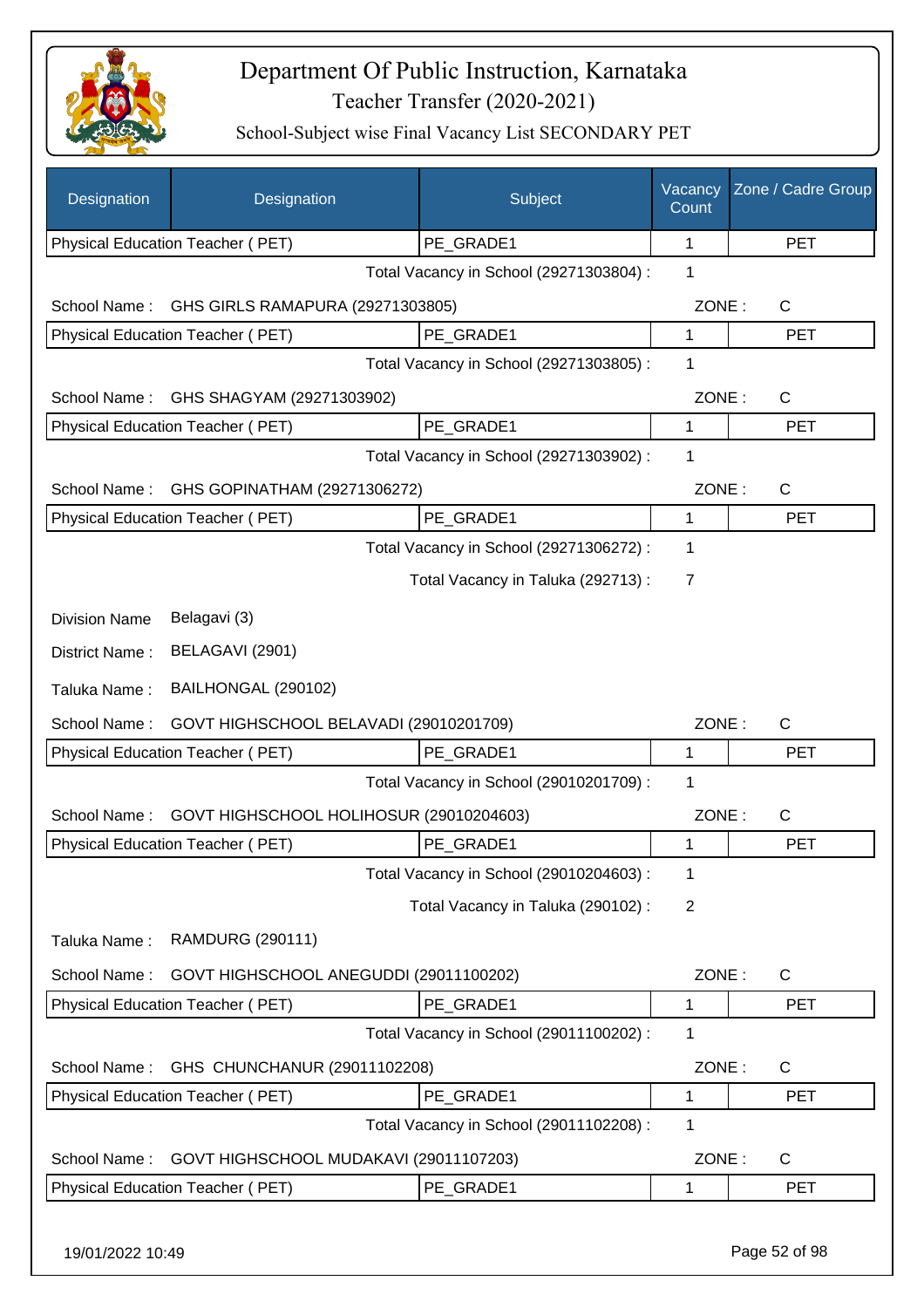

| Designation          | Designation                             | Subject                                 | Vacancy<br>Count | Zone / Cadre Group |
|----------------------|-----------------------------------------|-----------------------------------------|------------------|--------------------|
|                      | Physical Education Teacher (PET)        | PE GRADE1                               | 1                | <b>PET</b>         |
|                      |                                         | Total Vacancy in School (29271303804) : | 1                |                    |
| School Name:         | GHS GIRLS RAMAPURA (29271303805)        |                                         | ZONE:            | $\mathsf{C}$       |
|                      | Physical Education Teacher (PET)        | PE GRADE1                               | 1                | <b>PET</b>         |
|                      |                                         | Total Vacancy in School (29271303805) : | 1                |                    |
| School Name:         | GHS SHAGYAM (29271303902)               |                                         | ZONE:            | C                  |
|                      | Physical Education Teacher (PET)        | PE GRADE1                               | 1                | <b>PET</b>         |
|                      |                                         | Total Vacancy in School (29271303902) : | 1                |                    |
| School Name:         | GHS GOPINATHAM (29271306272)            |                                         | ZONE:            | $\mathsf{C}$       |
|                      | Physical Education Teacher (PET)        | PE GRADE1                               | 1                | <b>PET</b>         |
|                      |                                         | Total Vacancy in School (29271306272) : | $\mathbf 1$      |                    |
|                      |                                         | Total Vacancy in Taluka (292713) :      | $\overline{7}$   |                    |
| <b>Division Name</b> | Belagavi (3)                            |                                         |                  |                    |
| District Name:       | BELAGAVI (2901)                         |                                         |                  |                    |
| Taluka Name:         | BAILHONGAL (290102)                     |                                         |                  |                    |
| School Name:         | GOVT HIGHSCHOOL BELAVADI (29010201709)  |                                         | ZONE:            | $\mathsf{C}$       |
|                      | Physical Education Teacher (PET)        | PE_GRADE1                               | 1                | <b>PET</b>         |
|                      |                                         | Total Vacancy in School (29010201709) : | $\mathbf 1$      |                    |
| School Name:         | GOVT HIGHSCHOOL HOLIHOSUR (29010204603) |                                         | ZONE:            | $\mathsf{C}$       |
|                      | Physical Education Teacher (PET)        | PE_GRADE1                               | 1                | <b>PET</b>         |
|                      |                                         | Total Vacancy in School (29010204603) : | 1                |                    |
|                      |                                         | Total Vacancy in Taluka (290102):       | $\overline{2}$   |                    |
| Taluka Name:         | <b>RAMDURG (290111)</b>                 |                                         |                  |                    |
| School Name:         | GOVT HIGHSCHOOL ANEGUDDI (29011100202)  |                                         | ZONE:            | C                  |
|                      | Physical Education Teacher (PET)        | PE_GRADE1                               | 1                | <b>PET</b>         |
|                      |                                         | Total Vacancy in School (29011100202):  | 1                |                    |
| School Name:         | GHS CHUNCHANUR (29011102208)            |                                         | ZONE:            | C                  |
|                      | Physical Education Teacher (PET)        | PE_GRADE1                               | 1                | <b>PET</b>         |
|                      |                                         | Total Vacancy in School (29011102208) : | 1                |                    |
| School Name:         | GOVT HIGHSCHOOL MUDAKAVI (29011107203)  |                                         | ZONE:            | $\mathsf{C}$       |
|                      | Physical Education Teacher (PET)        | PE GRADE1                               | 1                | <b>PET</b>         |
|                      |                                         |                                         |                  |                    |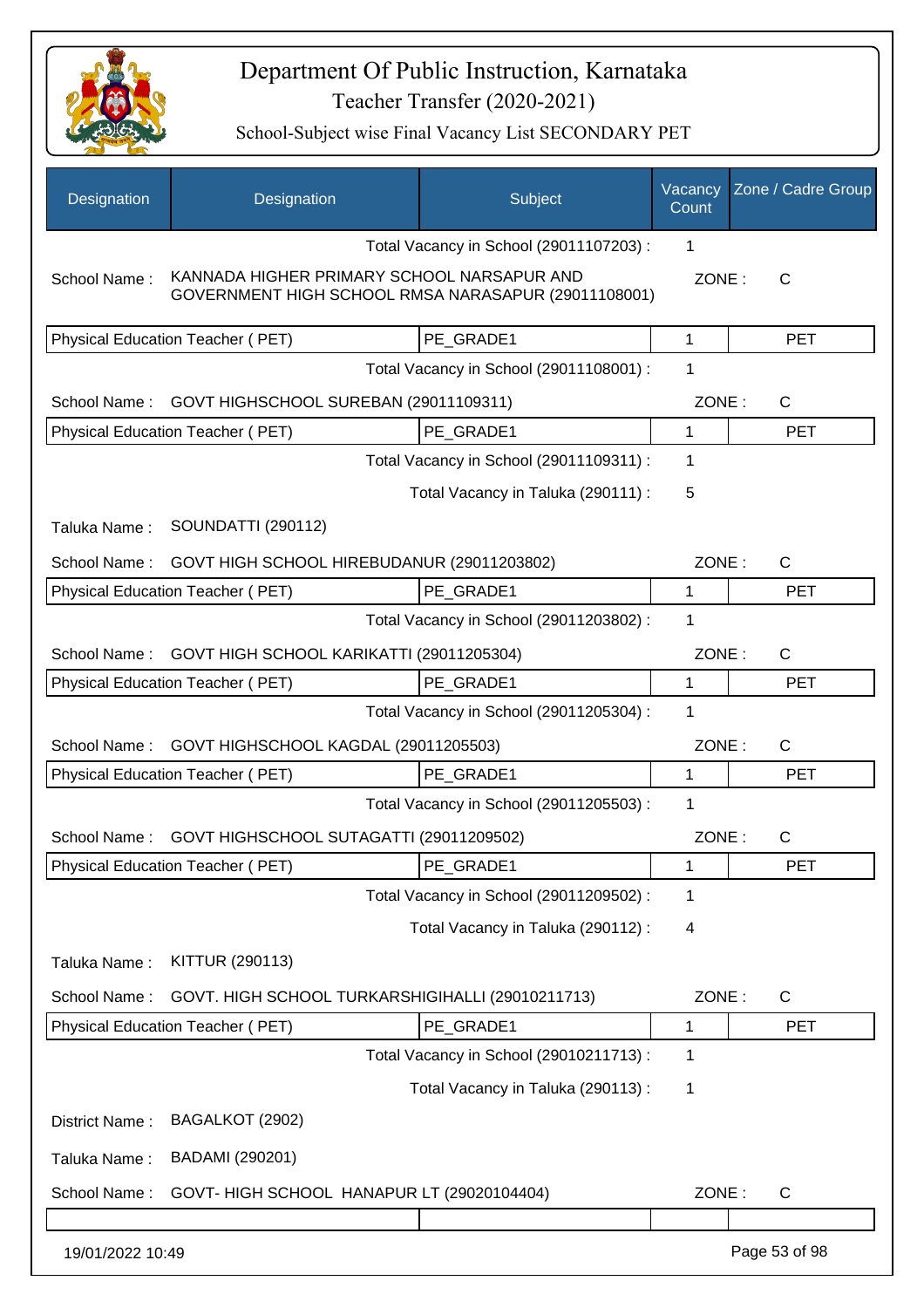

| Designation      | Designation                                                                                       | Subject                                 | Vacancy<br>Count | Zone / Cadre Group |
|------------------|---------------------------------------------------------------------------------------------------|-----------------------------------------|------------------|--------------------|
|                  |                                                                                                   | Total Vacancy in School (29011107203) : | 1                |                    |
| School Name:     | KANNADA HIGHER PRIMARY SCHOOL NARSAPUR AND<br>GOVERNMENT HIGH SCHOOL RMSA NARASAPUR (29011108001) |                                         | ZONE:            | $\mathsf{C}$       |
|                  | Physical Education Teacher (PET)                                                                  | PE GRADE1                               | 1                | <b>PET</b>         |
|                  |                                                                                                   | Total Vacancy in School (29011108001) : | 1                |                    |
| School Name:     | GOVT HIGHSCHOOL SUREBAN (29011109311)                                                             |                                         | ZONE:            | $\mathsf{C}$       |
|                  | Physical Education Teacher (PET)                                                                  | PE GRADE1                               | 1                | <b>PET</b>         |
|                  |                                                                                                   | Total Vacancy in School (29011109311) : | 1                |                    |
|                  |                                                                                                   | Total Vacancy in Taluka (290111) :      | 5                |                    |
| Taluka Name:     | <b>SOUNDATTI (290112)</b>                                                                         |                                         |                  |                    |
| School Name:     | GOVT HIGH SCHOOL HIREBUDANUR (29011203802)                                                        |                                         | ZONE:            | C                  |
|                  | <b>Physical Education Teacher (PET)</b>                                                           | PE GRADE1                               | 1                | <b>PET</b>         |
|                  |                                                                                                   | Total Vacancy in School (29011203802) : | 1                |                    |
| School Name:     | GOVT HIGH SCHOOL KARIKATTI (29011205304)                                                          |                                         | ZONE:            | $\mathsf{C}$       |
|                  | Physical Education Teacher (PET)                                                                  | PE GRADE1                               | 1                | <b>PET</b>         |
|                  |                                                                                                   | Total Vacancy in School (29011205304) : | 1                |                    |
| School Name:     | GOVT HIGHSCHOOL KAGDAL (29011205503)                                                              |                                         | ZONE:            | $\mathsf{C}$       |
|                  | Physical Education Teacher (PET)                                                                  | PE GRADE1                               | 1                | <b>PET</b>         |
|                  |                                                                                                   | Total Vacancy in School (29011205503) : | 1                |                    |
| School Name:     | GOVT HIGHSCHOOL SUTAGATTI (29011209502)                                                           |                                         | ZONE:            | $\mathsf{C}$       |
|                  | Physical Education Teacher (PET)                                                                  | PE GRADE1                               | 1                | <b>PET</b>         |
|                  |                                                                                                   | Total Vacancy in School (29011209502) : | 1                |                    |
|                  |                                                                                                   | Total Vacancy in Taluka (290112):       | 4                |                    |
| Taluka Name:     | KITTUR (290113)                                                                                   |                                         |                  |                    |
| School Name:     | GOVT. HIGH SCHOOL TURKARSHIGIHALLI (29010211713)                                                  |                                         | ZONE:            | C                  |
|                  | Physical Education Teacher (PET)                                                                  | PE GRADE1                               | 1                | <b>PET</b>         |
|                  |                                                                                                   | Total Vacancy in School (29010211713) : | 1                |                    |
|                  |                                                                                                   | Total Vacancy in Taluka (290113):       | 1                |                    |
| District Name:   | BAGALKOT (2902)                                                                                   |                                         |                  |                    |
| Taluka Name:     | BADAMI (290201)                                                                                   |                                         |                  |                    |
| School Name:     | GOVT-HIGH SCHOOL HANAPUR LT (29020104404)                                                         |                                         | ZONE:            | $\mathsf{C}$       |
|                  |                                                                                                   |                                         |                  |                    |
| 19/01/2022 10:49 |                                                                                                   |                                         |                  | Page 53 of 98      |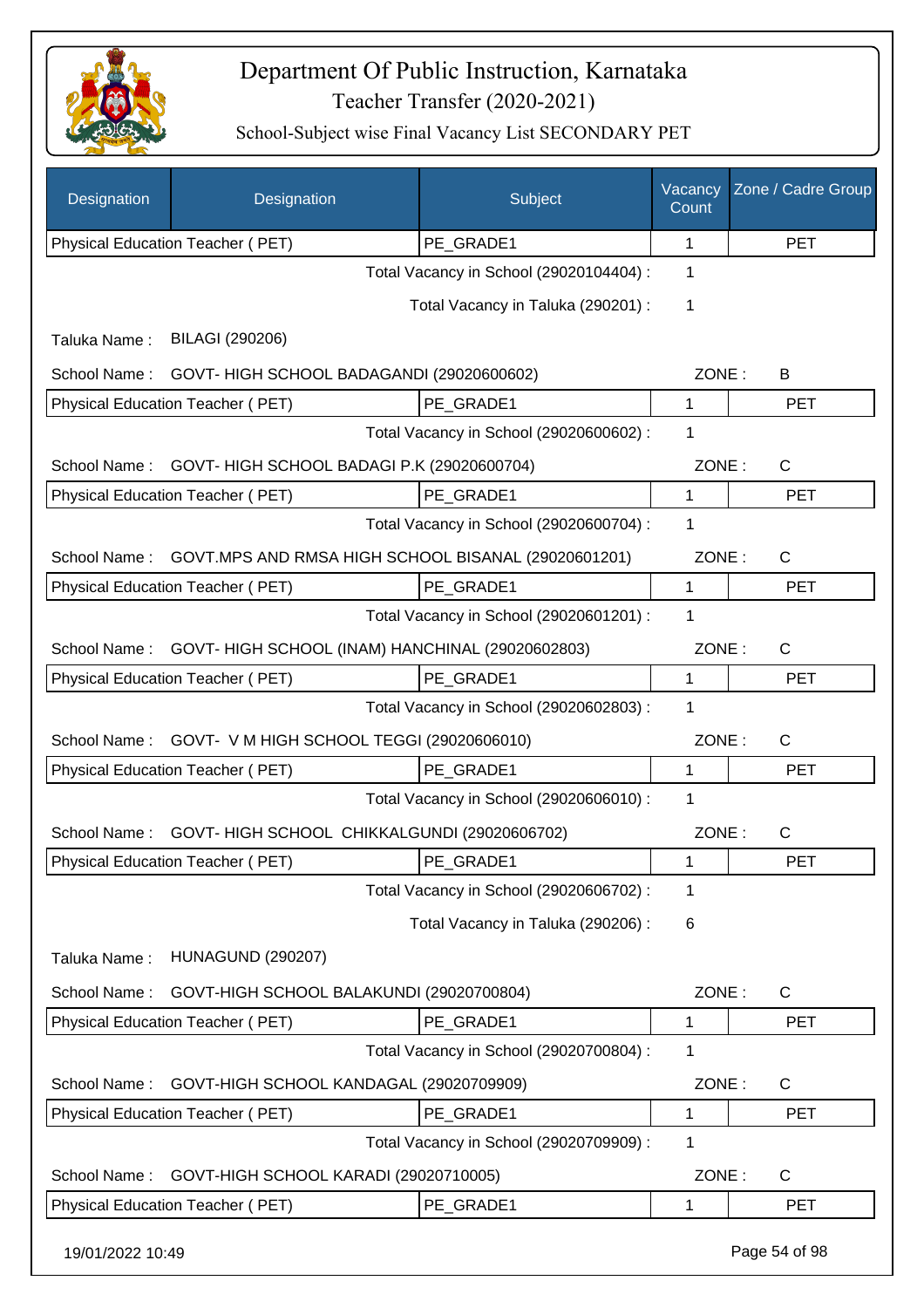

| Designation      | Designation                                            | Subject                                 | Vacancy<br>Count | Zone / Cadre Group |
|------------------|--------------------------------------------------------|-----------------------------------------|------------------|--------------------|
|                  | Physical Education Teacher (PET)                       | PE_GRADE1                               | 1                | <b>PET</b>         |
|                  |                                                        | Total Vacancy in School (29020104404) : | 1                |                    |
|                  |                                                        | Total Vacancy in Taluka (290201) :      | 1                |                    |
| Taluka Name:     | BILAGI (290206)                                        |                                         |                  |                    |
|                  | School Name: GOVT- HIGH SCHOOL BADAGANDI (29020600602) |                                         | ZONE:            | B                  |
|                  | Physical Education Teacher (PET)                       | PE_GRADE1                               | 1                | <b>PET</b>         |
|                  |                                                        | Total Vacancy in School (29020600602) : | 1                |                    |
| School Name:     | GOVT-HIGH SCHOOL BADAGI P.K (29020600704)              |                                         | ZONE:            | C                  |
|                  | Physical Education Teacher (PET)                       | PE GRADE1                               | $\mathbf{1}$     | <b>PET</b>         |
|                  |                                                        | Total Vacancy in School (29020600704) : | 1                |                    |
| School Name:     | GOVT.MPS AND RMSA HIGH SCHOOL BISANAL (29020601201)    |                                         | ZONE:            | C                  |
|                  | Physical Education Teacher (PET)                       | PE_GRADE1                               | $\mathbf{1}$     | <b>PET</b>         |
|                  |                                                        | Total Vacancy in School (29020601201) : | $\mathbf{1}$     |                    |
| School Name:     | GOVT- HIGH SCHOOL (INAM) HANCHINAL (29020602803)       |                                         | ZONE:            | C                  |
|                  | Physical Education Teacher (PET)                       | PE_GRADE1                               | $\mathbf 1$      | <b>PET</b>         |
|                  |                                                        | Total Vacancy in School (29020602803) : | 1                |                    |
| School Name:     | GOVT- V M HIGH SCHOOL TEGGI (29020606010)              |                                         | ZONE:            | $\mathsf{C}$       |
|                  | Physical Education Teacher (PET)                       | PE GRADE1                               | $\mathbf 1$      | <b>PET</b>         |
|                  |                                                        | Total Vacancy in School (29020606010) : | 1                |                    |
| School Name:     | GOVT- HIGH SCHOOL CHIKKALGUNDI (29020606702)           |                                         | ZONE:            | $\mathsf{C}$       |
|                  | Physical Education Teacher (PET)                       | PE_GRADE1                               | 1                | <b>PET</b>         |
|                  |                                                        | Total Vacancy in School (29020606702) : | 1                |                    |
|                  |                                                        | Total Vacancy in Taluka (290206) :      | 6                |                    |
| Taluka Name:     | <b>HUNAGUND (290207)</b>                               |                                         |                  |                    |
| School Name:     | GOVT-HIGH SCHOOL BALAKUNDI (29020700804)               |                                         | ZONE:            | $\mathsf{C}$       |
|                  | Physical Education Teacher (PET)                       | PE GRADE1                               | 1                | <b>PET</b>         |
|                  |                                                        | Total Vacancy in School (29020700804) : | 1                |                    |
| School Name:     | GOVT-HIGH SCHOOL KANDAGAL (29020709909)                |                                         | ZONE:            | $\mathsf{C}$       |
|                  | Physical Education Teacher (PET)                       | PE GRADE1                               | 1                | <b>PET</b>         |
|                  |                                                        | Total Vacancy in School (29020709909) : | $\mathbf 1$      |                    |
| School Name:     | GOVT-HIGH SCHOOL KARADI (29020710005)                  |                                         | ZONE:            | $\mathsf{C}$       |
|                  | Physical Education Teacher (PET)                       | PE_GRADE1                               | 1                | PET                |
| 19/01/2022 10:49 |                                                        |                                         |                  | Page 54 of 98      |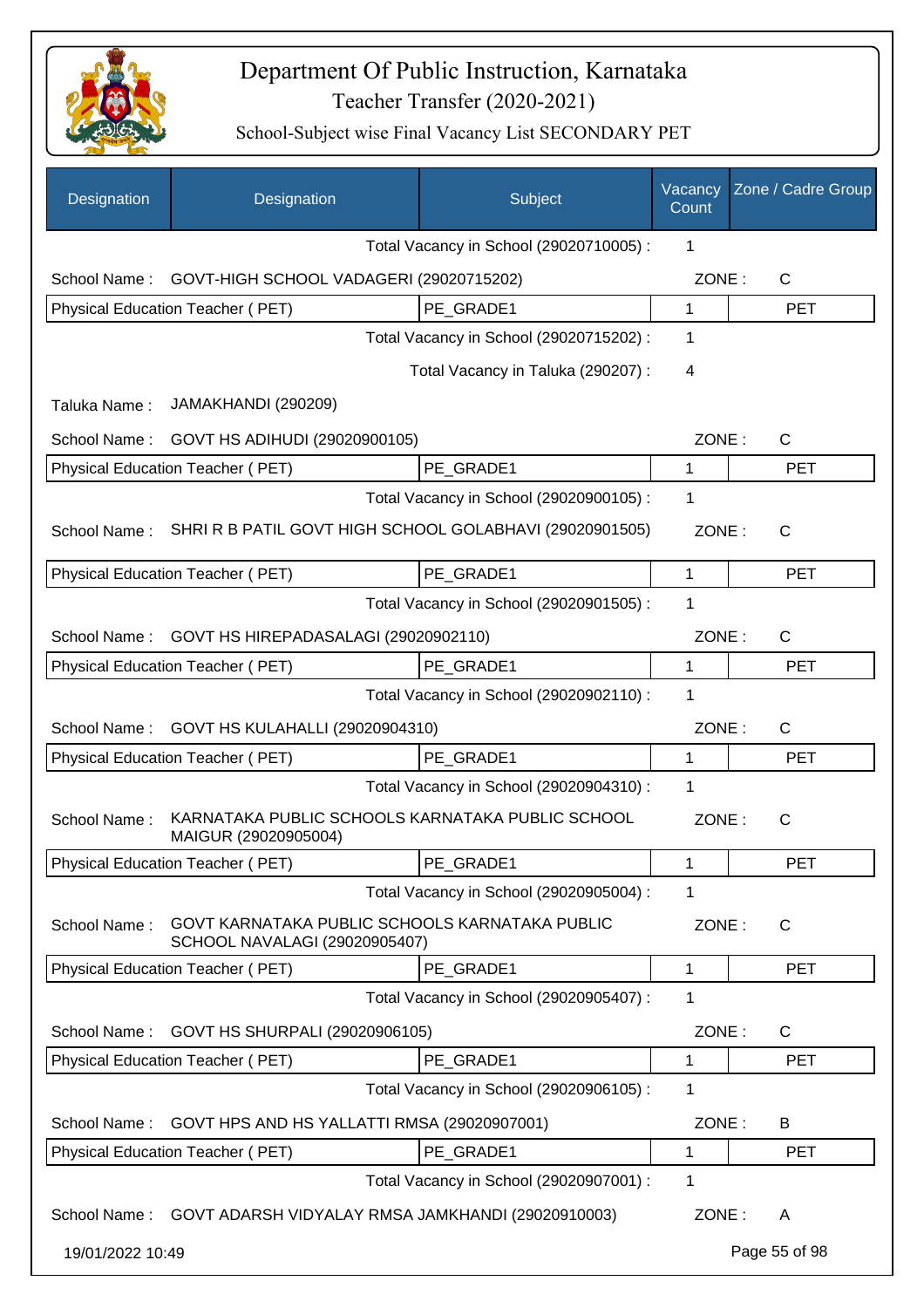

| Designation      | Designation                                                                     | Subject                                 | Vacancy<br>Count | Zone / Cadre Group |
|------------------|---------------------------------------------------------------------------------|-----------------------------------------|------------------|--------------------|
|                  |                                                                                 | Total Vacancy in School (29020710005) : | 1                |                    |
| School Name:     | GOVT-HIGH SCHOOL VADAGERI (29020715202)                                         |                                         | ZONE:            | $\mathsf{C}$       |
|                  | Physical Education Teacher (PET)                                                | PE GRADE1                               | $\mathbf{1}$     | <b>PET</b>         |
|                  |                                                                                 | Total Vacancy in School (29020715202) : | 1                |                    |
|                  |                                                                                 | Total Vacancy in Taluka (290207) :      | 4                |                    |
| Taluka Name:     | JAMAKHANDI (290209)                                                             |                                         |                  |                    |
| School Name:     | GOVT HS ADIHUDI (29020900105)                                                   |                                         | ZONE:            | $\mathsf{C}$       |
|                  | Physical Education Teacher (PET)                                                | PE GRADE1                               | 1                | <b>PET</b>         |
|                  |                                                                                 | Total Vacancy in School (29020900105) : | 1                |                    |
| School Name:     | SHRI R B PATIL GOVT HIGH SCHOOL GOLABHAVI (29020901505)                         |                                         | ZONE:            | $\mathsf{C}$       |
|                  | <b>Physical Education Teacher (PET)</b>                                         | PE GRADE1                               | 1                | <b>PET</b>         |
|                  |                                                                                 | Total Vacancy in School (29020901505) : | 1                |                    |
| School Name:     | GOVT HS HIREPADASALAGI (29020902110)                                            |                                         | ZONE:            | $\mathsf{C}$       |
|                  | Physical Education Teacher (PET)                                                | PE_GRADE1                               | 1                | <b>PET</b>         |
|                  |                                                                                 | Total Vacancy in School (29020902110) : | 1                |                    |
| School Name:     | GOVT HS KULAHALLI (29020904310)                                                 |                                         | ZONE:            | $\mathsf{C}$       |
|                  | Physical Education Teacher (PET)                                                | PE GRADE1                               | 1                | <b>PET</b>         |
|                  |                                                                                 | Total Vacancy in School (29020904310) : | 1                |                    |
| School Name:     | KARNATAKA PUBLIC SCHOOLS KARNATAKA PUBLIC SCHOOL<br>MAIGUR (29020905004)        |                                         | ZONE:            | C                  |
|                  | Physical Education Teacher (PET)                                                | PE_GRADE1                               | 1                | <b>PET</b>         |
|                  |                                                                                 | Total Vacancy in School (29020905004) : | 1                |                    |
| School Name:     | GOVT KARNATAKA PUBLIC SCHOOLS KARNATAKA PUBLIC<br>SCHOOL NAVALAGI (29020905407) |                                         | ZONE:            | C                  |
|                  | Physical Education Teacher (PET)                                                | PE GRADE1                               | 1                | <b>PET</b>         |
|                  |                                                                                 | Total Vacancy in School (29020905407) : | 1                |                    |
| School Name:     | GOVT HS SHURPALI (29020906105)                                                  |                                         | ZONE:            | C                  |
|                  | Physical Education Teacher (PET)                                                | PE_GRADE1                               | 1                | <b>PET</b>         |
|                  |                                                                                 | Total Vacancy in School (29020906105) : | 1                |                    |
| School Name:     | GOVT HPS AND HS YALLATTI RMSA (29020907001)                                     |                                         | ZONE:            | B                  |
|                  | Physical Education Teacher (PET)                                                | PE_GRADE1                               | 1                | <b>PET</b>         |
|                  |                                                                                 | Total Vacancy in School (29020907001) : | 1                |                    |
| School Name:     | GOVT ADARSH VIDYALAY RMSA JAMKHANDI (29020910003)                               |                                         | ZONE:            | A                  |
| 19/01/2022 10:49 |                                                                                 |                                         |                  | Page 55 of 98      |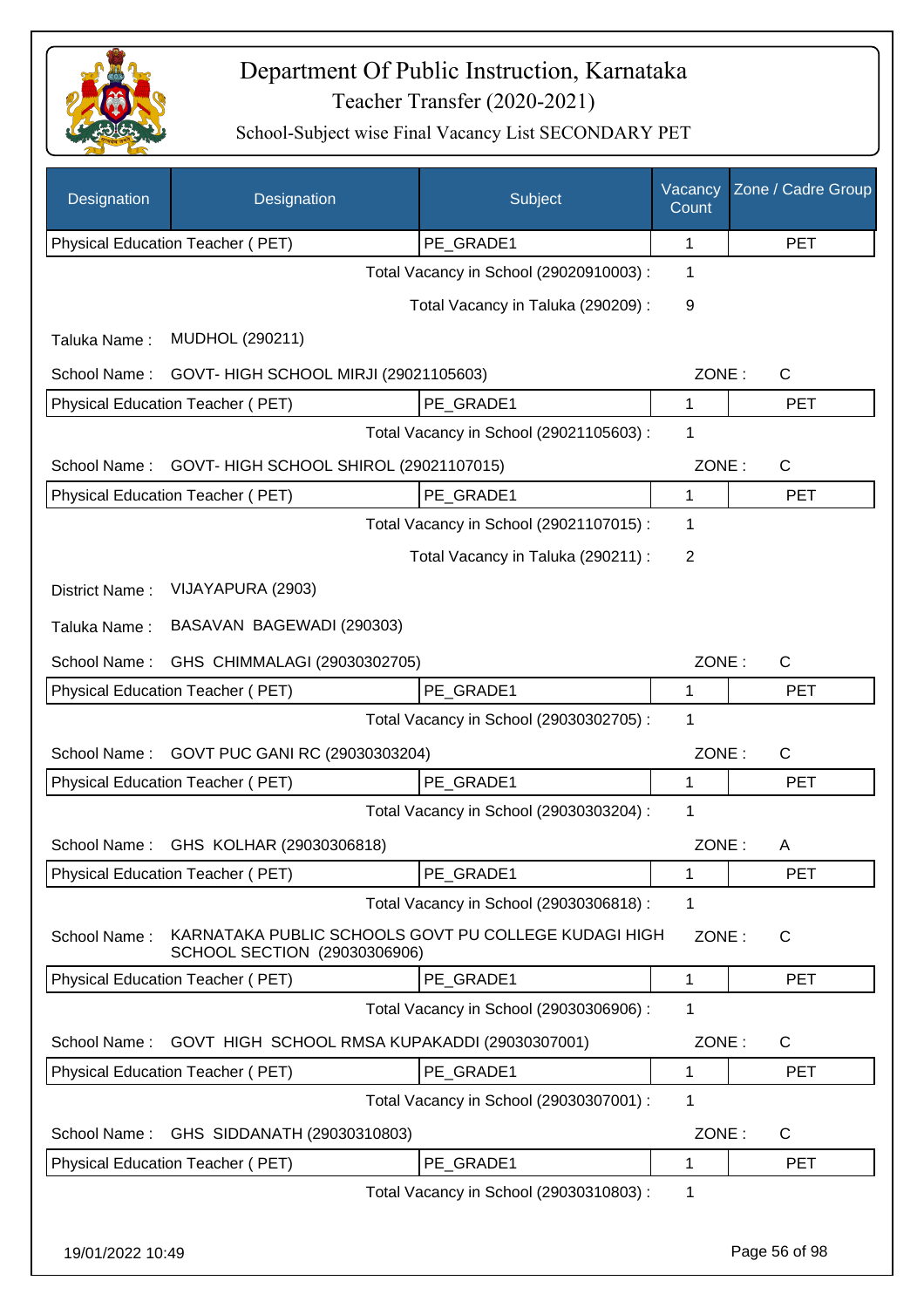

| Designation      | Designation                                                                          | Subject                                 | Vacancy<br>Count | Zone / Cadre Group |
|------------------|--------------------------------------------------------------------------------------|-----------------------------------------|------------------|--------------------|
|                  | Physical Education Teacher (PET)                                                     | PE_GRADE1                               | 1                | <b>PET</b>         |
|                  |                                                                                      | Total Vacancy in School (29020910003) : | 1                |                    |
|                  |                                                                                      | Total Vacancy in Taluka (290209) :      | 9                |                    |
| Taluka Name:     | MUDHOL (290211)                                                                      |                                         |                  |                    |
| School Name:     | GOVT- HIGH SCHOOL MIRJI (29021105603)                                                |                                         | ZONE:            | $\mathsf{C}$       |
|                  | Physical Education Teacher (PET)                                                     | PE_GRADE1                               | $\mathbf 1$      | <b>PET</b>         |
|                  |                                                                                      | Total Vacancy in School (29021105603) : | 1                |                    |
| School Name:     | GOVT- HIGH SCHOOL SHIROL (29021107015)                                               |                                         | ZONE:            | C                  |
|                  | Physical Education Teacher (PET)                                                     | PE_GRADE1                               | 1                | <b>PET</b>         |
|                  |                                                                                      | Total Vacancy in School (29021107015) : | 1                |                    |
|                  |                                                                                      | Total Vacancy in Taluka (290211) :      | $\overline{2}$   |                    |
| District Name:   | VIJAYAPURA (2903)                                                                    |                                         |                  |                    |
| Taluka Name:     | BASAVAN BAGEWADI (290303)                                                            |                                         |                  |                    |
| School Name:     | GHS CHIMMALAGI (29030302705)                                                         |                                         | ZONE:            | $\mathsf{C}$       |
|                  | Physical Education Teacher (PET)                                                     | PE_GRADE1                               | 1                | <b>PET</b>         |
|                  |                                                                                      | Total Vacancy in School (29030302705) : | 1                |                    |
| School Name:     | GOVT PUC GANI RC (29030303204)                                                       |                                         | ZONE:            | $\mathsf{C}$       |
|                  | Physical Education Teacher (PET)                                                     | PE GRADE1                               | 1                | <b>PET</b>         |
|                  |                                                                                      | Total Vacancy in School (29030303204) : | 1                |                    |
| School Name:     | GHS KOLHAR (29030306818)                                                             |                                         | ZONE:            | A                  |
|                  | Physical Education Teacher (PET)                                                     | PE GRADE1                               | 1                | <b>PET</b>         |
|                  |                                                                                      | Total Vacancy in School (29030306818) : | 1                |                    |
| School Name:     | KARNATAKA PUBLIC SCHOOLS GOVT PU COLLEGE KUDAGI HIGH<br>SCHOOL SECTION (29030306906) |                                         | ZONE:            | C                  |
|                  | Physical Education Teacher (PET)                                                     | PE_GRADE1                               | 1                | <b>PET</b>         |
|                  |                                                                                      | Total Vacancy in School (29030306906) : | 1                |                    |
| School Name:     | GOVT HIGH SCHOOL RMSA KUPAKADDI (29030307001)                                        |                                         | ZONE:            | C                  |
|                  | Physical Education Teacher (PET)                                                     | PE_GRADE1                               | 1                | <b>PET</b>         |
|                  |                                                                                      | Total Vacancy in School (29030307001) : | 1                |                    |
| School Name:     | GHS SIDDANATH (29030310803)                                                          |                                         | ZONE:            | $\mathsf{C}$       |
|                  | Physical Education Teacher (PET)                                                     | PE GRADE1                               | 1                | PET                |
|                  |                                                                                      | Total Vacancy in School (29030310803) : | 1                |                    |
| 19/01/2022 10:49 |                                                                                      |                                         |                  | Page 56 of 98      |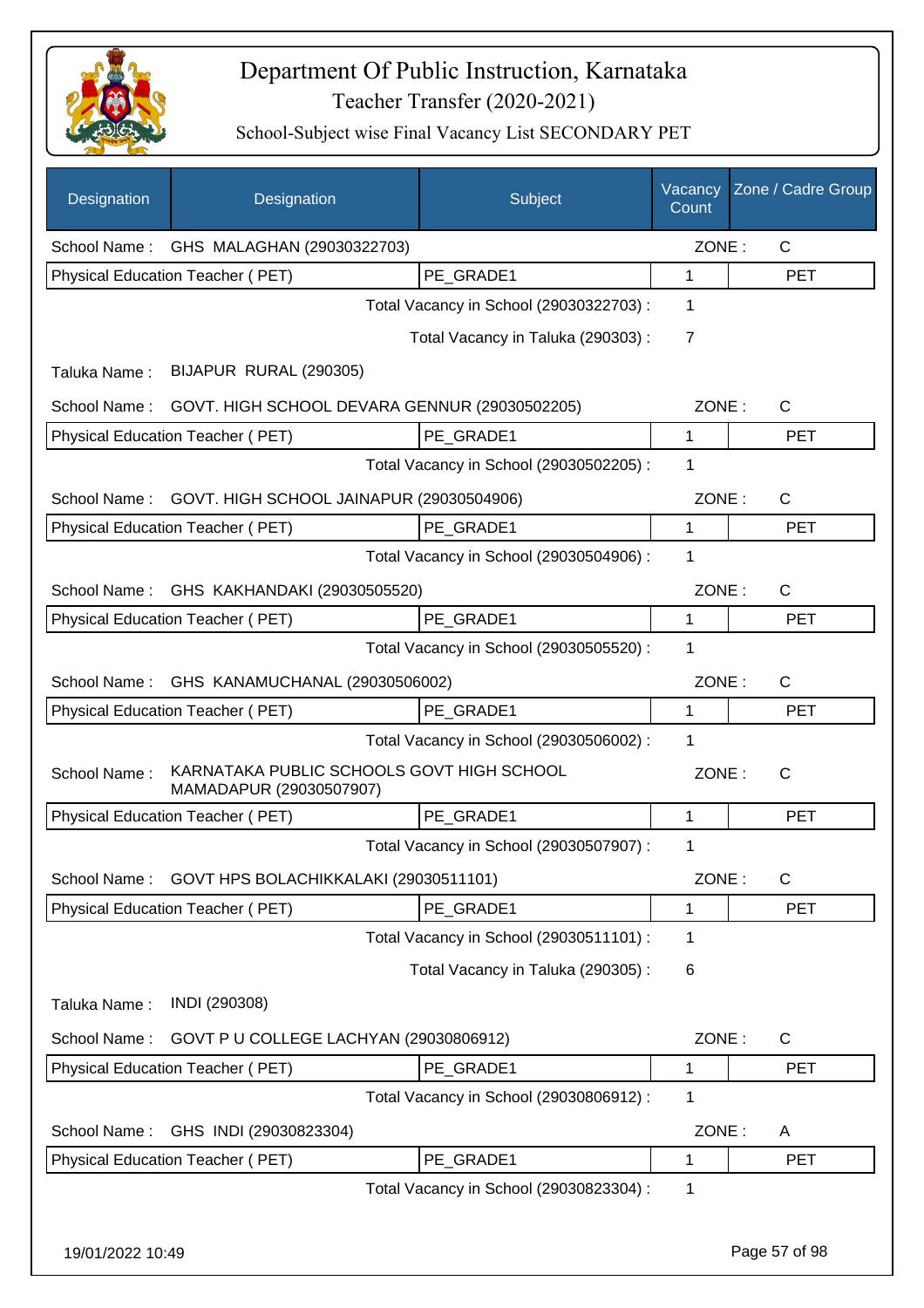

| Designation      | Designation                                                          | Subject                                 | Vacancy<br>Count | Zone / Cadre Group |
|------------------|----------------------------------------------------------------------|-----------------------------------------|------------------|--------------------|
|                  | School Name: GHS MALAGHAN (29030322703)                              |                                         | ZONE:            | $\mathsf{C}$       |
|                  | Physical Education Teacher (PET)                                     | PE_GRADE1                               | 1                | <b>PET</b>         |
|                  |                                                                      | Total Vacancy in School (29030322703) : | 1                |                    |
|                  |                                                                      | Total Vacancy in Taluka (290303):       | $\overline{7}$   |                    |
| Taluka Name:     | BIJAPUR RURAL (290305)                                               |                                         |                  |                    |
| School Name:     | GOVT. HIGH SCHOOL DEVARA GENNUR (29030502205)                        |                                         | ZONE:            | C                  |
|                  | Physical Education Teacher (PET)                                     | PE GRADE1                               | 1                | <b>PET</b>         |
|                  |                                                                      | Total Vacancy in School (29030502205) : | 1                |                    |
| School Name:     | GOVT. HIGH SCHOOL JAINAPUR (29030504906)                             |                                         | ZONE:            | $\mathsf{C}$       |
|                  | Physical Education Teacher (PET)                                     | PE_GRADE1                               | 1                | <b>PET</b>         |
|                  |                                                                      | Total Vacancy in School (29030504906) : | 1                |                    |
| School Name:     | GHS KAKHANDAKI (29030505520)                                         |                                         | ZONE:            | $\mathsf{C}$       |
|                  | Physical Education Teacher (PET)                                     | PE_GRADE1                               | $\mathbf{1}$     | <b>PET</b>         |
|                  |                                                                      | Total Vacancy in School (29030505520) : | 1                |                    |
| School Name:     | GHS KANAMUCHANAL (29030506002)                                       |                                         | ZONE:            | $\mathsf{C}$       |
|                  | Physical Education Teacher (PET)                                     | PE GRADE1                               | 1                | <b>PET</b>         |
|                  |                                                                      | Total Vacancy in School (29030506002) : | 1                |                    |
| School Name:     | KARNATAKA PUBLIC SCHOOLS GOVT HIGH SCHOOL<br>MAMADAPUR (29030507907) |                                         | ZONE:            | $\mathsf{C}$       |
|                  | Physical Education Teacher (PET)                                     | PE GRADE1                               | $\mathbf 1$      | <b>PET</b>         |
|                  |                                                                      | Total Vacancy in School (29030507907) : | 1                |                    |
| School Name:     | GOVT HPS BOLACHIKKALAKI (29030511101)                                |                                         | ZONE:            | C                  |
|                  | Physical Education Teacher (PET)                                     | PE GRADE1                               | 1                | <b>PET</b>         |
|                  |                                                                      | Total Vacancy in School (29030511101) : | 1                |                    |
|                  |                                                                      | Total Vacancy in Taluka (290305):       | 6                |                    |
| Taluka Name:     | INDI (290308)                                                        |                                         |                  |                    |
| School Name:     | GOVT P U COLLEGE LACHYAN (29030806912)                               |                                         | ZONE:            | $\mathsf{C}$       |
|                  | Physical Education Teacher (PET)                                     | PE_GRADE1                               | $\mathbf 1$      | <b>PET</b>         |
|                  |                                                                      | Total Vacancy in School (29030806912) : | 1                |                    |
| School Name:     | GHS INDI (29030823304)                                               |                                         | ZONE:            | A                  |
|                  | Physical Education Teacher (PET)                                     | PE_GRADE1                               | 1                | <b>PET</b>         |
|                  |                                                                      | Total Vacancy in School (29030823304) : | 1                |                    |
|                  |                                                                      |                                         |                  |                    |
| 19/01/2022 10:49 |                                                                      |                                         |                  | Page 57 of 98      |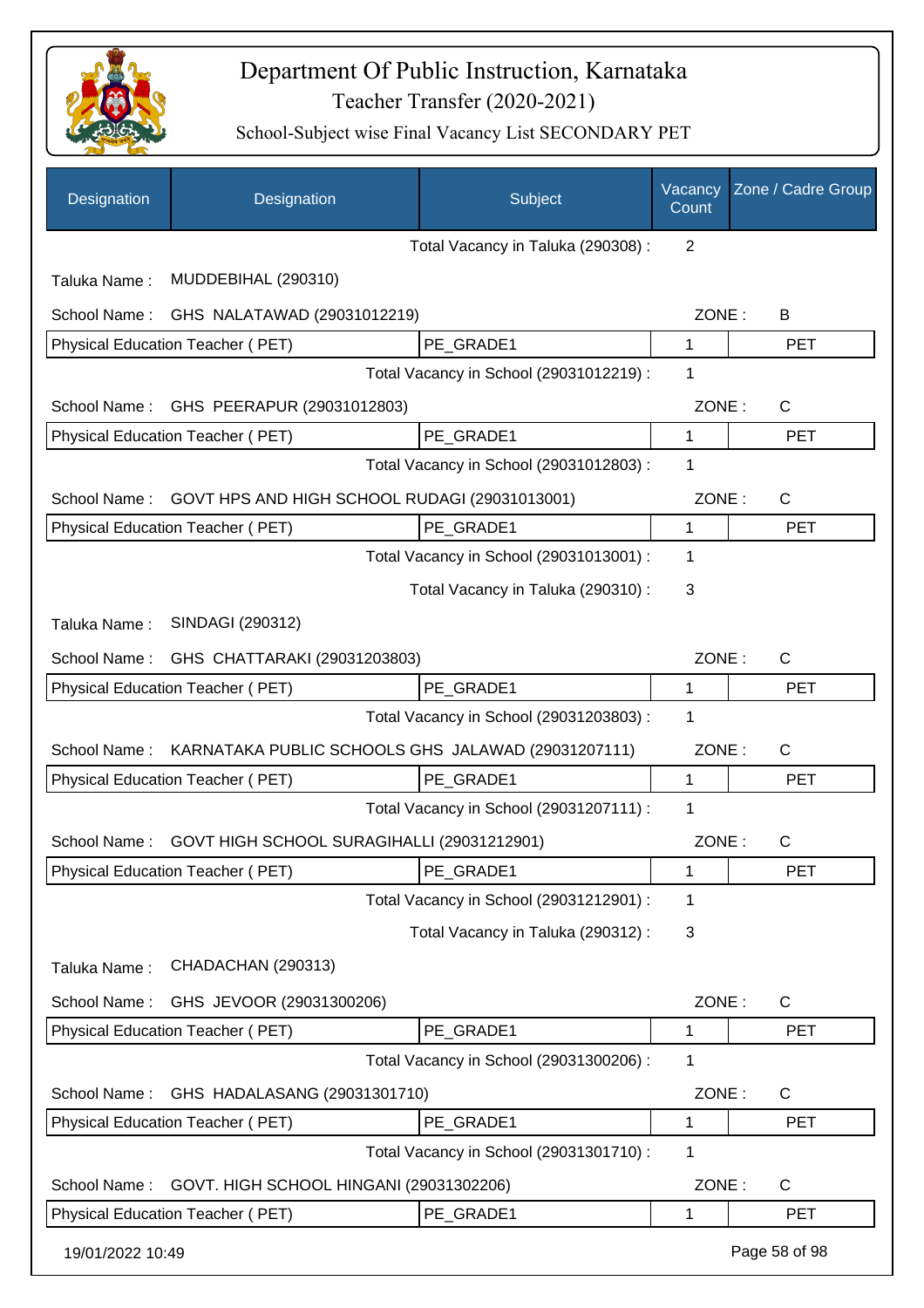

| Designation                                                        | Designation                                   | Subject                                 | Vacancy<br>Count | Zone / Cadre Group |
|--------------------------------------------------------------------|-----------------------------------------------|-----------------------------------------|------------------|--------------------|
|                                                                    |                                               | Total Vacancy in Taluka (290308) :      | 2                |                    |
| Taluka Name:                                                       | MUDDEBIHAL (290310)                           |                                         |                  |                    |
| School Name:                                                       | GHS NALATAWAD (29031012219)                   |                                         | ZONE:            | B                  |
|                                                                    | Physical Education Teacher (PET)              | PE GRADE1                               | 1                | <b>PET</b>         |
|                                                                    |                                               | Total Vacancy in School (29031012219) : | 1                |                    |
| School Name:                                                       | GHS PEERAPUR (29031012803)                    |                                         | ZONE:            | $\mathsf{C}$       |
|                                                                    | Physical Education Teacher (PET)              | PE_GRADE1                               | 1                | <b>PET</b>         |
|                                                                    |                                               | Total Vacancy in School (29031012803) : | 1                |                    |
| School Name:                                                       | GOVT HPS AND HIGH SCHOOL RUDAGI (29031013001) |                                         | ZONE:            | $\mathsf{C}$       |
|                                                                    | Physical Education Teacher (PET)              | PE_GRADE1                               | 1                | <b>PET</b>         |
|                                                                    |                                               | Total Vacancy in School (29031013001) : | 1                |                    |
|                                                                    |                                               | Total Vacancy in Taluka (290310) :      | 3                |                    |
| Taluka Name:                                                       | SINDAGI (290312)                              |                                         |                  |                    |
| GHS CHATTARAKI (29031203803)<br>School Name:                       |                                               |                                         | ZONE:            | $\mathsf{C}$       |
|                                                                    | Physical Education Teacher (PET)              | PE_GRADE1                               | 1                | <b>PET</b>         |
|                                                                    |                                               | Total Vacancy in School (29031203803) : | 1                |                    |
| KARNATAKA PUBLIC SCHOOLS GHS JALAWAD (29031207111)<br>School Name: |                                               |                                         | ZONE:            | $\mathsf{C}$       |
|                                                                    | Physical Education Teacher (PET)              | PE GRADE1                               | 1                | <b>PET</b>         |
|                                                                    |                                               | Total Vacancy in School (29031207111) : | 1                |                    |
| School Name:                                                       | GOVT HIGH SCHOOL SURAGIHALLI (29031212901)    |                                         | ZONE:            | C                  |
|                                                                    | Physical Education Teacher (PET)              | PE_GRADE1                               | 1                | <b>PET</b>         |
|                                                                    |                                               | Total Vacancy in School (29031212901) : | 1                |                    |
|                                                                    |                                               | Total Vacancy in Taluka (290312) :      | 3                |                    |
| Taluka Name:                                                       | CHADACHAN (290313)                            |                                         |                  |                    |
| School Name:                                                       | GHS JEVOOR (29031300206)                      |                                         | ZONE:            | C                  |
|                                                                    | Physical Education Teacher (PET)              | PE_GRADE1                               | 1                | PET                |
|                                                                    |                                               | Total Vacancy in School (29031300206) : | 1                |                    |
| School Name:                                                       | GHS HADALASANG (29031301710)                  |                                         | ZONE:            | $\mathsf{C}$       |
|                                                                    | Physical Education Teacher (PET)              | PE_GRADE1                               | 1                | <b>PET</b>         |
|                                                                    |                                               | Total Vacancy in School (29031301710) : | 1                |                    |
| School Name:                                                       | GOVT. HIGH SCHOOL HINGANI (29031302206)       |                                         | ZONE:            | $\mathsf{C}$       |
|                                                                    | Physical Education Teacher (PET)              | PE_GRADE1                               | 1                | <b>PET</b>         |
| 19/01/2022 10:49                                                   |                                               |                                         |                  | Page 58 of 98      |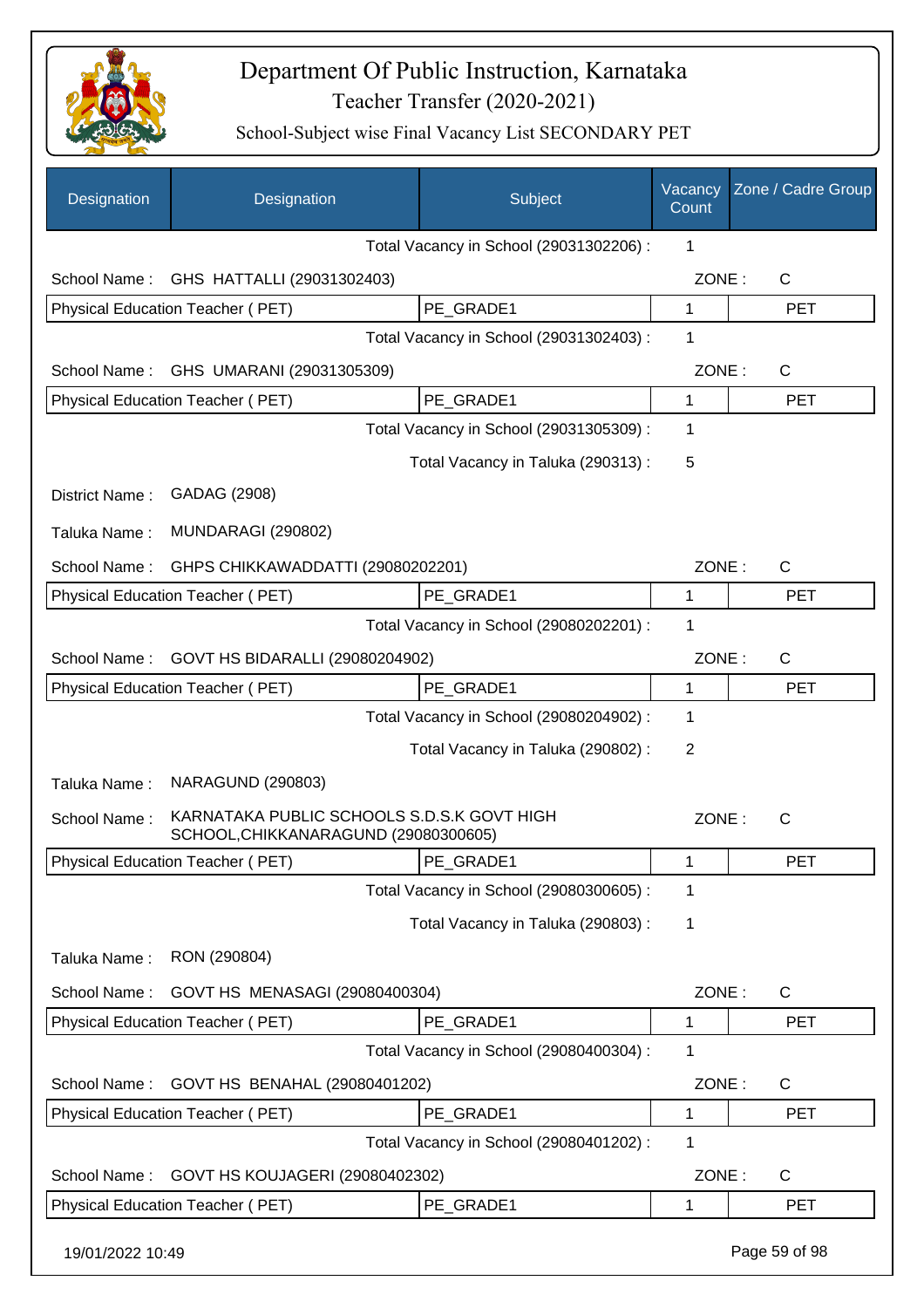

| Designation      | Designation                                                                        | Subject                                 | Vacancy<br>Count | Zone / Cadre Group |
|------------------|------------------------------------------------------------------------------------|-----------------------------------------|------------------|--------------------|
|                  |                                                                                    | Total Vacancy in School (29031302206) : | 1                |                    |
| School Name:     | GHS HATTALLI (29031302403)                                                         |                                         | ZONE:            | $\mathsf{C}$       |
|                  | Physical Education Teacher (PET)                                                   | PE GRADE1                               | 1                | <b>PET</b>         |
|                  |                                                                                    | Total Vacancy in School (29031302403) : | 1                |                    |
| School Name:     | GHS UMARANI (29031305309)                                                          |                                         | ZONE:            | $\mathsf{C}$       |
|                  | Physical Education Teacher (PET)                                                   | PE_GRADE1                               | 1                | <b>PET</b>         |
|                  |                                                                                    | Total Vacancy in School (29031305309) : | 1                |                    |
|                  |                                                                                    | Total Vacancy in Taluka (290313):       | 5                |                    |
| District Name:   | GADAG (2908)                                                                       |                                         |                  |                    |
| Taluka Name:     | <b>MUNDARAGI (290802)</b>                                                          |                                         |                  |                    |
| School Name:     | GHPS CHIKKAWADDATTI (29080202201)                                                  |                                         | ZONE:            | $\mathsf{C}$       |
|                  | Physical Education Teacher (PET)                                                   | PE_GRADE1                               | 1                | <b>PET</b>         |
|                  |                                                                                    | Total Vacancy in School (29080202201) : | 1                |                    |
| School Name:     | GOVT HS BIDARALLI (29080204902)                                                    |                                         | ZONE:            | C                  |
|                  | Physical Education Teacher (PET)                                                   | PE_GRADE1                               | 1                | <b>PET</b>         |
|                  |                                                                                    | Total Vacancy in School (29080204902) : | 1                |                    |
|                  |                                                                                    | Total Vacancy in Taluka (290802):       | 2                |                    |
| Taluka Name:     | <b>NARAGUND (290803)</b>                                                           |                                         |                  |                    |
| School Name:     | KARNATAKA PUBLIC SCHOOLS S.D.S.K GOVT HIGH<br>SCHOOL, CHIKKANARAGUND (29080300605) |                                         | ZONE:            | $\mathsf{C}$       |
|                  | Physical Education Teacher (PET)                                                   | PE_GRADE1                               | 1                | <b>PET</b>         |
|                  |                                                                                    | Total Vacancy in School (29080300605) : | 1                |                    |
|                  |                                                                                    | Total Vacancy in Taluka (290803):       | 1                |                    |
| Taluka Name:     | RON (290804)                                                                       |                                         |                  |                    |
| School Name:     | GOVT HS MENASAGI (29080400304)                                                     |                                         | ZONE:            | C                  |
|                  | Physical Education Teacher (PET)                                                   | PE_GRADE1                               | 1                | <b>PET</b>         |
|                  |                                                                                    | Total Vacancy in School (29080400304) : | 1                |                    |
| School Name:     | GOVT HS BENAHAL (29080401202)                                                      |                                         | ZONE:            | C                  |
|                  | Physical Education Teacher (PET)                                                   | PE_GRADE1                               | 1                | <b>PET</b>         |
|                  |                                                                                    | Total Vacancy in School (29080401202) : | 1                |                    |
| School Name:     | GOVT HS KOUJAGERI (29080402302)                                                    |                                         | ZONE:            | C                  |
|                  | Physical Education Teacher (PET)                                                   | PE_GRADE1                               | 1                | <b>PET</b>         |
| 19/01/2022 10:49 |                                                                                    |                                         |                  | Page 59 of 98      |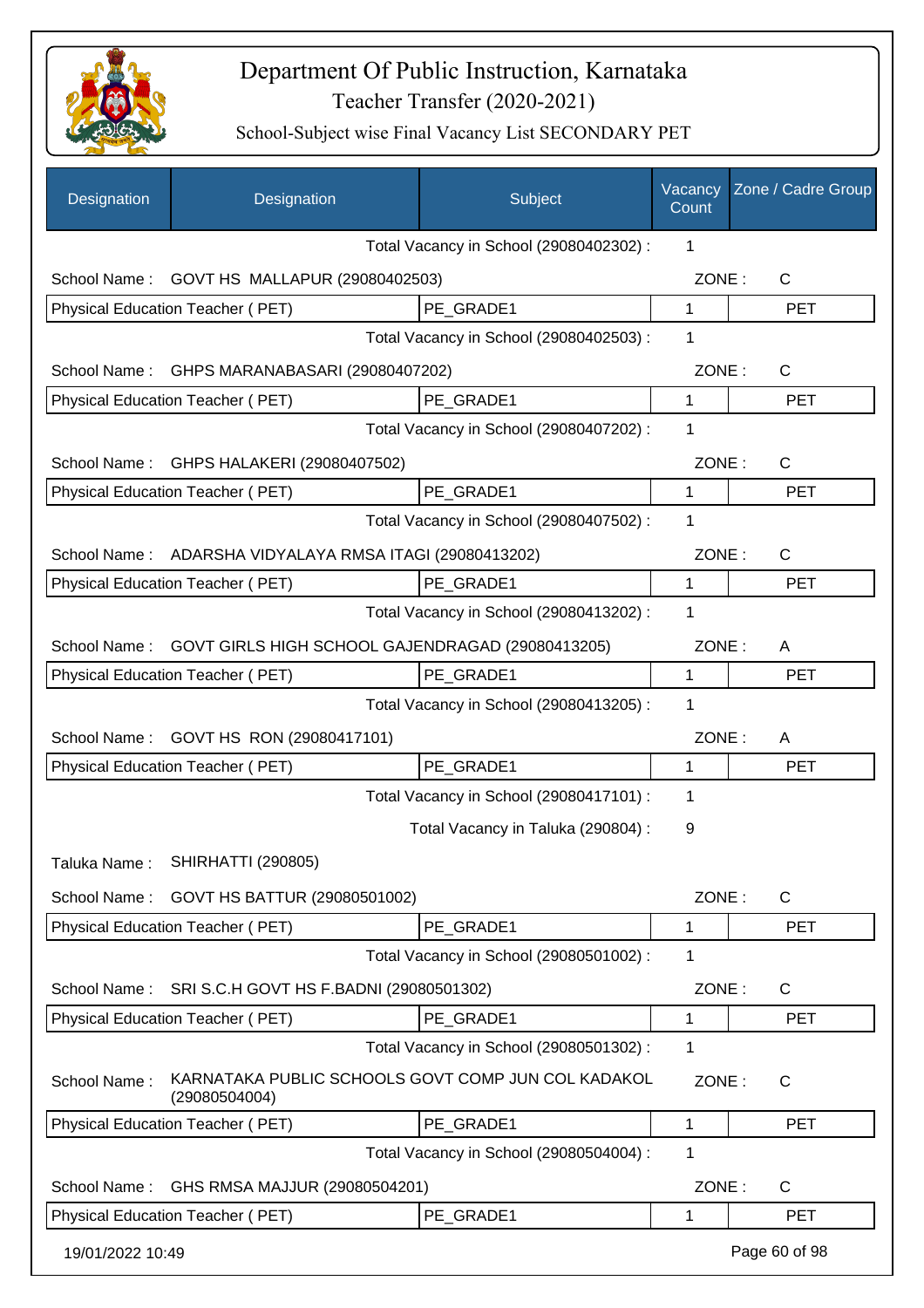

| Designation      | Designation                                                         | Subject                                 | Vacancy<br>Count | Zone / Cadre Group |
|------------------|---------------------------------------------------------------------|-----------------------------------------|------------------|--------------------|
|                  |                                                                     | Total Vacancy in School (29080402302) : | 1                |                    |
| School Name:     | GOVT HS MALLAPUR (29080402503)                                      |                                         | ZONE:            | $\mathsf{C}$       |
|                  | Physical Education Teacher (PET)                                    | PE GRADE1                               | $\mathbf{1}$     | <b>PET</b>         |
|                  |                                                                     | Total Vacancy in School (29080402503) : | 1                |                    |
| School Name:     | GHPS MARANABASARI (29080407202)                                     |                                         | ZONE:            | C                  |
|                  | Physical Education Teacher (PET)                                    | PE_GRADE1                               | $\mathbf{1}$     | <b>PET</b>         |
|                  |                                                                     | Total Vacancy in School (29080407202) : | 1                |                    |
| School Name:     | GHPS HALAKERI (29080407502)                                         |                                         | ZONE:            | $\mathsf{C}$       |
|                  | Physical Education Teacher (PET)                                    | PE_GRADE1                               | 1                | <b>PET</b>         |
|                  |                                                                     | Total Vacancy in School (29080407502) : | 1                |                    |
|                  | School Name: ADARSHA VIDYALAYA RMSA ITAGI (29080413202)             |                                         | ZONE:            | $\mathsf{C}$       |
|                  | Physical Education Teacher (PET)                                    | PE_GRADE1                               | 1                | <b>PET</b>         |
|                  |                                                                     | Total Vacancy in School (29080413202) : | 1                |                    |
| School Name:     | GOVT GIRLS HIGH SCHOOL GAJENDRAGAD (29080413205)                    |                                         | ZONE:            | A                  |
|                  | Physical Education Teacher (PET)                                    | PE_GRADE1                               | 1                | <b>PET</b>         |
|                  |                                                                     | Total Vacancy in School (29080413205) : | 1                |                    |
| School Name:     | GOVT HS RON (29080417101)                                           |                                         | ZONE:            | A                  |
|                  | <b>Physical Education Teacher (PET)</b>                             | PE_GRADE1                               | 1                | <b>PET</b>         |
|                  |                                                                     | Total Vacancy in School (29080417101) : | 1                |                    |
|                  |                                                                     | Total Vacancy in Taluka (290804) :      | 9                |                    |
| Taluka Name :    | <b>SHIRHATTI (290805)</b>                                           |                                         |                  |                    |
| School Name:     | GOVT HS BATTUR (29080501002)                                        |                                         | ZONE:            | C                  |
|                  | Physical Education Teacher (PET)                                    | PE_GRADE1                               | 1                | <b>PET</b>         |
|                  |                                                                     | Total Vacancy in School (29080501002) : | 1                |                    |
| School Name:     | SRI S.C.H GOVT HS F.BADNI (29080501302)                             |                                         | ZONE:            | $\mathsf{C}$       |
|                  | Physical Education Teacher (PET)                                    | PE GRADE1                               | 1                | <b>PET</b>         |
|                  |                                                                     | Total Vacancy in School (29080501302) : | 1                |                    |
| School Name:     | KARNATAKA PUBLIC SCHOOLS GOVT COMP JUN COL KADAKOL<br>(29080504004) |                                         | ZONE:            | C                  |
|                  | Physical Education Teacher (PET)                                    | PE_GRADE1                               | 1                | <b>PET</b>         |
|                  |                                                                     | Total Vacancy in School (29080504004) : | 1                |                    |
| School Name:     | GHS RMSA MAJJUR (29080504201)                                       |                                         | ZONE:            | C                  |
|                  | Physical Education Teacher (PET)                                    | PE GRADE1                               | 1                | <b>PET</b>         |
| 19/01/2022 10:49 |                                                                     |                                         |                  | Page 60 of 98      |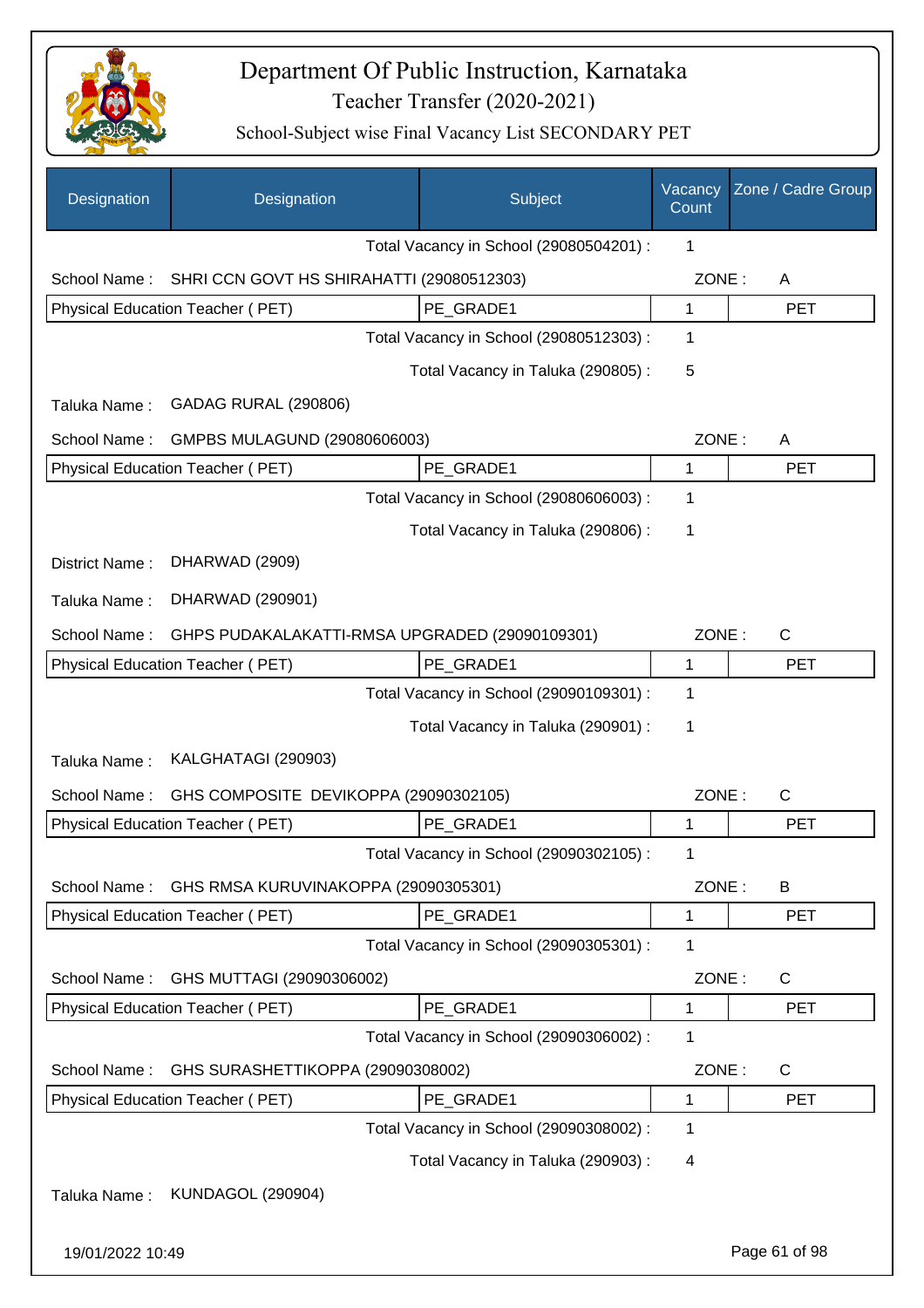

| Designation    | Designation                                    | Subject                                 | Vacancy<br>Count | Zone / Cadre Group |
|----------------|------------------------------------------------|-----------------------------------------|------------------|--------------------|
|                |                                                | Total Vacancy in School (29080504201) : | 1                |                    |
| School Name:   | SHRI CCN GOVT HS SHIRAHATTI (29080512303)      |                                         | ZONE:            | A                  |
|                | Physical Education Teacher (PET)               | PE GRADE1                               | 1                | <b>PET</b>         |
|                |                                                | Total Vacancy in School (29080512303) : | 1                |                    |
|                |                                                | Total Vacancy in Taluka (290805):       | 5                |                    |
| Taluka Name:   | <b>GADAG RURAL (290806)</b>                    |                                         |                  |                    |
| School Name:   | GMPBS MULAGUND (29080606003)                   |                                         | ZONE:            | A                  |
|                | <b>Physical Education Teacher (PET)</b>        | PE_GRADE1                               | 1                | <b>PET</b>         |
|                |                                                | Total Vacancy in School (29080606003) : | 1                |                    |
|                |                                                | Total Vacancy in Taluka (290806) :      | 1                |                    |
| District Name: | DHARWAD (2909)                                 |                                         |                  |                    |
| Taluka Name:   | DHARWAD (290901)                               |                                         |                  |                    |
| School Name:   | GHPS PUDAKALAKATTI-RMSA UPGRADED (29090109301) |                                         | ZONE:            | $\mathsf{C}$       |
|                | Physical Education Teacher (PET)               | PE GRADE1                               | 1                | <b>PET</b>         |
|                |                                                | Total Vacancy in School (29090109301) : | 1                |                    |
|                |                                                | Total Vacancy in Taluka (290901) :      | 1                |                    |
| Taluka Name:   | KALGHATAGI (290903)                            |                                         |                  |                    |
| School Name:   | GHS COMPOSITE DEVIKOPPA (29090302105)          |                                         | ZONE:            | $\mathsf{C}$       |
|                | Physical Education Teacher (PET)               | PE_GRADE1                               | 1                | <b>PET</b>         |
|                |                                                | Total Vacancy in School (29090302105) : | 1                |                    |
| School Name:   | GHS RMSA KURUVINAKOPPA (29090305301)           |                                         | ZONE:            | B                  |
|                | Physical Education Teacher (PET)               | PE_GRADE1                               | 1                | <b>PET</b>         |
|                |                                                | Total Vacancy in School (29090305301) : | 1                |                    |
| School Name:   | GHS MUTTAGI (29090306002)                      |                                         | ZONE:            | C                  |
|                | Physical Education Teacher (PET)               | PE_GRADE1                               | 1                | <b>PET</b>         |
|                |                                                | Total Vacancy in School (29090306002) : | 1                |                    |
| School Name:   | GHS SURASHETTIKOPPA (29090308002)              |                                         | ZONE:            | C                  |
|                | Physical Education Teacher (PET)               | PE_GRADE1                               | 1                | <b>PET</b>         |
|                |                                                | Total Vacancy in School (29090308002) : | 1                |                    |
|                |                                                | Total Vacancy in Taluka (290903):       | 4                |                    |
| Taluka Name:   | <b>KUNDAGOL (290904)</b>                       |                                         |                  |                    |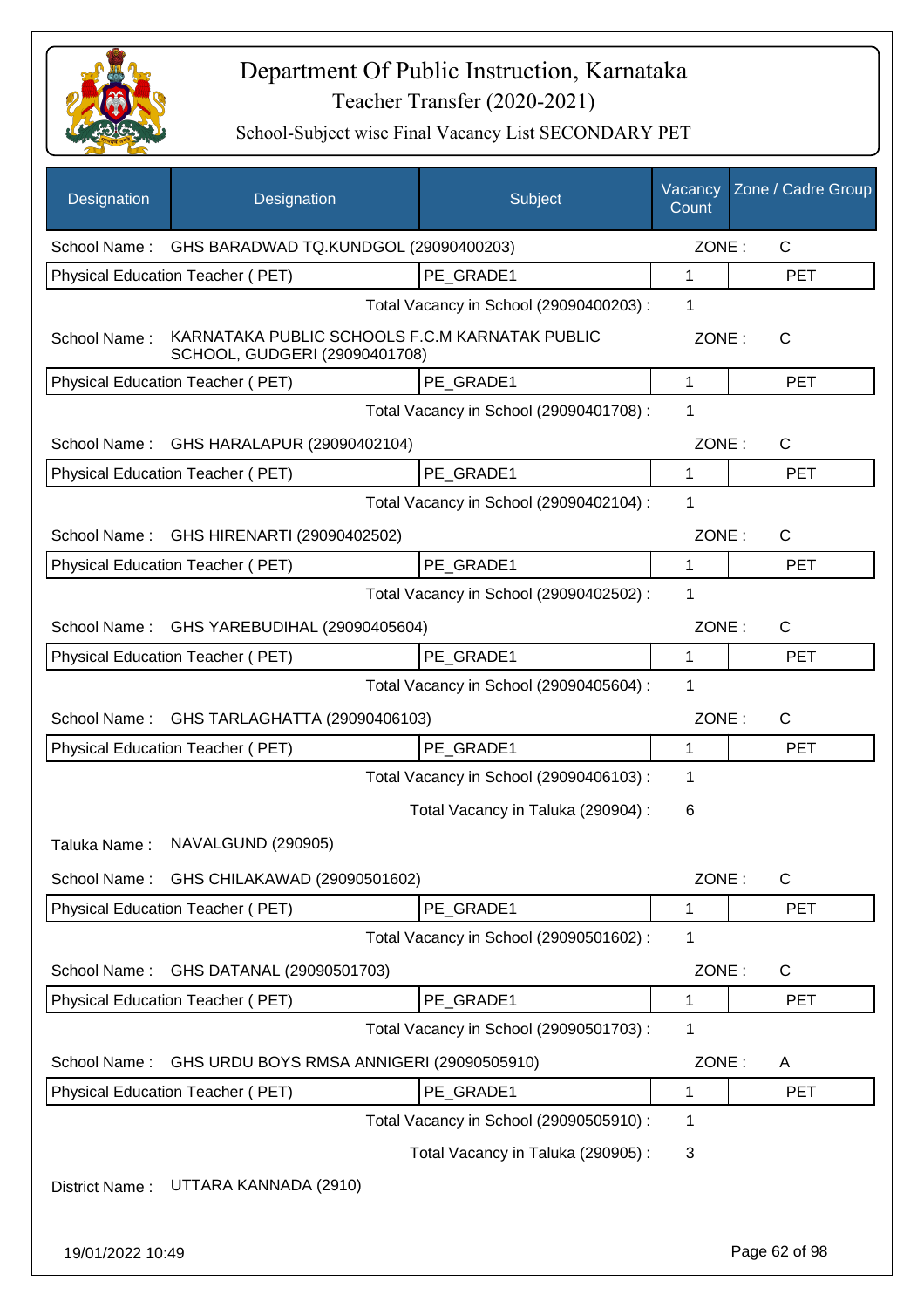

| Designation      | Designation                                                                     | Subject                                 | Vacancy<br>Count | Zone / Cadre Group |
|------------------|---------------------------------------------------------------------------------|-----------------------------------------|------------------|--------------------|
| School Name:     | GHS BARADWAD TQ.KUNDGOL (29090400203)                                           |                                         | ZONE:            | $\mathsf{C}$       |
|                  | Physical Education Teacher (PET)                                                | PE GRADE1                               | 1                | <b>PET</b>         |
|                  |                                                                                 | Total Vacancy in School (29090400203) : | 1                |                    |
| School Name:     | KARNATAKA PUBLIC SCHOOLS F.C.M KARNATAK PUBLIC<br>SCHOOL, GUDGERI (29090401708) |                                         | ZONE:            | C                  |
|                  | Physical Education Teacher (PET)                                                | PE GRADE1                               | $\mathbf 1$      | <b>PET</b>         |
|                  |                                                                                 | Total Vacancy in School (29090401708) : | 1                |                    |
| School Name:     | GHS HARALAPUR (29090402104)                                                     |                                         | ZONE:            | $\mathsf{C}$       |
|                  | <b>Physical Education Teacher (PET)</b>                                         | PE_GRADE1                               | $\mathbf{1}$     | <b>PET</b>         |
|                  |                                                                                 | Total Vacancy in School (29090402104) : | 1                |                    |
| School Name:     | GHS HIRENARTI (29090402502)                                                     |                                         | ZONE:            | $\mathsf{C}$       |
|                  | Physical Education Teacher (PET)                                                | PE_GRADE1                               | $\mathbf{1}$     | <b>PET</b>         |
|                  |                                                                                 | Total Vacancy in School (29090402502) : | 1                |                    |
| School Name:     | GHS YAREBUDIHAL (29090405604)                                                   |                                         | ZONE:            | $\mathsf{C}$       |
|                  | Physical Education Teacher (PET)                                                | PE GRADE1                               | 1                | <b>PET</b>         |
|                  |                                                                                 | Total Vacancy in School (29090405604) : | 1                |                    |
| School Name:     | GHS TARLAGHATTA (29090406103)                                                   |                                         | ZONE:            | $\mathsf{C}$       |
|                  | Physical Education Teacher (PET)                                                | PE GRADE1                               | 1                | <b>PET</b>         |
|                  |                                                                                 | Total Vacancy in School (29090406103) : | 1                |                    |
|                  |                                                                                 | Total Vacancy in Taluka (290904) :      | 6                |                    |
| Taluka Name:     | NAVALGUND (290905)                                                              |                                         |                  |                    |
| School Name:     | GHS CHILAKAWAD (29090501602)                                                    |                                         | ZONE:            | $\mathsf{C}$       |
|                  | <b>Physical Education Teacher (PET)</b>                                         | PE_GRADE1                               | 1                | <b>PET</b>         |
|                  |                                                                                 | Total Vacancy in School (29090501602) : | 1                |                    |
| School Name:     | GHS DATANAL (29090501703)                                                       |                                         | ZONE:            | $\mathsf{C}$       |
|                  | Physical Education Teacher (PET)                                                | PE GRADE1                               | 1                | <b>PET</b>         |
|                  |                                                                                 | Total Vacancy in School (29090501703) : | 1                |                    |
| School Name:     | GHS URDU BOYS RMSA ANNIGERI (29090505910)                                       |                                         | ZONE:            | A                  |
|                  | Physical Education Teacher (PET)                                                | PE_GRADE1                               | 1                | <b>PET</b>         |
|                  |                                                                                 | Total Vacancy in School (29090505910) : | 1                |                    |
|                  |                                                                                 | Total Vacancy in Taluka (290905):       | 3                |                    |
| District Name:   | UTTARA KANNADA (2910)                                                           |                                         |                  |                    |
|                  |                                                                                 |                                         |                  |                    |
| 19/01/2022 10:49 |                                                                                 |                                         |                  | Page 62 of 98      |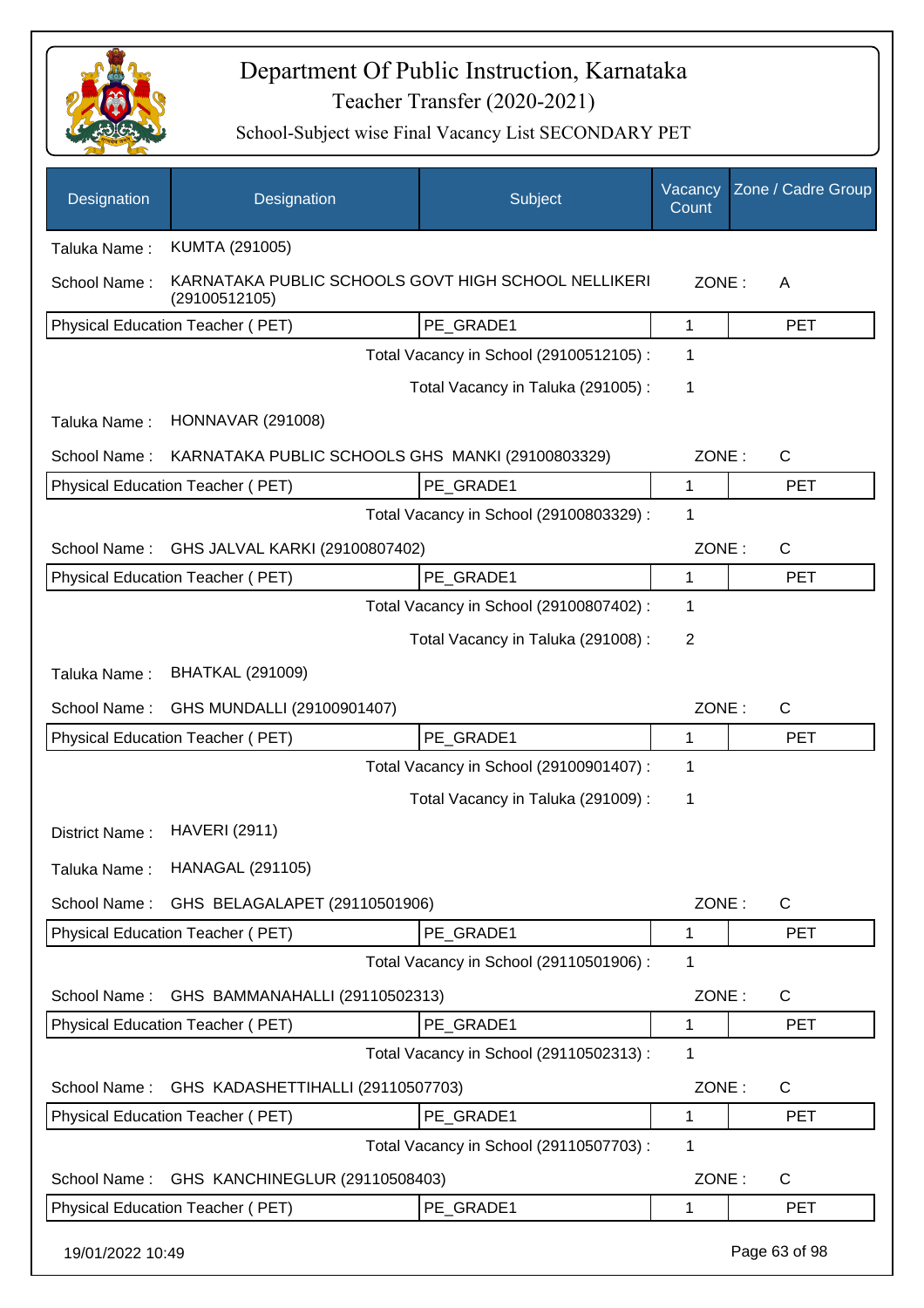

| Designation      | Designation                                                          | Subject                                 | Vacancy<br>Count | Zone / Cadre Group |
|------------------|----------------------------------------------------------------------|-----------------------------------------|------------------|--------------------|
| Taluka Name:     | KUMTA (291005)                                                       |                                         |                  |                    |
| School Name:     | KARNATAKA PUBLIC SCHOOLS GOVT HIGH SCHOOL NELLIKERI<br>(29100512105) |                                         | ZONE:            | A                  |
|                  | Physical Education Teacher (PET)                                     | PE GRADE1                               | 1                | <b>PET</b>         |
|                  |                                                                      | Total Vacancy in School (29100512105) : | 1                |                    |
|                  |                                                                      | Total Vacancy in Taluka (291005):       | 1                |                    |
| Taluka Name:     | <b>HONNAVAR (291008)</b>                                             |                                         |                  |                    |
| School Name:     | KARNATAKA PUBLIC SCHOOLS GHS MANKI (29100803329)                     |                                         | ZONE:            | $\mathsf{C}$       |
|                  | Physical Education Teacher (PET)                                     | PE_GRADE1                               | 1                | <b>PET</b>         |
|                  |                                                                      | Total Vacancy in School (29100803329) : | 1                |                    |
| School Name:     | GHS JALVAL KARKI (29100807402)                                       |                                         | ZONE:            | $\mathsf{C}$       |
|                  | Physical Education Teacher (PET)                                     | PE GRADE1                               | 1                | <b>PET</b>         |
|                  |                                                                      | Total Vacancy in School (29100807402) : | 1                |                    |
|                  |                                                                      | Total Vacancy in Taluka (291008):       | 2                |                    |
| Taluka Name:     | <b>BHATKAL (291009)</b>                                              |                                         |                  |                    |
| School Name:     | GHS MUNDALLI (29100901407)                                           |                                         | ZONE:            | $\mathsf{C}$       |
|                  | Physical Education Teacher (PET)                                     | PE_GRADE1                               | 1                | <b>PET</b>         |
|                  |                                                                      | Total Vacancy in School (29100901407) : | 1                |                    |
|                  |                                                                      | Total Vacancy in Taluka (291009):       | 1                |                    |
| District Name:   | <b>HAVERI (2911)</b>                                                 |                                         |                  |                    |
| Taluka Name:     | <b>HANAGAL (291105)</b>                                              |                                         |                  |                    |
| School Name:     | GHS BELAGALAPET (29110501906)                                        |                                         | ZONE:            | C                  |
|                  | Physical Education Teacher (PET)                                     | PE_GRADE1                               | 1                | <b>PET</b>         |
|                  |                                                                      | Total Vacancy in School (29110501906) : | 1                |                    |
| School Name:     | GHS BAMMANAHALLI (29110502313)                                       |                                         | ZONE:            | C                  |
|                  | Physical Education Teacher (PET)                                     | PE GRADE1                               | 1                | PET                |
|                  |                                                                      | Total Vacancy in School (29110502313) : | 1                |                    |
| School Name:     | GHS KADASHETTIHALLI (29110507703)                                    |                                         | ZONE:            | C                  |
|                  | Physical Education Teacher (PET)                                     | PE_GRADE1                               | 1                | <b>PET</b>         |
|                  |                                                                      | Total Vacancy in School (29110507703) : | $\mathbf 1$      |                    |
| School Name:     | GHS KANCHINEGLUR (29110508403)                                       |                                         | ZONE:            | C                  |
|                  | Physical Education Teacher (PET)                                     | PE_GRADE1                               | 1                | <b>PET</b>         |
| 19/01/2022 10:49 |                                                                      |                                         |                  | Page 63 of 98      |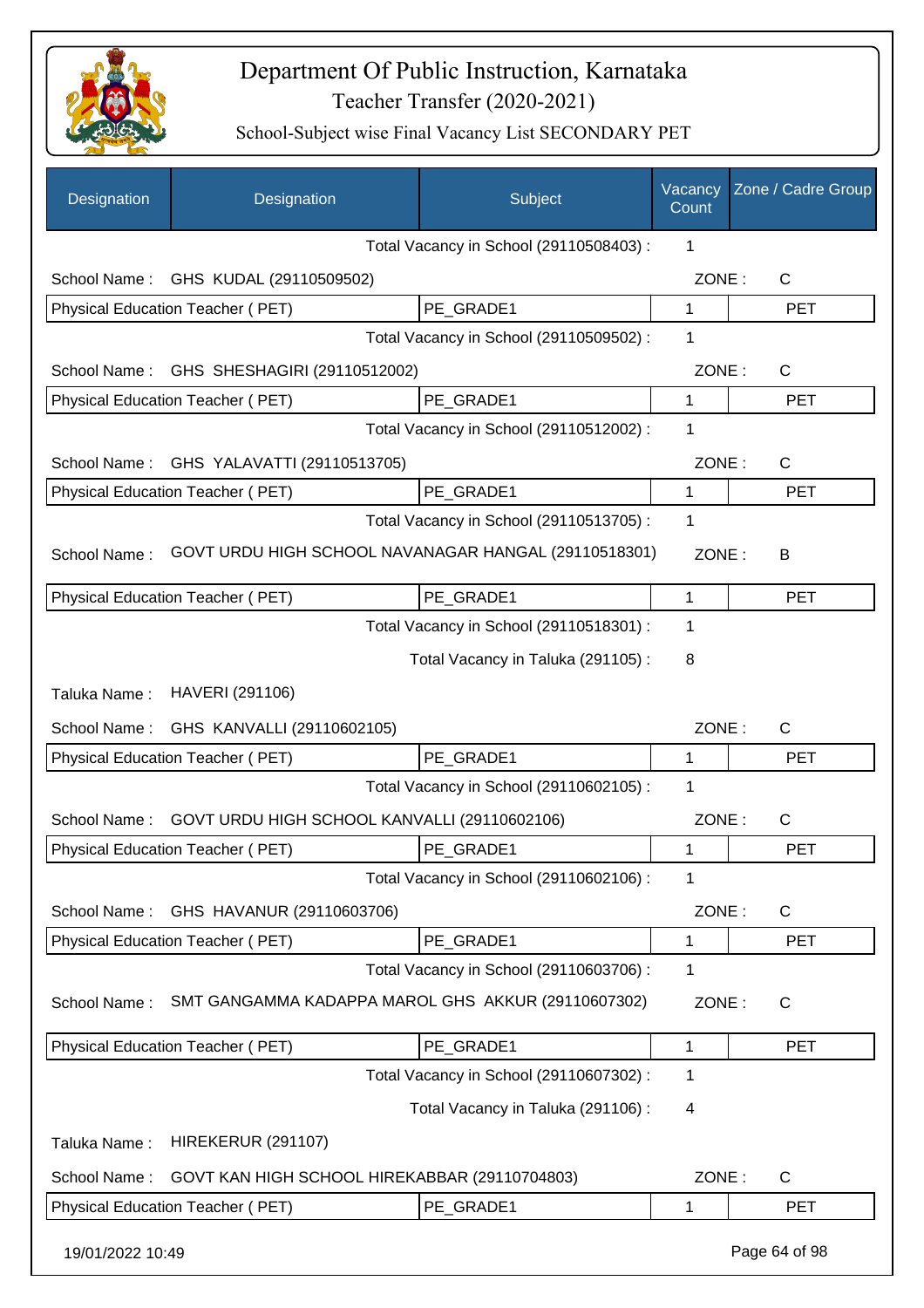

| Designation      | Designation                                          | Subject                                 | Vacancy<br>Count | Zone / Cadre Group |
|------------------|------------------------------------------------------|-----------------------------------------|------------------|--------------------|
|                  |                                                      | Total Vacancy in School (29110508403) : | 1                |                    |
| School Name:     | GHS KUDAL (29110509502)                              |                                         | ZONE:            | C                  |
|                  | Physical Education Teacher (PET)                     | PE_GRADE1                               | 1                | <b>PET</b>         |
|                  |                                                      | Total Vacancy in School (29110509502) : | 1                |                    |
| School Name:     | GHS SHESHAGIRI (29110512002)                         |                                         | ZONE:            | C                  |
|                  | Physical Education Teacher (PET)                     | PE GRADE1                               | 1                | <b>PET</b>         |
|                  |                                                      | Total Vacancy in School (29110512002) : | 1                |                    |
| School Name:     | GHS YALAVATTI (29110513705)                          |                                         | ZONE:            | $\mathsf{C}$       |
|                  | Physical Education Teacher (PET)                     | PE_GRADE1                               | 1                | <b>PET</b>         |
|                  |                                                      | Total Vacancy in School (29110513705) : | 1                |                    |
| School Name:     | GOVT URDU HIGH SCHOOL NAVANAGAR HANGAL (29110518301) |                                         | ZONE:            | B                  |
|                  | Physical Education Teacher (PET)                     | PE_GRADE1                               | 1                | <b>PET</b>         |
|                  |                                                      | Total Vacancy in School (29110518301) : | 1                |                    |
|                  |                                                      | Total Vacancy in Taluka (291105):       | 8                |                    |
| Taluka Name:     | HAVERI (291106)                                      |                                         |                  |                    |
| School Name:     | GHS KANVALLI (29110602105)                           |                                         | ZONE:            | $\mathsf{C}$       |
|                  | Physical Education Teacher (PET)                     | PE GRADE1                               | 1                | <b>PET</b>         |
|                  |                                                      | Total Vacancy in School (29110602105) : | 1                |                    |
| School Name:     | GOVT URDU HIGH SCHOOL KANVALLI (29110602106)         |                                         | ZONE:            | C                  |
|                  | Physical Education Teacher (PET)                     | PE GRADE1                               | 1                | <b>PET</b>         |
|                  |                                                      | Total Vacancy in School (29110602106) : | 1                |                    |
| School Name:     | GHS HAVANUR (29110603706)                            |                                         | ZONE:            | C                  |
|                  | Physical Education Teacher (PET)                     | PE_GRADE1                               | 1                | <b>PET</b>         |
|                  |                                                      | Total Vacancy in School (29110603706) : | 1                |                    |
| School Name:     | SMT GANGAMMA KADAPPA MAROL GHS AKKUR (29110607302)   |                                         | ZONE:            | C                  |
|                  | <b>Physical Education Teacher (PET)</b>              | PE GRADE1                               | 1                | <b>PET</b>         |
|                  |                                                      | Total Vacancy in School (29110607302) : | 1                |                    |
|                  |                                                      | Total Vacancy in Taluka (291106):       | 4                |                    |
| Taluka Name:     | <b>HIREKERUR (291107)</b>                            |                                         |                  |                    |
| School Name:     | GOVT KAN HIGH SCHOOL HIREKABBAR (29110704803)        |                                         | ZONE:            | C                  |
|                  | Physical Education Teacher (PET)                     | PE_GRADE1                               | 1                | <b>PET</b>         |
| 19/01/2022 10:49 |                                                      |                                         |                  | Page 64 of 98      |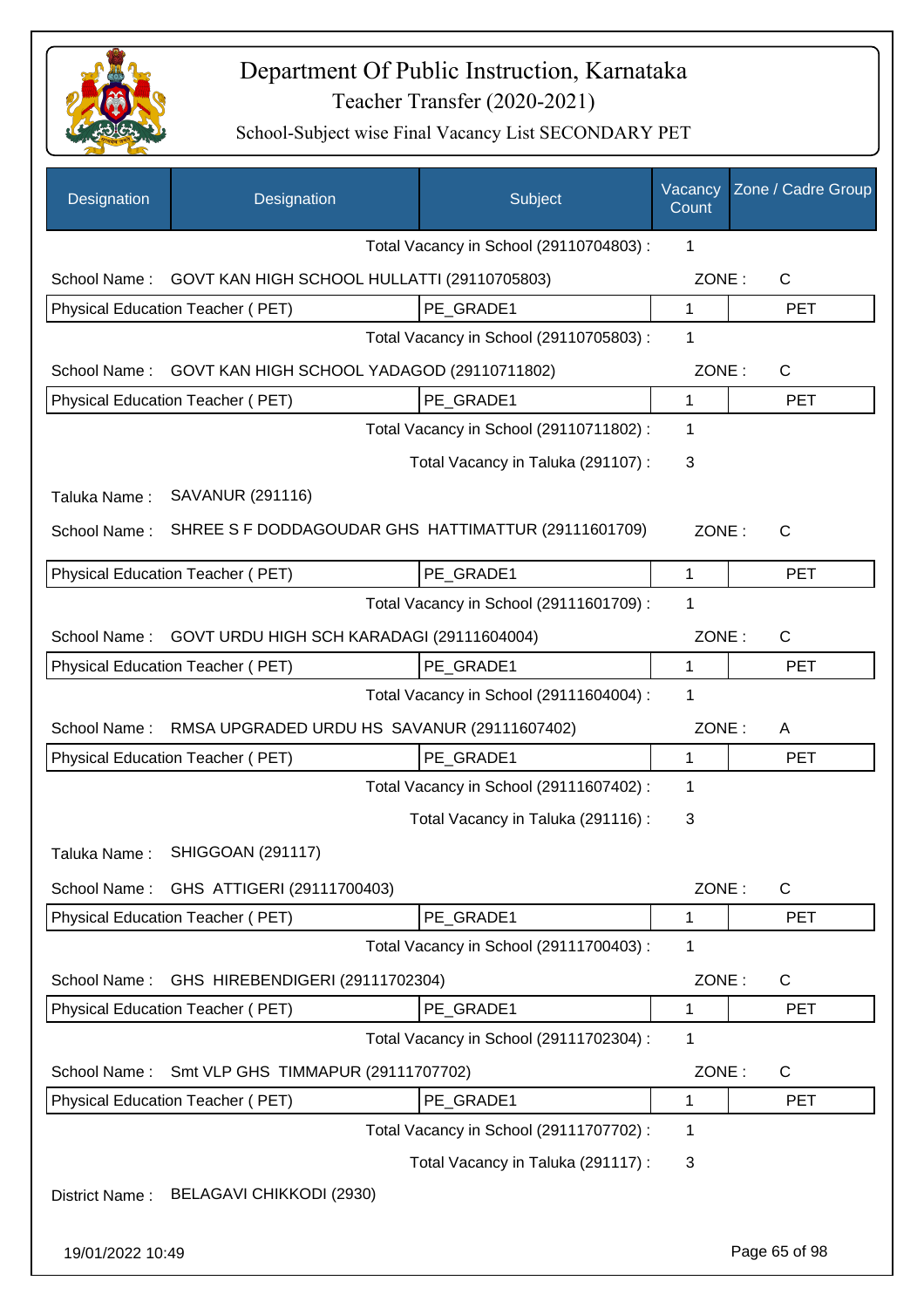

| Designation      | Designation                                         | Subject                                 | Vacancy<br>Count | Zone / Cadre Group |
|------------------|-----------------------------------------------------|-----------------------------------------|------------------|--------------------|
|                  |                                                     | Total Vacancy in School (29110704803) : | 1                |                    |
| School Name:     | GOVT KAN HIGH SCHOOL HULLATTI (29110705803)         |                                         | ZONE:            | $\mathsf{C}$       |
|                  | Physical Education Teacher (PET)                    | PE_GRADE1                               | 1                | <b>PET</b>         |
|                  |                                                     | Total Vacancy in School (29110705803) : | 1                |                    |
| School Name:     | GOVT KAN HIGH SCHOOL YADAGOD (29110711802)          |                                         | ZONE:            | C                  |
|                  | Physical Education Teacher (PET)                    | PE GRADE1                               | $\mathbf 1$      | <b>PET</b>         |
|                  |                                                     | Total Vacancy in School (29110711802) : | 1                |                    |
|                  |                                                     | Total Vacancy in Taluka (291107) :      | 3                |                    |
| Taluka Name:     | SAVANUR (291116)                                    |                                         |                  |                    |
| School Name:     | SHREE S F DODDAGOUDAR GHS HATTIMATTUR (29111601709) |                                         | ZONE:            | $\mathsf{C}$       |
|                  | Physical Education Teacher (PET)                    | PE GRADE1                               | 1                | <b>PET</b>         |
|                  |                                                     | Total Vacancy in School (29111601709) : | 1                |                    |
| School Name:     | GOVT URDU HIGH SCH KARADAGI (29111604004)           |                                         | ZONE:            | C                  |
|                  | Physical Education Teacher (PET)                    | PE GRADE1                               | 1                | <b>PET</b>         |
|                  |                                                     | Total Vacancy in School (29111604004) : | 1                |                    |
| School Name:     | RMSA UPGRADED URDU HS SAVANUR (29111607402)         |                                         | ZONE:            | A                  |
|                  | Physical Education Teacher (PET)                    | PE_GRADE1                               | $\mathbf{1}$     | <b>PET</b>         |
|                  |                                                     | Total Vacancy in School (29111607402) : | 1                |                    |
|                  |                                                     | Total Vacancy in Taluka (291116):       | 3                |                    |
|                  | Taluka Name: SHIGGOAN (291117)                      |                                         |                  |                    |
| School Name:     | GHS ATTIGERI (29111700403)                          |                                         | ZONE:            | C                  |
|                  | Physical Education Teacher (PET)                    | PE GRADE1                               | 1                | <b>PET</b>         |
|                  |                                                     | Total Vacancy in School (29111700403) : | 1                |                    |
| School Name:     | GHS HIREBENDIGERI (29111702304)                     |                                         | ZONE:            | C                  |
|                  | Physical Education Teacher (PET)                    | PE GRADE1                               | $\mathbf{1}$     | <b>PET</b>         |
|                  |                                                     | Total Vacancy in School (29111702304) : | 1                |                    |
| School Name:     | Smt VLP GHS TIMMAPUR (29111707702)                  |                                         | ZONE:            | $\mathsf{C}$       |
|                  | Physical Education Teacher (PET)                    | PE_GRADE1                               | 1                | <b>PET</b>         |
|                  |                                                     | Total Vacancy in School (29111707702) : | 1                |                    |
|                  |                                                     | Total Vacancy in Taluka (291117) :      | 3                |                    |
| District Name:   | BELAGAVI CHIKKODI (2930)                            |                                         |                  |                    |
| 19/01/2022 10:49 |                                                     |                                         |                  | Page 65 of 98      |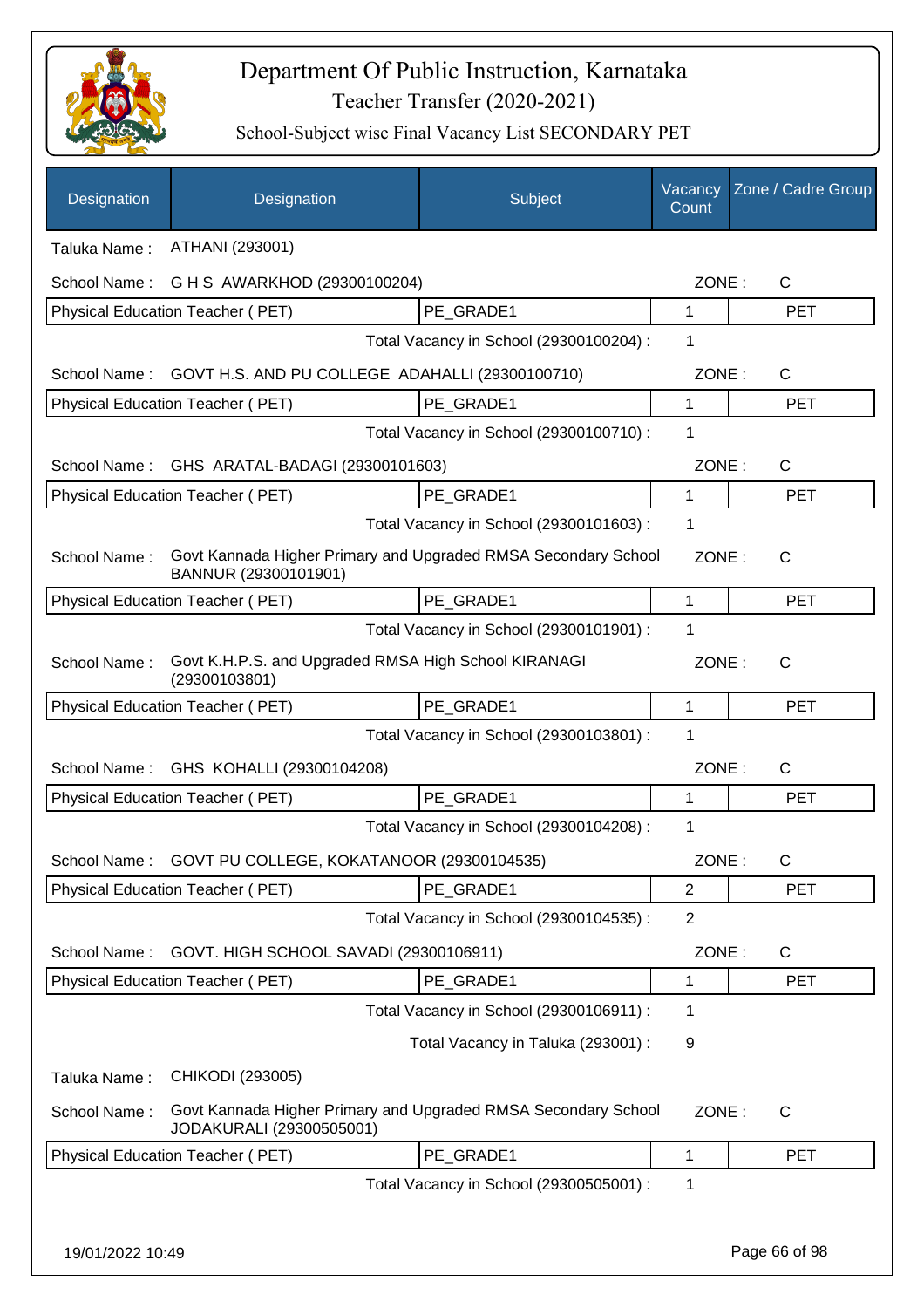

| Designation                                  | Designation                                                                                | Subject                                 | Vacancy<br>Count | Zone / Cadre Group |
|----------------------------------------------|--------------------------------------------------------------------------------------------|-----------------------------------------|------------------|--------------------|
| Taluka Name:                                 | ATHANI (293001)                                                                            |                                         |                  |                    |
| School Name:                                 | G H S AWARKHOD (29300100204)                                                               |                                         | ZONE:            | $\mathsf{C}$       |
|                                              | Physical Education Teacher (PET)                                                           | PE GRADE1                               | $\mathbf{1}$     | <b>PET</b>         |
|                                              |                                                                                            | Total Vacancy in School (29300100204) : | 1                |                    |
| School Name:                                 | GOVT H.S. AND PU COLLEGE ADAHALLI (29300100710)                                            |                                         | ZONE:            | $\mathsf{C}$       |
|                                              | Physical Education Teacher (PET)                                                           | PE GRADE1                               | 1                | <b>PET</b>         |
|                                              |                                                                                            | Total Vacancy in School (29300100710) : | 1                |                    |
| School Name:                                 | GHS ARATAL-BADAGI (29300101603)                                                            |                                         | ZONE:            | C                  |
|                                              | Physical Education Teacher (PET)                                                           | PE_GRADE1                               | 1                | <b>PET</b>         |
|                                              |                                                                                            | Total Vacancy in School (29300101603) : | 1                |                    |
| School Name:                                 | Govt Kannada Higher Primary and Upgraded RMSA Secondary School<br>BANNUR (29300101901)     |                                         | ZONE:            | $\mathsf{C}$       |
|                                              | <b>Physical Education Teacher (PET)</b>                                                    | PE GRADE1                               | 1                | <b>PET</b>         |
|                                              |                                                                                            | Total Vacancy in School (29300101901) : | 1                |                    |
| School Name:                                 | Govt K.H.P.S. and Upgraded RMSA High School KIRANAGI<br>(29300103801)                      |                                         | ZONE:            | $\mathsf{C}$       |
|                                              | Physical Education Teacher (PET)                                                           | PE_GRADE1                               | 1                | <b>PET</b>         |
| Total Vacancy in School (29300103801) :<br>1 |                                                                                            |                                         |                  |                    |
| School Name:                                 | GHS KOHALLI (29300104208)                                                                  |                                         | ZONE:            | C                  |
|                                              | Physical Education Teacher (PET)                                                           | PE GRADE1                               | 1                | <b>PET</b>         |
|                                              |                                                                                            | Total Vacancy in School (29300104208) : | 1                |                    |
|                                              | School Name: GOVT PU COLLEGE, KOKATANOOR (29300104535)                                     |                                         | ZONE:            | C                  |
|                                              | Physical Education Teacher (PET)                                                           | PE GRADE1                               | $\overline{2}$   | <b>PET</b>         |
|                                              |                                                                                            | Total Vacancy in School (29300104535) : | 2                |                    |
| School Name:                                 | GOVT. HIGH SCHOOL SAVADI (29300106911)                                                     |                                         | ZONE:            | C                  |
|                                              | Physical Education Teacher (PET)                                                           | PE GRADE1                               | 1                | <b>PET</b>         |
|                                              |                                                                                            | Total Vacancy in School (29300106911) : | 1                |                    |
|                                              |                                                                                            | Total Vacancy in Taluka (293001) :      | 9                |                    |
| Taluka Name:                                 | CHIKODI (293005)                                                                           |                                         |                  |                    |
| School Name:                                 | Govt Kannada Higher Primary and Upgraded RMSA Secondary School<br>JODAKURALI (29300505001) |                                         | ZONE:            | $\mathsf{C}$       |
|                                              | Physical Education Teacher (PET)                                                           | PE_GRADE1                               | 1                | <b>PET</b>         |
|                                              |                                                                                            | Total Vacancy in School (29300505001) : | 1                |                    |
|                                              |                                                                                            |                                         |                  |                    |
| 19/01/2022 10:49                             |                                                                                            |                                         |                  | Page 66 of 98      |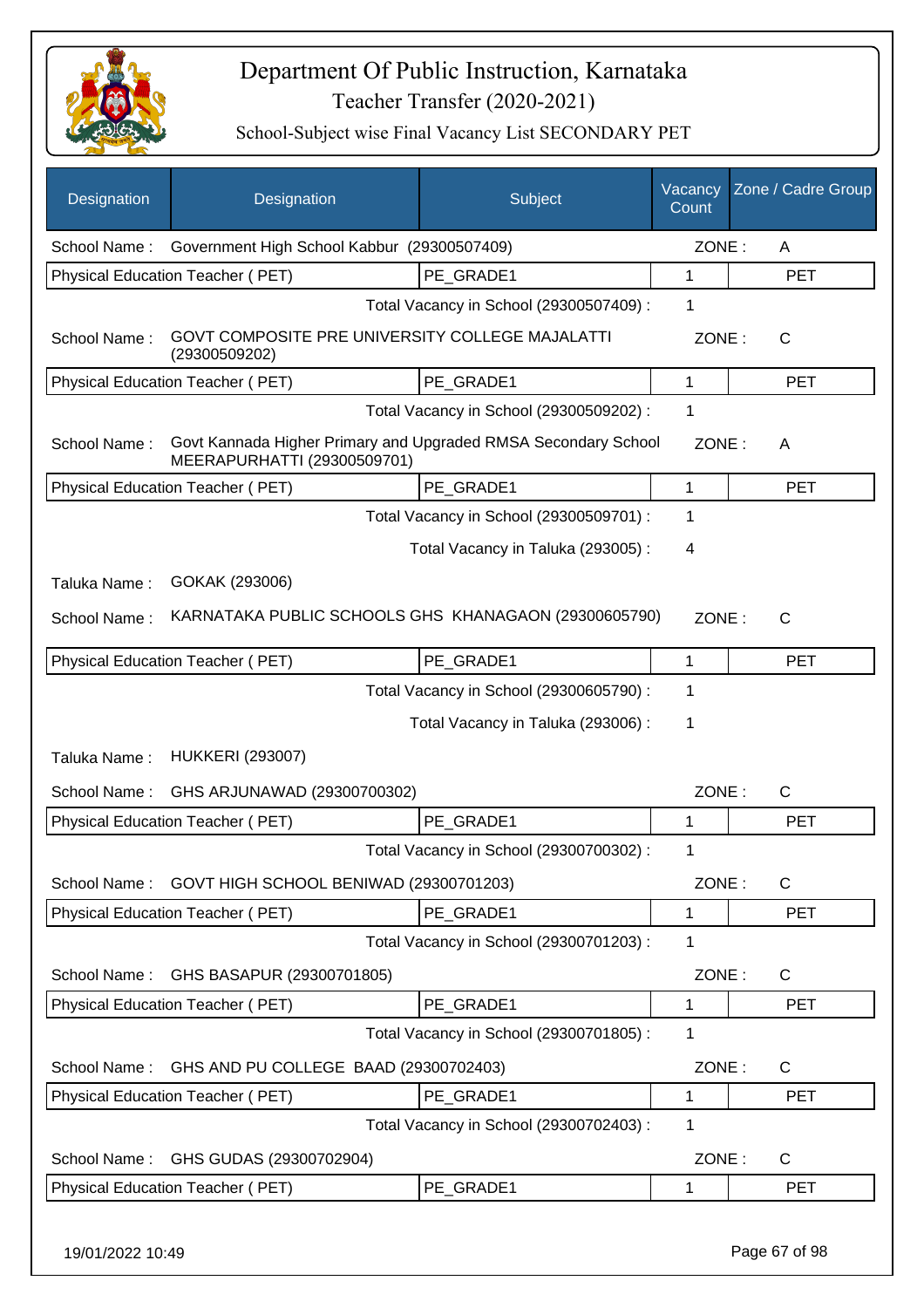

| Designation      | Designation                                                                                   | Subject                                 | Vacancy<br>Count | Zone / Cadre Group |
|------------------|-----------------------------------------------------------------------------------------------|-----------------------------------------|------------------|--------------------|
| School Name:     | Government High School Kabbur (29300507409)                                                   |                                         | ZONE:            | A                  |
|                  | Physical Education Teacher (PET)                                                              | PE GRADE1                               | 1                | <b>PET</b>         |
|                  |                                                                                               | Total Vacancy in School (29300507409) : | 1                |                    |
| School Name:     | GOVT COMPOSITE PRE UNIVERSITY COLLEGE MAJALATTI<br>(29300509202)                              |                                         | ZONE:            | $\mathsf{C}$       |
|                  | Physical Education Teacher (PET)                                                              | PE_GRADE1                               | 1                | <b>PET</b>         |
|                  |                                                                                               | Total Vacancy in School (29300509202) : | 1                |                    |
| School Name:     | Govt Kannada Higher Primary and Upgraded RMSA Secondary School<br>MEERAPURHATTI (29300509701) |                                         | ZONE:            | A                  |
|                  | <b>Physical Education Teacher (PET)</b>                                                       | PE GRADE1                               | 1                | <b>PET</b>         |
|                  |                                                                                               | Total Vacancy in School (29300509701) : | 1                |                    |
|                  |                                                                                               | Total Vacancy in Taluka (293005):       | 4                |                    |
| Taluka Name:     | GOKAK (293006)                                                                                |                                         |                  |                    |
| School Name:     | KARNATAKA PUBLIC SCHOOLS GHS KHANAGAON (29300605790)                                          |                                         | ZONE:            | C                  |
|                  |                                                                                               |                                         |                  |                    |
|                  | <b>Physical Education Teacher (PET)</b>                                                       | PE_GRADE1                               | 1                | <b>PET</b>         |
|                  |                                                                                               | Total Vacancy in School (29300605790) : | 1                |                    |
|                  |                                                                                               | Total Vacancy in Taluka (293006) :      | 1                |                    |
| Taluka Name:     | <b>HUKKERI (293007)</b>                                                                       |                                         |                  |                    |
| School Name:     | GHS ARJUNAWAD (29300700302)                                                                   |                                         | ZONE:            | $\mathsf{C}$       |
|                  | Physical Education Teacher (PET)                                                              | PE GRADE1                               | 1                | <b>PET</b>         |
|                  |                                                                                               | Total Vacancy in School (29300700302) : | 1                |                    |
|                  | School Name: GOVT HIGH SCHOOL BENIWAD (29300701203)                                           |                                         | ZONE:            | C                  |
|                  | Physical Education Teacher (PET)                                                              | PE_GRADE1                               | 1                | <b>PET</b>         |
|                  |                                                                                               | Total Vacancy in School (29300701203) : | 1                |                    |
| School Name:     | GHS BASAPUR (29300701805)                                                                     |                                         | ZONE:            | C                  |
|                  | Physical Education Teacher (PET)                                                              | PE_GRADE1                               | 1                | <b>PET</b>         |
|                  |                                                                                               | Total Vacancy in School (29300701805) : | 1                |                    |
| School Name:     | GHS AND PU COLLEGE BAAD (29300702403)                                                         |                                         | ZONE:            | C                  |
|                  | Physical Education Teacher (PET)                                                              | PE GRADE1                               | 1                | <b>PET</b>         |
|                  |                                                                                               | Total Vacancy in School (29300702403) : | 1                |                    |
| School Name:     | GHS GUDAS (29300702904)                                                                       |                                         | ZONE:            | $\mathsf{C}$       |
|                  | Physical Education Teacher (PET)                                                              | PE_GRADE1                               | 1                | <b>PET</b>         |
| 19/01/2022 10:49 |                                                                                               |                                         |                  | Page 67 of 98      |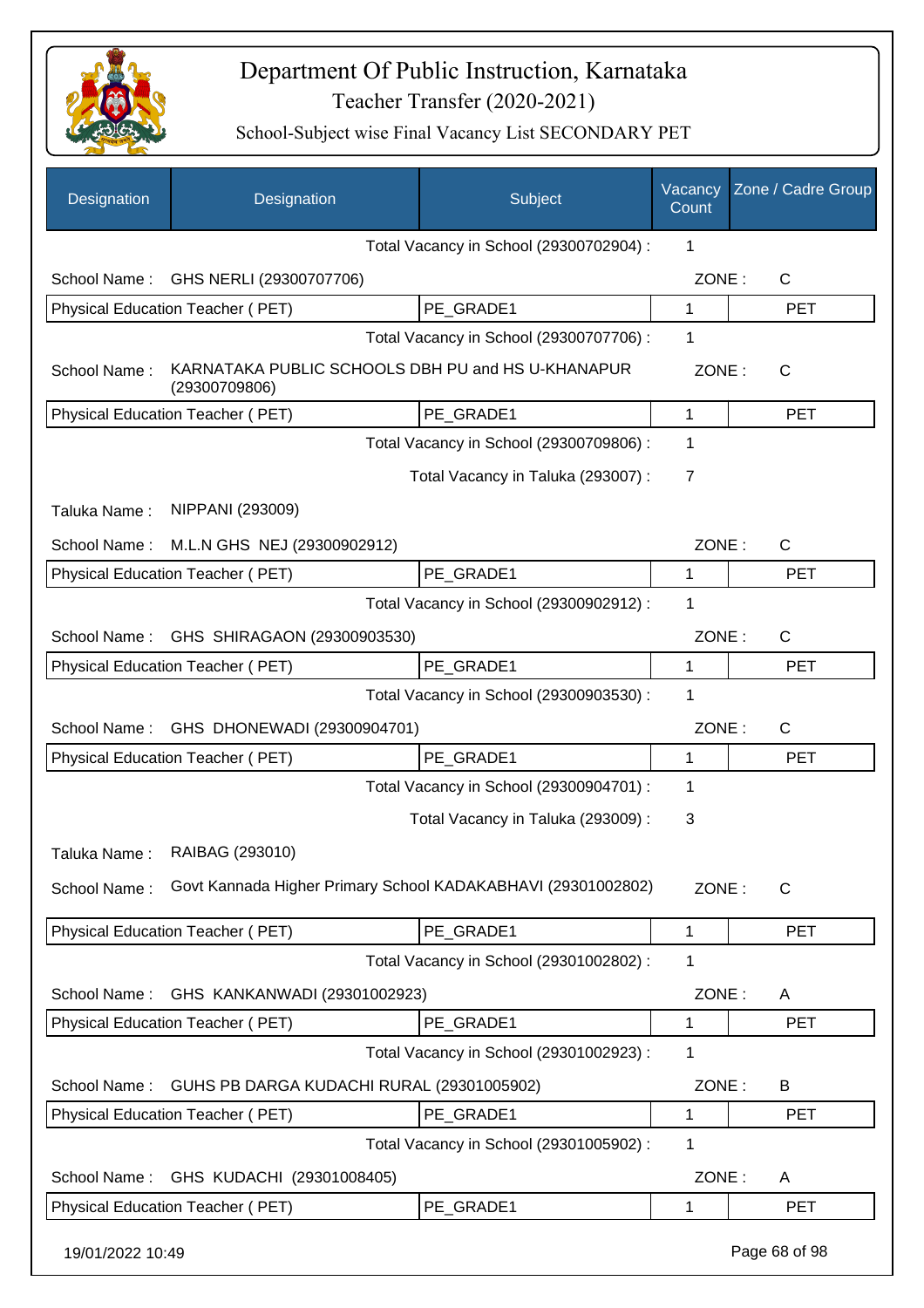

| Designation      | Designation                                                        | Subject                                 | Vacancy<br>Count | Zone / Cadre Group |
|------------------|--------------------------------------------------------------------|-----------------------------------------|------------------|--------------------|
|                  |                                                                    | Total Vacancy in School (29300702904) : | 1                |                    |
| School Name:     | GHS NERLI (29300707706)                                            |                                         | ZONE:            | $\mathsf{C}$       |
|                  | Physical Education Teacher (PET)                                   | PE GRADE1                               | 1                | <b>PET</b>         |
|                  |                                                                    | Total Vacancy in School (29300707706) : | 1                |                    |
| School Name:     | KARNATAKA PUBLIC SCHOOLS DBH PU and HS U-KHANAPUR<br>(29300709806) |                                         | ZONE:            | $\mathsf{C}$       |
|                  | Physical Education Teacher (PET)                                   | PE_GRADE1                               | 1                | <b>PET</b>         |
|                  |                                                                    | Total Vacancy in School (29300709806) : | 1                |                    |
|                  |                                                                    | Total Vacancy in Taluka (293007) :      | $\overline{7}$   |                    |
| Taluka Name:     | NIPPANI (293009)                                                   |                                         |                  |                    |
| School Name:     | M.L.N GHS NEJ (29300902912)                                        |                                         | ZONE:            | $\mathsf{C}$       |
|                  | Physical Education Teacher (PET)                                   | PE GRADE1                               | 1                | <b>PET</b>         |
|                  |                                                                    | Total Vacancy in School (29300902912) : | 1                |                    |
| School Name:     | GHS SHIRAGAON (29300903530)                                        |                                         | ZONE:            | $\mathsf{C}$       |
|                  | Physical Education Teacher (PET)                                   | PE GRADE1                               | 1                | <b>PET</b>         |
|                  |                                                                    | Total Vacancy in School (29300903530) : | 1                |                    |
| School Name:     | GHS DHONEWADI (29300904701)                                        |                                         | ZONE:            | $\mathsf{C}$       |
|                  | Physical Education Teacher (PET)                                   | PE GRADE1                               | $\mathbf{1}$     | <b>PET</b>         |
|                  |                                                                    | Total Vacancy in School (29300904701) : | 1                |                    |
|                  |                                                                    | Total Vacancy in Taluka (293009) :      | 3                |                    |
|                  | Taluka Name: RAIBAG (293010)                                       |                                         |                  |                    |
| School Name:     | Govt Kannada Higher Primary School KADAKABHAVI (29301002802)       |                                         | ZONE:            | $\mathsf{C}$       |
|                  | Physical Education Teacher (PET)                                   | PE_GRADE1                               | $\mathbf 1$      | <b>PET</b>         |
|                  |                                                                    | Total Vacancy in School (29301002802) : | 1                |                    |
| School Name:     | GHS KANKANWADI (29301002923)                                       |                                         | ZONE:            | A                  |
|                  | Physical Education Teacher (PET)                                   | PE_GRADE1                               | $\mathbf 1$      | <b>PET</b>         |
|                  |                                                                    | Total Vacancy in School (29301002923) : | 1                |                    |
| School Name:     | GUHS PB DARGA KUDACHI RURAL (29301005902)                          |                                         | ZONE:            | B                  |
|                  | Physical Education Teacher (PET)                                   | PE_GRADE1                               | 1                | <b>PET</b>         |
|                  |                                                                    | Total Vacancy in School (29301005902) : | 1                |                    |
| School Name:     | GHS KUDACHI (29301008405)                                          |                                         | ZONE:            | A                  |
|                  | Physical Education Teacher (PET)                                   | PE_GRADE1                               | 1                | <b>PET</b>         |
| 19/01/2022 10:49 |                                                                    |                                         |                  | Page 68 of 98      |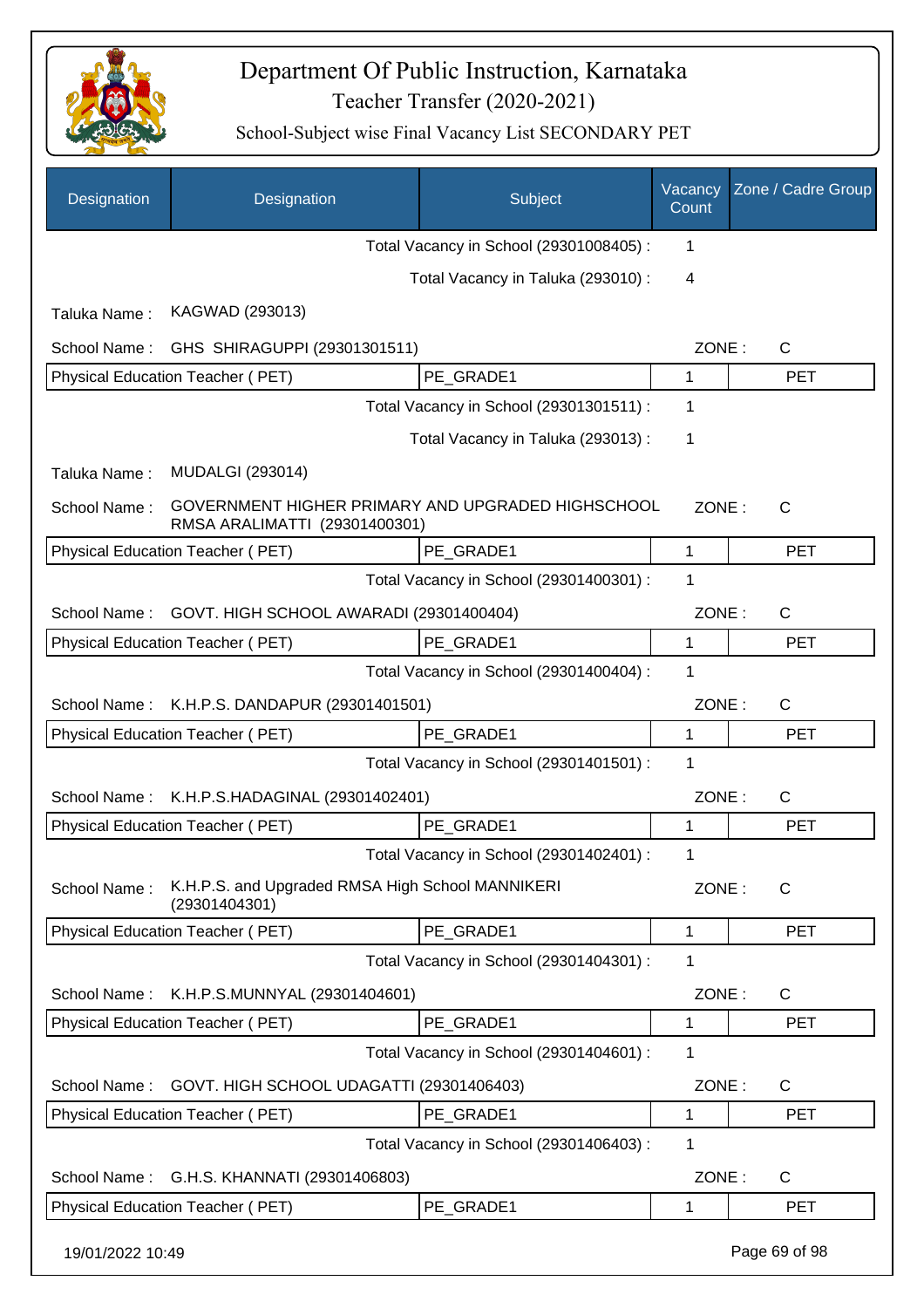

| Designation      | Designation                                                                        | Subject                                 | Vacancy<br>Count | Zone / Cadre Group |
|------------------|------------------------------------------------------------------------------------|-----------------------------------------|------------------|--------------------|
|                  |                                                                                    | Total Vacancy in School (29301008405) : | 1                |                    |
|                  |                                                                                    | Total Vacancy in Taluka (293010) :      | 4                |                    |
| Taluka Name:     | KAGWAD (293013)                                                                    |                                         |                  |                    |
| School Name:     | GHS SHIRAGUPPI (29301301511)                                                       |                                         | ZONE:            | $\mathsf{C}$       |
|                  | Physical Education Teacher (PET)                                                   | PE GRADE1                               | 1                | <b>PET</b>         |
|                  |                                                                                    | Total Vacancy in School (29301301511) : | 1                |                    |
|                  |                                                                                    | Total Vacancy in Taluka (293013):       | 1                |                    |
| Taluka Name:     | <b>MUDALGI (293014)</b>                                                            |                                         |                  |                    |
| School Name:     | GOVERNMENT HIGHER PRIMARY AND UPGRADED HIGHSCHOOL<br>RMSA ARALIMATTI (29301400301) |                                         | ZONE:            | C                  |
|                  | Physical Education Teacher (PET)                                                   | PE_GRADE1                               | $\mathbf{1}$     | <b>PET</b>         |
|                  |                                                                                    | Total Vacancy in School (29301400301) : | 1                |                    |
| School Name:     | GOVT. HIGH SCHOOL AWARADI (29301400404)                                            |                                         | ZONE:            | $\mathsf{C}$       |
|                  | Physical Education Teacher (PET)                                                   | PE GRADE1                               | 1                | <b>PET</b>         |
|                  |                                                                                    | Total Vacancy in School (29301400404) : | 1                |                    |
|                  | School Name: K.H.P.S. DANDAPUR (29301401501)                                       |                                         | ZONE:            | $\mathsf{C}$       |
|                  | Physical Education Teacher (PET)                                                   | PE_GRADE1                               | 1                | <b>PET</b>         |
|                  |                                                                                    | Total Vacancy in School (29301401501) : | 1                |                    |
| School Name:     | K.H.P.S.HADAGINAL (29301402401)                                                    |                                         | ZONE:            | $\mathsf{C}$       |
|                  | Physical Education Teacher (PET)                                                   | PE GRADE1                               | 1                | <b>PET</b>         |
|                  |                                                                                    | Total Vacancy in School (29301402401) : | 1.               |                    |
| School Name:     | K.H.P.S. and Upgraded RMSA High School MANNIKERI<br>(29301404301)                  |                                         | ZONE:            | C                  |
|                  | Physical Education Teacher (PET)                                                   | PE GRADE1                               | 1                | <b>PET</b>         |
|                  |                                                                                    | Total Vacancy in School (29301404301) : | 1                |                    |
| School Name:     | K.H.P.S.MUNNYAL (29301404601)                                                      |                                         | ZONE:            | $\mathsf{C}$       |
|                  | Physical Education Teacher (PET)                                                   | PE GRADE1                               | 1                | <b>PET</b>         |
|                  |                                                                                    | Total Vacancy in School (29301404601) : | 1                |                    |
| School Name:     | GOVT. HIGH SCHOOL UDAGATTI (29301406403)                                           |                                         | ZONE:            | $\mathsf{C}$       |
|                  | Physical Education Teacher (PET)                                                   | PE_GRADE1                               | 1                | <b>PET</b>         |
|                  |                                                                                    | Total Vacancy in School (29301406403) : | 1                |                    |
| School Name:     | G.H.S. KHANNATI (29301406803)                                                      |                                         | ZONE:            | $\mathsf{C}$       |
|                  | Physical Education Teacher (PET)                                                   | PE_GRADE1                               | 1                | <b>PET</b>         |
| 19/01/2022 10:49 |                                                                                    |                                         |                  | Page 69 of 98      |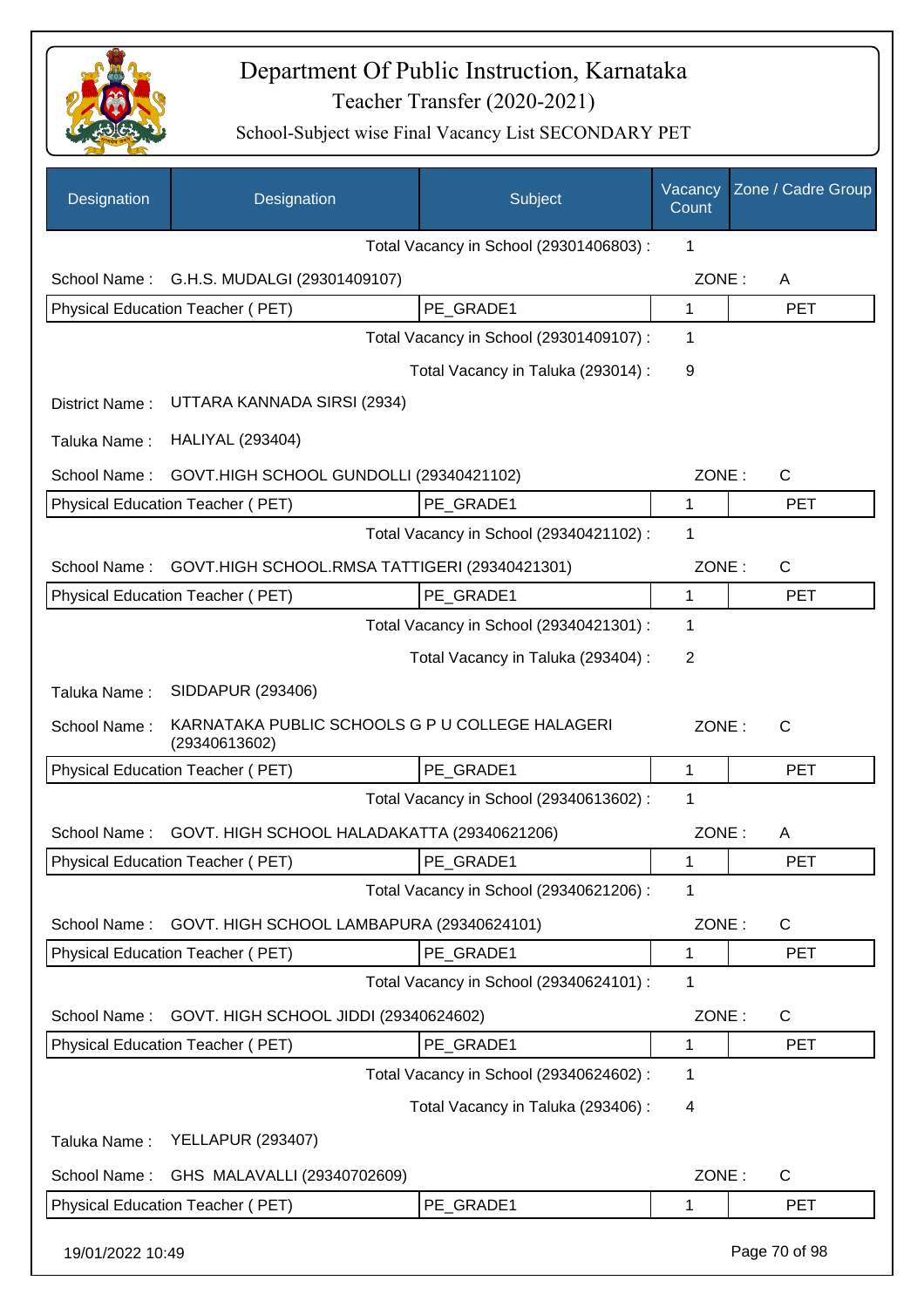

| Designation      | Designation                                                      | Subject                                 | Vacancy<br>Count | Zone / Cadre Group |
|------------------|------------------------------------------------------------------|-----------------------------------------|------------------|--------------------|
|                  |                                                                  | Total Vacancy in School (29301406803) : | 1                |                    |
| School Name:     | G.H.S. MUDALGI (29301409107)                                     |                                         | ZONE:            | A                  |
|                  | Physical Education Teacher (PET)                                 | PE_GRADE1                               | 1                | <b>PET</b>         |
|                  |                                                                  | Total Vacancy in School (29301409107) : | 1                |                    |
|                  |                                                                  | Total Vacancy in Taluka (293014) :      | 9                |                    |
| District Name:   | UTTARA KANNADA SIRSI (2934)                                      |                                         |                  |                    |
| Taluka Name:     | <b>HALIYAL (293404)</b>                                          |                                         |                  |                    |
| School Name:     | GOVT.HIGH SCHOOL GUNDOLLI (29340421102)                          |                                         | ZONE:            | $\mathsf{C}$       |
|                  | Physical Education Teacher (PET)                                 | PE_GRADE1                               | 1                | <b>PET</b>         |
|                  |                                                                  | Total Vacancy in School (29340421102) : | 1                |                    |
| School Name:     | GOVT.HIGH SCHOOL.RMSA TATTIGERI (29340421301)                    |                                         | ZONE:            | C                  |
|                  | Physical Education Teacher (PET)                                 | PE GRADE1                               | 1                | <b>PET</b>         |
|                  |                                                                  | Total Vacancy in School (29340421301) : | 1                |                    |
|                  |                                                                  | Total Vacancy in Taluka (293404) :      | $\overline{2}$   |                    |
| Taluka Name:     | SIDDAPUR (293406)                                                |                                         |                  |                    |
| School Name:     | KARNATAKA PUBLIC SCHOOLS G P U COLLEGE HALAGERI<br>(29340613602) |                                         | ZONE:            | $\mathsf{C}$       |
|                  | Physical Education Teacher (PET)                                 | PE_GRADE1                               | 1                | <b>PET</b>         |
|                  |                                                                  | Total Vacancy in School (29340613602) : | 1                |                    |
| School Name:     | GOVT. HIGH SCHOOL HALADAKATTA (29340621206)                      |                                         | ZONE:            | A                  |
|                  | Physical Education Teacher (PET)                                 | PE_GRADE1                               | 1                | <b>PET</b>         |
|                  |                                                                  | Total Vacancy in School (29340621206) : | 1                |                    |
| School Name:     | GOVT. HIGH SCHOOL LAMBAPURA (29340624101)                        |                                         | ZONE:            | C                  |
|                  | Physical Education Teacher (PET)                                 | PE GRADE1                               | 1                | <b>PET</b>         |
|                  |                                                                  | Total Vacancy in School (29340624101) : | 1                |                    |
| School Name:     | GOVT. HIGH SCHOOL JIDDI (29340624602)                            |                                         | ZONE:            | C                  |
|                  | Physical Education Teacher (PET)                                 | PE_GRADE1                               | 1                | <b>PET</b>         |
|                  |                                                                  | Total Vacancy in School (29340624602) : | 1                |                    |
|                  |                                                                  | Total Vacancy in Taluka (293406) :      | 4                |                    |
| Taluka Name:     | <b>YELLAPUR (293407)</b>                                         |                                         |                  |                    |
| School Name:     | GHS MALAVALLI (29340702609)                                      |                                         | ZONE:            | C                  |
|                  | Physical Education Teacher (PET)                                 | PE_GRADE1                               | 1                | <b>PET</b>         |
| 19/01/2022 10:49 |                                                                  |                                         |                  | Page 70 of 98      |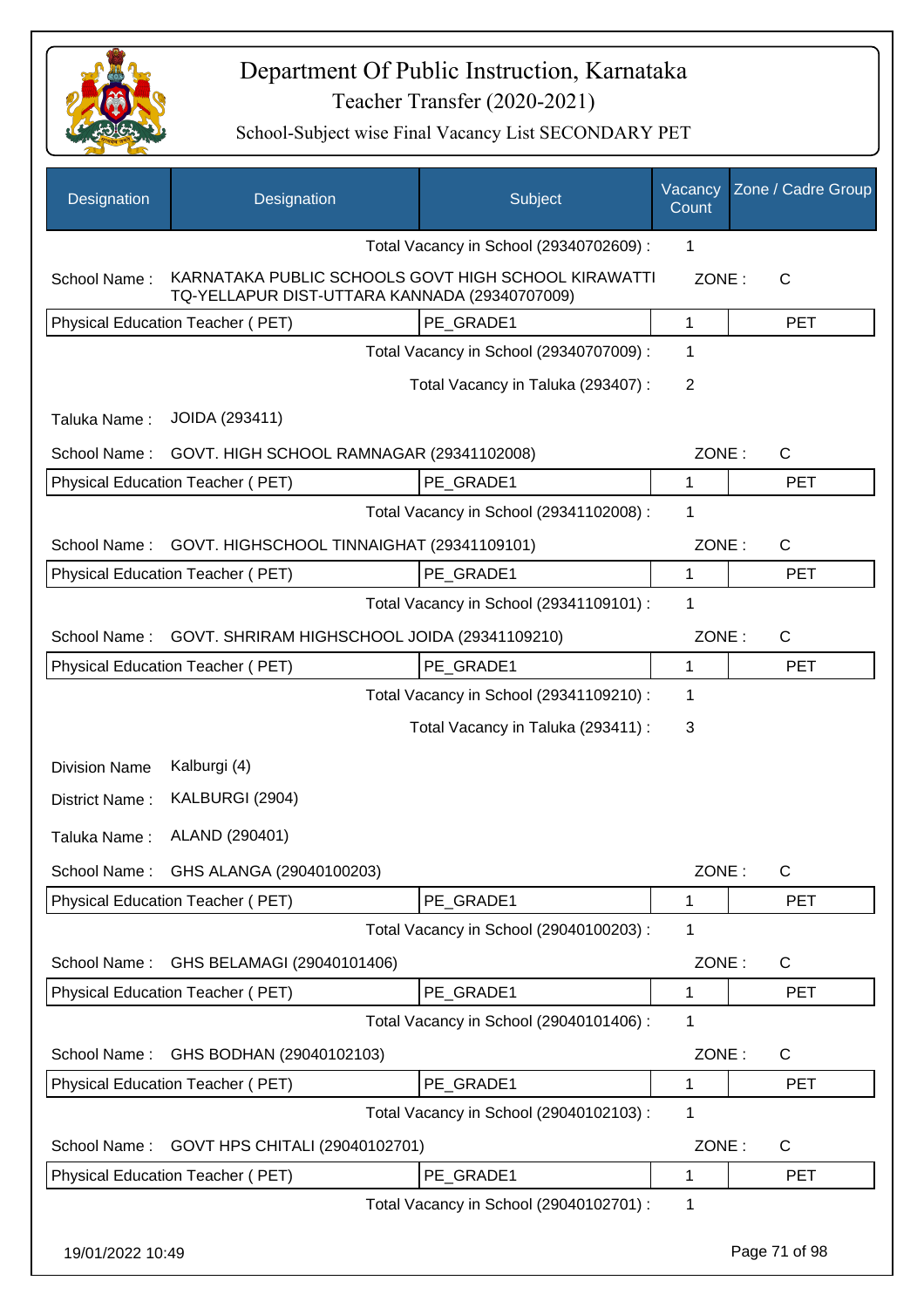

| Designation          | Designation                                                                                          | Subject                                 | Vacancy<br>Count | Zone / Cadre Group |
|----------------------|------------------------------------------------------------------------------------------------------|-----------------------------------------|------------------|--------------------|
|                      |                                                                                                      | Total Vacancy in School (29340702609) : | 1                |                    |
| School Name:         | KARNATAKA PUBLIC SCHOOLS GOVT HIGH SCHOOL KIRAWATTI<br>TQ-YELLAPUR DIST-UTTARA KANNADA (29340707009) |                                         | ZONE:            | $\mathsf{C}$       |
|                      | Physical Education Teacher (PET)                                                                     | PE_GRADE1                               | 1                | <b>PET</b>         |
|                      |                                                                                                      | Total Vacancy in School (29340707009) : | 1                |                    |
|                      |                                                                                                      | Total Vacancy in Taluka (293407) :      | 2                |                    |
| Taluka Name:         | JOIDA (293411)                                                                                       |                                         |                  |                    |
| School Name:         | GOVT. HIGH SCHOOL RAMNAGAR (29341102008)                                                             |                                         | ZONE:            | $\mathsf{C}$       |
|                      | Physical Education Teacher (PET)                                                                     | PE_GRADE1                               | 1                | <b>PET</b>         |
|                      |                                                                                                      | Total Vacancy in School (29341102008) : | 1                |                    |
| School Name:         | GOVT. HIGHSCHOOL TINNAIGHAT (29341109101)                                                            |                                         | ZONE:            | C                  |
|                      | Physical Education Teacher (PET)                                                                     | PE_GRADE1                               | 1                | <b>PET</b>         |
|                      |                                                                                                      | Total Vacancy in School (29341109101) : | 1                |                    |
| School Name:         | GOVT. SHRIRAM HIGHSCHOOL JOIDA (29341109210)                                                         |                                         | ZONE:            | C                  |
|                      | Physical Education Teacher (PET)                                                                     | PE GRADE1                               | 1                | <b>PET</b>         |
|                      |                                                                                                      | Total Vacancy in School (29341109210) : | 1                |                    |
|                      |                                                                                                      | Total Vacancy in Taluka (293411) :      | 3                |                    |
| <b>Division Name</b> | Kalburgi (4)                                                                                         |                                         |                  |                    |
| District Name:       | KALBURGI (2904)                                                                                      |                                         |                  |                    |
| Taluka Name:         | ALAND (290401)                                                                                       |                                         |                  |                    |
| School Name:         | GHS ALANGA (29040100203)                                                                             |                                         | ZONE:            | C                  |
|                      | Physical Education Teacher (PET)                                                                     | PE_GRADE1                               | 1                | <b>PET</b>         |
|                      |                                                                                                      | Total Vacancy in School (29040100203) : | 1                |                    |
| School Name:         | GHS BELAMAGI (29040101406)                                                                           |                                         | ZONE:            | C                  |
|                      | Physical Education Teacher (PET)                                                                     | PE GRADE1                               | 1                | <b>PET</b>         |
|                      |                                                                                                      | Total Vacancy in School (29040101406) : | 1                |                    |
| School Name:         | GHS BODHAN (29040102103)                                                                             |                                         | ZONE:            | C                  |
|                      | Physical Education Teacher (PET)                                                                     | PE GRADE1                               | 1                | <b>PET</b>         |
|                      |                                                                                                      | Total Vacancy in School (29040102103) : | 1                |                    |
| School Name:         | GOVT HPS CHITALI (29040102701)                                                                       |                                         | ZONE:            | C                  |
|                      | Physical Education Teacher (PET)                                                                     | PE_GRADE1                               | 1                | <b>PET</b>         |
|                      |                                                                                                      | Total Vacancy in School (29040102701) : | 1                |                    |
| 19/01/2022 10:49     |                                                                                                      |                                         |                  | Page 71 of 98      |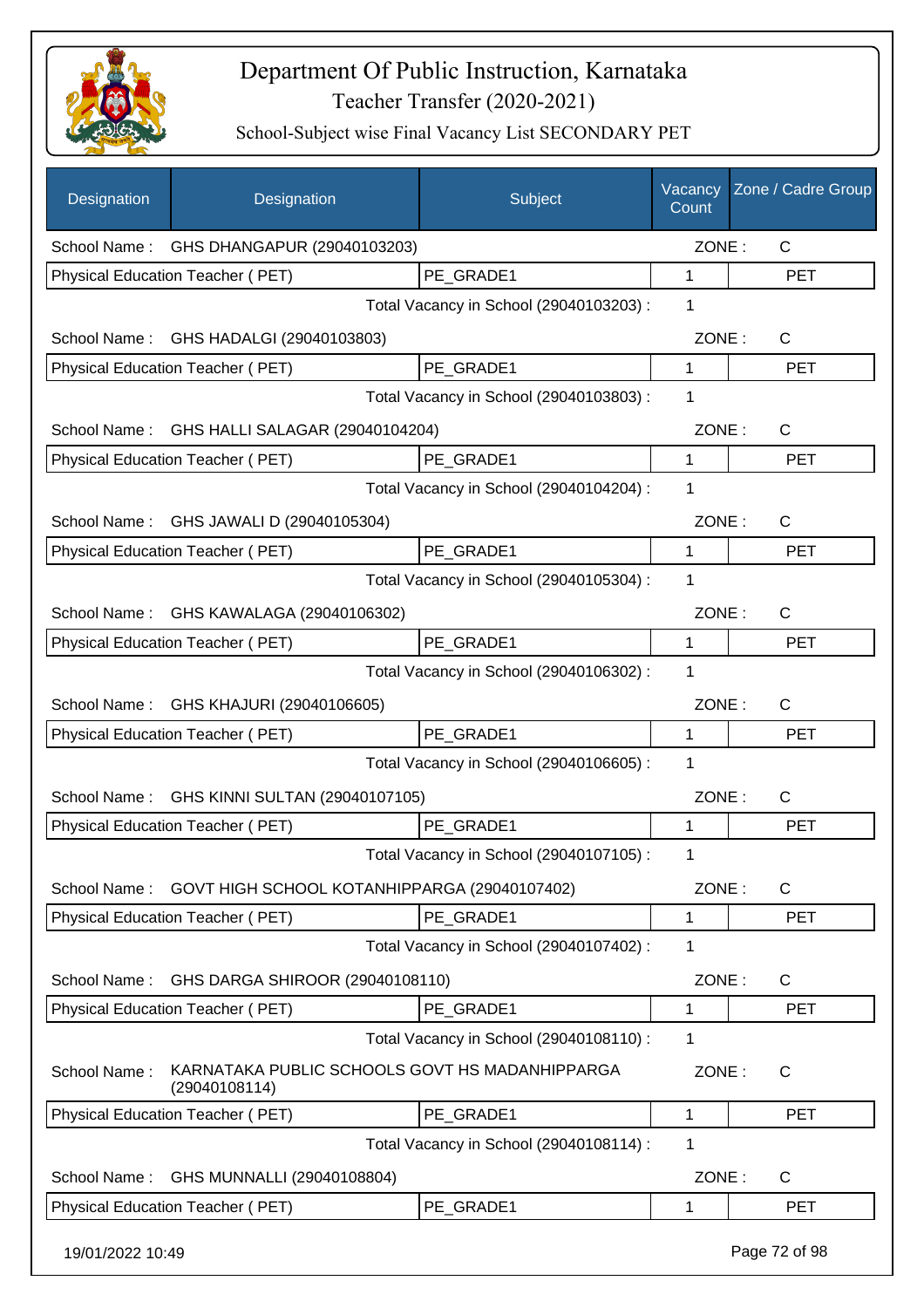

| Designation      | Designation                                                     | Subject                                 | Vacancy<br>Count | Zone / Cadre Group |
|------------------|-----------------------------------------------------------------|-----------------------------------------|------------------|--------------------|
| School Name:     | GHS DHANGAPUR (29040103203)                                     |                                         | ZONE:            | C                  |
|                  | Physical Education Teacher (PET)                                | PE GRADE1                               | 1                | <b>PET</b>         |
|                  |                                                                 | Total Vacancy in School (29040103203) : | 1                |                    |
|                  | School Name: GHS HADALGI (29040103803)                          |                                         | ZONE:            | C                  |
|                  | Physical Education Teacher (PET)                                | PE GRADE1                               | $\mathbf{1}$     | <b>PET</b>         |
|                  |                                                                 | Total Vacancy in School (29040103803) : | 1                |                    |
|                  | School Name: GHS HALLI SALAGAR (29040104204)                    |                                         | ZONE:            | C                  |
|                  | Physical Education Teacher (PET)                                | PE GRADE1                               | 1                | <b>PET</b>         |
|                  |                                                                 | Total Vacancy in School (29040104204) : | 1                |                    |
| School Name:     | GHS JAWALI D (29040105304)                                      |                                         | ZONE:            | $\mathsf{C}$       |
|                  | Physical Education Teacher (PET)                                | PE GRADE1                               | 1                | <b>PET</b>         |
|                  |                                                                 | Total Vacancy in School (29040105304) : | 1                |                    |
|                  | School Name: GHS KAWALAGA (29040106302)                         |                                         | ZONE:            | $\mathsf{C}$       |
|                  | Physical Education Teacher (PET)                                | PE_GRADE1                               | 1                | <b>PET</b>         |
|                  |                                                                 | Total Vacancy in School (29040106302) : | 1                |                    |
| School Name:     | GHS KHAJURI (29040106605)                                       |                                         | ZONE:            | $\mathsf{C}$       |
|                  | Physical Education Teacher (PET)                                | PE_GRADE1                               | 1                | <b>PET</b>         |
|                  |                                                                 | Total Vacancy in School (29040106605) : | 1                |                    |
| School Name:     | GHS KINNI SULTAN (29040107105)                                  |                                         | ZONE:            | $\mathsf{C}$       |
|                  | Physical Education Teacher (PET)                                | PE_GRADE1                               | 1                | <b>PET</b>         |
|                  |                                                                 | Total Vacancy in School (29040107105) : | 1                |                    |
| School Name:     | GOVT HIGH SCHOOL KOTANHIPPARGA (29040107402)                    |                                         | ZONE:            | C                  |
|                  | Physical Education Teacher (PET)                                | PE GRADE1                               | 1                | <b>PET</b>         |
|                  |                                                                 | Total Vacancy in School (29040107402) : | 1                |                    |
| School Name:     | GHS DARGA SHIROOR (29040108110)                                 |                                         | ZONE:            | C                  |
|                  | Physical Education Teacher (PET)                                | PE GRADE1                               | 1                | <b>PET</b>         |
|                  |                                                                 | Total Vacancy in School (29040108110) : | 1                |                    |
| School Name:     | KARNATAKA PUBLIC SCHOOLS GOVT HS MADANHIPPARGA<br>(29040108114) |                                         | ZONE:            | $\mathsf{C}$       |
|                  | Physical Education Teacher (PET)                                | PE_GRADE1                               | 1                | <b>PET</b>         |
|                  |                                                                 | Total Vacancy in School (29040108114) : | 1                |                    |
| School Name:     | GHS MUNNALLI (29040108804)                                      |                                         | ZONE:            | C                  |
|                  | Physical Education Teacher (PET)                                | PE GRADE1                               | 1                | <b>PET</b>         |
| 19/01/2022 10:49 |                                                                 |                                         |                  | Page 72 of 98      |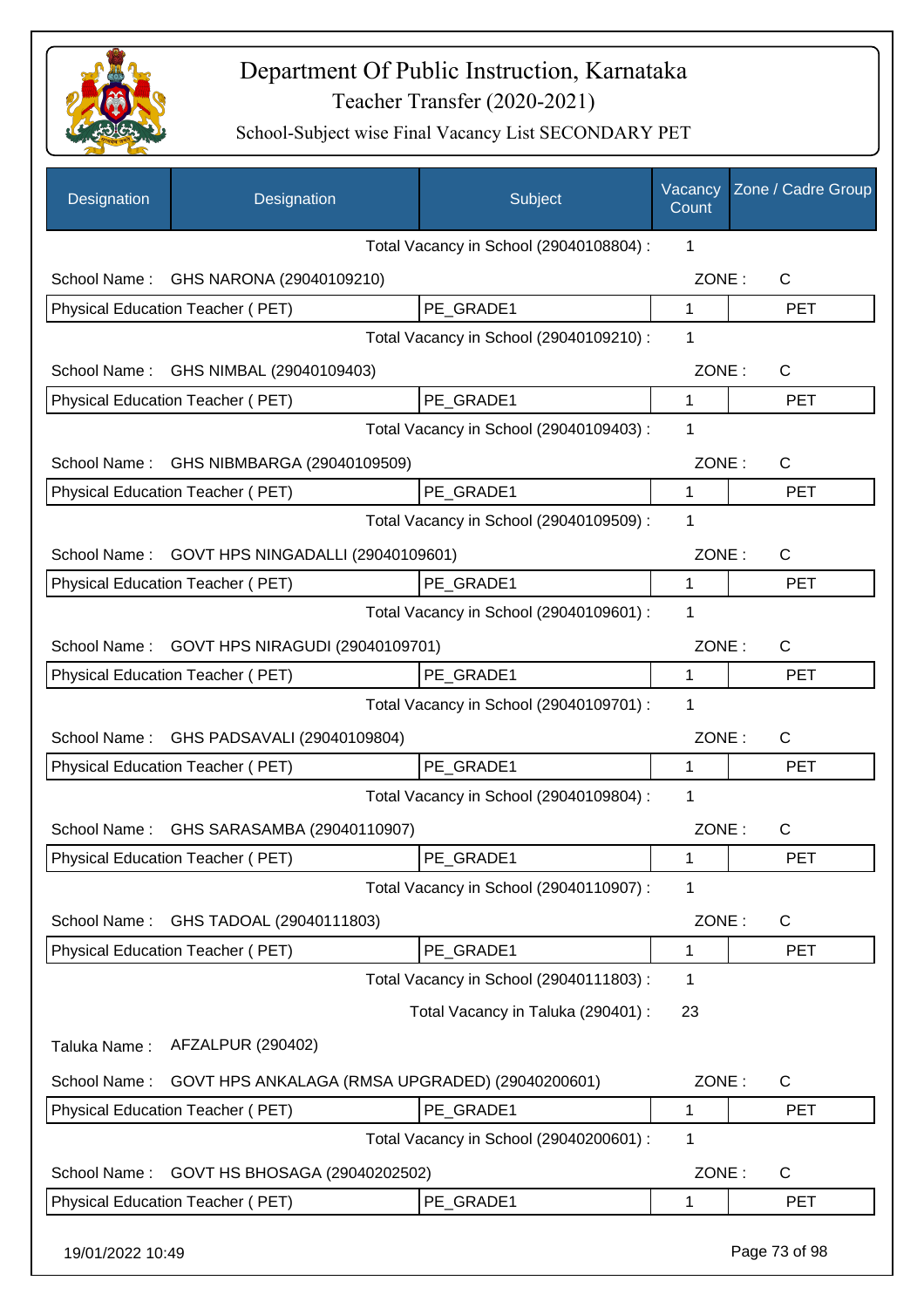

| Designation      | Designation                                     | Subject                                 | Vacancy<br>Count | Zone / Cadre Group |
|------------------|-------------------------------------------------|-----------------------------------------|------------------|--------------------|
|                  |                                                 | Total Vacancy in School (29040108804) : | 1                |                    |
| School Name:     | GHS NARONA (29040109210)                        |                                         | ZONE:            | $\mathsf{C}$       |
|                  | Physical Education Teacher (PET)                | PE_GRADE1                               | 1                | <b>PET</b>         |
|                  |                                                 | Total Vacancy in School (29040109210) : | 1                |                    |
| School Name:     | GHS NIMBAL (29040109403)                        |                                         | ZONE:            | C                  |
|                  | Physical Education Teacher (PET)                | PE_GRADE1                               | 1                | <b>PET</b>         |
|                  |                                                 | Total Vacancy in School (29040109403) : | 1                |                    |
| School Name:     | GHS NIBMBARGA (29040109509)                     |                                         | ZONE:            | $\mathsf{C}$       |
|                  | Physical Education Teacher (PET)                | PE GRADE1                               | 1                | <b>PET</b>         |
|                  |                                                 | Total Vacancy in School (29040109509) : | 1                |                    |
| School Name:     | GOVT HPS NINGADALLI (29040109601)               |                                         | ZONE:            | $\mathsf{C}$       |
|                  | Physical Education Teacher (PET)                | PE_GRADE1                               | 1                | <b>PET</b>         |
|                  |                                                 | Total Vacancy in School (29040109601) : | 1                |                    |
| School Name:     | GOVT HPS NIRAGUDI (29040109701)                 |                                         | ZONE:            | C                  |
|                  | Physical Education Teacher (PET)                | PE_GRADE1                               | 1                | <b>PET</b>         |
|                  |                                                 | Total Vacancy in School (29040109701) : | 1                |                    |
| School Name:     | GHS PADSAVALI (29040109804)                     |                                         | ZONE:            | $\mathsf{C}$       |
|                  | Physical Education Teacher (PET)                | PE_GRADE1                               | 1                | <b>PET</b>         |
|                  |                                                 | Total Vacancy in School (29040109804) : | 1                |                    |
|                  | School Name: GHS SARASAMBA (29040110907)        |                                         | ZONE:            | C                  |
|                  | <b>Physical Education Teacher (PET)</b>         | PE_GRADE1                               | 1                | PET                |
|                  |                                                 | Total Vacancy in School (29040110907) : | 1                |                    |
| School Name:     | GHS TADOAL (29040111803)                        |                                         | ZONE:            | C                  |
|                  | Physical Education Teacher (PET)                | PE_GRADE1                               | 1                | PET                |
|                  |                                                 | Total Vacancy in School (29040111803) : | 1                |                    |
|                  |                                                 | Total Vacancy in Taluka (290401) :      | 23               |                    |
| Taluka Name:     | AFZALPUR (290402)                               |                                         |                  |                    |
| School Name:     | GOVT HPS ANKALAGA (RMSA UPGRADED) (29040200601) |                                         | ZONE:            | C                  |
|                  | Physical Education Teacher (PET)                | PE_GRADE1                               | 1                | <b>PET</b>         |
|                  |                                                 | Total Vacancy in School (29040200601) : | 1                |                    |
| School Name:     | GOVT HS BHOSAGA (29040202502)                   |                                         | ZONE:            | C                  |
|                  | Physical Education Teacher (PET)                | PE_GRADE1                               | 1                | <b>PET</b>         |
| 19/01/2022 10:49 |                                                 |                                         |                  | Page 73 of 98      |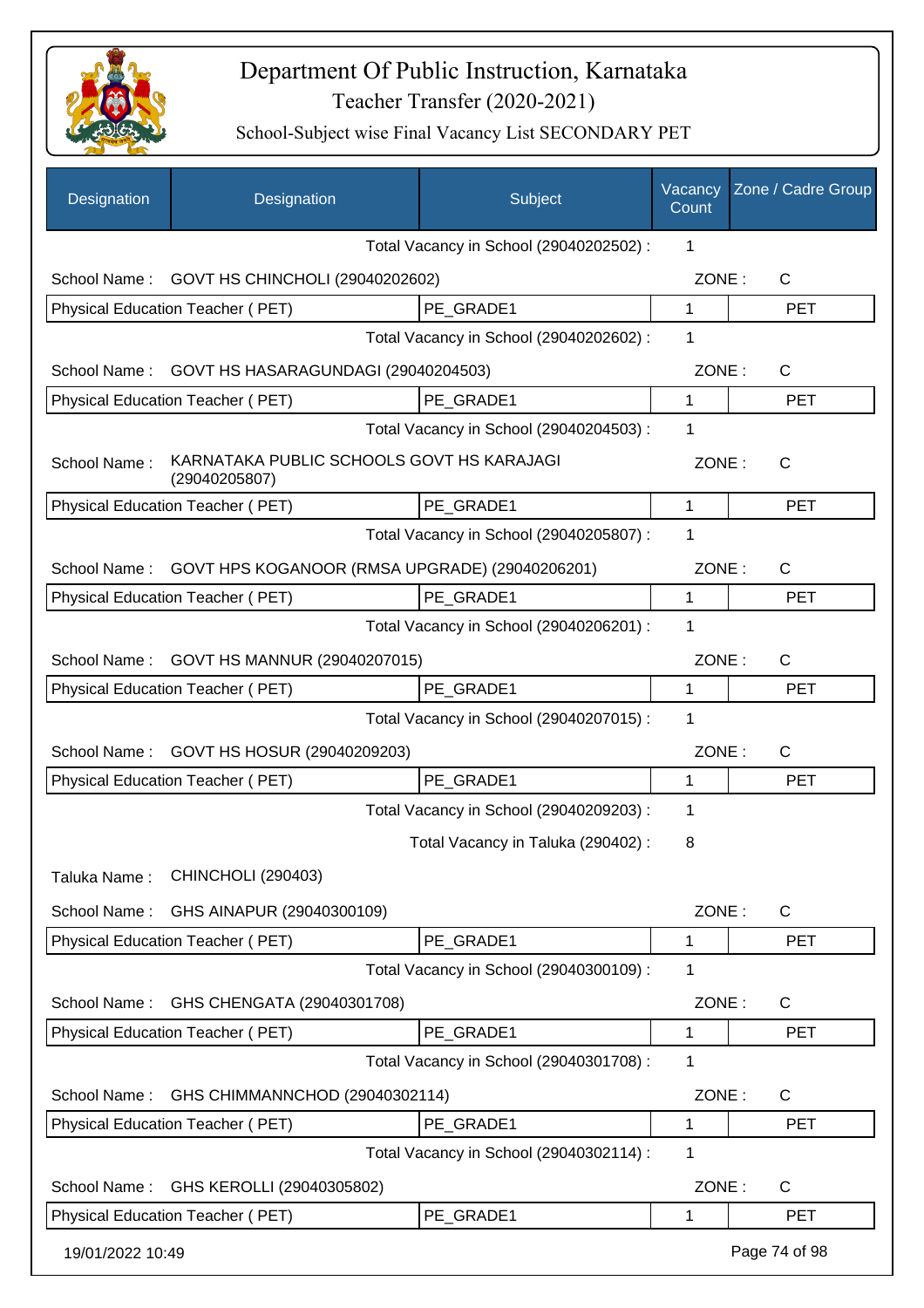

| Designation      | Designation                                                | Subject                                 | Vacancy<br>Count | Zone / Cadre Group |
|------------------|------------------------------------------------------------|-----------------------------------------|------------------|--------------------|
|                  |                                                            | Total Vacancy in School (29040202502) : | 1                |                    |
| School Name:     | GOVT HS CHINCHOLI (29040202602)                            |                                         | ZONE:            | $\mathsf{C}$       |
|                  | Physical Education Teacher (PET)                           | PE GRADE1                               | 1                | <b>PET</b>         |
|                  |                                                            | Total Vacancy in School (29040202602) : | 1                |                    |
| School Name:     | GOVT HS HASARAGUNDAGI (29040204503)                        |                                         | ZONE:            | C                  |
|                  | Physical Education Teacher (PET)                           | PE GRADE1                               | 1                | <b>PET</b>         |
|                  |                                                            | Total Vacancy in School (29040204503) : | 1                |                    |
| School Name:     | KARNATAKA PUBLIC SCHOOLS GOVT HS KARAJAGI<br>(29040205807) |                                         | ZONE:            | $\mathsf{C}$       |
|                  | Physical Education Teacher (PET)                           | PE_GRADE1                               | 1                | <b>PET</b>         |
|                  |                                                            | Total Vacancy in School (29040205807) : | 1                |                    |
| School Name:     | GOVT HPS KOGANOOR (RMSA UPGRADE) (29040206201)             |                                         | ZONE:            | $\mathsf{C}$       |
|                  | Physical Education Teacher (PET)                           | PE GRADE1                               | 1                | <b>PET</b>         |
|                  |                                                            | Total Vacancy in School (29040206201) : | 1                |                    |
| School Name:     | GOVT HS MANNUR (29040207015)                               |                                         | ZONE:            | $\mathsf{C}$       |
|                  | Physical Education Teacher (PET)                           | PE GRADE1                               | 1                | <b>PET</b>         |
|                  |                                                            | Total Vacancy in School (29040207015) : | 1                |                    |
| School Name:     | GOVT HS HOSUR (29040209203)                                |                                         | ZONE:            | C                  |
|                  | Physical Education Teacher (PET)                           | PE_GRADE1                               | 1                | <b>PET</b>         |
|                  |                                                            | Total Vacancy in School (29040209203) : | 1                |                    |
|                  |                                                            | Total Vacancy in Taluka (290402) :      | 8                |                    |
| Taluka Name:     | <b>CHINCHOLI (290403)</b>                                  |                                         |                  |                    |
| School Name:     | GHS AINAPUR (29040300109)                                  |                                         | ZONE:            | $\mathsf{C}$       |
|                  | Physical Education Teacher (PET)                           | PE_GRADE1                               | 1                | <b>PET</b>         |
|                  |                                                            | Total Vacancy in School (29040300109) : | 1                |                    |
| School Name:     | GHS CHENGATA (29040301708)                                 |                                         | ZONE:            | C                  |
|                  | Physical Education Teacher (PET)                           | PE GRADE1                               | 1                | <b>PET</b>         |
|                  |                                                            | Total Vacancy in School (29040301708) : | 1                |                    |
| School Name:     | GHS CHIMMANNCHOD (29040302114)                             |                                         | ZONE:            | $\mathsf{C}$       |
|                  | Physical Education Teacher (PET)                           | PE GRADE1                               | 1                | <b>PET</b>         |
|                  |                                                            | Total Vacancy in School (29040302114) : | 1                |                    |
| School Name:     | GHS KEROLLI (29040305802)                                  |                                         | ZONE:            | $\mathsf{C}$       |
|                  | Physical Education Teacher (PET)                           | PE GRADE1                               | 1                | <b>PET</b>         |
| 19/01/2022 10:49 |                                                            |                                         |                  | Page 74 of 98      |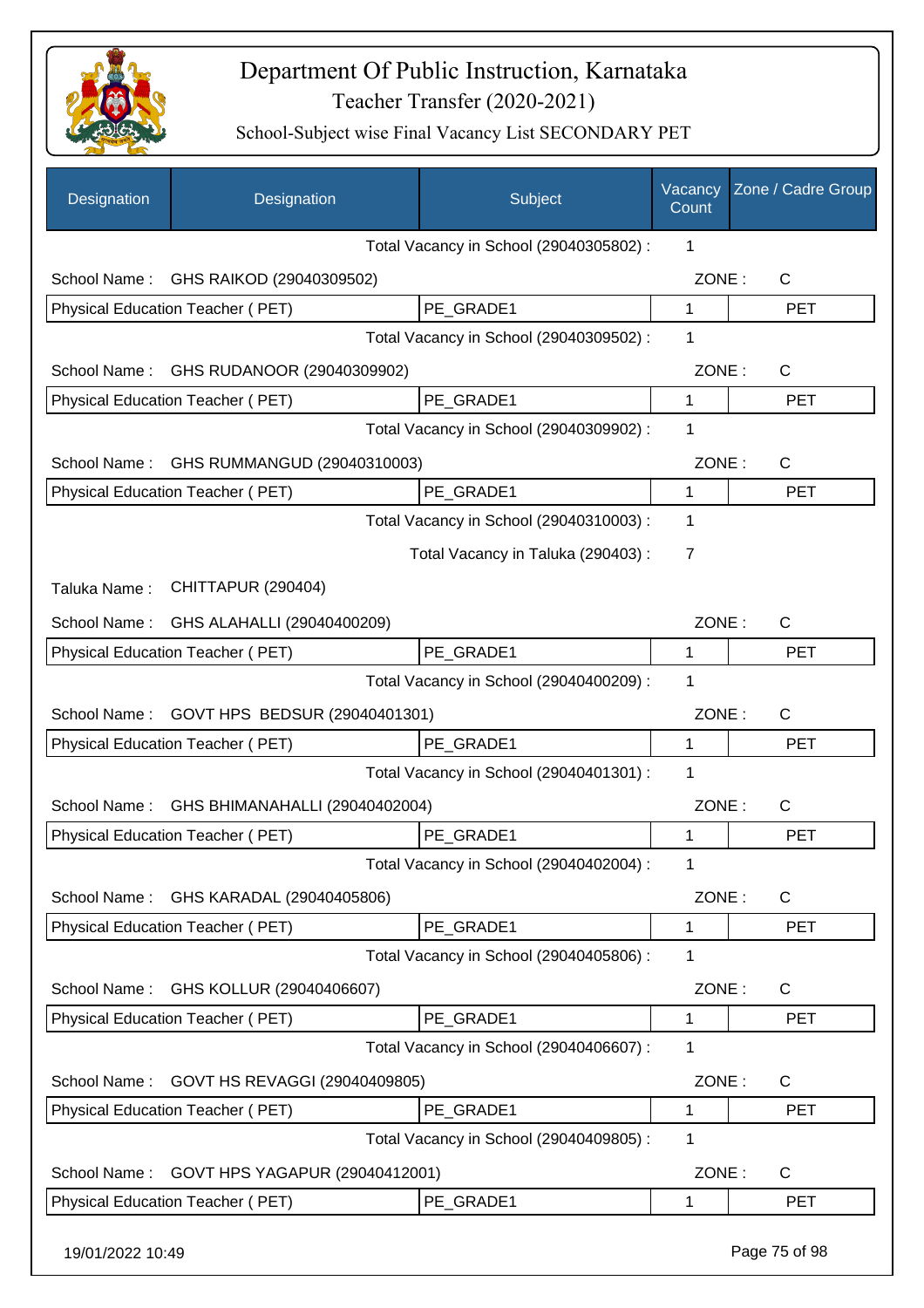

| Designation      | Designation                             | Subject                                 | Vacancy<br>Count | Zone / Cadre Group |
|------------------|-----------------------------------------|-----------------------------------------|------------------|--------------------|
|                  |                                         | Total Vacancy in School (29040305802) : | 1                |                    |
| School Name:     | GHS RAIKOD (29040309502)                |                                         | ZONE:            | $\mathsf{C}$       |
|                  | Physical Education Teacher (PET)        | PE_GRADE1                               | 1                | <b>PET</b>         |
|                  |                                         | Total Vacancy in School (29040309502) : | 1                |                    |
| School Name:     | GHS RUDANOOR (29040309902)              |                                         | ZONE:            | C                  |
|                  | Physical Education Teacher (PET)        | PE GRADE1                               | 1                | <b>PET</b>         |
|                  |                                         | Total Vacancy in School (29040309902) : | 1                |                    |
| School Name:     | GHS RUMMANGUD (29040310003)             |                                         | ZONE:            | C                  |
|                  | Physical Education Teacher (PET)        | PE GRADE1                               | 1                | <b>PET</b>         |
|                  |                                         | Total Vacancy in School (29040310003) : | 1                |                    |
|                  |                                         | Total Vacancy in Taluka (290403) :      | 7                |                    |
| Taluka Name:     | CHITTAPUR (290404)                      |                                         |                  |                    |
|                  | School Name: GHS ALAHALLI (29040400209) |                                         | ZONE:            | C                  |
|                  | Physical Education Teacher (PET)        | PE GRADE1                               | 1                | <b>PET</b>         |
|                  |                                         | Total Vacancy in School (29040400209) : | 1                |                    |
| School Name:     | GOVT HPS BEDSUR (29040401301)           |                                         | ZONE:            | $\mathsf{C}$       |
|                  | Physical Education Teacher (PET)        | PE GRADE1                               | 1                | <b>PET</b>         |
|                  |                                         | Total Vacancy in School (29040401301) : | 1                |                    |
| School Name:     | GHS BHIMANAHALLI (29040402004)          |                                         | ZONE:            | C                  |
|                  | Physical Education Teacher (PET)        | PE GRADE1                               | 1                | <b>PET</b>         |
|                  |                                         | Total Vacancy in School (29040402004) : | 1                |                    |
| School Name:     | GHS KARADAL (29040405806)               |                                         | ZONE:            | $\mathsf{C}$       |
|                  | Physical Education Teacher (PET)        | PE GRADE1                               | 1                | <b>PET</b>         |
|                  |                                         | Total Vacancy in School (29040405806) : | 1                |                    |
| School Name:     | GHS KOLLUR (29040406607)                |                                         | ZONE:            | $\mathsf{C}$       |
|                  | Physical Education Teacher (PET)        | PE GRADE1                               | 1                | <b>PET</b>         |
|                  |                                         | Total Vacancy in School (29040406607) : | 1                |                    |
| School Name:     | GOVT HS REVAGGI (29040409805)           |                                         | ZONE:            | $\mathsf{C}$       |
|                  | Physical Education Teacher (PET)        | PE_GRADE1                               | 1                | <b>PET</b>         |
|                  |                                         | Total Vacancy in School (29040409805) : | 1                |                    |
| School Name:     | GOVT HPS YAGAPUR (29040412001)          |                                         | ZONE:            | C                  |
|                  | Physical Education Teacher (PET)        | PE_GRADE1                               | 1                | <b>PET</b>         |
| 19/01/2022 10:49 |                                         |                                         |                  | Page 75 of 98      |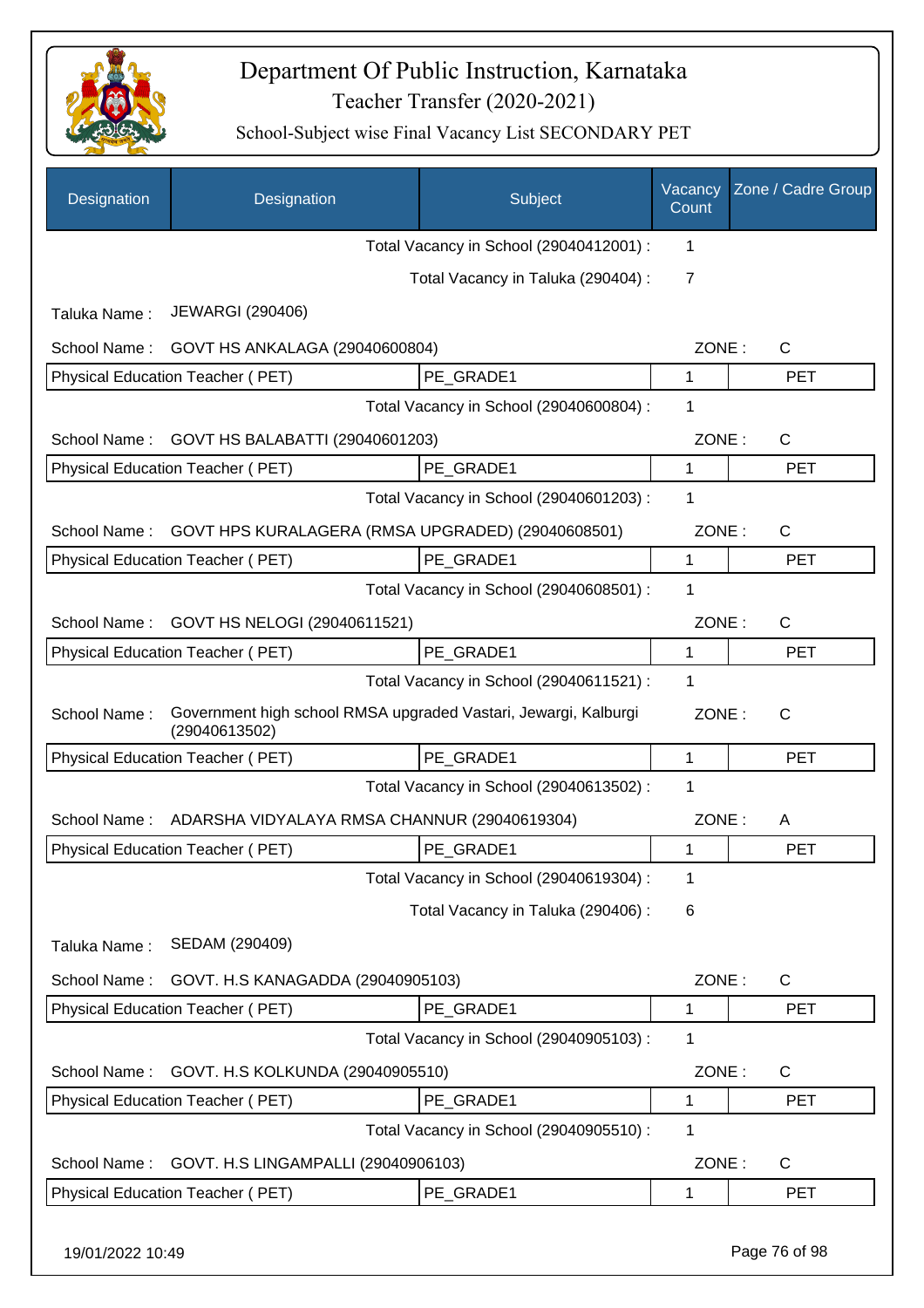

| Designation  | Designation                                                                      | Subject                                 | Vacancy<br>Count | Zone / Cadre Group |
|--------------|----------------------------------------------------------------------------------|-----------------------------------------|------------------|--------------------|
|              |                                                                                  | Total Vacancy in School (29040412001) : | 1                |                    |
|              |                                                                                  | Total Vacancy in Taluka (290404) :      | 7                |                    |
| Taluka Name: | <b>JEWARGI (290406)</b>                                                          |                                         |                  |                    |
| School Name: | GOVT HS ANKALAGA (29040600804)                                                   |                                         | ZONE:            | $\mathsf{C}$       |
|              | Physical Education Teacher (PET)                                                 | PE_GRADE1                               | 1                | <b>PET</b>         |
|              |                                                                                  | Total Vacancy in School (29040600804) : | 1                |                    |
| School Name: | GOVT HS BALABATTI (29040601203)                                                  |                                         | ZONE:            | C                  |
|              | Physical Education Teacher (PET)                                                 | PE GRADE1                               | 1                | <b>PET</b>         |
|              |                                                                                  | Total Vacancy in School (29040601203) : | 1                |                    |
| School Name: | GOVT HPS KURALAGERA (RMSA UPGRADED) (29040608501)                                |                                         | ZONE:            | $\mathsf{C}$       |
|              | Physical Education Teacher (PET)                                                 | PE GRADE1                               | 1                | <b>PET</b>         |
|              |                                                                                  | Total Vacancy in School (29040608501) : | 1                |                    |
| School Name: | GOVT HS NELOGI (29040611521)                                                     |                                         | ZONE:            | $\mathsf{C}$       |
|              | Physical Education Teacher (PET)                                                 | PE GRADE1                               | 1                | <b>PET</b>         |
|              |                                                                                  | Total Vacancy in School (29040611521) : | 1                |                    |
| School Name: | Government high school RMSA upgraded Vastari, Jewargi, Kalburgi<br>(29040613502) |                                         | ZONE:            | $\mathsf{C}$       |
|              | Physical Education Teacher (PET)                                                 | PE GRADE1                               | 1                | <b>PET</b>         |
|              |                                                                                  | Total Vacancy in School (29040613502) : | 1                |                    |
| School Name: | ADARSHA VIDYALAYA RMSA CHANNUR (29040619304)                                     |                                         | ZONE:            | A                  |
|              | Physical Education Teacher (PET)                                                 | PE_GRADE1                               | 1                | <b>PET</b>         |
|              |                                                                                  | Total Vacancy in School (29040619304) : | 1                |                    |
|              |                                                                                  | Total Vacancy in Taluka (290406) :      | 6                |                    |
| Taluka Name: | SEDAM (290409)                                                                   |                                         |                  |                    |
| School Name: | GOVT. H.S KANAGADDA (29040905103)                                                |                                         | ZONE:            | C                  |
|              | Physical Education Teacher (PET)                                                 | PE GRADE1                               | 1                | <b>PET</b>         |
|              |                                                                                  | Total Vacancy in School (29040905103) : | 1                |                    |
| School Name: | GOVT. H.S KOLKUNDA (29040905510)                                                 |                                         | ZONE:            | $\mathsf{C}$       |
|              | Physical Education Teacher (PET)                                                 | PE GRADE1                               | 1                | <b>PET</b>         |
|              |                                                                                  | Total Vacancy in School (29040905510) : | 1                |                    |
| School Name: | GOVT. H.S LINGAMPALLI (29040906103)                                              |                                         | ZONE:            | C                  |
|              | Physical Education Teacher (PET)                                                 | PE_GRADE1                               | 1                | <b>PET</b>         |
|              |                                                                                  |                                         |                  |                    |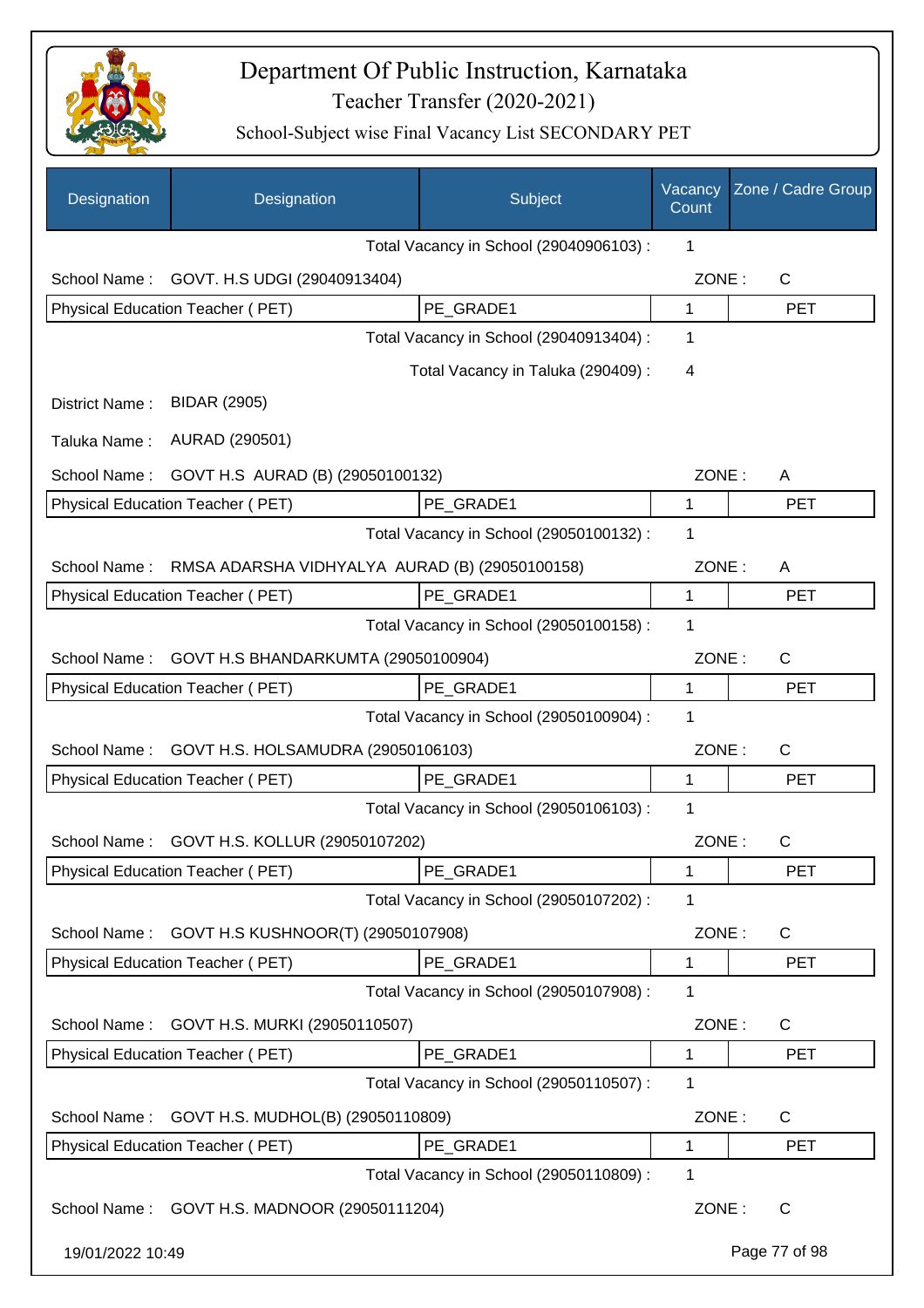

| Designation      | Designation                                    | Subject                                 | Vacancy<br>Count | Zone / Cadre Group |
|------------------|------------------------------------------------|-----------------------------------------|------------------|--------------------|
|                  |                                                | Total Vacancy in School (29040906103) : | 1                |                    |
| School Name:     | GOVT. H.S UDGI (29040913404)                   |                                         | ZONE:            | C                  |
|                  | Physical Education Teacher (PET)               | PE GRADE1                               | 1                | <b>PET</b>         |
|                  |                                                | Total Vacancy in School (29040913404) : | 1                |                    |
|                  |                                                | Total Vacancy in Taluka (290409) :      | 4                |                    |
| District Name:   | <b>BIDAR (2905)</b>                            |                                         |                  |                    |
| Taluka Name:     | AURAD (290501)                                 |                                         |                  |                    |
| School Name:     | GOVT H.S AURAD (B) (29050100132)               |                                         | ZONE:            | A                  |
|                  | Physical Education Teacher (PET)               | PE_GRADE1                               | 1                | <b>PET</b>         |
|                  |                                                | Total Vacancy in School (29050100132) : | 1                |                    |
| School Name:     | RMSA ADARSHA VIDHYALYA AURAD (B) (29050100158) |                                         | ZONE:            | A                  |
|                  | Physical Education Teacher (PET)               | PE_GRADE1                               | 1                | <b>PET</b>         |
|                  |                                                | Total Vacancy in School (29050100158) : | 1                |                    |
| School Name:     | GOVT H.S BHANDARKUMTA (29050100904)            |                                         | ZONE:            | C                  |
|                  | Physical Education Teacher (PET)               | PE_GRADE1                               | 1                | <b>PET</b>         |
|                  |                                                | Total Vacancy in School (29050100904) : | 1                |                    |
| School Name:     | GOVT H.S. HOLSAMUDRA (29050106103)             |                                         | ZONE:            | C                  |
|                  | Physical Education Teacher (PET)               | PE_GRADE1                               | 1                | <b>PET</b>         |
|                  |                                                | Total Vacancy in School (29050106103) : | 1                |                    |
| School Name:     | GOVT H.S. KOLLUR (29050107202)                 |                                         | ZONE:            | C                  |
|                  | Physical Education Teacher (PET)               | PE GRADE1                               | 1                | <b>PET</b>         |
|                  |                                                | Total Vacancy in School (29050107202) : | 1                |                    |
| School Name:     | GOVT H.S KUSHNOOR(T) (29050107908)             |                                         | ZONE:            | C                  |
|                  | Physical Education Teacher (PET)               | PE_GRADE1                               | 1                | <b>PET</b>         |
|                  |                                                | Total Vacancy in School (29050107908) : | 1                |                    |
| School Name:     | GOVT H.S. MURKI (29050110507)                  |                                         | ZONE:            | C                  |
|                  | Physical Education Teacher (PET)               | PE_GRADE1                               | 1                | <b>PET</b>         |
|                  |                                                | Total Vacancy in School (29050110507) : | 1                |                    |
| School Name:     | GOVT H.S. MUDHOL(B) (29050110809)              |                                         | ZONE:            | $\mathsf{C}$       |
|                  | Physical Education Teacher (PET)               | PE_GRADE1                               | 1                | <b>PET</b>         |
|                  |                                                | Total Vacancy in School (29050110809) : | 1                |                    |
|                  | School Name: GOVT H.S. MADNOOR (29050111204)   |                                         | ZONE:            | $\mathsf{C}$       |
| 19/01/2022 10:49 |                                                |                                         |                  | Page 77 of 98      |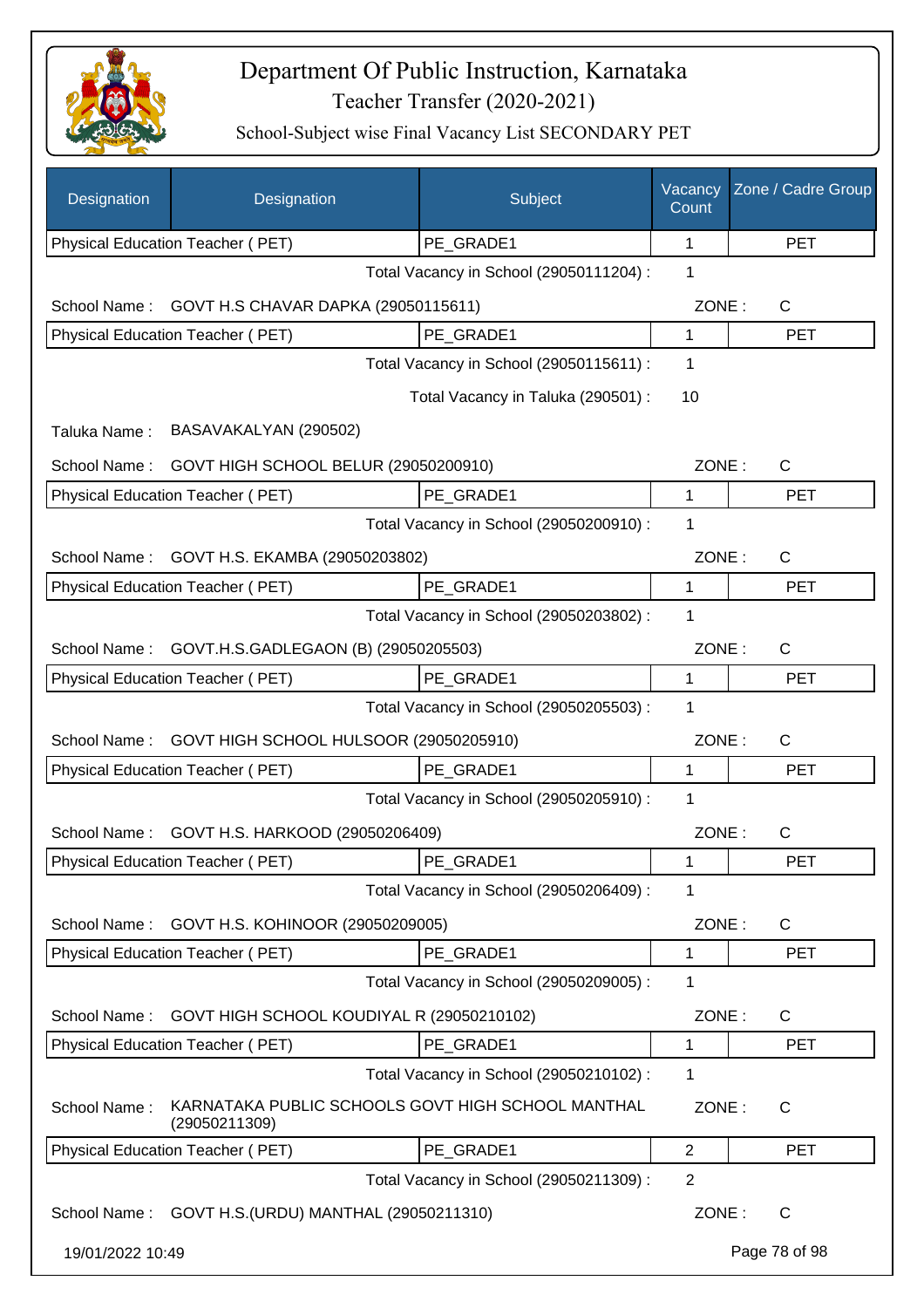

| Designation      | Designation                                                        | Subject                                 | Vacancy<br>Count | Zone / Cadre Group |
|------------------|--------------------------------------------------------------------|-----------------------------------------|------------------|--------------------|
|                  | Physical Education Teacher (PET)                                   | PE_GRADE1                               | 1                | <b>PET</b>         |
|                  |                                                                    | Total Vacancy in School (29050111204) : | 1                |                    |
| School Name:     | GOVT H.S CHAVAR DAPKA (29050115611)                                |                                         | ZONE:            | C                  |
|                  | Physical Education Teacher (PET)                                   | PE_GRADE1                               | 1                | <b>PET</b>         |
|                  |                                                                    | Total Vacancy in School (29050115611) : | 1                |                    |
|                  |                                                                    | Total Vacancy in Taluka (290501) :      | 10               |                    |
| Taluka Name:     | BASAVAKALYAN (290502)                                              |                                         |                  |                    |
| School Name:     | GOVT HIGH SCHOOL BELUR (29050200910)                               |                                         | ZONE:            | C                  |
|                  | Physical Education Teacher (PET)                                   | PE GRADE1                               | 1                | <b>PET</b>         |
|                  |                                                                    | Total Vacancy in School (29050200910) : | 1                |                    |
| School Name:     | GOVT H.S. EKAMBA (29050203802)                                     |                                         | ZONE:            | C                  |
|                  | Physical Education Teacher (PET)                                   | PE_GRADE1                               | 1                | <b>PET</b>         |
|                  |                                                                    | Total Vacancy in School (29050203802) : | 1                |                    |
| School Name:     | GOVT.H.S.GADLEGAON (B) (29050205503)                               |                                         | ZONE:            | C                  |
|                  | Physical Education Teacher (PET)                                   | PE_GRADE1                               | 1                | <b>PET</b>         |
|                  |                                                                    | Total Vacancy in School (29050205503) : | 1                |                    |
| School Name:     | GOVT HIGH SCHOOL HULSOOR (29050205910)                             |                                         | ZONE:            | C                  |
|                  | Physical Education Teacher (PET)                                   | PE GRADE1                               | 1                | <b>PET</b>         |
|                  |                                                                    | Total Vacancy in School (29050205910) : | 1                |                    |
| School Name:     | GOVT H.S. HARKOOD (29050206409)                                    |                                         | ZONE:            | $\mathsf{C}$       |
|                  | Physical Education Teacher (PET)                                   | PE_GRADE1                               | 1                | <b>PET</b>         |
|                  |                                                                    | Total Vacancy in School (29050206409) : | 1                |                    |
| School Name:     | GOVT H.S. KOHINOOR (29050209005)                                   |                                         | ZONE:            | C                  |
|                  | Physical Education Teacher (PET)                                   | PE_GRADE1                               | 1                | <b>PET</b>         |
|                  |                                                                    | Total Vacancy in School (29050209005) : | 1                |                    |
| School Name:     | GOVT HIGH SCHOOL KOUDIYAL R (29050210102)                          |                                         | ZONE:            | C                  |
|                  | Physical Education Teacher (PET)                                   | PE_GRADE1                               | 1                | <b>PET</b>         |
|                  |                                                                    | Total Vacancy in School (29050210102) : | 1                |                    |
| School Name:     | KARNATAKA PUBLIC SCHOOLS GOVT HIGH SCHOOL MANTHAL<br>(29050211309) |                                         | ZONE:            | C                  |
|                  | Physical Education Teacher (PET)                                   | PE_GRADE1                               | $\overline{2}$   | <b>PET</b>         |
|                  |                                                                    | Total Vacancy in School (29050211309) : | $\overline{2}$   |                    |
|                  | School Name: GOVT H.S. (URDU) MANTHAL (29050211310)                |                                         | ZONE:            | $\mathsf{C}$       |
| 19/01/2022 10:49 |                                                                    |                                         |                  | Page 78 of 98      |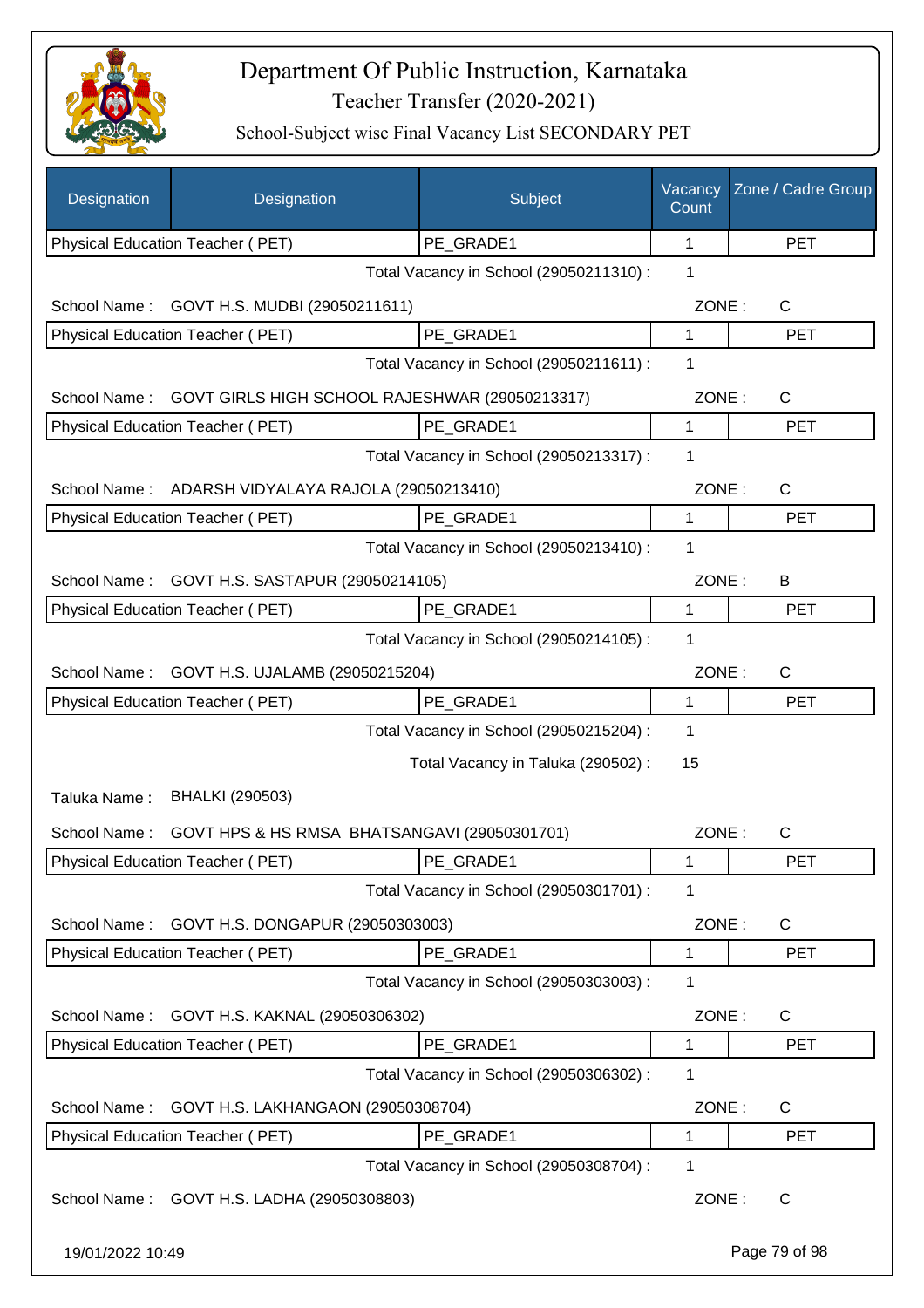

| Designation                                   | Designation                                    | Subject                                 | Vacancy<br>Count | Zone / Cadre Group |
|-----------------------------------------------|------------------------------------------------|-----------------------------------------|------------------|--------------------|
|                                               | Physical Education Teacher (PET)               | PE_GRADE1                               | 1                | <b>PET</b>         |
|                                               |                                                | Total Vacancy in School (29050211310) : | 1                |                    |
| School Name:                                  | GOVT H.S. MUDBI (29050211611)                  |                                         | ZONE:            | $\mathsf{C}$       |
|                                               | Physical Education Teacher (PET)               | PE GRADE1                               | 1                | <b>PET</b>         |
|                                               |                                                | Total Vacancy in School (29050211611) : | 1                |                    |
| School Name:                                  | GOVT GIRLS HIGH SCHOOL RAJESHWAR (29050213317) |                                         | ZONE:            | $\mathsf{C}$       |
|                                               | Physical Education Teacher (PET)               | PE_GRADE1                               | 1                | <b>PET</b>         |
|                                               |                                                | Total Vacancy in School (29050213317) : | 1                |                    |
| School Name:                                  | ADARSH VIDYALAYA RAJOLA (29050213410)          |                                         | ZONE:            | C                  |
|                                               | Physical Education Teacher (PET)               | PE GRADE1                               | 1                | <b>PET</b>         |
|                                               |                                                | Total Vacancy in School (29050213410) : | 1                |                    |
| School Name:                                  | GOVT H.S. SASTAPUR (29050214105)               |                                         | ZONE:            | B                  |
|                                               | Physical Education Teacher (PET)               | PE GRADE1                               | 1                | <b>PET</b>         |
|                                               |                                                | Total Vacancy in School (29050214105) : | 1                |                    |
| School Name:                                  | GOVT H.S. UJALAMB (29050215204)                |                                         | ZONE:            | $\mathsf{C}$       |
| Physical Education Teacher (PET)<br>PE_GRADE1 |                                                | $\mathbf{1}$                            | <b>PET</b>       |                    |
|                                               |                                                | Total Vacancy in School (29050215204) : | 1                |                    |
|                                               |                                                | Total Vacancy in Taluka (290502) :      | 15               |                    |
| Taluka Name:                                  | <b>BHALKI (290503)</b>                         |                                         |                  |                    |
| School Name:                                  | GOVT HPS & HS RMSA BHATSANGAVI (29050301701)   |                                         | ZONE:            | $\mathsf{C}$       |
|                                               | Physical Education Teacher (PET)               | PE_GRADE1                               | 1                | PET                |
|                                               |                                                | Total Vacancy in School (29050301701) : | 1                |                    |
| School Name:                                  | GOVT H.S. DONGAPUR (29050303003)               |                                         | ZONE:            | C                  |
|                                               | Physical Education Teacher (PET)               | PE GRADE1                               | 1                | <b>PET</b>         |
|                                               |                                                | Total Vacancy in School (29050303003) : | 1                |                    |
| School Name:                                  | GOVT H.S. KAKNAL (29050306302)                 |                                         | ZONE:            | C                  |
|                                               | Physical Education Teacher (PET)               | PE_GRADE1                               | 1                | PET                |
|                                               |                                                | Total Vacancy in School (29050306302) : | 1                |                    |
| School Name:                                  | GOVT H.S. LAKHANGAON (29050308704)             |                                         | ZONE:            | C                  |
|                                               | Physical Education Teacher (PET)               | PE_GRADE1                               | 1                | <b>PET</b>         |
|                                               |                                                | Total Vacancy in School (29050308704) : | 1                |                    |
| School Name:                                  | GOVT H.S. LADHA (29050308803)                  |                                         | ZONE:            | C                  |
| 19/01/2022 10:49                              |                                                |                                         |                  | Page 79 of 98      |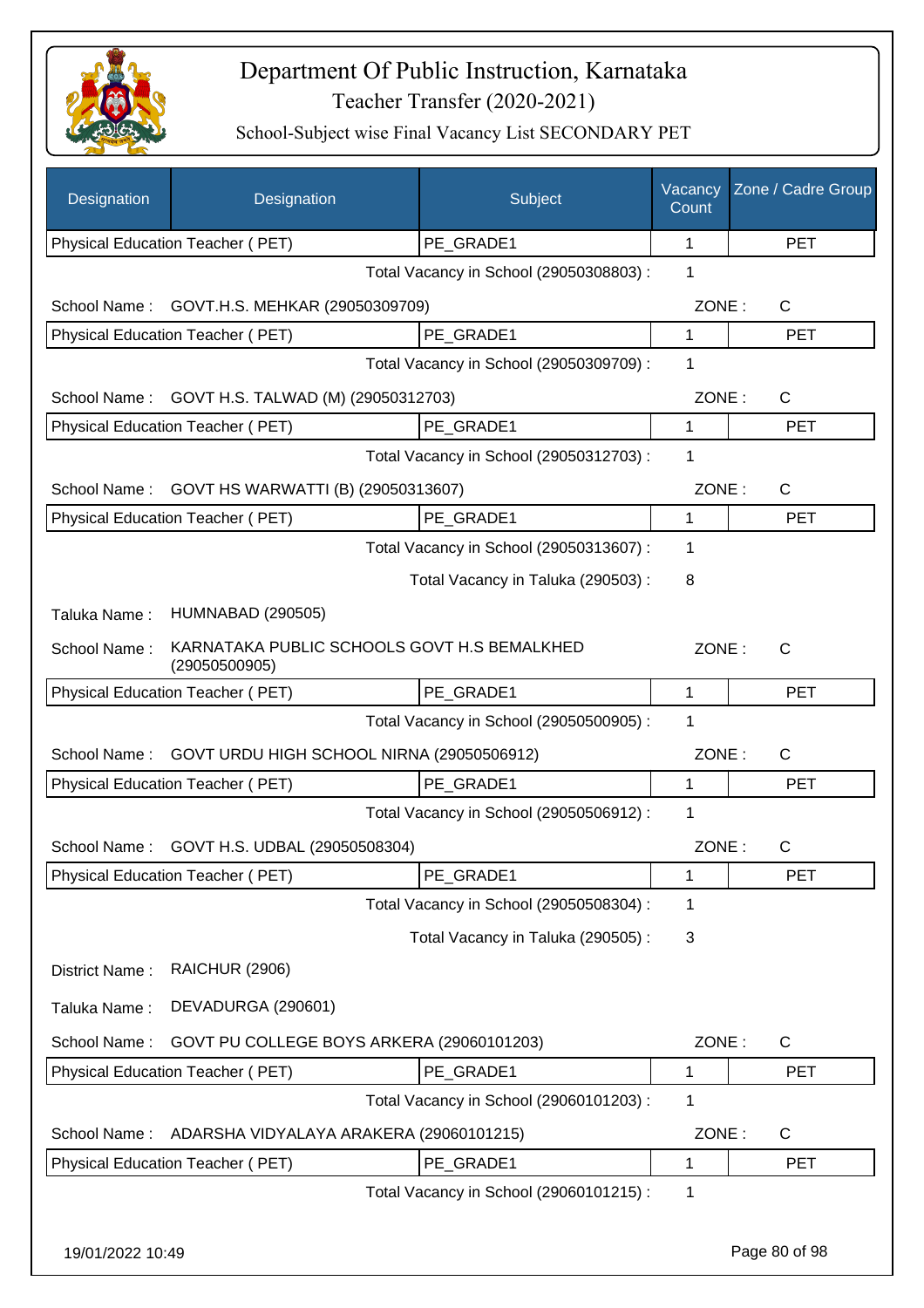

| Designation      | Designation                                                  | Subject                                 | Vacancy<br>Count | Zone / Cadre Group |
|------------------|--------------------------------------------------------------|-----------------------------------------|------------------|--------------------|
|                  | Physical Education Teacher (PET)                             | PE_GRADE1                               | 1                | <b>PET</b>         |
|                  |                                                              | Total Vacancy in School (29050308803) : | 1                |                    |
| School Name:     | GOVT.H.S. MEHKAR (29050309709)                               |                                         | ZONE:            | $\mathsf{C}$       |
|                  | <b>Physical Education Teacher (PET)</b>                      | PE_GRADE1                               | 1                | <b>PET</b>         |
|                  |                                                              | Total Vacancy in School (29050309709) : | 1                |                    |
| School Name:     | GOVT H.S. TALWAD (M) (29050312703)                           |                                         | ZONE:            | $\mathsf{C}$       |
|                  | Physical Education Teacher (PET)                             | PE GRADE1                               | 1                | <b>PET</b>         |
|                  |                                                              | Total Vacancy in School (29050312703) : | 1                |                    |
| School Name:     | GOVT HS WARWATTI (B) (29050313607)                           |                                         | ZONE:            | $\mathsf{C}$       |
|                  | Physical Education Teacher (PET)                             | PE GRADE1                               | 1                | <b>PET</b>         |
|                  |                                                              | Total Vacancy in School (29050313607) : | 1                |                    |
|                  |                                                              | Total Vacancy in Taluka (290503) :      | 8                |                    |
| Taluka Name:     | <b>HUMNABAD (290505)</b>                                     |                                         |                  |                    |
| School Name:     | KARNATAKA PUBLIC SCHOOLS GOVT H.S BEMALKHED<br>(29050500905) |                                         | ZONE:            | $\mathsf{C}$       |
|                  | Physical Education Teacher (PET)                             | PE_GRADE1                               | 1                | <b>PET</b>         |
|                  |                                                              | Total Vacancy in School (29050500905) : | 1                |                    |
| School Name:     | GOVT URDU HIGH SCHOOL NIRNA (29050506912)                    |                                         | ZONE:            | $\mathsf{C}$       |
|                  | Physical Education Teacher (PET)                             | PE_GRADE1                               | 1                | <b>PET</b>         |
|                  |                                                              | Total Vacancy in School (29050506912) : | 1                |                    |
| School Name:     | GOVT H.S. UDBAL (29050508304)                                |                                         | ZONE:            | C                  |
|                  | Physical Education Teacher (PET)                             | PE GRADE1                               | 1                | <b>PET</b>         |
|                  |                                                              | Total Vacancy in School (29050508304) : | 1                |                    |
|                  |                                                              | Total Vacancy in Taluka (290505) :      | 3                |                    |
| District Name:   | <b>RAICHUR (2906)</b>                                        |                                         |                  |                    |
| Taluka Name:     | DEVADURGA (290601)                                           |                                         |                  |                    |
| School Name:     | GOVT PU COLLEGE BOYS ARKERA (29060101203)                    |                                         | ZONE:            | C                  |
|                  | Physical Education Teacher (PET)                             | PE_GRADE1                               | 1                | <b>PET</b>         |
|                  |                                                              | Total Vacancy in School (29060101203):  | 1                |                    |
| School Name:     | ADARSHA VIDYALAYA ARAKERA (29060101215)                      |                                         | ZONE:            | C                  |
|                  | Physical Education Teacher (PET)                             | PE GRADE1                               | 1                | <b>PET</b>         |
|                  |                                                              | Total Vacancy in School (29060101215) : | 1                |                    |
| 19/01/2022 10:49 |                                                              |                                         |                  | Page 80 of 98      |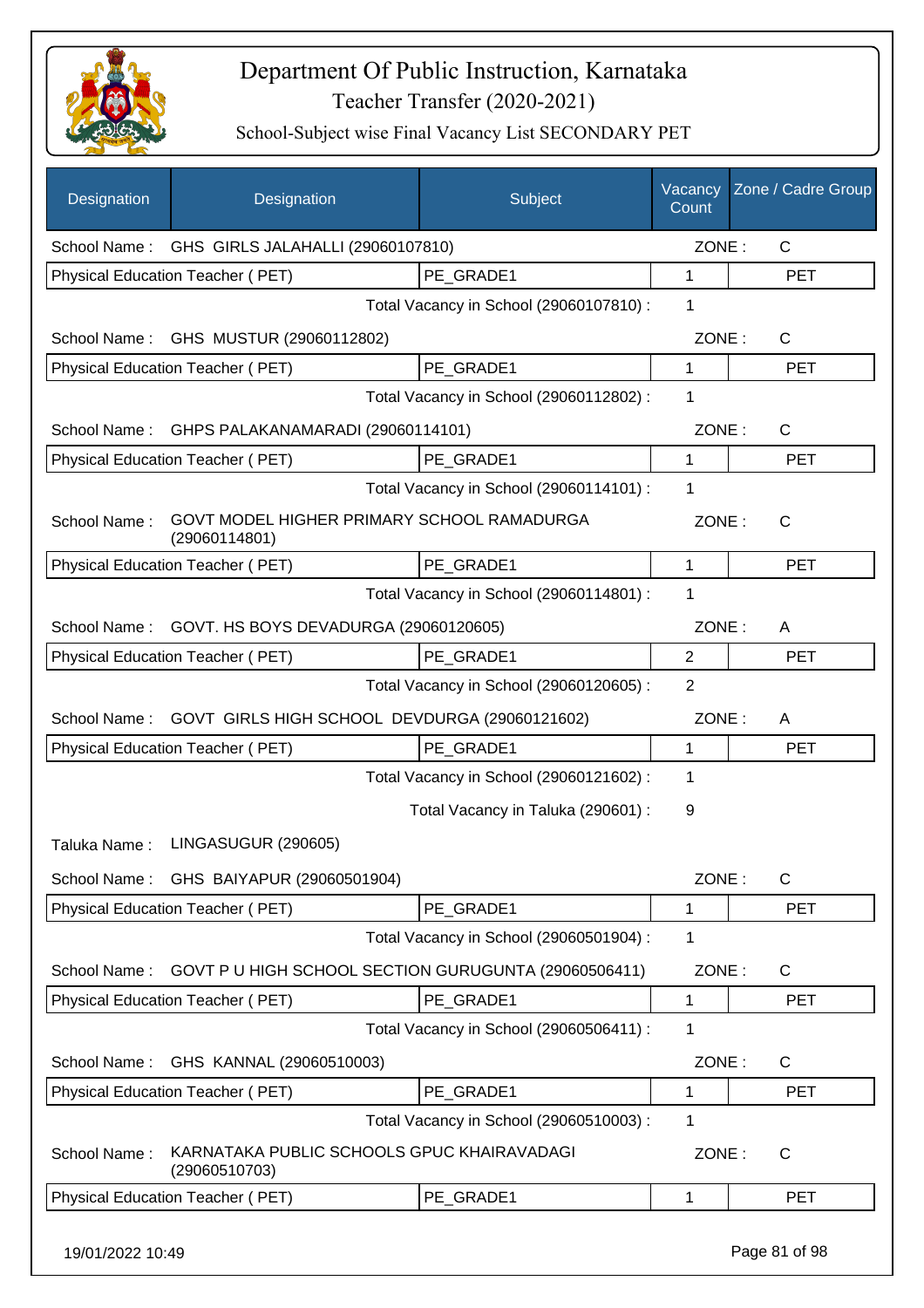

| Designation  | Designation                                                 | Subject                                 | Vacancy<br>Count | Zone / Cadre Group |
|--------------|-------------------------------------------------------------|-----------------------------------------|------------------|--------------------|
|              | School Name: GHS GIRLS JALAHALLI (29060107810)              |                                         | ZONE:            | $\mathsf{C}$       |
|              | Physical Education Teacher (PET)                            | PE GRADE1                               | 1                | <b>PET</b>         |
|              |                                                             | Total Vacancy in School (29060107810) : | 1                |                    |
|              | School Name: GHS MUSTUR (29060112802)                       |                                         | ZONE:            | $\mathsf{C}$       |
|              | Physical Education Teacher (PET)                            | PE GRADE1                               | 1                | <b>PET</b>         |
|              |                                                             | Total Vacancy in School (29060112802) : | 1                |                    |
| School Name: | GHPS PALAKANAMARADI (29060114101)                           |                                         | ZONE:            | $\mathsf{C}$       |
|              | Physical Education Teacher (PET)                            | PE_GRADE1                               | 1                | <b>PET</b>         |
|              |                                                             | Total Vacancy in School (29060114101) : | 1                |                    |
| School Name: | GOVT MODEL HIGHER PRIMARY SCHOOL RAMADURGA<br>(29060114801) |                                         | ZONE:            | $\mathsf{C}$       |
|              | Physical Education Teacher (PET)                            | PE_GRADE1                               | 1                | <b>PET</b>         |
|              |                                                             | Total Vacancy in School (29060114801) : | 1                |                    |
| School Name: | GOVT. HS BOYS DEVADURGA (29060120605)                       |                                         | ZONE:            | A                  |
|              | Physical Education Teacher (PET)                            | PE GRADE1                               | $\overline{2}$   | <b>PET</b>         |
|              |                                                             | Total Vacancy in School (29060120605) : | $\overline{2}$   |                    |
| School Name: | GOVT GIRLS HIGH SCHOOL DEVDURGA (29060121602)               |                                         | ZONE:            | A                  |
|              | Physical Education Teacher (PET)                            | PE_GRADE1                               | 1                | <b>PET</b>         |
|              |                                                             | Total Vacancy in School (29060121602) : | 1                |                    |
|              |                                                             | Total Vacancy in Taluka (290601) :      | 9                |                    |
| Taluka Name: | LINGASUGUR (290605)                                         |                                         |                  |                    |
|              | School Name: GHS BAIYAPUR (29060501904)                     |                                         | ZONE:            | C                  |
|              | <b>Physical Education Teacher (PET)</b>                     | PE GRADE1                               | 1                | <b>PET</b>         |
|              |                                                             | Total Vacancy in School (29060501904) : | 1                |                    |
| School Name: | GOVT P U HIGH SCHOOL SECTION GURUGUNTA (29060506411)        |                                         | ZONE:            | C                  |
|              | Physical Education Teacher (PET)                            | PE GRADE1                               | 1                | <b>PET</b>         |
|              |                                                             | Total Vacancy in School (29060506411) : | 1                |                    |
| School Name: | GHS KANNAL (29060510003)                                    |                                         | ZONE:            | C                  |
|              | Physical Education Teacher (PET)                            | PE_GRADE1                               | 1                | <b>PET</b>         |
|              |                                                             | Total Vacancy in School (29060510003) : | 1                |                    |
| School Name: | KARNATAKA PUBLIC SCHOOLS GPUC KHAIRAVADAGI<br>(29060510703) |                                         | ZONE:            | C                  |
|              | Physical Education Teacher (PET)                            | PE GRADE1                               | 1                | <b>PET</b>         |
|              |                                                             |                                         |                  |                    |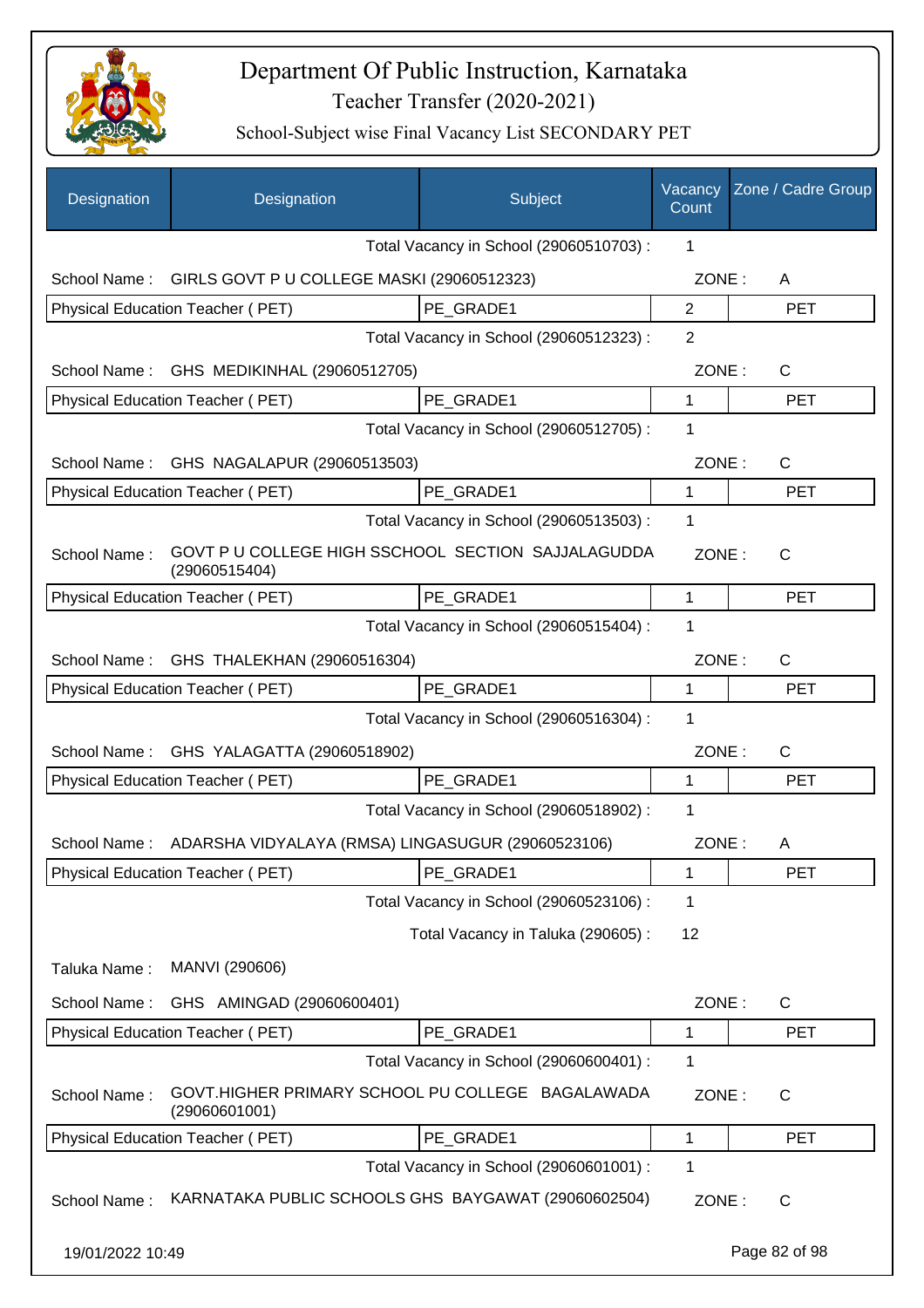

| Designation      | Designation                                                         | Subject                                 | Vacancy<br>Count | Zone / Cadre Group |
|------------------|---------------------------------------------------------------------|-----------------------------------------|------------------|--------------------|
|                  |                                                                     | Total Vacancy in School (29060510703) : | 1                |                    |
| School Name:     | GIRLS GOVT P U COLLEGE MASKI (29060512323)                          |                                         | ZONE:            | A                  |
|                  | Physical Education Teacher (PET)                                    | PE_GRADE1                               | $\overline{2}$   | <b>PET</b>         |
|                  |                                                                     | Total Vacancy in School (29060512323) : | 2                |                    |
| School Name:     | GHS MEDIKINHAL (29060512705)                                        |                                         | ZONE:            | C                  |
|                  | Physical Education Teacher (PET)                                    | PE_GRADE1                               | 1                | <b>PET</b>         |
|                  |                                                                     | Total Vacancy in School (29060512705) : | 1                |                    |
| School Name:     | GHS NAGALAPUR (29060513503)                                         |                                         | ZONE:            | C                  |
|                  | Physical Education Teacher (PET)                                    | PE GRADE1                               | 1                | <b>PET</b>         |
|                  |                                                                     | Total Vacancy in School (29060513503) : | 1                |                    |
| School Name:     | GOVT P U COLLEGE HIGH SSCHOOL SECTION SAJJALAGUDDA<br>(29060515404) |                                         | ZONE:            | $\mathsf{C}$       |
|                  | Physical Education Teacher (PET)                                    | PE_GRADE1                               | 1                | <b>PET</b>         |
|                  |                                                                     | Total Vacancy in School (29060515404) : | 1                |                    |
| School Name:     | GHS THALEKHAN (29060516304)                                         |                                         | ZONE:            | $\mathsf{C}$       |
|                  | Physical Education Teacher (PET)                                    | PE_GRADE1                               | 1                | <b>PET</b>         |
|                  |                                                                     | Total Vacancy in School (29060516304) : | 1                |                    |
| School Name:     | GHS YALAGATTA (29060518902)                                         |                                         | ZONE:            | C                  |
|                  | Physical Education Teacher (PET)                                    | PE GRADE1                               | 1                | <b>PET</b>         |
|                  |                                                                     | Total Vacancy in School (29060518902) : | 1                |                    |
| School Name:     | ADARSHA VIDYALAYA (RMSA) LINGASUGUR (29060523106)                   |                                         | ZONE:            | A                  |
|                  | Physical Education Teacher (PET)                                    | PE_GRADE1                               | 1                | <b>PET</b>         |
|                  |                                                                     | Total Vacancy in School (29060523106) : | 1                |                    |
|                  |                                                                     | Total Vacancy in Taluka (290605):       | 12               |                    |
| Taluka Name:     | MANVI (290606)                                                      |                                         |                  |                    |
| School Name:     | GHS AMINGAD (29060600401)                                           |                                         | ZONE:            | C                  |
|                  | Physical Education Teacher (PET)                                    | PE GRADE1                               | 1                | <b>PET</b>         |
|                  |                                                                     | Total Vacancy in School (29060600401) : | 1                |                    |
| School Name:     | GOVT.HIGHER PRIMARY SCHOOL PU COLLEGE BAGALAWADA<br>(29060601001)   |                                         | ZONE:            | C                  |
|                  | Physical Education Teacher (PET)                                    | PE GRADE1                               | 1                | <b>PET</b>         |
|                  |                                                                     | Total Vacancy in School (29060601001) : | 1                |                    |
| School Name:     | KARNATAKA PUBLIC SCHOOLS GHS BAYGAWAT (29060602504)                 |                                         | ZONE:            | $\mathsf C$        |
| 19/01/2022 10:49 |                                                                     |                                         |                  | Page 82 of 98      |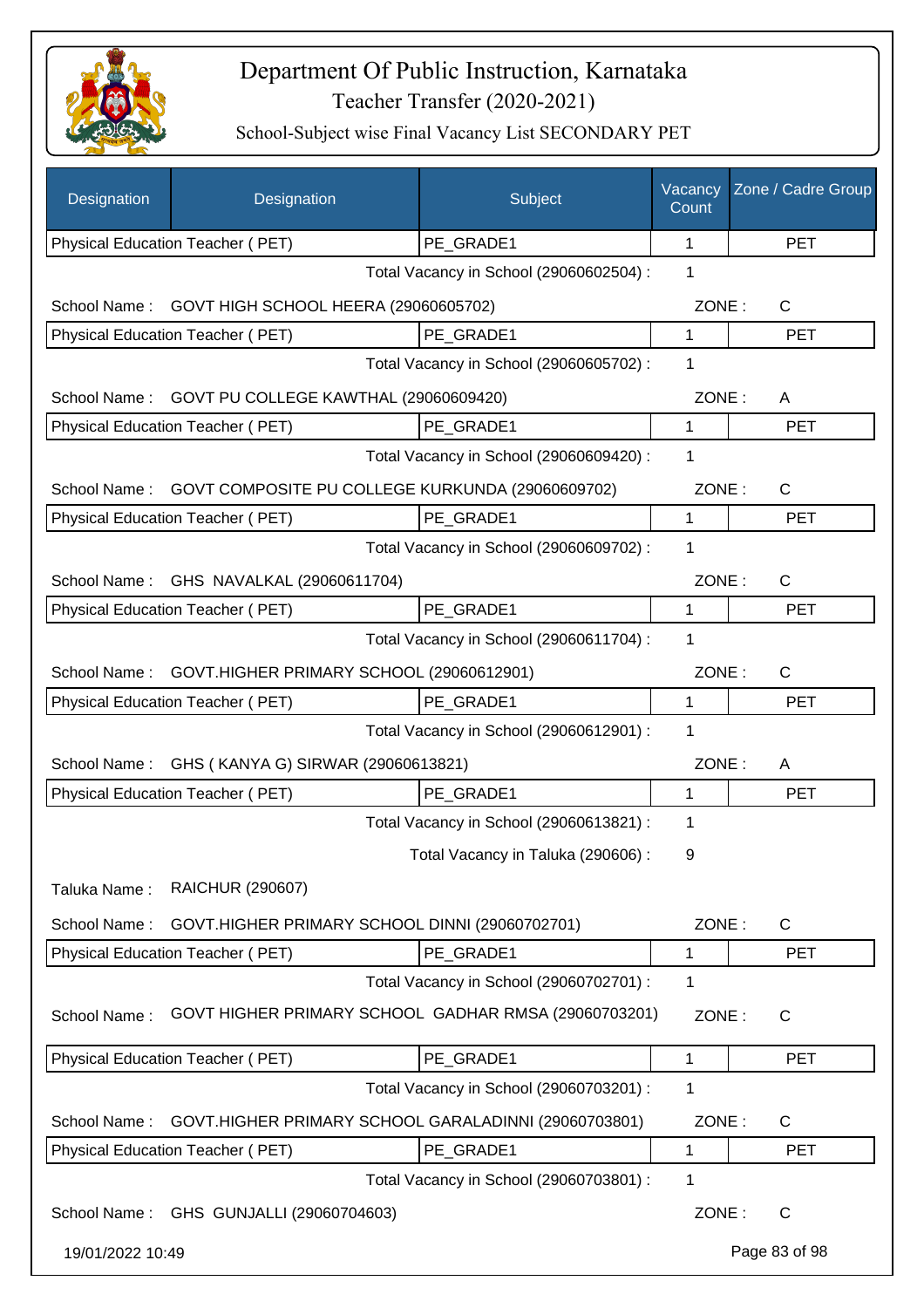

| Designation      | Designation                                          | Subject                                 | Vacancy<br>Count | Zone / Cadre Group |
|------------------|------------------------------------------------------|-----------------------------------------|------------------|--------------------|
|                  | Physical Education Teacher (PET)                     | PE GRADE1                               | 1                | <b>PET</b>         |
|                  |                                                      | Total Vacancy in School (29060602504) : | 1                |                    |
| School Name:     | GOVT HIGH SCHOOL HEERA (29060605702)                 |                                         | ZONE:            | C                  |
|                  | Physical Education Teacher (PET)                     | PE_GRADE1                               | 1                | <b>PET</b>         |
|                  |                                                      | Total Vacancy in School (29060605702) : | 1                |                    |
| School Name:     | GOVT PU COLLEGE KAWTHAL (29060609420)                |                                         | ZONE:            | A                  |
|                  | Physical Education Teacher (PET)                     | PE GRADE1                               | 1                | <b>PET</b>         |
|                  |                                                      | Total Vacancy in School (29060609420) : | 1                |                    |
| School Name:     | GOVT COMPOSITE PU COLLEGE KURKUNDA (29060609702)     |                                         | ZONE:            | $\mathsf{C}$       |
|                  | Physical Education Teacher (PET)                     | PE GRADE1                               | 1                | <b>PET</b>         |
|                  |                                                      | Total Vacancy in School (29060609702) : | 1                |                    |
| School Name:     | GHS NAVALKAL (29060611704)                           |                                         | ZONE:            | C                  |
|                  | Physical Education Teacher (PET)                     | PE_GRADE1                               | 1                | <b>PET</b>         |
|                  |                                                      | Total Vacancy in School (29060611704) : | 1                |                    |
| School Name:     | GOVT.HIGHER PRIMARY SCHOOL (29060612901)             |                                         | ZONE:            | C                  |
|                  | Physical Education Teacher (PET)                     | PE_GRADE1                               | 1                | <b>PET</b>         |
|                  |                                                      | Total Vacancy in School (29060612901) : | 1                |                    |
| School Name:     | GHS (KANYA G) SIRWAR (29060613821)                   |                                         | ZONE:            | A                  |
|                  | <b>Physical Education Teacher (PET)</b>              | PE_GRADE1                               | 1                | <b>PET</b>         |
|                  |                                                      | Total Vacancy in School (29060613821) : | 1                |                    |
|                  |                                                      | Total Vacancy in Taluka (290606) :      | 9                |                    |
| Taluka Name:     | RAICHUR (290607)                                     |                                         |                  |                    |
| School Name:     | GOVT.HIGHER PRIMARY SCHOOL DINNI (29060702701)       |                                         | ZONE:            | C                  |
|                  | Physical Education Teacher (PET)                     | PE GRADE1                               | 1                | <b>PET</b>         |
|                  |                                                      | Total Vacancy in School (29060702701) : | 1                |                    |
| School Name:     | GOVT HIGHER PRIMARY SCHOOL GADHAR RMSA (29060703201) |                                         | ZONE:            | C                  |
|                  | Physical Education Teacher (PET)                     | PE GRADE1                               | 1                | <b>PET</b>         |
|                  |                                                      | Total Vacancy in School (29060703201) : | 1                |                    |
| School Name:     | GOVT.HIGHER PRIMARY SCHOOL GARALADINNI (29060703801) |                                         | ZONE:            | C                  |
|                  | Physical Education Teacher (PET)                     | PE_GRADE1                               | 1                | <b>PET</b>         |
|                  |                                                      | Total Vacancy in School (29060703801) : | 1                |                    |
|                  | School Name: GHS GUNJALLI (29060704603)              |                                         | ZONE:            | $\mathsf{C}$       |
| 19/01/2022 10:49 |                                                      |                                         |                  | Page 83 of 98      |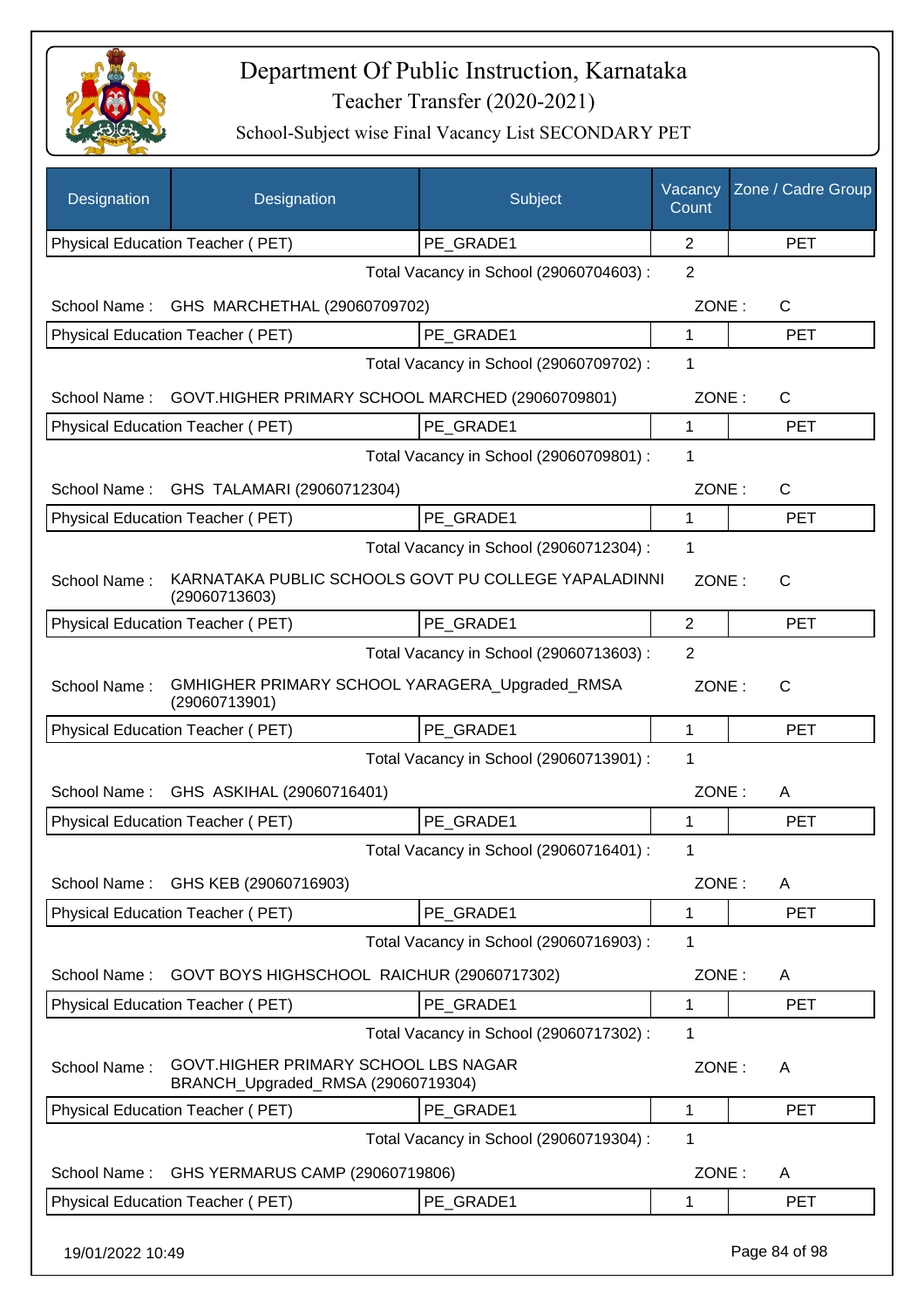

| Designation      | Designation                                                                | Subject                                 | Vacancy<br>Count | Zone / Cadre Group |
|------------------|----------------------------------------------------------------------------|-----------------------------------------|------------------|--------------------|
|                  | Physical Education Teacher (PET)                                           | PE_GRADE1                               | $\overline{2}$   | <b>PET</b>         |
|                  |                                                                            | Total Vacancy in School (29060704603) : | $\overline{2}$   |                    |
| School Name:     | GHS MARCHETHAL (29060709702)                                               |                                         | ZONE:            | $\mathsf{C}$       |
|                  | Physical Education Teacher (PET)                                           | PE GRADE1                               | 1                | <b>PET</b>         |
|                  |                                                                            | Total Vacancy in School (29060709702) : | 1                |                    |
| School Name:     | GOVT.HIGHER PRIMARY SCHOOL MARCHED (29060709801)                           |                                         | ZONE:            | C                  |
|                  | Physical Education Teacher (PET)                                           | PE_GRADE1                               | 1                | <b>PET</b>         |
|                  |                                                                            | Total Vacancy in School (29060709801) : | 1                |                    |
| School Name:     | GHS TALAMARI (29060712304)                                                 |                                         | ZONE:            | $\mathsf{C}$       |
|                  | Physical Education Teacher (PET)                                           | PE GRADE1                               | 1                | <b>PET</b>         |
|                  |                                                                            | Total Vacancy in School (29060712304) : | 1                |                    |
| School Name:     | KARNATAKA PUBLIC SCHOOLS GOVT PU COLLEGE YAPALADINNI<br>(29060713603)      |                                         | ZONE:            | $\mathsf{C}$       |
|                  | Physical Education Teacher (PET)                                           | PE GRADE1                               | $\overline{2}$   | <b>PET</b>         |
|                  |                                                                            | Total Vacancy in School (29060713603) : | $\overline{2}$   |                    |
| School Name:     | GMHIGHER PRIMARY SCHOOL YARAGERA_Upgraded_RMSA<br>(29060713901)            |                                         | ZONE:            | $\mathsf{C}$       |
|                  | <b>Physical Education Teacher (PET)</b>                                    | PE_GRADE1                               | 1                | <b>PET</b>         |
|                  |                                                                            | Total Vacancy in School (29060713901) : | 1                |                    |
| School Name:     | GHS ASKIHAL (29060716401)                                                  |                                         | ZONE:            | A                  |
|                  | Physical Education Teacher (PET)                                           | PE_GRADE1                               | 1                | <b>PET</b>         |
|                  |                                                                            | Total Vacancy in School (29060716401) : | 1                |                    |
| School Name:     | GHS KEB (29060716903)                                                      |                                         | ZONE:            | A                  |
|                  | Physical Education Teacher (PET)                                           | PE_GRADE1                               | 1                | <b>PET</b>         |
|                  |                                                                            | Total Vacancy in School (29060716903) : | 1                |                    |
| School Name:     | GOVT BOYS HIGHSCHOOL RAICHUR (29060717302)                                 |                                         | ZONE:            | A                  |
|                  | <b>Physical Education Teacher (PET)</b>                                    | PE GRADE1                               | 1                | <b>PET</b>         |
|                  |                                                                            | Total Vacancy in School (29060717302) : | 1                |                    |
| School Name:     | GOVT.HIGHER PRIMARY SCHOOL LBS NAGAR<br>BRANCH_Upgraded_RMSA (29060719304) |                                         | ZONE:            | A                  |
|                  | Physical Education Teacher (PET)                                           | PE_GRADE1                               | 1                | <b>PET</b>         |
|                  |                                                                            | Total Vacancy in School (29060719304) : | 1                |                    |
| School Name:     | GHS YERMARUS CAMP (29060719806)                                            |                                         | ZONE:            | A                  |
|                  | Physical Education Teacher (PET)                                           | PE_GRADE1                               | 1                | <b>PET</b>         |
| 19/01/2022 10:49 |                                                                            |                                         |                  | Page 84 of 98      |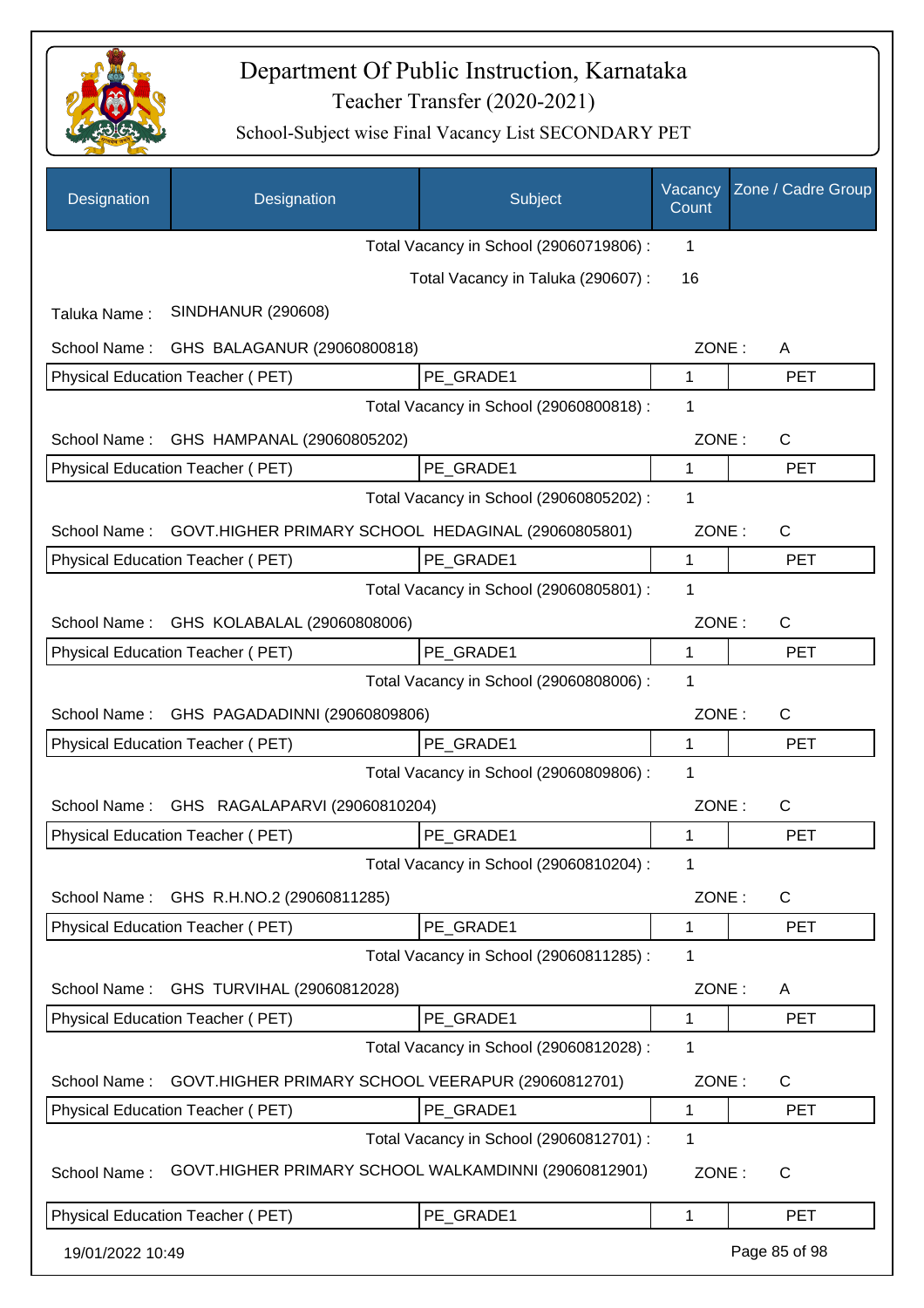

| Designation      | Designation                                          | Subject                                 | Vacancy<br>Count | Zone / Cadre Group |
|------------------|------------------------------------------------------|-----------------------------------------|------------------|--------------------|
|                  |                                                      | Total Vacancy in School (29060719806) : | 1                |                    |
|                  |                                                      | Total Vacancy in Taluka (290607) :      | 16               |                    |
| Taluka Name:     | <b>SINDHANUR (290608)</b>                            |                                         |                  |                    |
| School Name:     | GHS BALAGANUR (29060800818)                          |                                         | ZONE:            | A                  |
|                  | Physical Education Teacher (PET)                     | PE GRADE1                               | 1                | <b>PET</b>         |
|                  |                                                      | Total Vacancy in School (29060800818) : | 1                |                    |
| School Name:     | GHS HAMPANAL (29060805202)                           |                                         | ZONE:            | $\mathsf{C}$       |
|                  | Physical Education Teacher (PET)                     | PE_GRADE1                               | 1                | <b>PET</b>         |
|                  |                                                      | Total Vacancy in School (29060805202) : | 1                |                    |
| School Name:     | GOVT.HIGHER PRIMARY SCHOOL HEDAGINAL (29060805801)   |                                         | ZONE:            | C                  |
|                  | Physical Education Teacher (PET)                     | PE_GRADE1                               | $\mathbf{1}$     | <b>PET</b>         |
|                  |                                                      | Total Vacancy in School (29060805801) : | 1                |                    |
| School Name:     | GHS KOLABALAL (29060808006)                          |                                         | ZONE:            | C                  |
|                  | Physical Education Teacher (PET)                     | PE GRADE1                               | 1                | <b>PET</b>         |
|                  |                                                      | Total Vacancy in School (29060808006) : | 1                |                    |
| School Name:     | GHS PAGADADINNI (29060809806)                        |                                         | ZONE:            | C                  |
|                  | Physical Education Teacher (PET)                     | PE GRADE1                               | 1                | <b>PET</b>         |
|                  |                                                      | Total Vacancy in School (29060809806) : | 1                |                    |
| School Name:     | GHS RAGALAPARVI (29060810204)                        |                                         | ZONE:            | C                  |
|                  | Physical Education Teacher (PET)                     | PE GRADE1                               | 1                | <b>PET</b>         |
|                  |                                                      | Total Vacancy in School (29060810204) : | 1                |                    |
| School Name:     | GHS R.H.NO.2 (29060811285)                           |                                         | ZONE:            | C                  |
|                  | Physical Education Teacher (PET)                     | PE GRADE1                               | 1                | <b>PET</b>         |
|                  |                                                      | Total Vacancy in School (29060811285) : | 1                |                    |
| School Name:     | GHS TURVIHAL (29060812028)                           |                                         | ZONE:            | A                  |
|                  | Physical Education Teacher (PET)                     | PE GRADE1                               | 1                | <b>PET</b>         |
|                  |                                                      | Total Vacancy in School (29060812028) : | 1                |                    |
| School Name:     | GOVT.HIGHER PRIMARY SCHOOL VEERAPUR (29060812701)    |                                         | ZONE:            | $\mathsf{C}$       |
|                  | Physical Education Teacher (PET)                     | PE_GRADE1                               | 1                | <b>PET</b>         |
|                  |                                                      | Total Vacancy in School (29060812701) : | 1                |                    |
| School Name:     | GOVT.HIGHER PRIMARY SCHOOL WALKAMDINNI (29060812901) |                                         | ZONE:            | C                  |
|                  | Physical Education Teacher (PET)                     | PE_GRADE1                               | 1                | <b>PET</b>         |
| 19/01/2022 10:49 |                                                      |                                         |                  | Page 85 of 98      |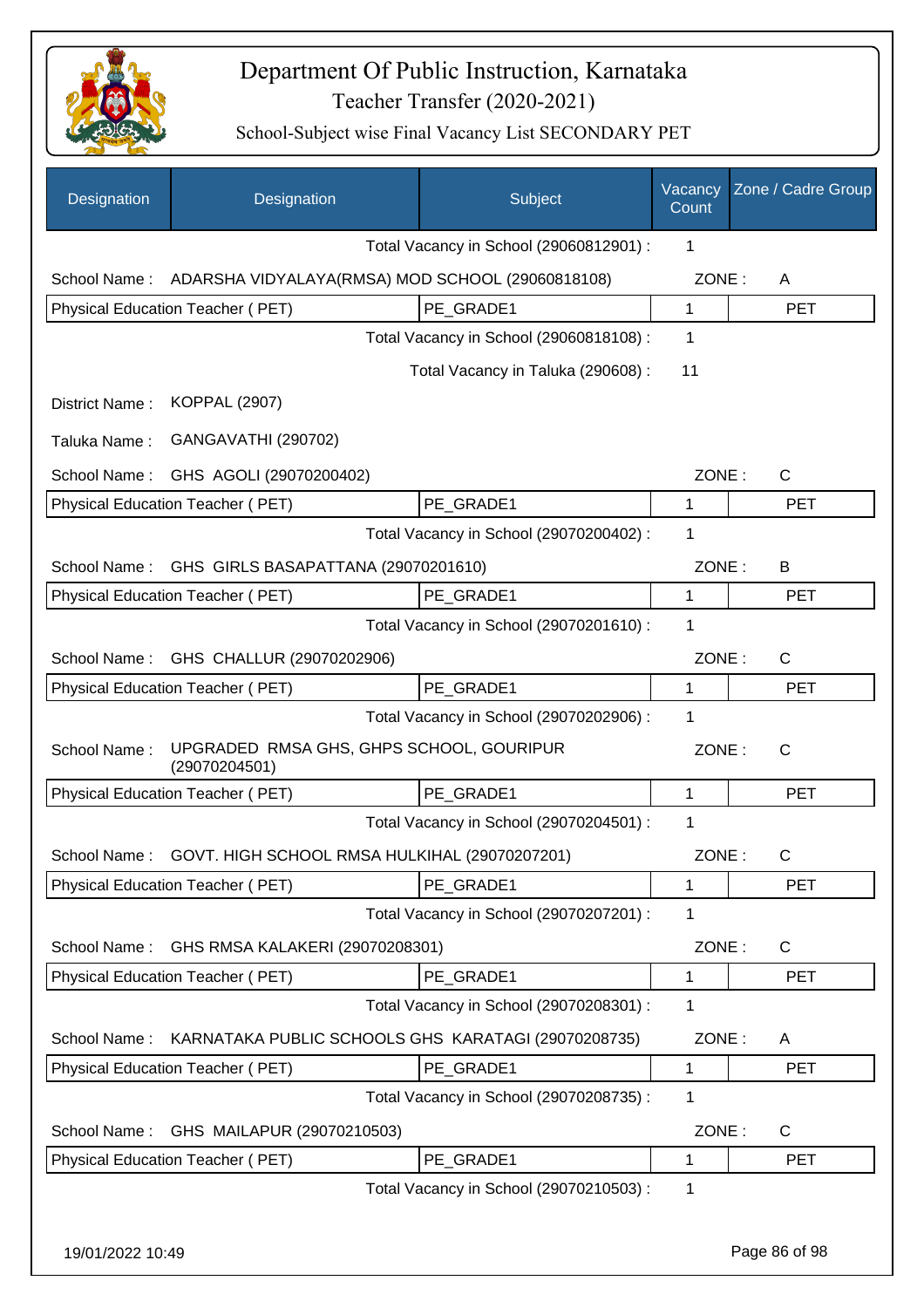

| Designation      | Designation                                                | Subject                                 | Vacancy<br>Count | Zone / Cadre Group |
|------------------|------------------------------------------------------------|-----------------------------------------|------------------|--------------------|
|                  |                                                            | Total Vacancy in School (29060812901) : | 1                |                    |
| School Name:     | ADARSHA VIDYALAYA(RMSA) MOD SCHOOL (29060818108)           |                                         | ZONE:            | A                  |
|                  | Physical Education Teacher (PET)                           | PE GRADE1                               | 1                | <b>PET</b>         |
|                  |                                                            | Total Vacancy in School (29060818108) : | 1                |                    |
|                  |                                                            | Total Vacancy in Taluka (290608) :      | 11               |                    |
| District Name:   | <b>KOPPAL (2907)</b>                                       |                                         |                  |                    |
| Taluka Name:     | GANGAVATHI (290702)                                        |                                         |                  |                    |
| School Name:     | GHS AGOLI (29070200402)                                    |                                         | ZONE:            | $\mathsf{C}$       |
|                  | Physical Education Teacher (PET)                           | PE GRADE1                               | 1                | <b>PET</b>         |
|                  |                                                            | Total Vacancy in School (29070200402) : | 1                |                    |
| School Name:     | GHS GIRLS BASAPATTANA (29070201610)                        |                                         | ZONE:            | B                  |
|                  | Physical Education Teacher (PET)                           | PE GRADE1                               | 1                | <b>PET</b>         |
|                  |                                                            | Total Vacancy in School (29070201610) : | 1                |                    |
| School Name:     | GHS CHALLUR (29070202906)                                  |                                         | ZONE:            | $\mathsf{C}$       |
|                  | Physical Education Teacher (PET)                           | PE GRADE1                               | 1                | <b>PET</b>         |
|                  |                                                            | Total Vacancy in School (29070202906) : | 1                |                    |
| School Name:     | UPGRADED RMSA GHS, GHPS SCHOOL, GOURIPUR<br>(29070204501)  |                                         | ZONE:            | $\mathsf{C}$       |
|                  | Physical Education Teacher (PET)                           | PE GRADE1                               | 1                | <b>PET</b>         |
|                  |                                                            | Total Vacancy in School (29070204501) : | 1                |                    |
|                  | School Name: GOVT. HIGH SCHOOL RMSA HULKIHAL (29070207201) |                                         | ZONE:            |                    |
|                  | Physical Education Teacher (PET)                           | PE GRADE1                               | 1                | <b>PET</b>         |
|                  |                                                            | Total Vacancy in School (29070207201) : | 1                |                    |
| School Name:     | GHS RMSA KALAKERI (29070208301)                            |                                         | ZONE:            | C                  |
|                  | Physical Education Teacher (PET)                           | PE GRADE1                               | 1                | <b>PET</b>         |
|                  |                                                            | Total Vacancy in School (29070208301) : | 1                |                    |
| School Name:     | KARNATAKA PUBLIC SCHOOLS GHS KARATAGI (29070208735)        |                                         | ZONE:            | A                  |
|                  | Physical Education Teacher (PET)                           | PE_GRADE1                               | 1                | <b>PET</b>         |
|                  |                                                            | Total Vacancy in School (29070208735) : | 1                |                    |
| School Name:     | GHS MAILAPUR (29070210503)                                 |                                         | ZONE:            | C                  |
|                  | Physical Education Teacher (PET)                           | PE GRADE1                               | 1                | <b>PET</b>         |
|                  |                                                            | Total Vacancy in School (29070210503) : | 1                |                    |
| 19/01/2022 10:49 |                                                            |                                         |                  | Page 86 of 98      |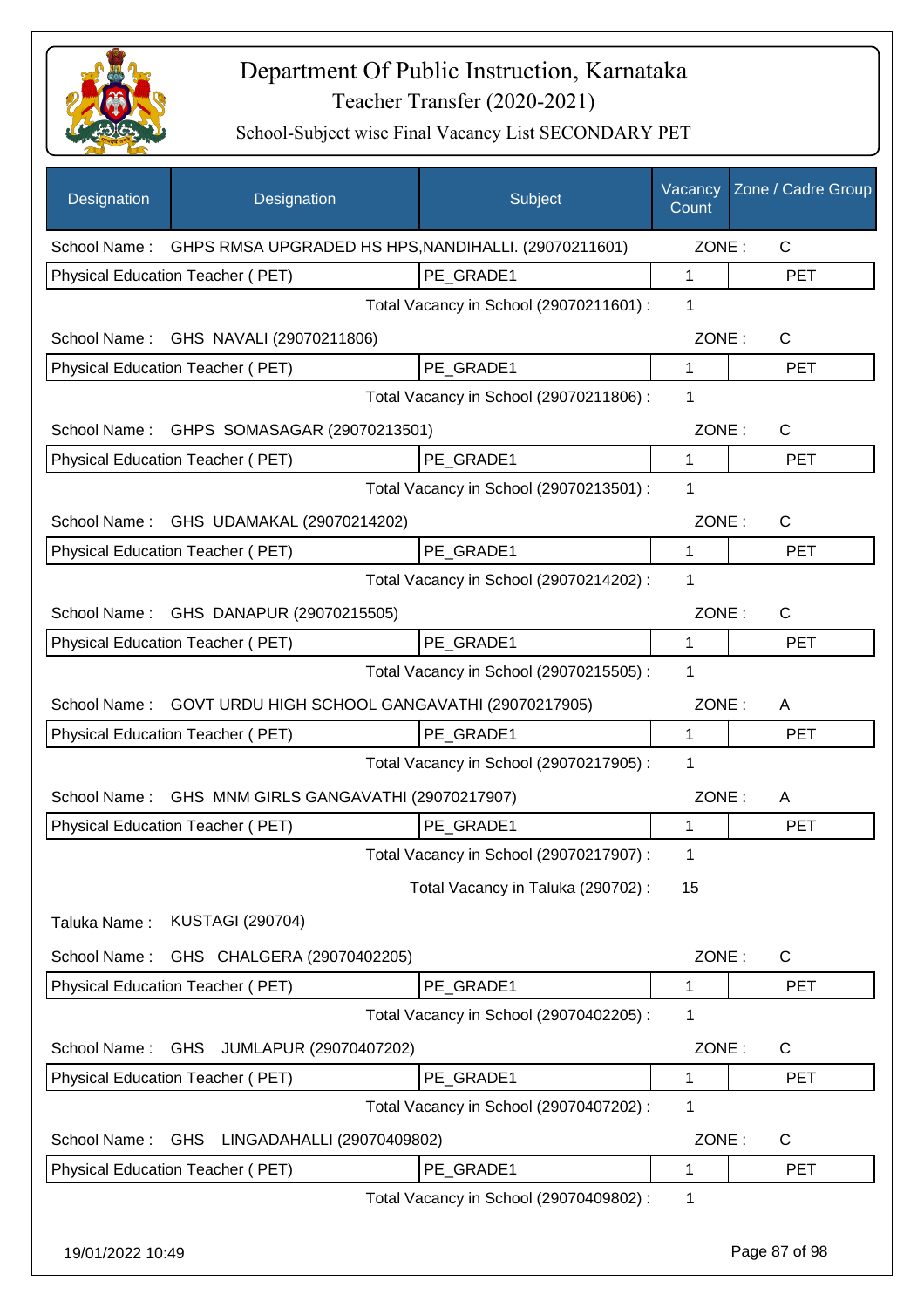

| Designation      | Designation                                          | Subject                                 | Vacancy<br>Count | Zone / Cadre Group |
|------------------|------------------------------------------------------|-----------------------------------------|------------------|--------------------|
| School Name:     | GHPS RMSA UPGRADED HS HPS, NANDIHALLI. (29070211601) |                                         | ZONE:            | $\mathsf{C}$       |
|                  | Physical Education Teacher (PET)                     | PE_GRADE1                               | 1                | <b>PET</b>         |
|                  |                                                      | Total Vacancy in School (29070211601) : | 1                |                    |
|                  | School Name: GHS NAVALI (29070211806)                |                                         | ZONE:            | C                  |
|                  | Physical Education Teacher (PET)                     | PE GRADE1                               | 1                | <b>PET</b>         |
|                  |                                                      | Total Vacancy in School (29070211806) : | 1                |                    |
|                  | School Name: GHPS SOMASAGAR (29070213501)            |                                         | ZONE:            | $\mathsf{C}$       |
|                  | Physical Education Teacher (PET)                     | PE GRADE1                               | 1                | <b>PET</b>         |
|                  |                                                      | Total Vacancy in School (29070213501) : | 1                |                    |
|                  | School Name: GHS UDAMAKAL (29070214202)              |                                         | ZONE:            | C                  |
|                  | Physical Education Teacher (PET)                     | PE_GRADE1                               | 1                | <b>PET</b>         |
|                  |                                                      | Total Vacancy in School (29070214202) : | 1                |                    |
| School Name:     | GHS DANAPUR (29070215505)                            |                                         | ZONE:            | $\mathsf{C}$       |
|                  | Physical Education Teacher (PET)                     | PE_GRADE1                               | 1                | <b>PET</b>         |
|                  |                                                      | Total Vacancy in School (29070215505) : | 1                |                    |
| School Name:     | GOVT URDU HIGH SCHOOL GANGAVATHI (29070217905)       |                                         | ZONE:            | A                  |
|                  | Physical Education Teacher (PET)                     | PE GRADE1                               | 1                | <b>PET</b>         |
|                  |                                                      | Total Vacancy in School (29070217905) : | 1                |                    |
| School Name:     | GHS MNM GIRLS GANGAVATHI (29070217907)               |                                         | ZONE:            | A                  |
|                  | Physical Education Teacher (PET)                     | PE_GRADE1                               | 1                | <b>PET</b>         |
|                  |                                                      | Total Vacancy in School (29070217907) : | 1                |                    |
|                  |                                                      | Total Vacancy in Taluka (290702) :      | 15               |                    |
| Taluka Name:     | <b>KUSTAGI (290704)</b>                              |                                         |                  |                    |
| School Name:     | GHS CHALGERA (29070402205)                           |                                         | ZONE:            | C                  |
|                  | <b>Physical Education Teacher (PET)</b>              | PE_GRADE1                               | 1                | <b>PET</b>         |
|                  |                                                      | Total Vacancy in School (29070402205) : | 1                |                    |
| School Name:     | <b>GHS</b><br>JUMLAPUR (29070407202)                 |                                         | ZONE:            | C                  |
|                  | Physical Education Teacher (PET)                     | PE_GRADE1                               | 1                | <b>PET</b>         |
|                  |                                                      | Total Vacancy in School (29070407202) : | 1                |                    |
| School Name:     | GHS LINGADAHALLI (29070409802)                       |                                         | ZONE:            | C                  |
|                  | Physical Education Teacher (PET)                     | PE_GRADE1                               | 1                | <b>PET</b>         |
|                  |                                                      | Total Vacancy in School (29070409802) : | 1                |                    |
| 19/01/2022 10:49 |                                                      |                                         |                  | Page 87 of 98      |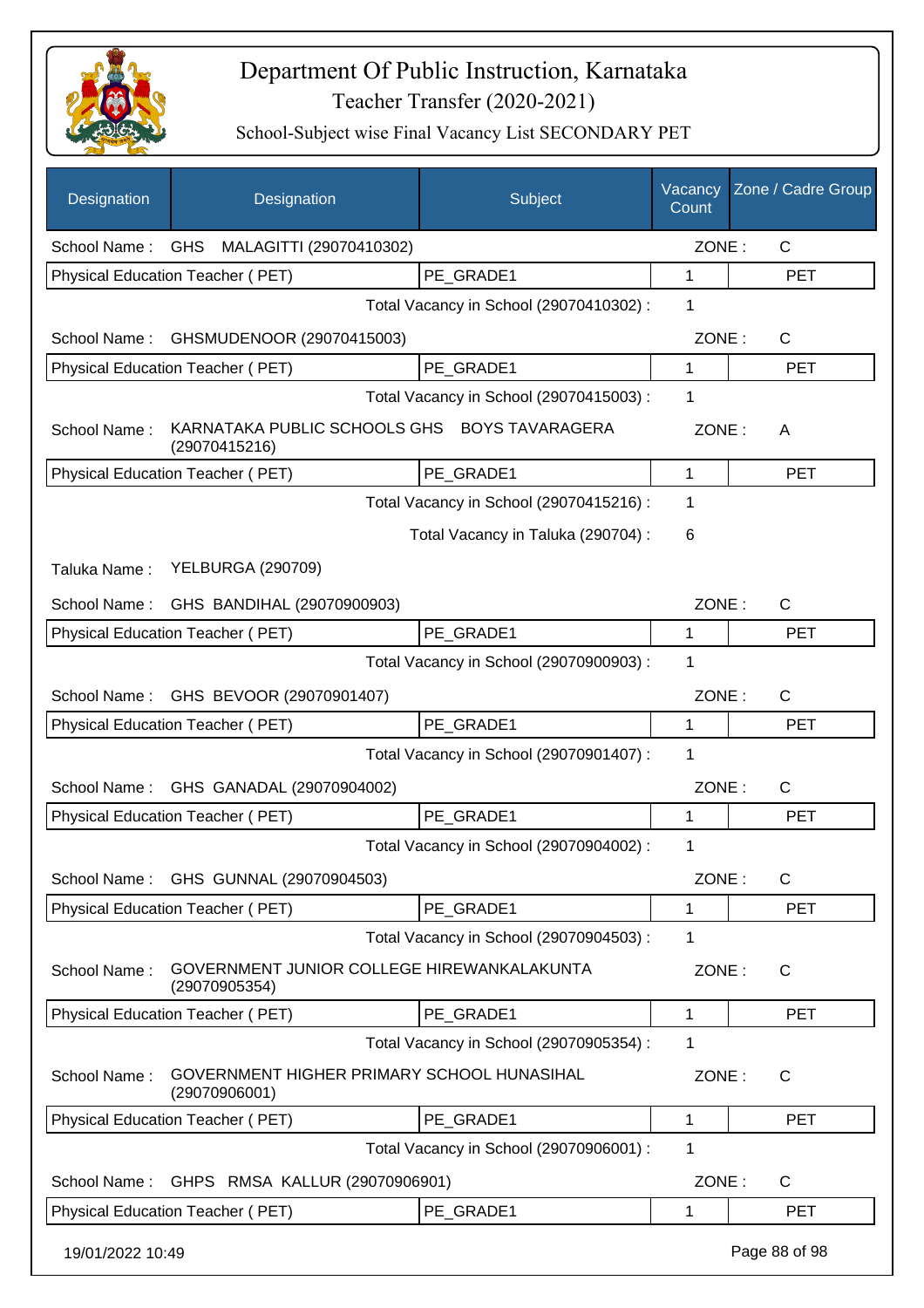

| Designation      | Designation                                                   | Subject                                 | Vacancy<br>Count | Zone / Cadre Group |
|------------------|---------------------------------------------------------------|-----------------------------------------|------------------|--------------------|
| School Name:     | <b>GHS</b><br>MALAGITTI (29070410302)                         |                                         | ZONE:            | $\mathsf{C}$       |
|                  | Physical Education Teacher (PET)                              | PE GRADE1                               | 1                | PET                |
|                  |                                                               | Total Vacancy in School (29070410302) : | 1                |                    |
| School Name:     | GHSMUDENOOR (29070415003)                                     |                                         | ZONE:            | C                  |
|                  | Physical Education Teacher (PET)                              | PE GRADE1                               | 1                | <b>PET</b>         |
|                  |                                                               | Total Vacancy in School (29070415003) : | 1                |                    |
| School Name:     | KARNATAKA PUBLIC SCHOOLS GHS BOYS TAVARAGERA<br>(29070415216) |                                         | ZONE:            | A                  |
|                  | Physical Education Teacher (PET)                              | PE_GRADE1                               | 1                | <b>PET</b>         |
|                  |                                                               | Total Vacancy in School (29070415216) : | 1                |                    |
|                  |                                                               | Total Vacancy in Taluka (290704) :      | 6                |                    |
| Taluka Name:     | <b>YELBURGA (290709)</b>                                      |                                         |                  |                    |
| School Name:     | GHS BANDIHAL (29070900903)                                    |                                         | ZONE:            | C                  |
|                  | Physical Education Teacher (PET)                              | PE GRADE1                               | 1                | <b>PET</b>         |
|                  |                                                               | Total Vacancy in School (29070900903) : | 1                |                    |
| School Name:     | GHS BEVOOR (29070901407)                                      |                                         | ZONE:            | C                  |
|                  | <b>Physical Education Teacher (PET)</b>                       | PE GRADE1                               | 1                | <b>PET</b>         |
|                  |                                                               | Total Vacancy in School (29070901407) : | 1                |                    |
| School Name:     | GHS GANADAL (29070904002)                                     |                                         | ZONE:            | C                  |
|                  | Physical Education Teacher (PET)                              | PE GRADE1                               | 1                | <b>PET</b>         |
|                  |                                                               | Total Vacancy in School (29070904002) : | 1                |                    |
|                  | School Name: GHS GUNNAL (29070904503)                         |                                         | ZONE:            | C                  |
|                  | Physical Education Teacher (PET)                              | PE GRADE1                               | 1                | <b>PET</b>         |
|                  |                                                               | Total Vacancy in School (29070904503) : | 1                |                    |
| School Name:     | GOVERNMENT JUNIOR COLLEGE HIREWANKALAKUNTA<br>(29070905354)   |                                         | ZONE:            | $\mathsf{C}$       |
|                  | Physical Education Teacher (PET)                              | PE_GRADE1                               | 1                | <b>PET</b>         |
|                  |                                                               | Total Vacancy in School (29070905354) : | 1                |                    |
| School Name:     | GOVERNMENT HIGHER PRIMARY SCHOOL HUNASIHAL<br>(29070906001)   |                                         | ZONE:            | C                  |
|                  | Physical Education Teacher (PET)                              | PE_GRADE1                               | 1                | <b>PET</b>         |
|                  |                                                               | Total Vacancy in School (29070906001) : | 1                |                    |
| School Name:     | GHPS RMSA KALLUR (29070906901)                                |                                         | ZONE:            | C                  |
|                  | Physical Education Teacher (PET)                              | PE_GRADE1                               | 1                | <b>PET</b>         |
| 19/01/2022 10:49 |                                                               |                                         |                  | Page 88 of 98      |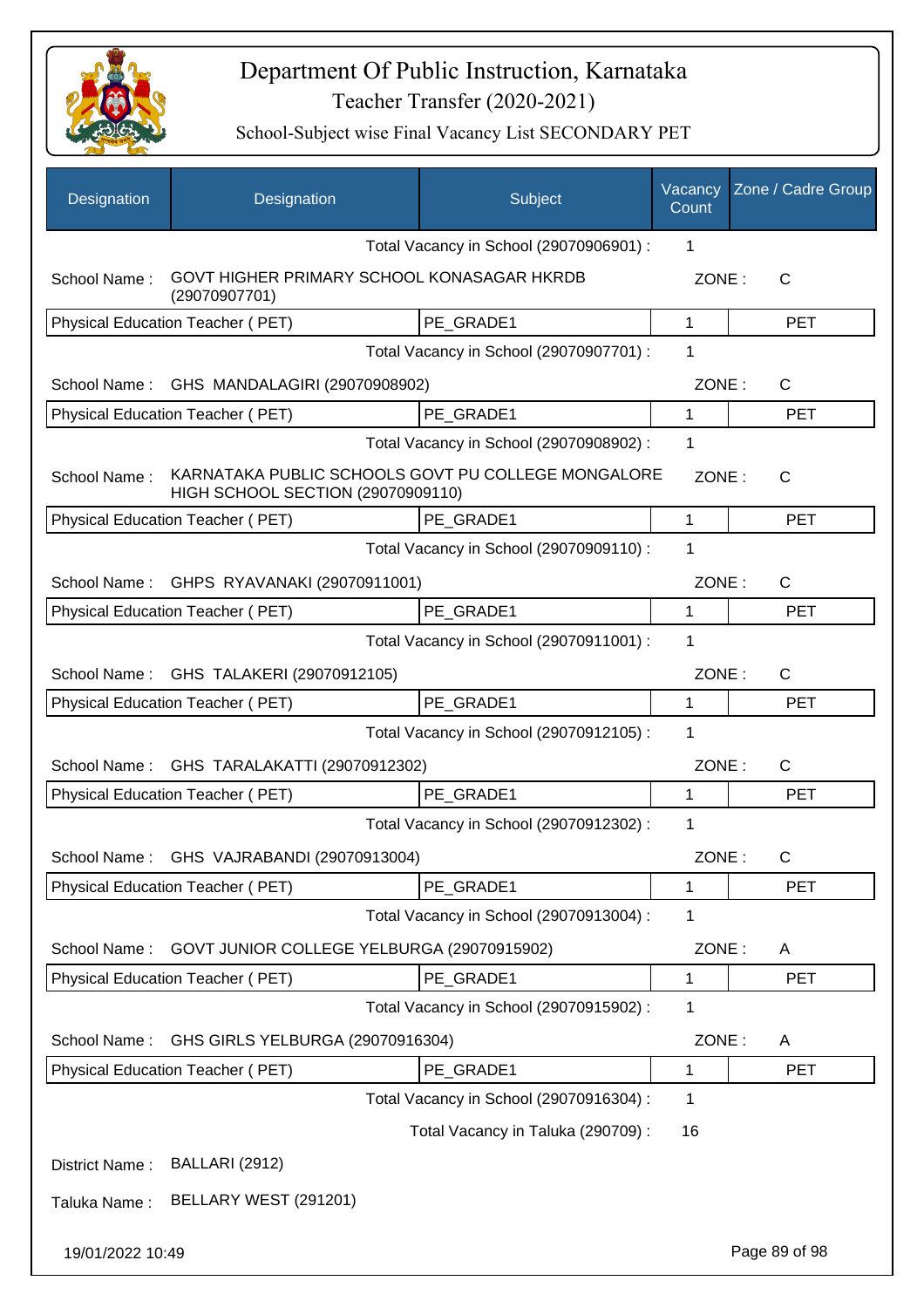

| Designation      | Designation                                                 | Subject                                            | Vacancy<br>Count | Zone / Cadre Group |
|------------------|-------------------------------------------------------------|----------------------------------------------------|------------------|--------------------|
|                  |                                                             | Total Vacancy in School (29070906901) :            | 1                |                    |
| School Name:     | GOVT HIGHER PRIMARY SCHOOL KONASAGAR HKRDB<br>(29070907701) |                                                    | ZONE:            | С                  |
|                  | Physical Education Teacher (PET)                            | PE_GRADE1                                          | 1                | <b>PET</b>         |
|                  |                                                             | Total Vacancy in School (29070907701) :            | 1                |                    |
| School Name:     | GHS MANDALAGIRI (29070908902)                               |                                                    | ZONE:            | C                  |
|                  | Physical Education Teacher (PET)                            | PE_GRADE1                                          | 1                | <b>PET</b>         |
|                  |                                                             | Total Vacancy in School (29070908902) :            | 1                |                    |
| School Name:     | HIGH SCHOOL SECTION (29070909110)                           | KARNATAKA PUBLIC SCHOOLS GOVT PU COLLEGE MONGALORE | ZONE:            | C                  |
|                  | <b>Physical Education Teacher (PET)</b>                     | PE GRADE1                                          | $\mathbf{1}$     | <b>PET</b>         |
|                  |                                                             | Total Vacancy in School (29070909110) :            | 1                |                    |
| School Name:     | GHPS RYAVANAKI (29070911001)                                |                                                    | ZONE:            | $\mathsf C$        |
|                  | Physical Education Teacher (PET)                            | PE GRADE1                                          | 1                | <b>PET</b>         |
|                  |                                                             | Total Vacancy in School (29070911001) :            | 1                |                    |
| School Name:     | GHS TALAKERI (29070912105)                                  |                                                    | ZONE:            | C                  |
|                  | Physical Education Teacher (PET)                            | PE GRADE1                                          | 1                | <b>PET</b>         |
|                  |                                                             | Total Vacancy in School (29070912105) :            | 1                |                    |
| School Name:     | GHS TARALAKATTI (29070912302)                               |                                                    | ZONE:            | C                  |
|                  | Physical Education Teacher (PET)                            | PE GRADE1                                          | 1                | <b>PET</b>         |
|                  |                                                             | Total Vacancy in School (29070912302) :            | 1                |                    |
|                  | School Name: GHS VAJRABANDI (29070913004)                   |                                                    | ZONE:            | С                  |
|                  | Physical Education Teacher (PET)                            | PE_GRADE1                                          | 1                | <b>PET</b>         |
|                  |                                                             | Total Vacancy in School (29070913004) :            | 1                |                    |
| School Name:     | GOVT JUNIOR COLLEGE YELBURGA (29070915902)                  |                                                    | ZONE:            | Α                  |
|                  | Physical Education Teacher (PET)                            | PE GRADE1                                          | 1                | <b>PET</b>         |
|                  |                                                             | Total Vacancy in School (29070915902) :            | 1                |                    |
| School Name:     | GHS GIRLS YELBURGA (29070916304)                            |                                                    | ZONE:            | A                  |
|                  | Physical Education Teacher (PET)                            | PE_GRADE1                                          | 1                | <b>PET</b>         |
|                  |                                                             | Total Vacancy in School (29070916304) :            | 1                |                    |
|                  |                                                             | Total Vacancy in Taluka (290709) :                 | 16               |                    |
| District Name:   | BALLARI (2912)                                              |                                                    |                  |                    |
| Taluka Name:     | BELLARY WEST (291201)                                       |                                                    |                  |                    |
| 19/01/2022 10:49 |                                                             |                                                    |                  | Page 89 of 98      |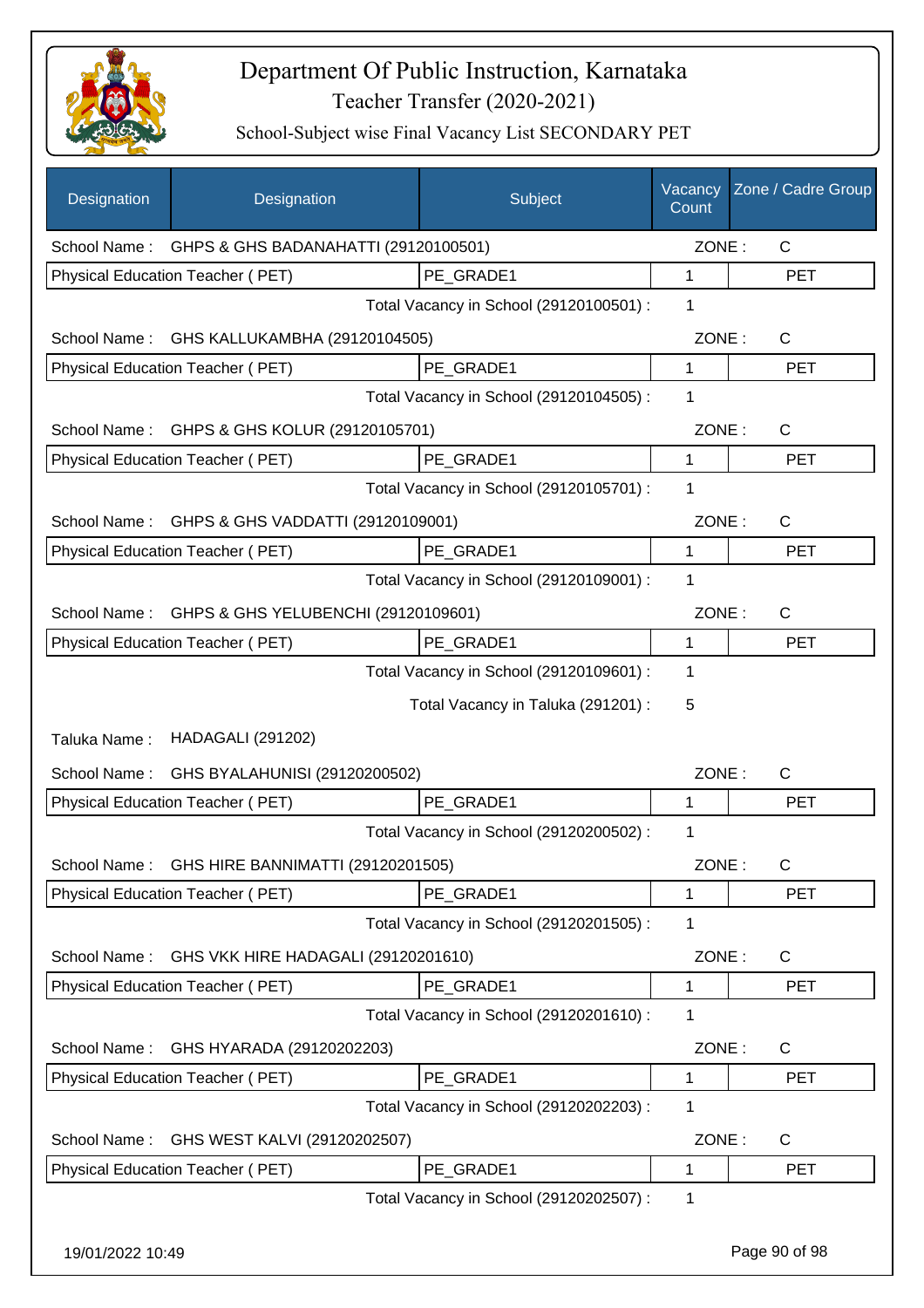

| Designation      | Designation                                       | Subject                                 | Vacancy<br>Count | Zone / Cadre Group |
|------------------|---------------------------------------------------|-----------------------------------------|------------------|--------------------|
|                  | School Name: GHPS & GHS BADANAHATTI (29120100501) |                                         | ZONE:            | $\mathsf{C}$       |
|                  | Physical Education Teacher (PET)                  | PE_GRADE1                               | 1                | <b>PET</b>         |
|                  |                                                   | Total Vacancy in School (29120100501) : | 1                |                    |
|                  | School Name: GHS KALLUKAMBHA (29120104505)        |                                         | ZONE:            | $\mathsf{C}$       |
|                  | Physical Education Teacher (PET)                  | PE GRADE1                               | 1                | <b>PET</b>         |
|                  |                                                   | Total Vacancy in School (29120104505) : | 1                |                    |
| School Name:     | GHPS & GHS KOLUR (29120105701)                    |                                         | ZONE:            | $\mathsf{C}$       |
|                  | Physical Education Teacher (PET)                  | PE GRADE1                               | 1                | <b>PET</b>         |
|                  |                                                   | Total Vacancy in School (29120105701) : | 1                |                    |
|                  | School Name: GHPS & GHS VADDATTI (29120109001)    |                                         | ZONE:            | $\mathsf{C}$       |
|                  | Physical Education Teacher (PET)                  | PE_GRADE1                               | 1                | <b>PET</b>         |
|                  |                                                   | Total Vacancy in School (29120109001) : | 1                |                    |
|                  | School Name: GHPS & GHS YELUBENCHI (29120109601)  |                                         | ZONE:            | C                  |
|                  | Physical Education Teacher (PET)                  | PE_GRADE1                               | 1                | <b>PET</b>         |
|                  |                                                   | Total Vacancy in School (29120109601) : | 1                |                    |
|                  |                                                   | Total Vacancy in Taluka (291201) :      | 5                |                    |
| Taluka Name:     | <b>HADAGALI (291202)</b>                          |                                         |                  |                    |
| School Name:     | GHS BYALAHUNISI (29120200502)                     |                                         | ZONE:            | C                  |
|                  | Physical Education Teacher (PET)                  | PE_GRADE1                               | 1                | <b>PET</b>         |
|                  |                                                   | Total Vacancy in School (29120200502) : | 1                |                    |
|                  | School Name: GHS HIRE BANNIMATTI (29120201505)    |                                         | ZONE:            | $\mathsf{C}$       |
|                  | <b>Physical Education Teacher (PET)</b>           | PE_GRADE1                               | 1                | <b>PET</b>         |
|                  |                                                   | Total Vacancy in School (29120201505) : | 1                |                    |
| School Name:     | GHS VKK HIRE HADAGALI (29120201610)               |                                         | ZONE:            | C                  |
|                  | <b>Physical Education Teacher (PET)</b>           | PE_GRADE1                               | 1                | <b>PET</b>         |
|                  |                                                   | Total Vacancy in School (29120201610) : | 1                |                    |
| School Name:     | GHS HYARADA (29120202203)                         |                                         | ZONE:            | C                  |
|                  | Physical Education Teacher (PET)                  | PE_GRADE1                               | 1                | <b>PET</b>         |
|                  |                                                   | Total Vacancy in School (29120202203) : | 1                |                    |
| School Name:     | GHS WEST KALVI (29120202507)                      |                                         | ZONE:            | C                  |
|                  | Physical Education Teacher (PET)                  | PE_GRADE1                               | 1                | <b>PET</b>         |
|                  |                                                   | Total Vacancy in School (29120202507) : | 1                |                    |
| 19/01/2022 10:49 |                                                   |                                         |                  | Page 90 of 98      |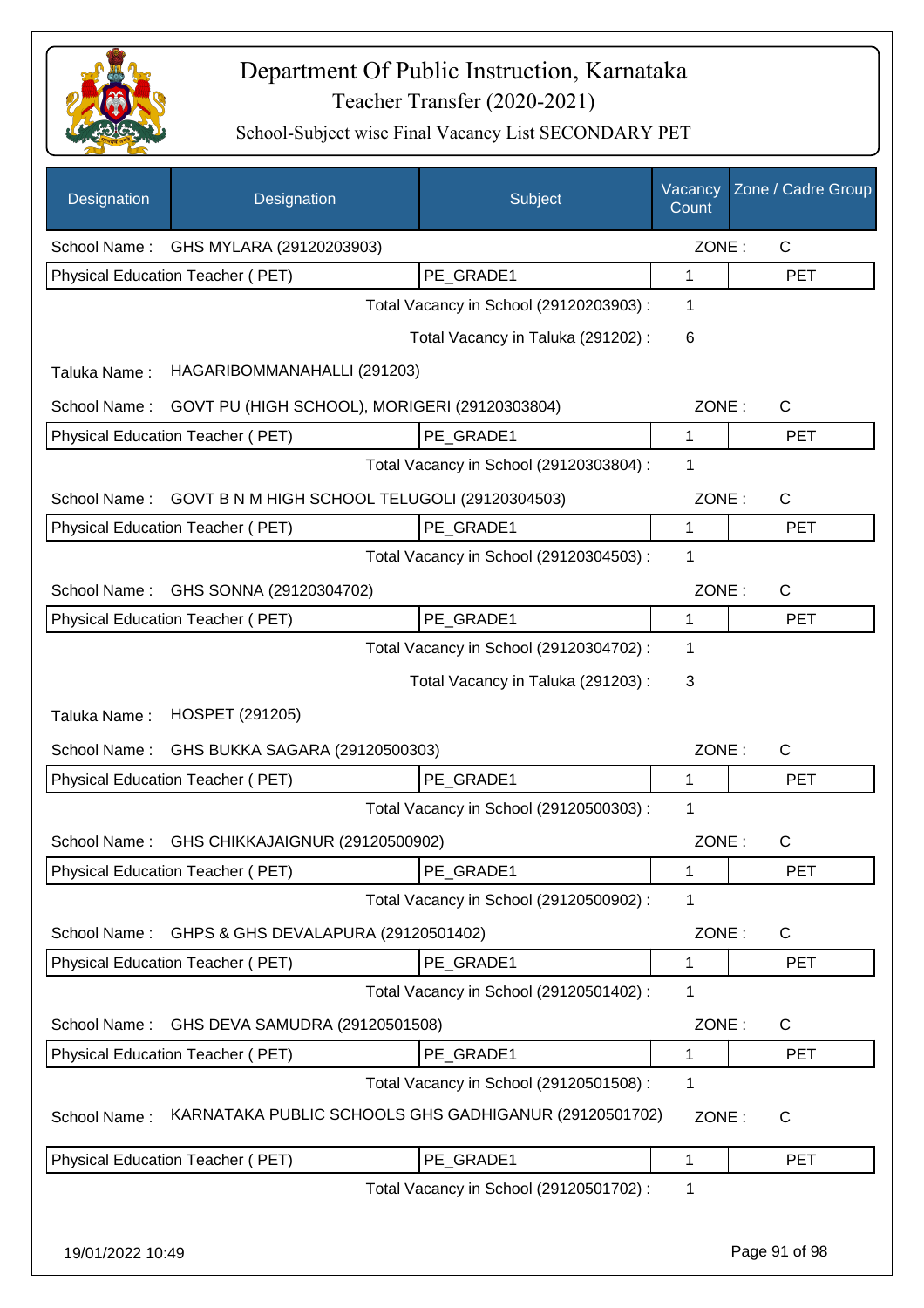

| Designation      | Designation                                           | Subject                                 | Vacancy<br>Count | Zone / Cadre Group |
|------------------|-------------------------------------------------------|-----------------------------------------|------------------|--------------------|
| School Name:     | GHS MYLARA (29120203903)                              |                                         | ZONE:            | C                  |
|                  | Physical Education Teacher (PET)                      | PE GRADE1                               | 1                | <b>PET</b>         |
|                  |                                                       | Total Vacancy in School (29120203903) : | 1                |                    |
|                  |                                                       | Total Vacancy in Taluka (291202):       | 6                |                    |
| Taluka Name:     | HAGARIBOMMANAHALLI (291203)                           |                                         |                  |                    |
| School Name:     | GOVT PU (HIGH SCHOOL), MORIGERI (29120303804)         |                                         | ZONE:            | C                  |
|                  | Physical Education Teacher (PET)                      | PE_GRADE1                               | 1                | <b>PET</b>         |
|                  |                                                       | Total Vacancy in School (29120303804) : | 1                |                    |
| School Name:     | GOVT B N M HIGH SCHOOL TELUGOLI (29120304503)         |                                         | ZONE:            | C                  |
|                  | Physical Education Teacher (PET)                      | PE_GRADE1                               | 1                | <b>PET</b>         |
|                  |                                                       | Total Vacancy in School (29120304503) : | 1                |                    |
| School Name:     | GHS SONNA (29120304702)                               |                                         | ZONE:            | C                  |
|                  | Physical Education Teacher (PET)                      | PE_GRADE1                               | 1                | <b>PET</b>         |
|                  |                                                       | Total Vacancy in School (29120304702) : | 1                |                    |
|                  |                                                       | Total Vacancy in Taluka (291203):       | 3                |                    |
| Taluka Name:     | HOSPET (291205)                                       |                                         |                  |                    |
| School Name:     | GHS BUKKA SAGARA (29120500303)                        |                                         | ZONE:            | C                  |
|                  | Physical Education Teacher (PET)                      | PE GRADE1                               | 1                | <b>PET</b>         |
|                  |                                                       | Total Vacancy in School (29120500303) : | 1                |                    |
| School Name:     | GHS CHIKKAJAIGNUR (29120500902)                       |                                         | ZONE:            | С                  |
|                  | Physical Education Teacher (PET)                      | PE_GRADE1                               | 1                | <b>PET</b>         |
|                  |                                                       | Total Vacancy in School (29120500902) : | 1                |                    |
| School Name:     | GHPS & GHS DEVALAPURA (29120501402)                   |                                         | ZONE:            | C                  |
|                  | Physical Education Teacher (PET)                      | PE GRADE1                               | 1                | <b>PET</b>         |
|                  |                                                       | Total Vacancy in School (29120501402) : | 1                |                    |
| School Name:     | GHS DEVA SAMUDRA (29120501508)                        |                                         | ZONE:            | $\mathsf{C}$       |
|                  | Physical Education Teacher (PET)                      | PE_GRADE1                               | 1                | <b>PET</b>         |
|                  |                                                       | Total Vacancy in School (29120501508) : | 1                |                    |
| School Name:     | KARNATAKA PUBLIC SCHOOLS GHS GADHIGANUR (29120501702) |                                         | ZONE:            | $\mathsf{C}$       |
|                  | Physical Education Teacher (PET)                      | PE_GRADE1                               | 1                | <b>PET</b>         |
|                  |                                                       | Total Vacancy in School (29120501702) : | 1                |                    |
|                  |                                                       |                                         |                  |                    |
| 19/01/2022 10:49 |                                                       |                                         |                  | Page 91 of 98      |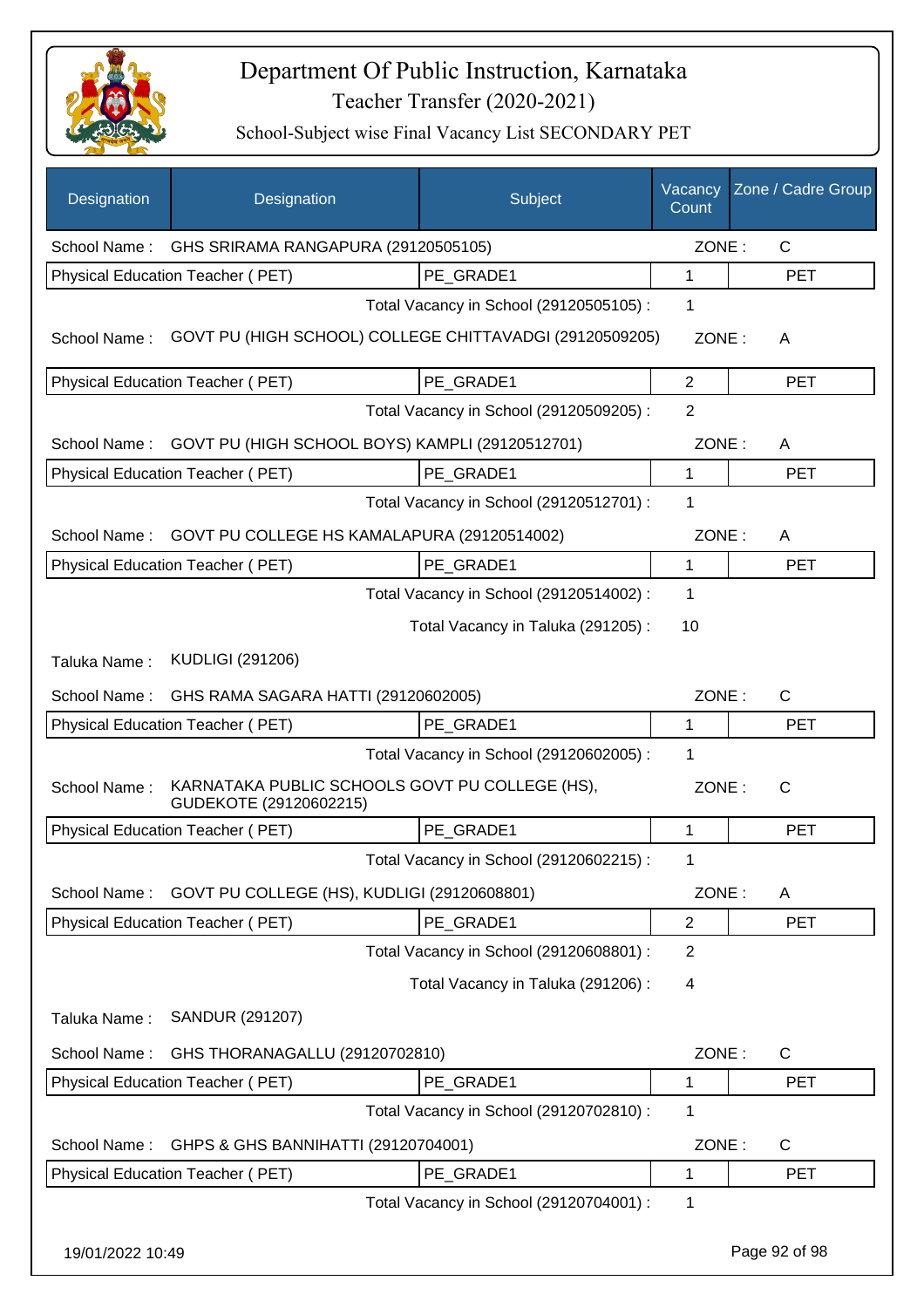

| Designation      | Designation                                                              | Subject                                 | Vacancy<br>Count | Zone / Cadre Group |
|------------------|--------------------------------------------------------------------------|-----------------------------------------|------------------|--------------------|
| School Name:     | GHS SRIRAMA RANGAPURA (29120505105)                                      |                                         | ZONE:            | $\mathsf{C}$       |
|                  | Physical Education Teacher (PET)                                         | PE GRADE1                               | 1                | <b>PET</b>         |
|                  |                                                                          | Total Vacancy in School (29120505105) : | 1                |                    |
| School Name:     | GOVT PU (HIGH SCHOOL) COLLEGE CHITTAVADGI (29120509205)                  |                                         | ZONE:            | A                  |
|                  | Physical Education Teacher (PET)                                         | PE_GRADE1                               | $\overline{2}$   | <b>PET</b>         |
|                  |                                                                          | Total Vacancy in School (29120509205) : | $\overline{2}$   |                    |
| School Name:     | GOVT PU (HIGH SCHOOL BOYS) KAMPLI (29120512701)                          |                                         | ZONE:            | A                  |
|                  | Physical Education Teacher (PET)                                         | PE_GRADE1                               | 1                | <b>PET</b>         |
|                  |                                                                          | Total Vacancy in School (29120512701) : | 1                |                    |
| School Name:     | GOVT PU COLLEGE HS KAMALAPURA (29120514002)                              |                                         | ZONE:            | A                  |
|                  | Physical Education Teacher (PET)                                         | PE_GRADE1                               | 1                | <b>PET</b>         |
|                  |                                                                          | Total Vacancy in School (29120514002) : | 1                |                    |
|                  |                                                                          | Total Vacancy in Taluka (291205):       | 10               |                    |
| Taluka Name:     | <b>KUDLIGI (291206)</b>                                                  |                                         |                  |                    |
| School Name:     | GHS RAMA SAGARA HATTI (29120602005)                                      |                                         | ZONE:            | $\mathsf{C}$       |
|                  | Physical Education Teacher (PET)                                         | PE_GRADE1                               | 1                | <b>PET</b>         |
|                  |                                                                          | Total Vacancy in School (29120602005) : | 1                |                    |
| School Name:     | KARNATAKA PUBLIC SCHOOLS GOVT PU COLLEGE (HS),<br>GUDEKOTE (29120602215) |                                         | ZONE:            | $\mathsf{C}$       |
|                  | Physical Education Teacher (PET)                                         | PE_GRADE1                               | 1                | <b>PET</b>         |
|                  |                                                                          | Total Vacancy in School (29120602215) : | 1                |                    |
| School Name:     | GOVT PU COLLEGE (HS), KUDLIGI (29120608801)                              |                                         | ZONE:            | A                  |
|                  | Physical Education Teacher (PET)                                         | PE_GRADE1                               | $\overline{2}$   | <b>PET</b>         |
|                  |                                                                          | Total Vacancy in School (29120608801) : | $\overline{2}$   |                    |
|                  |                                                                          | Total Vacancy in Taluka (291206) :      | 4                |                    |
| Taluka Name:     | SANDUR (291207)                                                          |                                         |                  |                    |
| School Name:     | GHS THORANAGALLU (29120702810)                                           |                                         | ZONE:            | C                  |
|                  | Physical Education Teacher (PET)                                         | PE_GRADE1                               | 1                | <b>PET</b>         |
|                  |                                                                          | Total Vacancy in School (29120702810) : | 1                |                    |
| School Name:     | GHPS & GHS BANNIHATTI (29120704001)                                      |                                         | ZONE:            | C                  |
|                  | Physical Education Teacher (PET)                                         | PE_GRADE1                               | 1                | <b>PET</b>         |
|                  |                                                                          | Total Vacancy in School (29120704001) : | 1                |                    |
| 19/01/2022 10:49 |                                                                          |                                         |                  | Page 92 of 98      |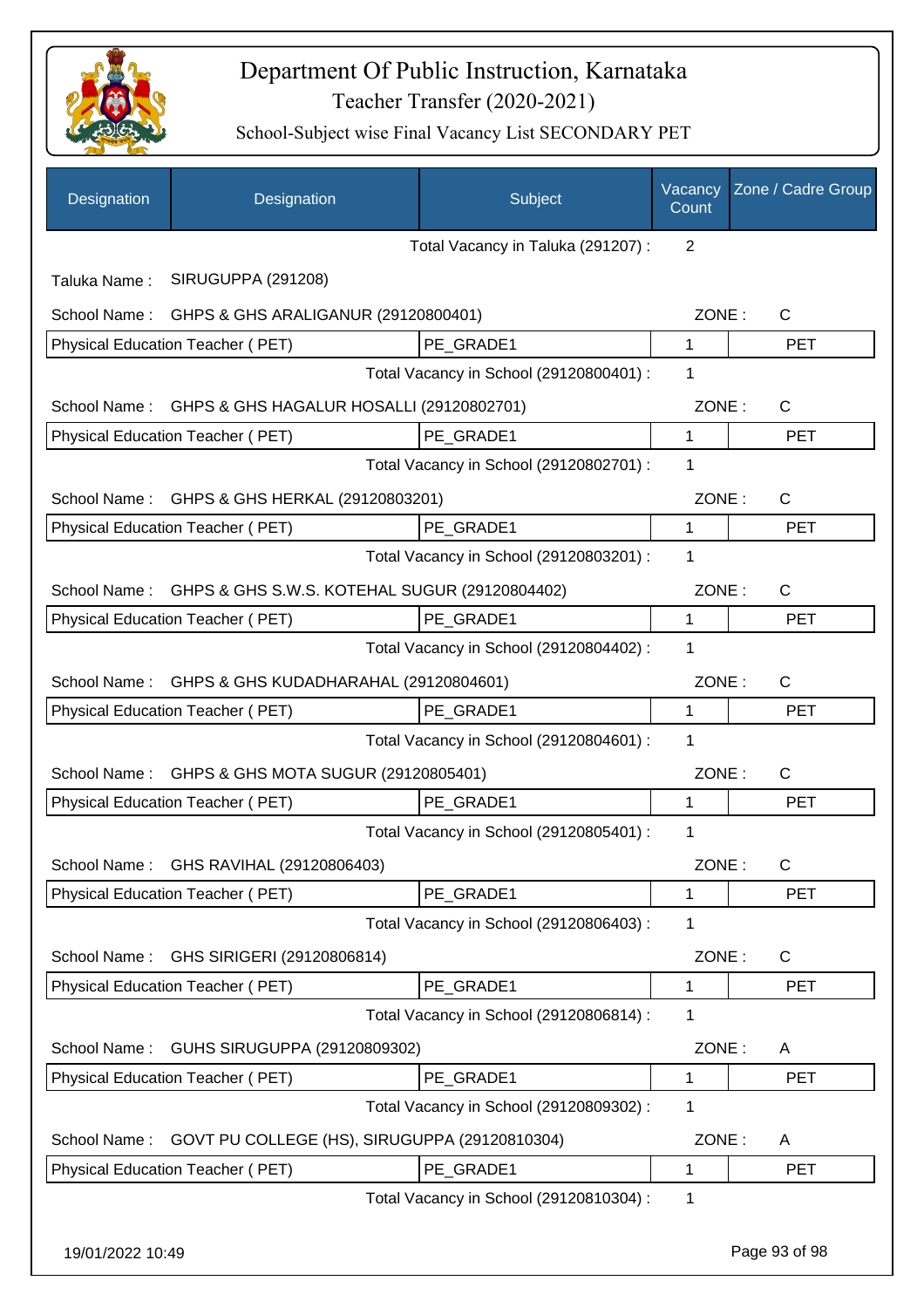

| Designation  | Designation                                   | Subject                                 | Vacancy<br>Count | Zone / Cadre Group |
|--------------|-----------------------------------------------|-----------------------------------------|------------------|--------------------|
|              |                                               | Total Vacancy in Taluka (291207) :      | 2                |                    |
| Taluka Name: | SIRUGUPPA (291208)                            |                                         |                  |                    |
| School Name: | GHPS & GHS ARALIGANUR (29120800401)           |                                         | ZONE:            | $\mathsf{C}$       |
|              | Physical Education Teacher (PET)              | PE GRADE1                               | 1                | <b>PET</b>         |
|              |                                               | Total Vacancy in School (29120800401) : | 1                |                    |
| School Name: | GHPS & GHS HAGALUR HOSALLI (29120802701)      |                                         | ZONE:            | $\mathsf{C}$       |
|              | Physical Education Teacher (PET)              | PE GRADE1                               | 1                | <b>PET</b>         |
|              |                                               | Total Vacancy in School (29120802701) : | 1                |                    |
| School Name: | GHPS & GHS HERKAL (29120803201)               |                                         | ZONE:            | $\mathsf{C}$       |
|              | Physical Education Teacher (PET)              | PE_GRADE1                               | $\mathbf{1}$     | <b>PET</b>         |
|              |                                               | Total Vacancy in School (29120803201) : | 1                |                    |
| School Name: | GHPS & GHS S.W.S. KOTEHAL SUGUR (29120804402) |                                         | ZONE:            | $\mathsf{C}$       |
|              | Physical Education Teacher (PET)              | PE GRADE1                               | 1                | <b>PET</b>         |
|              |                                               | Total Vacancy in School (29120804402) : | 1                |                    |
| School Name: | GHPS & GHS KUDADHARAHAL (29120804601)         |                                         | ZONE:            | $\mathsf{C}$       |
|              | Physical Education Teacher (PET)              | PE_GRADE1                               | 1                | <b>PET</b>         |
|              |                                               | Total Vacancy in School (29120804601) : | 1                |                    |
| School Name: | GHPS & GHS MOTA SUGUR (29120805401)           |                                         | ZONE:            | $\mathsf{C}$       |
|              | Physical Education Teacher (PET)              | PE_GRADE1                               | 1                | <b>PET</b>         |
|              |                                               | Total Vacancy in School (29120805401) : | 1                |                    |
| School Name: | GHS RAVIHAL (29120806403)                     |                                         | ZONE:            | C                  |
|              | Physical Education Teacher (PET)              | PE_GRADE1                               | 1                | <b>PET</b>         |
|              |                                               | Total Vacancy in School (29120806403) : | 1                |                    |
| School Name: | GHS SIRIGERI (29120806814)                    |                                         | ZONE:            | C                  |
|              | Physical Education Teacher (PET)              | PE GRADE1                               | 1                | <b>PET</b>         |
|              |                                               | Total Vacancy in School (29120806814) : | 1                |                    |
| School Name: | GUHS SIRUGUPPA (29120809302)                  |                                         | ZONE:            | A                  |
|              | Physical Education Teacher (PET)              | PE_GRADE1                               | 1                | <b>PET</b>         |
|              |                                               | Total Vacancy in School (29120809302) : | 1                |                    |
| School Name: | GOVT PU COLLEGE (HS), SIRUGUPPA (29120810304) |                                         | ZONE:            | A                  |
|              | Physical Education Teacher (PET)              | PE_GRADE1                               | 1                | <b>PET</b>         |
|              |                                               | Total Vacancy in School (29120810304) : | 1                |                    |
|              |                                               |                                         |                  |                    |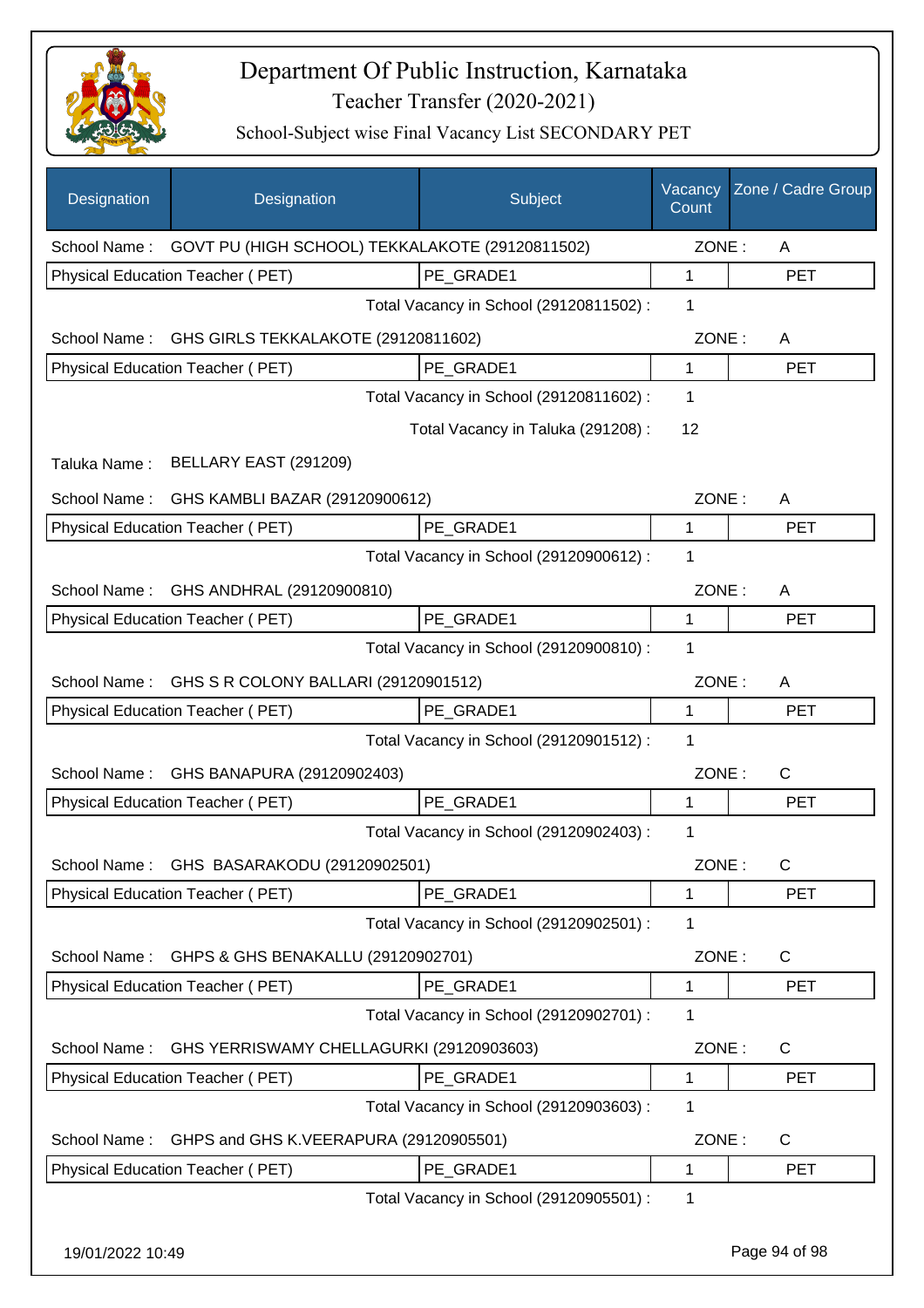

| Designation   | Designation                                     | Subject                                 | Vacancy<br>Count | Zone / Cadre Group |
|---------------|-------------------------------------------------|-----------------------------------------|------------------|--------------------|
| School Name : | GOVT PU (HIGH SCHOOL) TEKKALAKOTE (29120811502) |                                         | ZONE:            | A                  |
|               | Physical Education Teacher (PET)                | PE GRADE1                               | 1                | <b>PET</b>         |
|               |                                                 | Total Vacancy in School (29120811502) : | 1                |                    |
| School Name:  | GHS GIRLS TEKKALAKOTE (29120811602)             |                                         | ZONE:            | A                  |
|               | Physical Education Teacher (PET)                | PE GRADE1                               | 1                | <b>PET</b>         |
|               |                                                 | Total Vacancy in School (29120811602) : | 1                |                    |
|               |                                                 | Total Vacancy in Taluka (291208) :      | 12               |                    |
| Taluka Name:  | BELLARY EAST (291209)                           |                                         |                  |                    |
| School Name:  | GHS KAMBLI BAZAR (29120900612)                  |                                         | ZONE:            | A                  |
|               | Physical Education Teacher (PET)                | PE_GRADE1                               | 1                | <b>PET</b>         |
|               |                                                 | Total Vacancy in School (29120900612) : | 1                |                    |
| School Name:  | GHS ANDHRAL (29120900810)                       |                                         | ZONE:            | A                  |
|               | Physical Education Teacher (PET)                | PE GRADE1                               | 1                | <b>PET</b>         |
|               |                                                 | Total Vacancy in School (29120900810) : | 1                |                    |
| School Name:  | GHS S R COLONY BALLARI (29120901512)            |                                         | ZONE:            | A                  |
|               | Physical Education Teacher (PET)                | PE GRADE1                               | 1                | <b>PET</b>         |
|               |                                                 | Total Vacancy in School (29120901512) : | 1                |                    |
| School Name:  | GHS BANAPURA (29120902403)                      |                                         | ZONE:            | C                  |
|               | Physical Education Teacher (PET)                | PE_GRADE1                               | 1                | <b>PET</b>         |
|               |                                                 | Total Vacancy in School (29120902403) : | 1                |                    |
|               | School Name: GHS BASARAKODU (29120902501)       |                                         | ZONE:            | C                  |
|               | Physical Education Teacher (PET)                | PE_GRADE1                               | 1                | <b>PET</b>         |
|               |                                                 | Total Vacancy in School (29120902501) : | 1                |                    |
| School Name:  | GHPS & GHS BENAKALLU (29120902701)              |                                         | ZONE:            | C                  |
|               | Physical Education Teacher (PET)                | PE GRADE1                               | 1                | <b>PET</b>         |
|               |                                                 | Total Vacancy in School (29120902701) : | 1                |                    |
| School Name:  | GHS YERRISWAMY CHELLAGURKI (29120903603)        |                                         | ZONE:            | C                  |
|               | Physical Education Teacher (PET)                | PE_GRADE1                               | 1                | <b>PET</b>         |
|               |                                                 | Total Vacancy in School (29120903603) : | 1                |                    |
| School Name:  | GHPS and GHS K.VEERAPURA (29120905501)          |                                         | ZONE:            | C                  |
|               | Physical Education Teacher (PET)                | PE GRADE1                               | 1                | <b>PET</b>         |
|               |                                                 | Total Vacancy in School (29120905501) : | 1                |                    |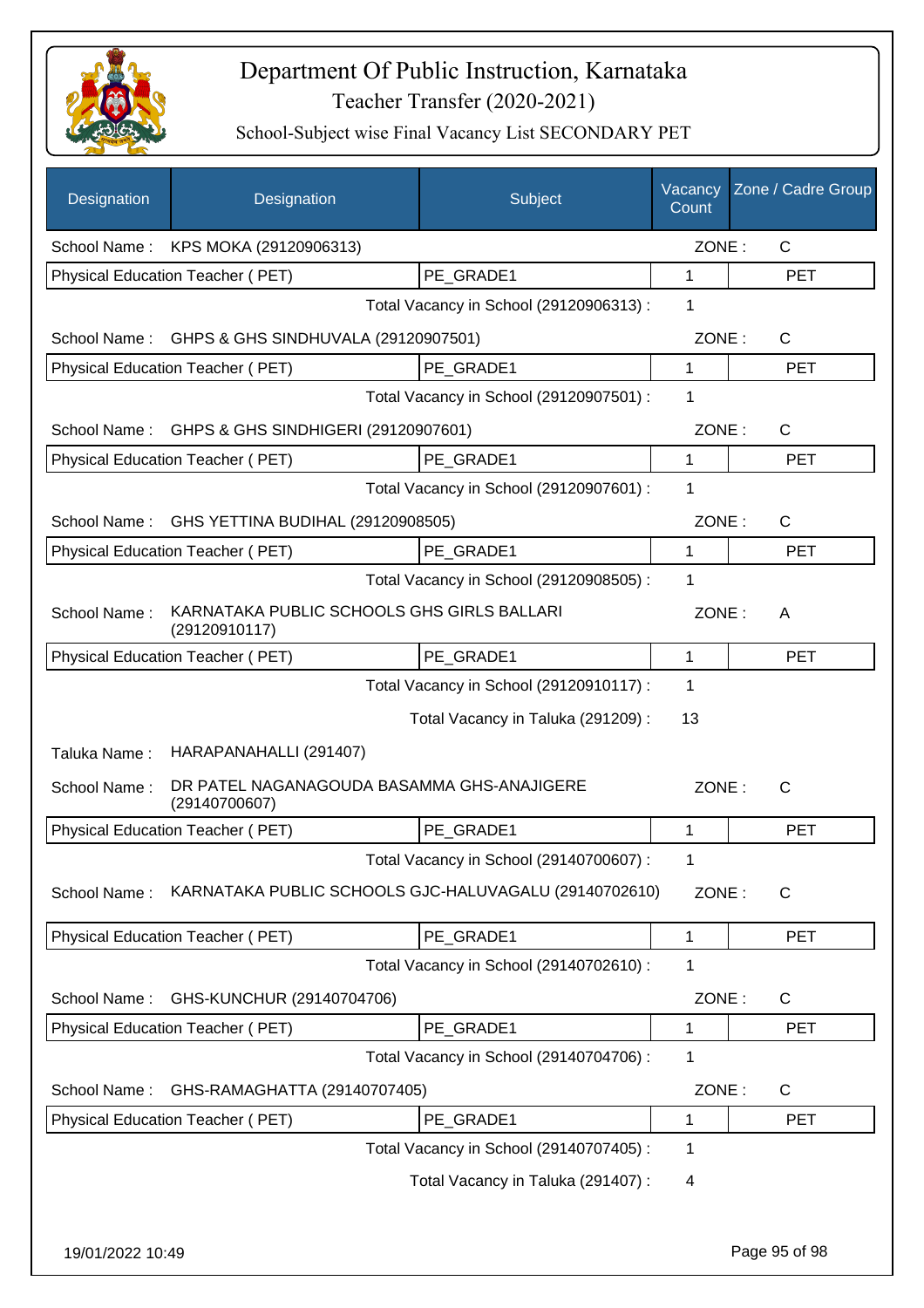

| Designation      | Designation                                                 | Subject                                 | Vacancy<br>Count | Zone / Cadre Group |
|------------------|-------------------------------------------------------------|-----------------------------------------|------------------|--------------------|
|                  | School Name: KPS MOKA (29120906313)                         |                                         | ZONE:            | $\mathsf{C}$       |
|                  | Physical Education Teacher (PET)                            | PE GRADE1                               | $\mathbf{1}$     | <b>PET</b>         |
|                  |                                                             | Total Vacancy in School (29120906313) : | 1                |                    |
| School Name:     | GHPS & GHS SINDHUVALA (29120907501)                         |                                         | ZONE:            | $\mathsf{C}$       |
|                  | Physical Education Teacher (PET)                            | PE GRADE1                               | 1                | <b>PET</b>         |
|                  |                                                             | Total Vacancy in School (29120907501) : | 1                |                    |
|                  | School Name: GHPS & GHS SINDHIGERI (29120907601)            |                                         | ZONE:            | $\mathsf{C}$       |
|                  | Physical Education Teacher (PET)                            | PE GRADE1                               | 1                | <b>PET</b>         |
|                  |                                                             | Total Vacancy in School (29120907601) : | 1                |                    |
| School Name:     | GHS YETTINA BUDIHAL (29120908505)                           |                                         | ZONE:            | $\mathsf{C}$       |
|                  | Physical Education Teacher (PET)                            | PE_GRADE1                               | 1                | <b>PET</b>         |
|                  |                                                             | Total Vacancy in School (29120908505) : | 1                |                    |
| School Name:     | KARNATAKA PUBLIC SCHOOLS GHS GIRLS BALLARI<br>(29120910117) |                                         | ZONE:            | A                  |
|                  | Physical Education Teacher (PET)                            | PE_GRADE1                               | 1                | <b>PET</b>         |
|                  |                                                             | Total Vacancy in School (29120910117) : | 1                |                    |
| Taluka Name:     | HARAPANAHALLI (291407)                                      | Total Vacancy in Taluka (291209) :      | 13               |                    |
| School Name:     | DR PATEL NAGANAGOUDA BASAMMA GHS-ANAJIGERE<br>(29140700607) |                                         | ZONE:            | $\mathsf{C}$       |
|                  | Physical Education Teacher (PET)                            | PE GRADE1                               | 1                | <b>PET</b>         |
|                  |                                                             | Total Vacancy in School (29140700607) : | 1                |                    |
| School Name:     | KARNATAKA PUBLIC SCHOOLS GJC-HALUVAGALU (29140702610)       |                                         | ZONE:            | C                  |
|                  | <b>Physical Education Teacher (PET)</b>                     | PE_GRADE1                               | 1                | <b>PET</b>         |
|                  |                                                             | Total Vacancy in School (29140702610) : | 1                |                    |
| School Name:     | GHS-KUNCHUR (29140704706)                                   |                                         | ZONE:            | C                  |
|                  | Physical Education Teacher (PET)                            | PE GRADE1                               | 1                | <b>PET</b>         |
|                  |                                                             | Total Vacancy in School (29140704706) : | 1                |                    |
| School Name:     | GHS-RAMAGHATTA (29140707405)                                |                                         | ZONE:            | C                  |
|                  | Physical Education Teacher (PET)                            | PE_GRADE1                               | 1                | PET                |
|                  |                                                             | Total Vacancy in School (29140707405) : | 1                |                    |
|                  |                                                             | Total Vacancy in Taluka (291407) :      | 4                |                    |
| 19/01/2022 10:49 |                                                             |                                         |                  | Page 95 of 98      |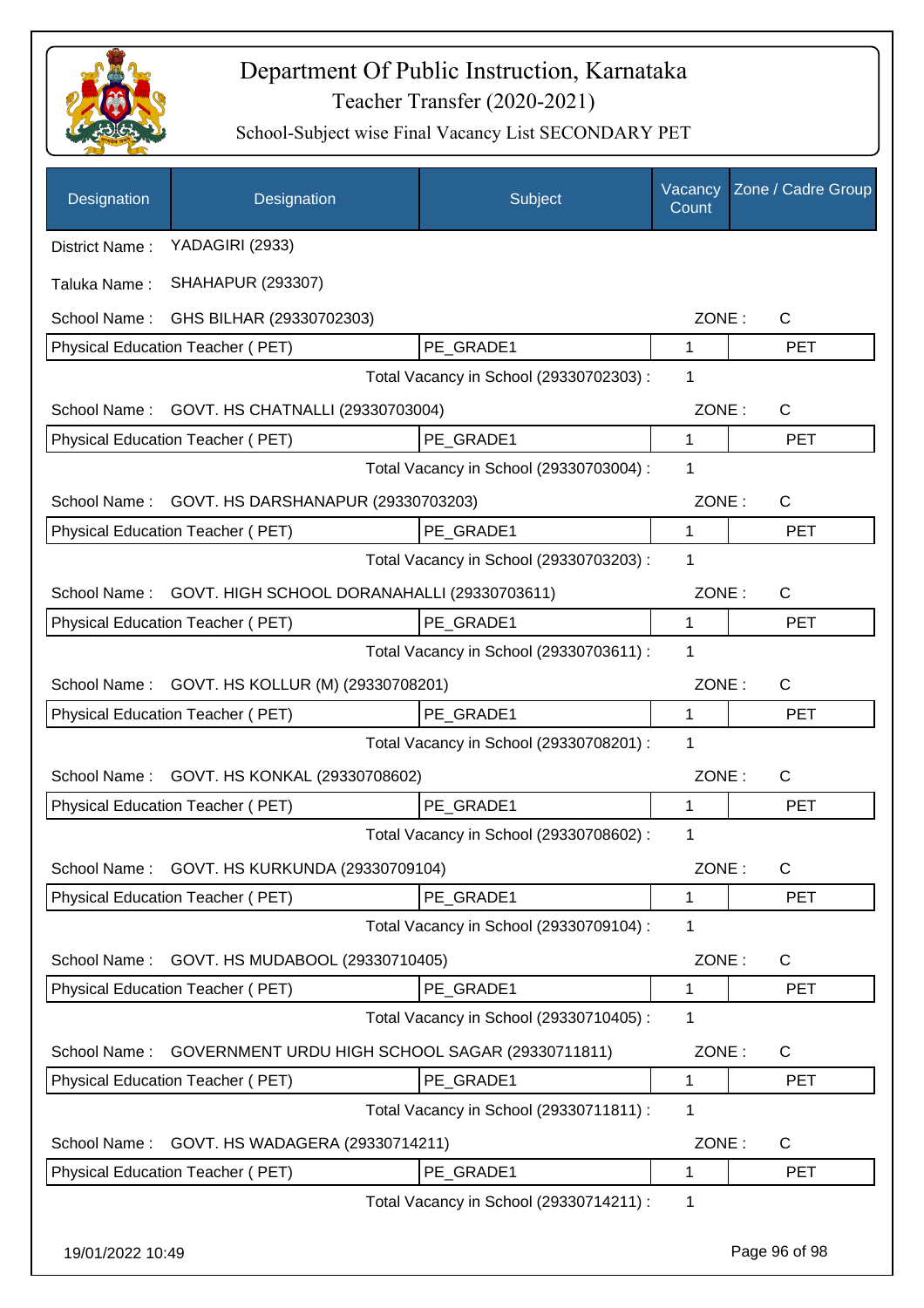

| Designation      | Designation                                     | Subject                                 | Vacancy<br>Count | Zone / Cadre Group |
|------------------|-------------------------------------------------|-----------------------------------------|------------------|--------------------|
| District Name:   | YADAGIRI (2933)                                 |                                         |                  |                    |
| Taluka Name:     | <b>SHAHAPUR (293307)</b>                        |                                         |                  |                    |
| School Name:     | GHS BILHAR (29330702303)                        |                                         | ZONE:            | $\mathsf{C}$       |
|                  | Physical Education Teacher (PET)                | PE_GRADE1                               | 1                | <b>PET</b>         |
|                  |                                                 | Total Vacancy in School (29330702303) : | 1                |                    |
| School Name:     | GOVT. HS CHATNALLI (29330703004)                |                                         | ZONE:            | C                  |
|                  | Physical Education Teacher (PET)                | PE GRADE1                               | $\mathbf{1}$     | <b>PET</b>         |
|                  |                                                 | Total Vacancy in School (29330703004) : | 1                |                    |
| School Name:     | GOVT. HS DARSHANAPUR (29330703203)              |                                         | ZONE:            | C                  |
|                  | Physical Education Teacher (PET)                | PE GRADE1                               | 1                | <b>PET</b>         |
|                  |                                                 | Total Vacancy in School (29330703203) : | 1                |                    |
| School Name:     | GOVT. HIGH SCHOOL DORANAHALLI (29330703611)     |                                         | ZONE:            | $\mathsf{C}$       |
|                  | Physical Education Teacher (PET)                | PE_GRADE1                               | 1                | <b>PET</b>         |
|                  |                                                 | Total Vacancy in School (29330703611) : | 1                |                    |
| School Name:     | GOVT. HS KOLLUR (M) (29330708201)               |                                         | ZONE:            | $\mathsf{C}$       |
|                  | Physical Education Teacher (PET)                | PE_GRADE1                               | 1                | <b>PET</b>         |
|                  |                                                 | Total Vacancy in School (29330708201) : | 1                |                    |
| School Name:     | GOVT. HS KONKAL (29330708602)                   |                                         | ZONE:            | $\mathsf{C}$       |
|                  | Physical Education Teacher (PET)                | PE_GRADE1                               | 1                | <b>PET</b>         |
|                  |                                                 | Total Vacancy in School (29330708602) : | 1                |                    |
| School Name:     | GOVT. HS KURKUNDA (29330709104)                 |                                         | ZONE:            | $\mathsf{C}$       |
|                  | Physical Education Teacher (PET)                | PE_GRADE1                               | 1                | PET                |
|                  |                                                 | Total Vacancy in School (29330709104) : | 1                |                    |
| School Name:     | GOVT. HS MUDABOOL (29330710405)                 |                                         | ZONE:            | C                  |
|                  | Physical Education Teacher (PET)                | PE GRADE1                               | 1                | <b>PET</b>         |
|                  |                                                 | Total Vacancy in School (29330710405) : | 1                |                    |
| School Name:     | GOVERNMENT URDU HIGH SCHOOL SAGAR (29330711811) |                                         | ZONE:            | C                  |
|                  | Physical Education Teacher (PET)                | PE_GRADE1                               | 1                | <b>PET</b>         |
|                  |                                                 | Total Vacancy in School (29330711811) : | 1                |                    |
| School Name:     | GOVT. HS WADAGERA (29330714211)                 |                                         | ZONE:            | C                  |
|                  | Physical Education Teacher (PET)                | PE_GRADE1                               | 1                | <b>PET</b>         |
|                  |                                                 | Total Vacancy in School (29330714211) : | 1                |                    |
| 19/01/2022 10:49 |                                                 |                                         |                  | Page 96 of 98      |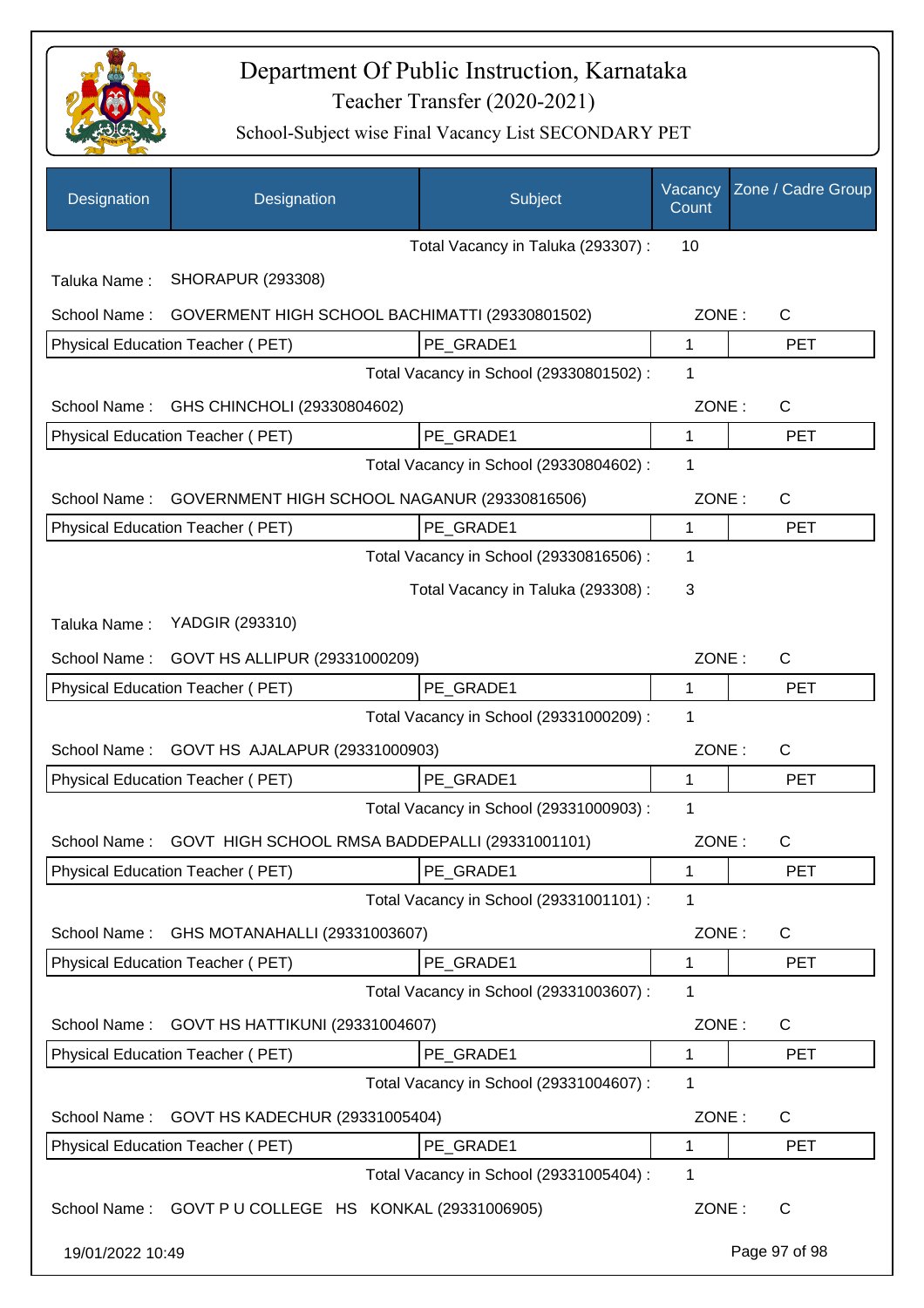

| Designation                                                    | Designation                                    | Subject                                 | Vacancy<br>Count | Zone / Cadre Group    |
|----------------------------------------------------------------|------------------------------------------------|-----------------------------------------|------------------|-----------------------|
|                                                                |                                                | Total Vacancy in Taluka (293307) :      | 10               |                       |
| Taluka Name:                                                   | <b>SHORAPUR (293308)</b>                       |                                         |                  |                       |
| School Name:<br>GOVERMENT HIGH SCHOOL BACHIMATTI (29330801502) |                                                |                                         | ZONE:            | $\mathsf{C}$          |
|                                                                | Physical Education Teacher (PET)               | PE_GRADE1                               | 1                | <b>PET</b>            |
|                                                                |                                                | Total Vacancy in School (29330801502) : | 1                |                       |
| School Name:                                                   | GHS CHINCHOLI (29330804602)                    |                                         | ZONE:            | C                     |
|                                                                | Physical Education Teacher (PET)               | PE GRADE1                               | 1                | <b>PET</b>            |
|                                                                |                                                | Total Vacancy in School (29330804602) : | 1                |                       |
| GOVERNMENT HIGH SCHOOL NAGANUR (29330816506)<br>School Name:   |                                                |                                         | ZONE:            | C                     |
|                                                                | Physical Education Teacher (PET)               | PE_GRADE1                               | 1                | <b>PET</b>            |
|                                                                |                                                | Total Vacancy in School (29330816506) : | 1                |                       |
|                                                                |                                                | Total Vacancy in Taluka (293308) :      | 3                |                       |
| Taluka Name:                                                   | YADGIR (293310)                                |                                         |                  |                       |
| School Name:                                                   | GOVT HS ALLIPUR (29331000209)                  |                                         | ZONE:            | C                     |
|                                                                | Physical Education Teacher (PET)               | PE GRADE1                               | 1                | <b>PET</b>            |
|                                                                |                                                | Total Vacancy in School (29331000209) : | 1                |                       |
| GOVT HS AJALAPUR (29331000903)<br>School Name:                 |                                                |                                         | ZONE:            | C                     |
|                                                                | Physical Education Teacher (PET)               | PE GRADE1                               | 1                | <b>PET</b>            |
|                                                                |                                                | Total Vacancy in School (29331000903) : | 1                |                       |
| School Name :                                                  | GOVT HIGH SCHOOL RMSA BADDEPALLI (29331001101) |                                         | ZONE:            | C                     |
|                                                                | Physical Education Teacher (PET)               | PE GRADE1                               | 1                | <b>PET</b>            |
|                                                                | Total Vacancy in School (29331001101) :        | 1                                       |                  |                       |
| GHS MOTANAHALLI (29331003607)<br>School Name:                  |                                                |                                         | ZONE:            | C                     |
|                                                                | Physical Education Teacher (PET)               | PE_GRADE1                               | 1                | <b>PET</b>            |
|                                                                |                                                | Total Vacancy in School (29331003607) : | 1                |                       |
| GOVT HS HATTIKUNI (29331004607)<br>School Name:                |                                                |                                         | ZONE:            | C                     |
|                                                                | Physical Education Teacher (PET)               | PE_GRADE1                               | 1                | <b>PET</b>            |
|                                                                |                                                | Total Vacancy in School (29331004607) : | 1                |                       |
| School Name:<br>GOVT HS KADECHUR (29331005404)                 |                                                |                                         | ZONE:            | C                     |
|                                                                | Physical Education Teacher (PET)               | PE_GRADE1                               | 1                | <b>PET</b>            |
|                                                                |                                                | Total Vacancy in School (29331005404) : | 1                |                       |
| School Name: GOVT P U COLLEGE HS KONKAL (29331006905)          |                                                |                                         |                  | ZONE:<br>$\mathsf{C}$ |
| 19/01/2022 10:49                                               |                                                |                                         |                  | Page 97 of 98         |